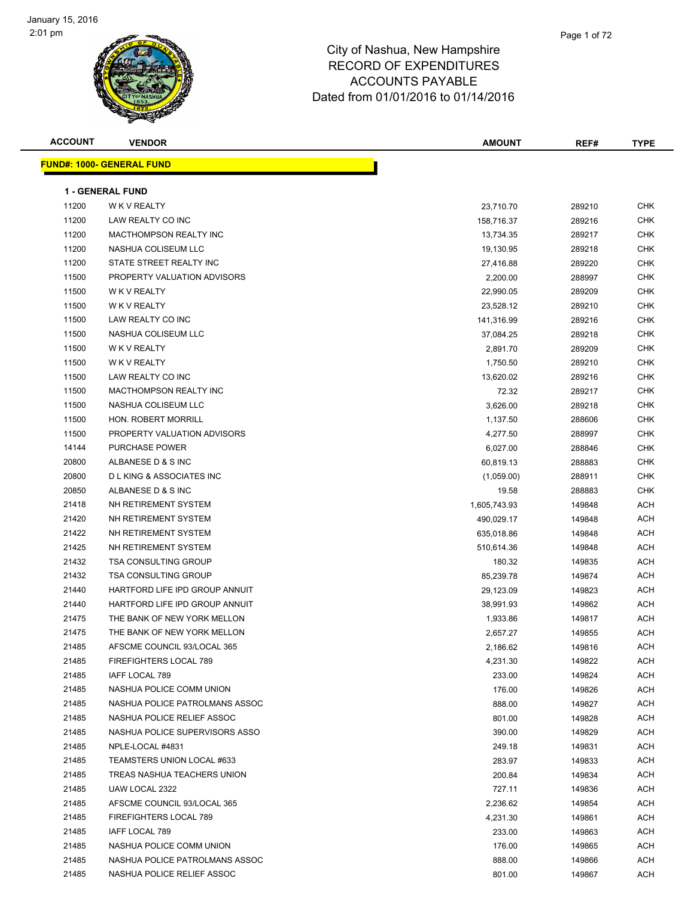# Page 1 of 72

| <b>ACCOUNT</b> | <b>VENDOR</b>                      | <b>AMOUNT</b> | REF#   | <b>TYPE</b> |
|----------------|------------------------------------|---------------|--------|-------------|
|                | <b>FUND#: 1000- GENERAL FUND</b>   |               |        |             |
|                |                                    |               |        |             |
|                | <b>1 - GENERAL FUND</b>            |               |        |             |
| 11200          | W K V REALTY                       | 23,710.70     | 289210 | CHK         |
| 11200          | LAW REALTY CO INC                  | 158,716.37    | 289216 | <b>CHK</b>  |
| 11200          | <b>MACTHOMPSON REALTY INC</b>      | 13,734.35     | 289217 | CHK         |
| 11200          | NASHUA COLISEUM LLC                | 19,130.95     | 289218 | CHK         |
| 11200          | STATE STREET REALTY INC            | 27,416.88     | 289220 | <b>CHK</b>  |
| 11500          | PROPERTY VALUATION ADVISORS        | 2,200.00      | 288997 | <b>CHK</b>  |
| 11500          | W K V REALTY                       | 22,990.05     | 289209 | CHK         |
| 11500          | W K V REALTY                       | 23,528.12     | 289210 | CHK         |
| 11500          | LAW REALTY CO INC                  | 141,316.99    | 289216 | CHK         |
| 11500          | NASHUA COLISEUM LLC                | 37,084.25     | 289218 | <b>CHK</b>  |
| 11500          | W K V REALTY                       | 2,891.70      | 289209 | <b>CHK</b>  |
| 11500          | W K V REALTY                       | 1,750.50      | 289210 | CHK         |
| 11500          | LAW REALTY CO INC                  | 13,620.02     | 289216 | CHK         |
| 11500          | <b>MACTHOMPSON REALTY INC</b>      | 72.32         | 289217 | CHK         |
| 11500          | NASHUA COLISEUM LLC                | 3,626.00      | 289218 | CHK         |
| 11500          | <b>HON. ROBERT MORRILL</b>         | 1,137.50      | 288606 | CHK         |
| 11500          | PROPERTY VALUATION ADVISORS        | 4,277.50      | 288997 | <b>CHK</b>  |
| 14144          | PURCHASE POWER                     | 6,027.00      | 288846 | CHK         |
| 20800          | ALBANESE D & S INC                 | 60,819.13     | 288883 | CHK         |
| 20800          | <b>DLKING &amp; ASSOCIATES INC</b> | (1,059.00)    | 288911 | <b>CHK</b>  |
| 20850          | ALBANESE D & S INC                 | 19.58         | 288883 | CHK         |
| 21418          | NH RETIREMENT SYSTEM               | 1,605,743.93  | 149848 | ACH         |
| 21420          | NH RETIREMENT SYSTEM               | 490,029.17    | 149848 | ACH         |
| 21422          | NH RETIREMENT SYSTEM               | 635,018.86    | 149848 | <b>ACH</b>  |
| 21425          | NH RETIREMENT SYSTEM               | 510,614.36    | 149848 | ACH         |
| 21432          | <b>TSA CONSULTING GROUP</b>        | 180.32        | 149835 | ACH         |
| 21432          | <b>TSA CONSULTING GROUP</b>        | 85,239.78     | 149874 | <b>ACH</b>  |
| 21440          | HARTFORD LIFE IPD GROUP ANNUIT     | 29,123.09     | 149823 | <b>ACH</b>  |
| 21440          | HARTFORD LIFE IPD GROUP ANNUIT     | 38,991.93     | 149862 | <b>ACH</b>  |
| 21475          | THE BANK OF NEW YORK MELLON        | 1,933.86      | 149817 | ACH         |
| 21475          | THE BANK OF NEW YORK MELLON        | 2,657.27      | 149855 | ACH         |
| 21485          | AFSCME COUNCIL 93/LOCAL 365        | 2,186.62      | 149816 | ACH         |
| 21485          | FIREFIGHTERS LOCAL 789             | 4,231.30      | 149822 | ACH         |
| 21485          | IAFF LOCAL 789                     | 233.00        | 149824 | ACH         |
| 21485          | NASHUA POLICE COMM UNION           | 176.00        | 149826 | ACH         |
| 21485          | NASHUA POLICE PATROLMANS ASSOC     | 888.00        | 149827 | ACH         |
| 21485          | NASHUA POLICE RELIEF ASSOC         | 801.00        | 149828 | ACH         |
| 21485          | NASHUA POLICE SUPERVISORS ASSO     | 390.00        | 149829 | ACH         |
| 21485          | NPLE-LOCAL #4831                   | 249.18        | 149831 | ACH         |
| 21485          | TEAMSTERS UNION LOCAL #633         | 283.97        | 149833 | ACH         |
| 21485          | TREAS NASHUA TEACHERS UNION        | 200.84        | 149834 | ACH         |
| 21485          | UAW LOCAL 2322                     | 727.11        | 149836 | ACH         |
| 21485          | AFSCME COUNCIL 93/LOCAL 365        | 2,236.62      | 149854 | ACH         |
| 21485          | FIREFIGHTERS LOCAL 789             | 4,231.30      | 149861 | ACH         |
| 21485          | IAFF LOCAL 789                     | 233.00        | 149863 | ACH         |
| 21485          | NASHUA POLICE COMM UNION           | 176.00        | 149865 | ACH         |
| 21485          | NASHUA POLICE PATROLMANS ASSOC     | 888.00        | 149866 | ACH         |
| 21485          | NASHUA POLICE RELIEF ASSOC         | 801.00        | 149867 | ACH         |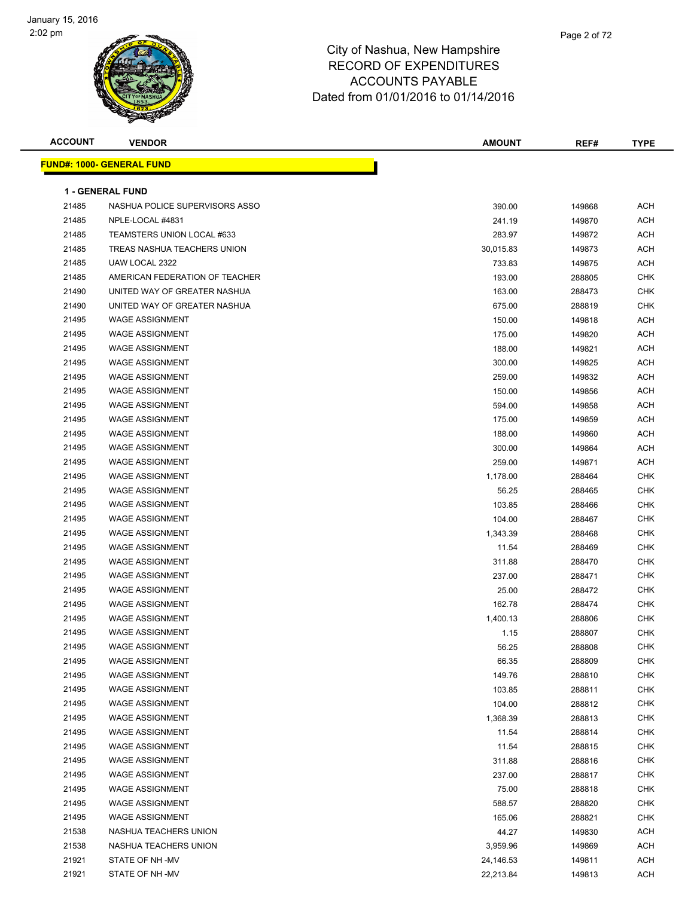

| <b>ACCOUNT</b> | <b>VENDOR</b>                    | <b>AMOUNT</b> | REF#   | <b>TYPE</b> |
|----------------|----------------------------------|---------------|--------|-------------|
|                | <b>FUND#: 1000- GENERAL FUND</b> |               |        |             |
|                | <b>1 - GENERAL FUND</b>          |               |        |             |
| 21485          | NASHUA POLICE SUPERVISORS ASSO   | 390.00        | 149868 | <b>ACH</b>  |
| 21485          | NPLE-LOCAL #4831                 | 241.19        | 149870 | <b>ACH</b>  |
| 21485          | TEAMSTERS UNION LOCAL #633       | 283.97        | 149872 | <b>ACH</b>  |
| 21485          | TREAS NASHUA TEACHERS UNION      | 30,015.83     | 149873 | <b>ACH</b>  |
| 21485          | UAW LOCAL 2322                   | 733.83        | 149875 | <b>ACH</b>  |
| 21485          | AMERICAN FEDERATION OF TEACHER   | 193.00        | 288805 | <b>CHK</b>  |
| 21490          | UNITED WAY OF GREATER NASHUA     | 163.00        | 288473 | <b>CHK</b>  |
| 21490          | UNITED WAY OF GREATER NASHUA     | 675.00        | 288819 | <b>CHK</b>  |
| 21495          | <b>WAGE ASSIGNMENT</b>           | 150.00        | 149818 | <b>ACH</b>  |
| 21495          | <b>WAGE ASSIGNMENT</b>           | 175.00        | 149820 | <b>ACH</b>  |
| 21495          | <b>WAGE ASSIGNMENT</b>           | 188.00        | 149821 | <b>ACH</b>  |
| 21495          | <b>WAGE ASSIGNMENT</b>           | 300.00        | 149825 | <b>ACH</b>  |
| 21495          | <b>WAGE ASSIGNMENT</b>           | 259.00        | 149832 | <b>ACH</b>  |
| 21495          | <b>WAGE ASSIGNMENT</b>           | 150.00        | 149856 | <b>ACH</b>  |
| 21495          | <b>WAGE ASSIGNMENT</b>           | 594.00        | 149858 | <b>ACH</b>  |
| 21495          | <b>WAGE ASSIGNMENT</b>           | 175.00        | 149859 | ACH         |
| 21495          | <b>WAGE ASSIGNMENT</b>           | 188.00        | 149860 | <b>ACH</b>  |
| 21495          | <b>WAGE ASSIGNMENT</b>           | 300.00        | 149864 | <b>ACH</b>  |
| 21495          | <b>WAGE ASSIGNMENT</b>           | 259.00        | 149871 | <b>ACH</b>  |
| 21495          | <b>WAGE ASSIGNMENT</b>           | 1,178.00      | 288464 | <b>CHK</b>  |
| 21495          | <b>WAGE ASSIGNMENT</b>           | 56.25         | 288465 | <b>CHK</b>  |
| 21495          | <b>WAGE ASSIGNMENT</b>           | 103.85        | 288466 | <b>CHK</b>  |
| 21495          | <b>WAGE ASSIGNMENT</b>           | 104.00        | 288467 | <b>CHK</b>  |
| 21495          | <b>WAGE ASSIGNMENT</b>           | 1,343.39      | 288468 | <b>CHK</b>  |
| 21495          | <b>WAGE ASSIGNMENT</b>           | 11.54         | 288469 | <b>CHK</b>  |
| 21495          | <b>WAGE ASSIGNMENT</b>           | 311.88        | 288470 | <b>CHK</b>  |
| 21495          | <b>WAGE ASSIGNMENT</b>           | 237.00        | 288471 | <b>CHK</b>  |
| 21495          | <b>WAGE ASSIGNMENT</b>           | 25.00         | 288472 | <b>CHK</b>  |
| 21495          | <b>WAGE ASSIGNMENT</b>           | 162.78        | 288474 | <b>CHK</b>  |
| 21495          | <b>WAGE ASSIGNMENT</b>           | 1,400.13      | 288806 | <b>CHK</b>  |
| 21495          | <b>WAGE ASSIGNMENT</b>           | 1.15          | 288807 | <b>CHK</b>  |
| 21495          | <b>WAGE ASSIGNMENT</b>           | 56.25         | 288808 | CHK         |
| 21495          | <b>WAGE ASSIGNMENT</b>           | 66.35         | 288809 | <b>CHK</b>  |
| 21495          | <b>WAGE ASSIGNMENT</b>           | 149.76        | 288810 | <b>CHK</b>  |
| 21495          | <b>WAGE ASSIGNMENT</b>           | 103.85        | 288811 | <b>CHK</b>  |
| 21495          | <b>WAGE ASSIGNMENT</b>           | 104.00        | 288812 | <b>CHK</b>  |
| 21495          | <b>WAGE ASSIGNMENT</b>           | 1,368.39      | 288813 | <b>CHK</b>  |
| 21495          | <b>WAGE ASSIGNMENT</b>           | 11.54         | 288814 | <b>CHK</b>  |
| 21495          | <b>WAGE ASSIGNMENT</b>           | 11.54         | 288815 | CHK         |
| 21495          | <b>WAGE ASSIGNMENT</b>           | 311.88        | 288816 | <b>CHK</b>  |
| 21495          | <b>WAGE ASSIGNMENT</b>           | 237.00        | 288817 | <b>CHK</b>  |
| 21495          | <b>WAGE ASSIGNMENT</b>           | 75.00         | 288818 | <b>CHK</b>  |
| 21495          | <b>WAGE ASSIGNMENT</b>           | 588.57        | 288820 | <b>CHK</b>  |
| 21495          | <b>WAGE ASSIGNMENT</b>           | 165.06        | 288821 | CHK         |
| 21538          | NASHUA TEACHERS UNION            | 44.27         | 149830 | <b>ACH</b>  |
| 21538          | NASHUA TEACHERS UNION            | 3,959.96      | 149869 | <b>ACH</b>  |
| 21921          | STATE OF NH-MV                   | 24,146.53     | 149811 | <b>ACH</b>  |
| 21921          | STATE OF NH-MV                   | 22,213.84     | 149813 | <b>ACH</b>  |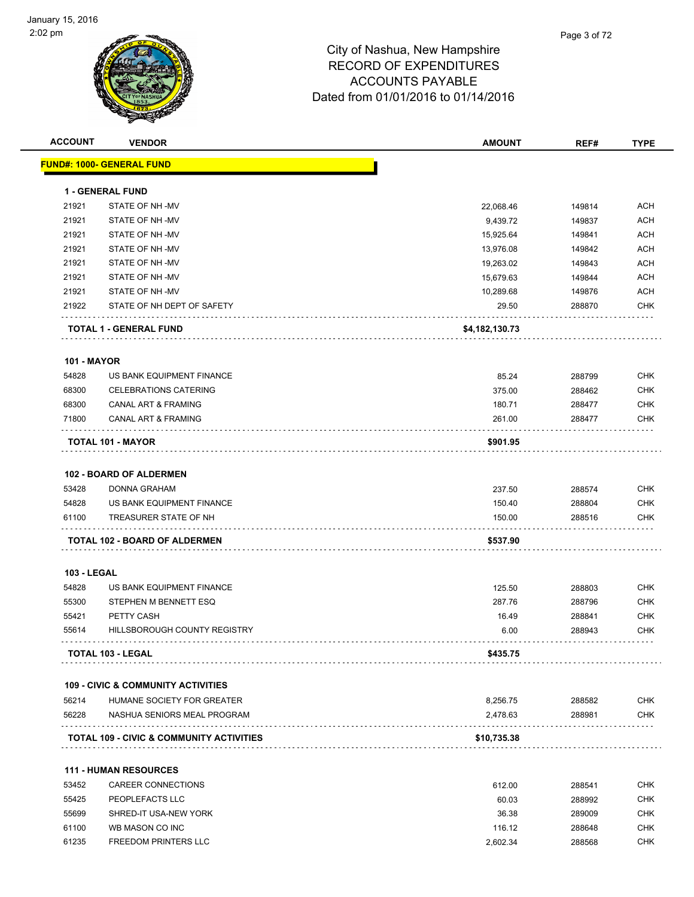

| <b>ACCOUNT</b>     | <b>VENDOR</b>                                       | <b>AMOUNT</b>  | REF#   | <b>TYPE</b> |
|--------------------|-----------------------------------------------------|----------------|--------|-------------|
|                    | <b>FUND#: 1000- GENERAL FUND</b>                    |                |        |             |
|                    | <b>1 - GENERAL FUND</b>                             |                |        |             |
| 21921              | STATE OF NH-MV                                      | 22,068.46      | 149814 | <b>ACH</b>  |
| 21921              | STATE OF NH-MV                                      | 9,439.72       | 149837 | <b>ACH</b>  |
| 21921              | STATE OF NH-MV                                      | 15,925.64      | 149841 | <b>ACH</b>  |
| 21921              | STATE OF NH-MV                                      | 13,976.08      | 149842 | <b>ACH</b>  |
| 21921              | STATE OF NH-MV                                      | 19,263.02      | 149843 | <b>ACH</b>  |
| 21921              | STATE OF NH-MV                                      | 15,679.63      | 149844 | <b>ACH</b>  |
| 21921              | STATE OF NH-MV                                      | 10,289.68      | 149876 | <b>ACH</b>  |
| 21922              | STATE OF NH DEPT OF SAFETY                          | 29.50          | 288870 | <b>CHK</b>  |
|                    | TOTAL 1 - GENERAL FUND                              | \$4,182,130.73 |        |             |
| <b>101 - MAYOR</b> |                                                     |                |        |             |
| 54828              | US BANK EQUIPMENT FINANCE                           | 85.24          | 288799 | <b>CHK</b>  |
| 68300              | <b>CELEBRATIONS CATERING</b>                        | 375.00         | 288462 | <b>CHK</b>  |
| 68300              | <b>CANAL ART &amp; FRAMING</b>                      | 180.71         | 288477 | <b>CHK</b>  |
| 71800              | CANAL ART & FRAMING                                 | 261.00         | 288477 | <b>CHK</b>  |
|                    | <b>TOTAL 101 - MAYOR</b>                            | \$901.95       |        |             |
|                    | 102 - BOARD OF ALDERMEN                             |                |        |             |
| 53428              | <b>DONNA GRAHAM</b>                                 | 237.50         | 288574 | <b>CHK</b>  |
| 54828              | US BANK EQUIPMENT FINANCE                           | 150.40         | 288804 | <b>CHK</b>  |
| 61100              | TREASURER STATE OF NH                               | 150.00         | 288516 | <b>CHK</b>  |
|                    | TOTAL 102 - BOARD OF ALDERMEN                       | \$537.90       |        |             |
| <b>103 - LEGAL</b> |                                                     |                |        |             |
| 54828              | US BANK EQUIPMENT FINANCE                           | 125.50         | 288803 | <b>CHK</b>  |
| 55300              | STEPHEN M BENNETT ESQ                               | 287.76         | 288796 | <b>CHK</b>  |
| 55421              | PETTY CASH                                          | 16.49          | 288841 | <b>CHK</b>  |
| 55614              | HILLSBOROUGH COUNTY REGISTRY                        | 6.00           | 288943 | <b>CHK</b>  |
|                    | TOTAL 103 - LEGAL                                   | \$435.75       |        |             |
|                    | <b>109 - CIVIC &amp; COMMUNITY ACTIVITIES</b>       |                |        |             |
| 56214              | HUMANE SOCIETY FOR GREATER                          | 8,256.75       | 288582 | <b>CHK</b>  |
| 56228              | NASHUA SENIORS MEAL PROGRAM                         | 2,478.63       | 288981 | <b>CHK</b>  |
|                    | <b>TOTAL 109 - CIVIC &amp; COMMUNITY ACTIVITIES</b> | \$10,735.38    |        |             |
|                    | <b>111 - HUMAN RESOURCES</b>                        |                |        |             |
| 53452              | CAREER CONNECTIONS                                  | 612.00         | 288541 | <b>CHK</b>  |
| 55425              | PEOPLEFACTS LLC                                     | 60.03          | 288992 | <b>CHK</b>  |
| 55699              | SHRED-IT USA-NEW YORK                               | 36.38          | 289009 | <b>CHK</b>  |
| 61100              | WB MASON CO INC                                     | 116.12         | 288648 | <b>CHK</b>  |

61235 FREEDOM PRINTERS LLC 2,602.34 288568 CHK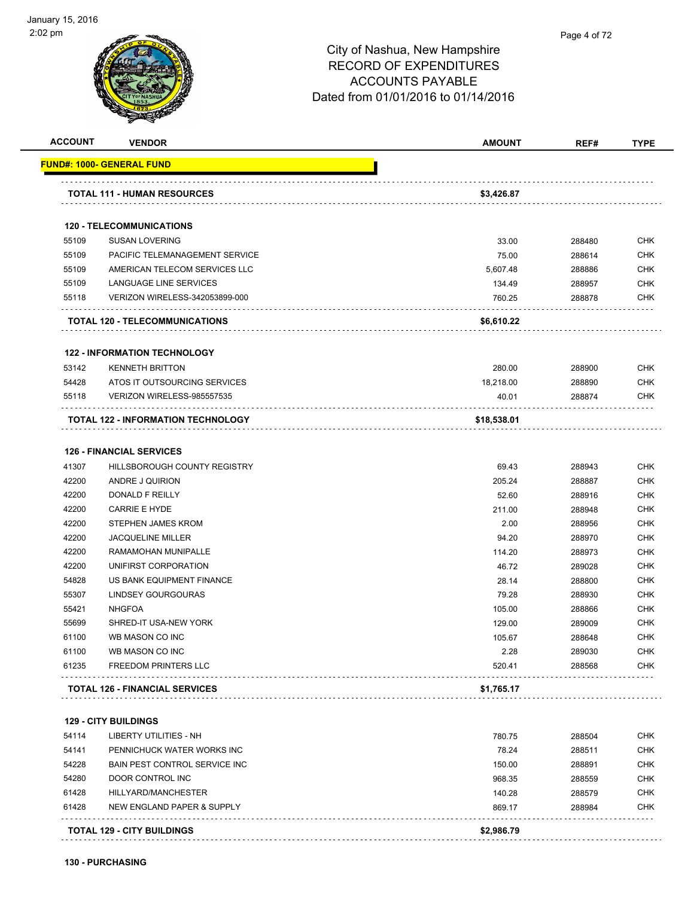

| <b>ACCOUNT</b> | <b>VENDOR</b>                         | <b>AMOUNT</b> | REF#   | <b>TYPE</b> |
|----------------|---------------------------------------|---------------|--------|-------------|
|                | <u> FUND#: 1000- GENERAL FUND</u>     |               |        |             |
|                | <b>TOTAL 111 - HUMAN RESOURCES</b>    | \$3,426.87    |        |             |
|                | <b>120 - TELECOMMUNICATIONS</b>       |               |        |             |
| 55109          | <b>SUSAN LOVERING</b>                 | 33.00         | 288480 | <b>CHK</b>  |
| 55109          | PACIFIC TELEMANAGEMENT SERVICE        | 75.00         | 288614 | <b>CHK</b>  |
| 55109          | AMERICAN TELECOM SERVICES LLC         | 5.607.48      | 288886 | <b>CHK</b>  |
| 55109          | LANGUAGE LINE SERVICES                | 134.49        | 288957 | <b>CHK</b>  |
| 55118          | <b>VERIZON WIRELESS-342053899-000</b> | 760.25        | 288878 | <b>CHK</b>  |
|                | <b>TOTAL 120 - TELECOMMUNICATIONS</b> | \$6,610.22    |        |             |
|                | <b>122 - INFORMATION TECHNOLOGY</b>   |               |        |             |
| 53142          | <b>KENNETH BRITTON</b>                | 280.00        | 288900 | <b>CHK</b>  |
| 54428          | ATOS IT OUTSOURCING SERVICES          | 18,218.00     | 288890 | <b>CHK</b>  |
| 55118          | VERIZON WIRELESS-985557535            | 40.01         | 288874 | <b>CHK</b>  |
|                | TOTAL 122 - INFORMATION TECHNOLOGY    | \$18,538.01   |        |             |
|                | <b>126 - FINANCIAL SERVICES</b>       |               |        |             |
| 41307          | HILLSBOROUGH COUNTY REGISTRY          | 69.43         | 288943 | <b>CHK</b>  |
| 42200          | ANDRE J QUIRION                       | 205.24        | 288887 | <b>CHK</b>  |
| 42200          | <b>DONALD F REILLY</b>                | 52.60         | 288916 | <b>CHK</b>  |
| 42200          | <b>CARRIE E HYDE</b>                  | 211.00        | 288948 | <b>CHK</b>  |
| 42200          | STEPHEN JAMES KROM                    | 2.00          | 288956 | <b>CHK</b>  |
| 42200          | <b>JACQUELINE MILLER</b>              | 94.20         | 288970 | <b>CHK</b>  |
| 42200          | RAMAMOHAN MUNIPALLE                   | 114.20        | 288973 | <b>CHK</b>  |
| 42200          | UNIFIRST CORPORATION                  | 46.72         | 289028 | <b>CHK</b>  |
| 54828          | US BANK EQUIPMENT FINANCE             | 28.14         | 288800 | <b>CHK</b>  |
| 55307          | <b>LINDSEY GOURGOURAS</b>             | 79.28         | 288930 | <b>CHK</b>  |
| 55421          | <b>NHGFOA</b>                         | 105.00        | 288866 | <b>CHK</b>  |
| 55699          | SHRED-IT USA-NEW YORK                 | 129.00        | 289009 | <b>CHK</b>  |
| 61100          | WB MASON CO INC                       | 105.67        | 288648 | <b>CHK</b>  |
| 61100          | WB MASON CO INC                       | 2.28          | 289030 | <b>CHK</b>  |
| 61235          | <b>FREEDOM PRINTERS LLC</b>           | 520.41        | 288568 | <b>CHK</b>  |
|                | <b>TOTAL 126 - FINANCIAL SERVICES</b> | \$1,765.17    |        |             |
|                | <b>129 - CITY BUILDINGS</b>           |               |        |             |
| 54114          | LIBERTY UTILITIES - NH                | 780.75        | 288504 | <b>CHK</b>  |
| 54141          | PENNICHUCK WATER WORKS INC            | 78.24         | 288511 | <b>CHK</b>  |
| 54228          | BAIN PEST CONTROL SERVICE INC         | 150.00        | 288891 | <b>CHK</b>  |
| 54280          | DOOR CONTROL INC                      | 968.35        | 288559 | <b>CHK</b>  |
| 61428          | HILLYARD/MANCHESTER                   | 140.28        | 288579 | <b>CHK</b>  |
| 61428          | NEW ENGLAND PAPER & SUPPLY            | 869.17        | 288984 | <b>CHK</b>  |
|                | <b>TOTAL 129 - CITY BUILDINGS</b>     | \$2,986.79    |        |             |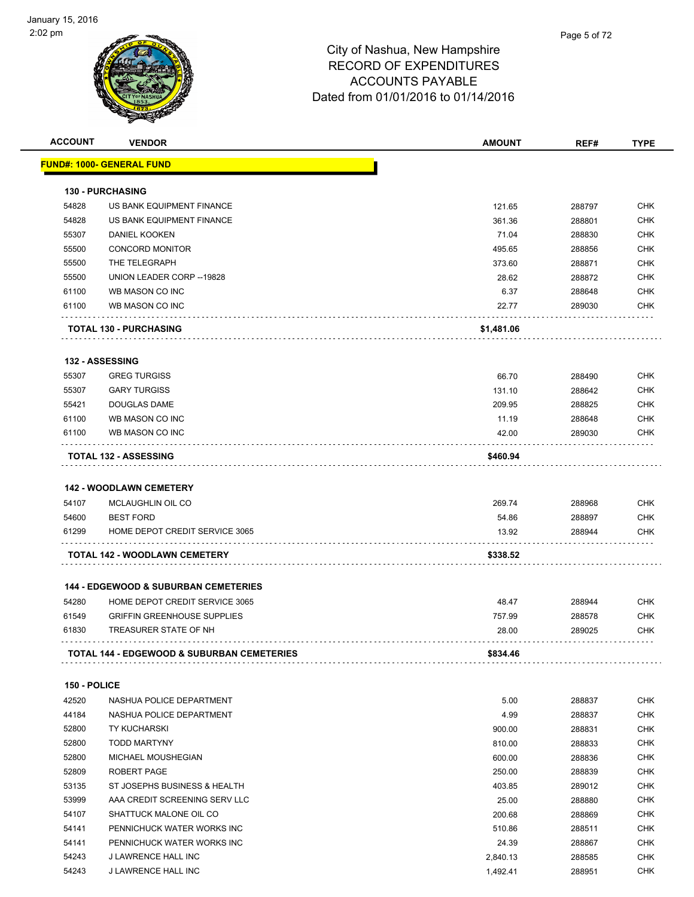

| <b>ACCOUNT</b> | <b>VENDOR</b>                                         | <b>AMOUNT</b>   | REF#             | <b>TYPE</b> |
|----------------|-------------------------------------------------------|-----------------|------------------|-------------|
|                | <u> FUND#: 1000- GENERAL FUND</u>                     |                 |                  |             |
|                |                                                       |                 |                  |             |
|                | <b>130 - PURCHASING</b>                               |                 |                  |             |
| 54828          | US BANK EQUIPMENT FINANCE                             | 121.65          | 288797           | <b>CHK</b>  |
| 54828          | US BANK EQUIPMENT FINANCE                             | 361.36          | 288801           | <b>CHK</b>  |
| 55307          | <b>DANIEL KOOKEN</b>                                  | 71.04           | 288830           | CHK         |
| 55500          | <b>CONCORD MONITOR</b>                                | 495.65          | 288856           | <b>CHK</b>  |
| 55500          | THE TELEGRAPH                                         | 373.60          | 288871           | CHK         |
| 55500          | UNION LEADER CORP--19828                              | 28.62           | 288872           | <b>CHK</b>  |
| 61100          | WB MASON CO INC                                       | 6.37            | 288648           | <b>CHK</b>  |
| 61100          | WB MASON CO INC                                       | 22.77           | 289030           | CHK         |
|                | <b>TOTAL 130 - PURCHASING</b>                         | \$1,481.06      |                  |             |
|                | 132 - ASSESSING                                       |                 |                  |             |
| 55307          | <b>GREG TURGISS</b>                                   | 66.70           | 288490           | <b>CHK</b>  |
| 55307          | <b>GARY TURGISS</b>                                   | 131.10          | 288642           | <b>CHK</b>  |
| 55421          | DOUGLAS DAME                                          | 209.95          | 288825           | CHK         |
| 61100          | WB MASON CO INC                                       | 11.19           | 288648           | CHK         |
| 61100          | WB MASON CO INC                                       | 42.00           | 289030           | <b>CHK</b>  |
|                | <b>TOTAL 132 - ASSESSING</b>                          | \$460.94        |                  |             |
|                |                                                       |                 |                  |             |
|                | <b>142 - WOODLAWN CEMETERY</b>                        |                 |                  |             |
| 54107          | MCLAUGHLIN OIL CO                                     | 269.74          | 288968           | CHK         |
| 54600          | <b>BEST FORD</b>                                      | 54.86           | 288897           | <b>CHK</b>  |
| 61299          | HOME DEPOT CREDIT SERVICE 3065                        | 13.92           | 288944           | CHK         |
|                | TOTAL 142 - WOODLAWN CEMETERY                         | \$338.52        |                  |             |
|                | <b>144 - EDGEWOOD &amp; SUBURBAN CEMETERIES</b>       |                 |                  |             |
| 54280          | HOME DEPOT CREDIT SERVICE 3065                        |                 |                  | CHK         |
| 61549          | <b>GRIFFIN GREENHOUSE SUPPLIES</b>                    | 48.47<br>757.99 | 288944<br>288578 | <b>CHK</b>  |
| 61830          | TREASURER STATE OF NH                                 | 28.00           | 289025           | CHK         |
|                |                                                       |                 |                  |             |
|                | <b>TOTAL 144 - EDGEWOOD &amp; SUBURBAN CEMETERIES</b> | \$834.46        |                  |             |
| 150 - POLICE   |                                                       |                 |                  |             |
| 42520          | NASHUA POLICE DEPARTMENT                              | 5.00            | 288837           | <b>CHK</b>  |
| 44184          | NASHUA POLICE DEPARTMENT                              | 4.99            | 288837           | <b>CHK</b>  |
| 52800          | <b>TY KUCHARSKI</b>                                   | 900.00          | 288831           | CHK         |
| 52800          | <b>TODD MARTYNY</b>                                   | 810.00          | 288833           | CHK         |
| 52800          | <b>MICHAEL MOUSHEGIAN</b>                             | 600.00          | 288836           | CHK         |
| 52809          | ROBERT PAGE                                           | 250.00          | 288839           | CHK         |
| 53135          | ST JOSEPHS BUSINESS & HEALTH                          | 403.85          | 289012           | CHK         |
| 53999          | AAA CREDIT SCREENING SERV LLC                         | 25.00           | 288880           | CHK         |
| 54107          | SHATTUCK MALONE OIL CO                                | 200.68          | 288869           | CHK         |
| 54141          | PENNICHUCK WATER WORKS INC                            | 510.86          | 288511           | <b>CHK</b>  |
| 54141          | PENNICHUCK WATER WORKS INC                            | 24.39           | 288867           | CHK         |
| 54243          | J LAWRENCE HALL INC                                   | 2,840.13        | 288585           | <b>CHK</b>  |
| 54243          | J LAWRENCE HALL INC                                   | 1,492.41        | 288951           | <b>CHK</b>  |
|                |                                                       |                 |                  |             |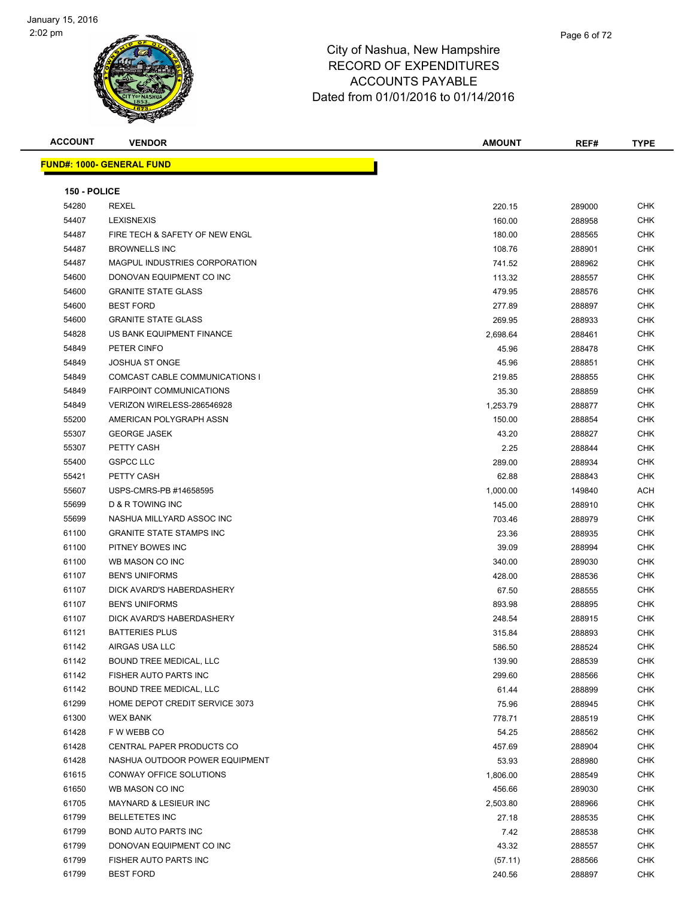

| <b>ACCOUNT</b> | <b>VENDOR</b>                    | <b>AMOUNT</b> | REF#   | <b>TYPE</b> |
|----------------|----------------------------------|---------------|--------|-------------|
|                | <b>FUND#: 1000- GENERAL FUND</b> |               |        |             |
|                |                                  |               |        |             |
| 150 - POLICE   |                                  |               |        |             |
| 54280          | REXEL                            | 220.15        | 289000 | <b>CHK</b>  |
| 54407          | <b>LEXISNEXIS</b>                | 160.00        | 288958 | CHK         |
| 54487          | FIRE TECH & SAFETY OF NEW ENGL   | 180.00        | 288565 | CHK         |
| 54487          | <b>BROWNELLS INC</b>             | 108.76        | 288901 | CHK         |
| 54487          | MAGPUL INDUSTRIES CORPORATION    | 741.52        | 288962 | CHK         |
| 54600          | DONOVAN EQUIPMENT CO INC         | 113.32        | 288557 | CHK         |
| 54600          | <b>GRANITE STATE GLASS</b>       | 479.95        | 288576 | CHK         |
| 54600          | <b>BEST FORD</b>                 | 277.89        | 288897 | CHK         |
| 54600          | <b>GRANITE STATE GLASS</b>       | 269.95        | 288933 | CHK         |
| 54828          | US BANK EQUIPMENT FINANCE        | 2,698.64      | 288461 | CHK         |
| 54849          | PETER CINFO                      | 45.96         | 288478 | CHK         |
| 54849          | JOSHUA ST ONGE                   | 45.96         | 288851 | CHK         |
| 54849          | COMCAST CABLE COMMUNICATIONS I   | 219.85        | 288855 | CHK         |
| 54849          | <b>FAIRPOINT COMMUNICATIONS</b>  | 35.30         | 288859 | CHK         |
| 54849          | VERIZON WIRELESS-286546928       | 1,253.79      | 288877 | CHK         |
| 55200          | AMERICAN POLYGRAPH ASSN          | 150.00        | 288854 | CHK         |
| 55307          | <b>GEORGE JASEK</b>              | 43.20         | 288827 | CHK         |
| 55307          | PETTY CASH                       | 2.25          | 288844 | CHK         |
| 55400          | <b>GSPCC LLC</b>                 | 289.00        | 288934 | CHK         |
| 55421          | PETTY CASH                       | 62.88         | 288843 | CHK         |
| 55607          | USPS-CMRS-PB #14658595           | 1,000.00      | 149840 | ACH         |
| 55699          | D & R TOWING INC                 | 145.00        | 288910 | <b>CHK</b>  |
| 55699          | NASHUA MILLYARD ASSOC INC        | 703.46        | 288979 | CHK         |
| 61100          | <b>GRANITE STATE STAMPS INC</b>  | 23.36         | 288935 | CHK         |
| 61100          | PITNEY BOWES INC                 | 39.09         | 288994 | CHK         |
| 61100          | WB MASON CO INC                  | 340.00        | 289030 | CHK         |
| 61107          | <b>BEN'S UNIFORMS</b>            | 428.00        | 288536 | CHK         |
| 61107          | DICK AVARD'S HABERDASHERY        | 67.50         | 288555 | CHK         |
| 61107          | <b>BEN'S UNIFORMS</b>            | 893.98        | 288895 | CHK         |
| 61107          | DICK AVARD'S HABERDASHERY        | 248.54        | 288915 | CHK         |
| 61121          | <b>BATTERIES PLUS</b>            | 315.84        | 288893 | CHK         |
| 61142          | AIRGAS USA LLC                   | 586.50        | 288524 | CHK         |
| 61142          | BOUND TREE MEDICAL, LLC          | 139.90        | 288539 | <b>CHK</b>  |
| 61142          | FISHER AUTO PARTS INC            | 299.60        | 288566 | CHK         |
| 61142          | BOUND TREE MEDICAL, LLC          | 61.44         | 288899 | <b>CHK</b>  |
| 61299          | HOME DEPOT CREDIT SERVICE 3073   | 75.96         | 288945 | <b>CHK</b>  |
| 61300          | <b>WEX BANK</b>                  | 778.71        | 288519 | CHK         |
| 61428          | F W WEBB CO                      | 54.25         | 288562 | CHK         |
| 61428          | CENTRAL PAPER PRODUCTS CO        | 457.69        | 288904 | CHK         |
| 61428          | NASHUA OUTDOOR POWER EQUIPMENT   | 53.93         | 288980 | CHK         |
| 61615          | CONWAY OFFICE SOLUTIONS          | 1,806.00      | 288549 | CHK         |
| 61650          | WB MASON CO INC                  | 456.66        | 289030 | CHK         |
| 61705          | MAYNARD & LESIEUR INC            | 2,503.80      | 288966 | CHK         |
| 61799          | <b>BELLETETES INC</b>            | 27.18         | 288535 | <b>CHK</b>  |
| 61799          | <b>BOND AUTO PARTS INC</b>       | 7.42          | 288538 | CHK         |
| 61799          | DONOVAN EQUIPMENT CO INC         | 43.32         | 288557 | CHK         |
| 61799          | FISHER AUTO PARTS INC            | (57.11)       | 288566 | <b>CHK</b>  |
| 61799          | <b>BEST FORD</b>                 | 240.56        | 288897 | CHK         |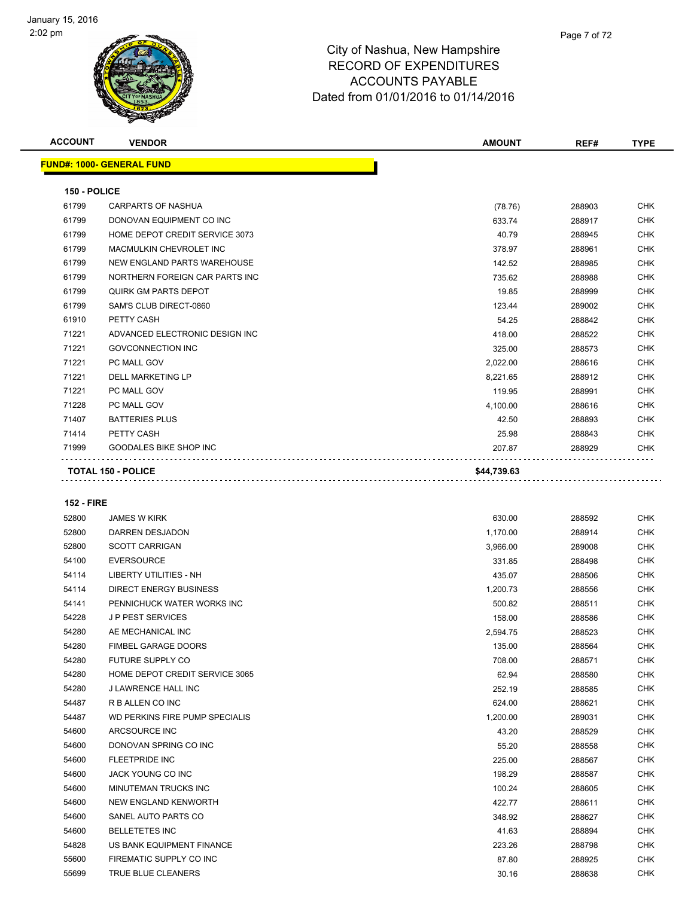

| <b>ACCOUNT</b>    | <b>VENDOR</b>                      | <b>AMOUNT</b> | REF#   | <b>TYPE</b> |
|-------------------|------------------------------------|---------------|--------|-------------|
|                   | <b>FUND#: 1000- GENERAL FUND</b>   |               |        |             |
| 150 - POLICE      |                                    |               |        |             |
| 61799             | CARPARTS OF NASHUA                 | (78.76)       | 288903 | <b>CHK</b>  |
| 61799             | DONOVAN EQUIPMENT CO INC           | 633.74        | 288917 | CHK         |
| 61799             | HOME DEPOT CREDIT SERVICE 3073     | 40.79         | 288945 | CHK         |
| 61799             | <b>MACMULKIN CHEVROLET INC</b>     | 378.97        | 288961 | <b>CHK</b>  |
| 61799             | <b>NEW ENGLAND PARTS WAREHOUSE</b> | 142.52        | 288985 | CHK         |
| 61799             | NORTHERN FOREIGN CAR PARTS INC     | 735.62        | 288988 | CHK         |
| 61799             | <b>QUIRK GM PARTS DEPOT</b>        | 19.85         | 288999 | CHK         |
| 61799             | SAM'S CLUB DIRECT-0860             | 123.44        | 289002 | CHK         |
| 61910             | PETTY CASH                         | 54.25         | 288842 | CHK         |
| 71221             | ADVANCED ELECTRONIC DESIGN INC     | 418.00        | 288522 | CHK         |
| 71221             | <b>GOVCONNECTION INC</b>           | 325.00        | 288573 | <b>CHK</b>  |
| 71221             | PC MALL GOV                        | 2,022.00      | 288616 | CHK         |
| 71221             | <b>DELL MARKETING LP</b>           | 8,221.65      | 288912 | <b>CHK</b>  |
| 71221             | PC MALL GOV                        | 119.95        | 288991 | CHK         |
| 71228             | PC MALL GOV                        | 4,100.00      | 288616 | CHK         |
| 71407             | <b>BATTERIES PLUS</b>              | 42.50         | 288893 | CHK         |
| 71414             | PETTY CASH                         | 25.98         | 288843 | CHK         |
| 71999             | <b>GOODALES BIKE SHOP INC</b>      | 207.87        | 288929 | CHK         |
|                   |                                    |               |        |             |
|                   | <b>TOTAL 150 - POLICE</b>          | \$44,739.63   |        |             |
| <b>152 - FIRE</b> |                                    |               |        |             |
| 52800             | <b>JAMES W KIRK</b>                | 630.00        | 288592 | <b>CHK</b>  |
| 52800             | DARREN DESJADON                    | 1,170.00      | 288914 | CHK         |
| 52800             | <b>SCOTT CARRIGAN</b>              | 3,966.00      | 289008 | CHK         |
| 54100             | <b>EVERSOURCE</b>                  | 331.85        | 288498 | CHK         |
| 54114             | LIBERTY UTILITIES - NH             | 435.07        | 288506 | CHK         |
| 54114             | DIRECT ENERGY BUSINESS             | 1,200.73      | 288556 | CHK         |
| 54141             | PENNICHUCK WATER WORKS INC         | 500.82        | 288511 | CHK         |
| 54228             | <b>JP PEST SERVICES</b>            | 158.00        | 288586 | CHK         |
| 54280             | AE MECHANICAL INC                  | 2,594.75      | 288523 | CHK         |
| 54280             | <b>FIMBEL GARAGE DOORS</b>         | 135.00        | 288564 | <b>CHK</b>  |
| 54280             | FUTURE SUPPLY CO                   | 708.00        | 288571 | CHK         |
| 54280             | HOME DEPOT CREDIT SERVICE 3065     | 62.94         | 288580 | CHK         |
| 54280             | <b>J LAWRENCE HALL INC</b>         | 252.19        | 288585 | <b>CHK</b>  |
| 54487             | R B ALLEN CO INC                   | 624.00        | 288621 | <b>CHK</b>  |
| 54487             | WD PERKINS FIRE PUMP SPECIALIS     | 1,200.00      | 289031 | <b>CHK</b>  |
| 54600             | ARCSOURCE INC                      | 43.20         | 288529 | <b>CHK</b>  |
| 54600             | DONOVAN SPRING CO INC              | 55.20         | 288558 | CHK         |
| 54600             | <b>FLEETPRIDE INC</b>              | 225.00        | 288567 | CHK         |
| 54600             | JACK YOUNG CO INC                  | 198.29        | 288587 | CHK         |
| 54600             | MINUTEMAN TRUCKS INC               | 100.24        | 288605 | CHK         |

 NEW ENGLAND KENWORTH 422.77 288611 CHK SANEL AUTO PARTS CO 348.92 288627 CHK BELLETETES INC 41.63 288894 CHK US BANK EQUIPMENT FINANCE 223.26 288798 CHK 55600 FIREMATIC SUPPLY CO INC SAND RESERVE THE STOLEN STOLEN AND RESERVE THE STOLEN STOLEN STOLEN STOLEN STOLEN STOLEN STOLEN STOLEN STOLEN STOLEN STOLEN STOLEN STOLEN STOLEN STOLEN STOLEN STOLEN STOLEN STOLEN STOLEN STOLE TRUE BLUE CLEANERS 30.16 288638 CHK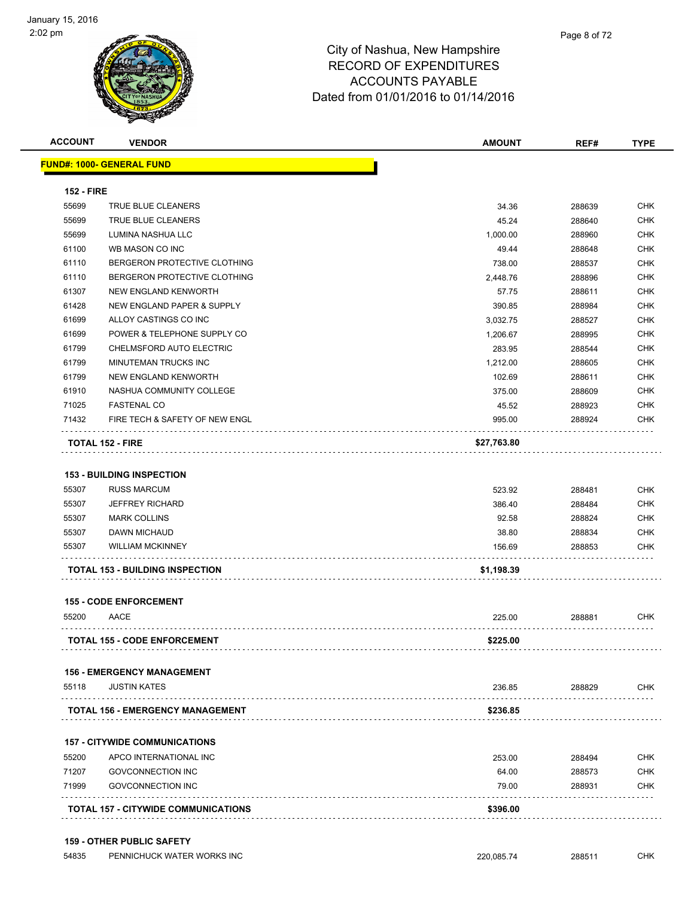| <b>ACCOUNT</b>    | <b>VENDOR</b>                           | <b>AMOUNT</b> | REF#   | <b>TYPE</b> |
|-------------------|-----------------------------------------|---------------|--------|-------------|
|                   | <b>FUND#: 1000- GENERAL FUND</b>        |               |        |             |
| <b>152 - FIRE</b> |                                         |               |        |             |
| 55699             | TRUE BLUE CLEANERS                      | 34.36         | 288639 | <b>CHK</b>  |
| 55699             | TRUE BLUE CLEANERS                      | 45.24         | 288640 | <b>CHK</b>  |
| 55699             | LUMINA NASHUA LLC                       | 1,000.00      | 288960 | <b>CHK</b>  |
| 61100             | WB MASON CO INC                         | 49.44         | 288648 | <b>CHK</b>  |
| 61110             | BERGERON PROTECTIVE CLOTHING            | 738.00        | 288537 | <b>CHK</b>  |
| 61110             | BERGERON PROTECTIVE CLOTHING            | 2,448.76      | 288896 | <b>CHK</b>  |
| 61307             | NEW ENGLAND KENWORTH                    | 57.75         | 288611 | <b>CHK</b>  |
| 61428             | NEW ENGLAND PAPER & SUPPLY              | 390.85        | 288984 | <b>CHK</b>  |
| 61699             | ALLOY CASTINGS CO INC                   | 3,032.75      | 288527 | <b>CHK</b>  |
| 61699             | POWER & TELEPHONE SUPPLY CO             | 1,206.67      | 288995 | <b>CHK</b>  |
| 61799             | CHELMSFORD AUTO ELECTRIC                | 283.95        | 288544 | <b>CHK</b>  |
| 61799             | MINUTEMAN TRUCKS INC                    | 1,212.00      | 288605 | <b>CHK</b>  |
| 61799             | NEW ENGLAND KENWORTH                    | 102.69        | 288611 | <b>CHK</b>  |
| 61910             | NASHUA COMMUNITY COLLEGE                | 375.00        | 288609 | <b>CHK</b>  |
| 71025             | <b>FASTENAL CO</b>                      | 45.52         | 288923 | <b>CHK</b>  |
| 71432             | FIRE TECH & SAFETY OF NEW ENGL          | 995.00        | 288924 | <b>CHK</b>  |
|                   | TOTAL 152 - FIRE                        |               |        |             |
|                   |                                         | \$27,763.80   |        |             |
|                   |                                         |               |        |             |
|                   | <b>153 - BUILDING INSPECTION</b>        |               |        |             |
| 55307             | <b>RUSS MARCUM</b>                      | 523.92        | 288481 | <b>CHK</b>  |
| 55307             | <b>JEFFREY RICHARD</b>                  | 386.40        | 288484 | <b>CHK</b>  |
| 55307             | <b>MARK COLLINS</b>                     | 92.58         | 288824 | <b>CHK</b>  |
| 55307             | DAWN MICHAUD                            | 38.80         | 288834 | <b>CHK</b>  |
| 55307             | <b>WILLIAM MCKINNEY</b>                 | 156.69        | 288853 | <b>CHK</b>  |
|                   | <b>TOTAL 153 - BUILDING INSPECTION</b>  | \$1,198.39    |        |             |
|                   | <b>155 - CODE ENFORCEMENT</b>           |               |        |             |
| 55200             | AACE                                    | 225.00        | 288881 | <b>CHK</b>  |
|                   | <b>TOTAL 155 - CODE ENFORCEMENT</b>     | \$225.00      |        |             |
|                   |                                         |               |        |             |
|                   | <b>156 - EMERGENCY MANAGEMENT</b>       |               |        |             |
| 55118             | <b>JUSTIN KATES</b>                     | 236.85        | 288829 | <b>CHK</b>  |
|                   | <b>TOTAL 156 - EMERGENCY MANAGEMENT</b> | \$236.85      |        |             |
|                   |                                         |               |        |             |
|                   | <b>157 - CITYWIDE COMMUNICATIONS</b>    |               |        |             |
| 55200             | APCO INTERNATIONAL INC                  | 253.00        | 288494 | <b>CHK</b>  |
| 71207             | <b>GOVCONNECTION INC</b>                | 64.00         | 288573 | <b>CHK</b>  |
| 71999             | <b>GOVCONNECTION INC</b>                | 79.00         | 288931 | <b>CHK</b>  |
|                   | TOTAL 157 - CITYWIDE COMMUNICATIONS     | \$396.00      |        |             |
|                   |                                         |               |        |             |

#### **159 - OTHER PUBLIC SAFETY**

54835 PENNICHUCK WATER WORKS INC 220,085.74 288511 CHK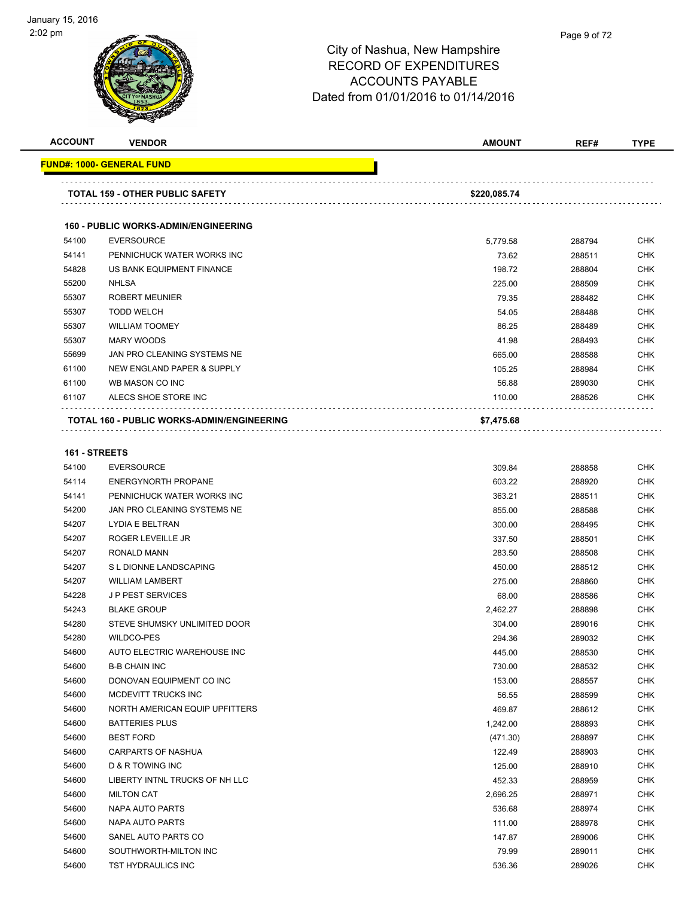

| <b>ACCOUNT</b> | <b>VENDOR</b>                                     | <b>AMOUNT</b>     | REF#   | <b>TYPE</b> |
|----------------|---------------------------------------------------|-------------------|--------|-------------|
|                | <b>FUND#: 1000- GENERAL FUND</b>                  |                   |        |             |
|                | <b>TOTAL 159 - OTHER PUBLIC SAFETY</b>            | .<br>\$220,085.74 |        |             |
|                | <b>160 - PUBLIC WORKS-ADMIN/ENGINEERING</b>       |                   |        |             |
| 54100          | <b>EVERSOURCE</b>                                 | 5,779.58          | 288794 | <b>CHK</b>  |
| 54141          | PENNICHUCK WATER WORKS INC                        | 73.62             | 288511 | <b>CHK</b>  |
| 54828          | US BANK EQUIPMENT FINANCE                         | 198.72            | 288804 | <b>CHK</b>  |
| 55200          | <b>NHLSA</b>                                      | 225.00            | 288509 | <b>CHK</b>  |
| 55307          | <b>ROBERT MEUNIER</b>                             | 79.35             | 288482 | <b>CHK</b>  |
| 55307          | <b>TODD WELCH</b>                                 | 54.05             | 288488 | <b>CHK</b>  |
| 55307          | <b>WILLIAM TOOMEY</b>                             | 86.25             | 288489 | <b>CHK</b>  |
| 55307          | <b>MARY WOODS</b>                                 | 41.98             | 288493 | <b>CHK</b>  |
| 55699          | JAN PRO CLEANING SYSTEMS NE                       | 665.00            | 288588 | <b>CHK</b>  |
| 61100          | NEW ENGLAND PAPER & SUPPLY                        | 105.25            | 288984 | <b>CHK</b>  |
| 61100          | WB MASON CO INC                                   | 56.88             | 289030 | <b>CHK</b>  |
| 61107          | ALECS SHOE STORE INC                              | 110.00            | 288526 | <b>CHK</b>  |
|                | <b>TOTAL 160 - PUBLIC WORKS-ADMIN/ENGINEERING</b> | \$7,475.68        |        |             |
| 161 - STREETS  |                                                   |                   |        |             |
| 54100          | <b>EVERSOURCE</b>                                 | 309.84            | 288858 | <b>CHK</b>  |
| 54114          | <b>ENERGYNORTH PROPANE</b>                        | 603.22            | 288920 | <b>CHK</b>  |

| 54114 | <b>ENERGYNORTH PROPANE</b>     | 603.22   | 288920 | <b>CHK</b> |
|-------|--------------------------------|----------|--------|------------|
| 54141 | PENNICHUCK WATER WORKS INC     | 363.21   | 288511 | <b>CHK</b> |
| 54200 | JAN PRO CLEANING SYSTEMS NE    | 855.00   | 288588 | <b>CHK</b> |
| 54207 | <b>LYDIA E BELTRAN</b>         | 300.00   | 288495 | <b>CHK</b> |
| 54207 | <b>ROGER LEVEILLE JR</b>       | 337.50   | 288501 | <b>CHK</b> |
| 54207 | <b>RONALD MANN</b>             | 283.50   | 288508 | <b>CHK</b> |
| 54207 | S L DIONNE LANDSCAPING         | 450.00   | 288512 | <b>CHK</b> |
| 54207 | <b>WILLIAM LAMBERT</b>         | 275.00   | 288860 | <b>CHK</b> |
| 54228 | <b>JP PEST SERVICES</b>        | 68.00    | 288586 | <b>CHK</b> |
| 54243 | <b>BLAKE GROUP</b>             | 2,462.27 | 288898 | <b>CHK</b> |
| 54280 | STEVE SHUMSKY UNLIMITED DOOR   | 304.00   | 289016 | <b>CHK</b> |
| 54280 | WILDCO-PES                     | 294.36   | 289032 | <b>CHK</b> |
| 54600 | AUTO ELECTRIC WAREHOUSE INC    | 445.00   | 288530 | <b>CHK</b> |
| 54600 | <b>B-B CHAIN INC</b>           | 730.00   | 288532 | <b>CHK</b> |
| 54600 | DONOVAN EQUIPMENT CO INC       | 153.00   | 288557 | <b>CHK</b> |
| 54600 | MCDEVITT TRUCKS INC            | 56.55    | 288599 | <b>CHK</b> |
| 54600 | NORTH AMERICAN EQUIP UPFITTERS | 469.87   | 288612 | <b>CHK</b> |
| 54600 | <b>BATTERIES PLUS</b>          | 1,242.00 | 288893 | <b>CHK</b> |
| 54600 | <b>BEST FORD</b>               | (471.30) | 288897 | <b>CHK</b> |
| 54600 | CARPARTS OF NASHUA             | 122.49   | 288903 | <b>CHK</b> |
| 54600 | <b>D &amp; R TOWING INC</b>    | 125.00   | 288910 | <b>CHK</b> |
| 54600 | LIBERTY INTNL TRUCKS OF NH LLC | 452.33   | 288959 | <b>CHK</b> |
| 54600 | <b>MILTON CAT</b>              | 2,696.25 | 288971 | <b>CHK</b> |
| 54600 | NAPA AUTO PARTS                | 536.68   | 288974 | <b>CHK</b> |
| 54600 | NAPA AUTO PARTS                | 111.00   | 288978 | <b>CHK</b> |
| 54600 | SANEL AUTO PARTS CO            | 147.87   | 289006 | <b>CHK</b> |
| 54600 | SOUTHWORTH-MILTON INC          | 79.99    | 289011 | <b>CHK</b> |
| 54600 | TST HYDRAULICS INC             | 536.36   | 289026 | <b>CHK</b> |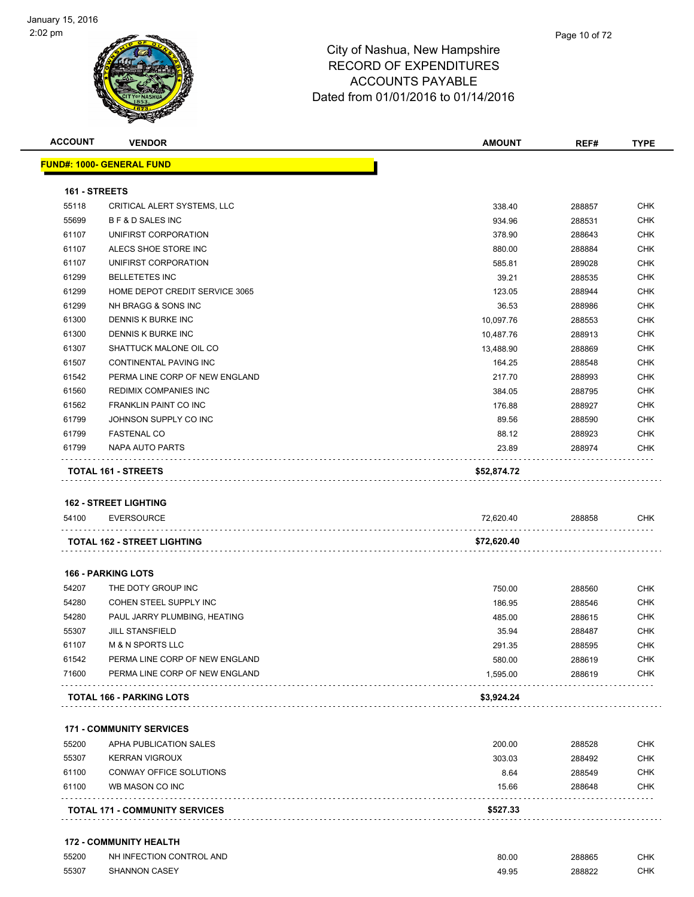

| <b>ACCOUNT</b> | <b>VENDOR</b>                                   | <b>AMOUNT</b>    | REF#             | <b>TYPE</b>       |
|----------------|-------------------------------------------------|------------------|------------------|-------------------|
|                | <u> FUND#: 1000- GENERAL FUND</u>               |                  |                  |                   |
| 161 - STREETS  |                                                 |                  |                  |                   |
| 55118          | CRITICAL ALERT SYSTEMS, LLC                     | 338.40           | 288857           | CHK               |
| 55699          | <b>BF&amp;D SALES INC</b>                       | 934.96           | 288531           | <b>CHK</b>        |
| 61107          | UNIFIRST CORPORATION                            | 378.90           | 288643           | CHK               |
| 61107          | ALECS SHOE STORE INC                            | 880.00           | 288884           | <b>CHK</b>        |
| 61107          | UNIFIRST CORPORATION                            | 585.81           | 289028           | <b>CHK</b>        |
| 61299          | <b>BELLETETES INC</b>                           | 39.21            | 288535           | <b>CHK</b>        |
| 61299          | HOME DEPOT CREDIT SERVICE 3065                  | 123.05           | 288944           | <b>CHK</b>        |
| 61299          | NH BRAGG & SONS INC                             | 36.53            | 288986           | <b>CHK</b>        |
| 61300          | DENNIS K BURKE INC                              | 10,097.76        | 288553           | <b>CHK</b>        |
| 61300          | DENNIS K BURKE INC                              | 10,487.76        | 288913           | <b>CHK</b>        |
| 61307          | SHATTUCK MALONE OIL CO                          | 13,488.90        | 288869           | CHK               |
| 61507          | CONTINENTAL PAVING INC                          | 164.25           | 288548           | <b>CHK</b>        |
| 61542          | PERMA LINE CORP OF NEW ENGLAND                  | 217.70           | 288993           | <b>CHK</b>        |
| 61560          | REDIMIX COMPANIES INC                           | 384.05           | 288795           | <b>CHK</b>        |
| 61562          | <b>FRANKLIN PAINT CO INC</b>                    | 176.88           | 288927           | <b>CHK</b>        |
| 61799          | JOHNSON SUPPLY CO INC                           | 89.56            | 288590           | <b>CHK</b>        |
| 61799          | <b>FASTENAL CO</b>                              | 88.12            | 288923           | <b>CHK</b>        |
| 61799          | NAPA AUTO PARTS                                 | 23.89            | 288974           | <b>CHK</b>        |
|                | <b>TOTAL 161 - STREETS</b>                      | \$52,874.72      |                  |                   |
|                |                                                 |                  |                  |                   |
|                | <b>162 - STREET LIGHTING</b>                    |                  |                  |                   |
| 54100          | <b>EVERSOURCE</b>                               | 72,620.40        | 288858           | CHK.              |
|                | TOTAL 162 - STREET LIGHTING                     | \$72,620.40      |                  |                   |
|                | <b>166 - PARKING LOTS</b>                       |                  |                  |                   |
| 54207          | THE DOTY GROUP INC                              | 750.00           | 288560           | <b>CHK</b>        |
| 54280          | COHEN STEEL SUPPLY INC                          | 186.95           | 288546           | <b>CHK</b>        |
| 54280          | PAUL JARRY PLUMBING, HEATING                    | 485.00           | 288615           | CHK               |
| 55307          | <b>JILL STANSFIELD</b>                          | 35.94            | 288487           | <b>CHK</b>        |
| 61107          | <b>M &amp; N SPORTS LLC</b>                     | 291.35           | 288595           | <b>CHK</b>        |
| 61542          | PERMA LINE CORP OF NEW ENGLAND                  | 580.00           | 288619           | CHK               |
| 71600          | PERMA LINE CORP OF NEW ENGLAND                  | 1,595.00         | 288619           | <b>CHK</b>        |
|                | <b>TOTAL 166 - PARKING LOTS</b>                 | \$3,924.24       |                  |                   |
|                | <b>171 - COMMUNITY SERVICES</b>                 |                  |                  |                   |
|                |                                                 |                  |                  |                   |
| 55200<br>55307 | APHA PUBLICATION SALES<br><b>KERRAN VIGROUX</b> | 200.00<br>303.03 | 288528<br>288492 | CHK<br><b>CHK</b> |
| 61100          | CONWAY OFFICE SOLUTIONS                         | 8.64             | 288549           | <b>CHK</b>        |
| 61100          | WB MASON CO INC                                 | 15.66            | 288648           | <b>CHK</b>        |
|                | <b>TOTAL 171 - COMMUNITY SERVICES</b>           | \$527.33         |                  |                   |
|                |                                                 |                  |                  |                   |
|                | <b>172 - COMMUNITY HEALTH</b>                   |                  |                  |                   |
| 55200          | NH INFECTION CONTROL AND                        | 80.00            | 288865           | <b>CHK</b>        |

SHANNON CASEY 49.95 288822 CHK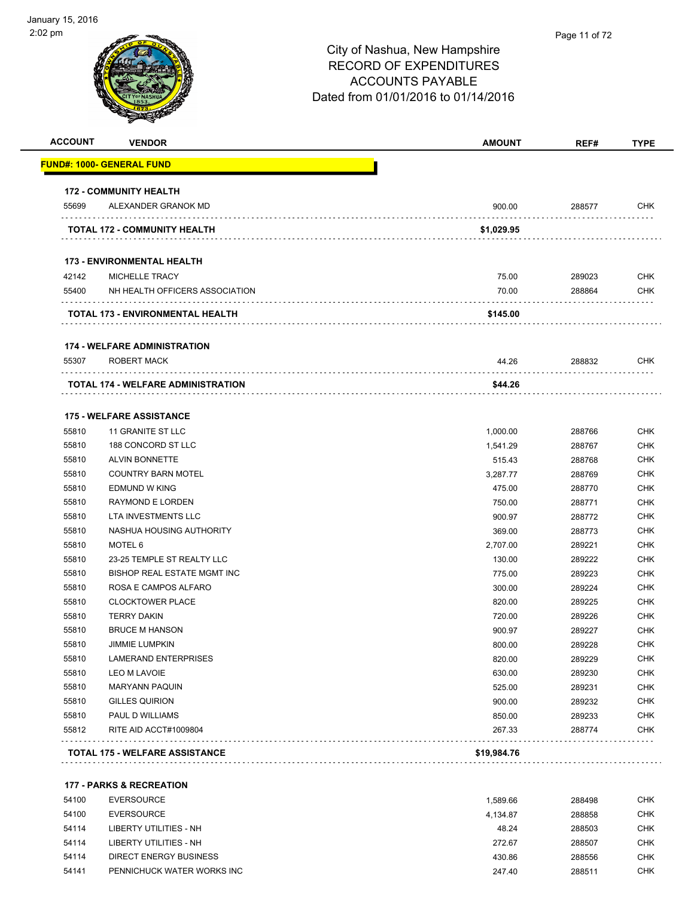| <b>ACCOUNT</b> | <b>VENDOR</b>                         | AMOUNT      | REF#   | <b>TYPE</b> |
|----------------|---------------------------------------|-------------|--------|-------------|
|                | FUND#: 1000- GENERAL FUND             |             |        |             |
|                | <b>172 - COMMUNITY HEALTH</b>         |             |        |             |
| 55699          | ALEXANDER GRANOK MD                   | 900.00      | 288577 | <b>CHK</b>  |
|                | TOTAL 172 - COMMUNITY HEALTH          | \$1,029.95  |        |             |
|                | <b>173 - ENVIRONMENTAL HEALTH</b>     |             |        |             |
| 42142          | MICHELLE TRACY                        | 75.00       | 289023 | <b>CHK</b>  |
| 55400          | NH HEALTH OFFICERS ASSOCIATION        | 70.00       | 288864 | <b>CHK</b>  |
|                | TOTAL 173 - ENVIRONMENTAL HEALTH      | \$145.00    |        |             |
|                | <b>174 - WELFARE ADMINISTRATION</b>   |             |        |             |
| 55307          | ROBERT MACK                           | 44.26       | 288832 | <b>CHK</b>  |
|                | TOTAL 174 - WELFARE ADMINISTRATION    | \$44.26     |        |             |
|                | <b>175 - WELFARE ASSISTANCE</b>       |             |        |             |
| 55810          | 11 GRANITE ST LLC                     | 1,000.00    | 288766 | <b>CHK</b>  |
| 55810          | 188 CONCORD ST LLC                    | 1,541.29    | 288767 | <b>CHK</b>  |
| 55810          | <b>ALVIN BONNETTE</b>                 | 515.43      | 288768 | <b>CHK</b>  |
| 55810          | <b>COUNTRY BARN MOTEL</b>             | 3,287.77    | 288769 | <b>CHK</b>  |
| 55810          | <b>EDMUND W KING</b>                  | 475.00      | 288770 | <b>CHK</b>  |
| 55810          | <b>RAYMOND E LORDEN</b>               | 750.00      | 288771 | <b>CHK</b>  |
| 55810          | LTA INVESTMENTS LLC                   | 900.97      | 288772 | <b>CHK</b>  |
| 55810          | NASHUA HOUSING AUTHORITY              | 369.00      | 288773 | <b>CHK</b>  |
| 55810          | MOTEL 6                               | 2,707.00    | 289221 | <b>CHK</b>  |
| 55810          | 23-25 TEMPLE ST REALTY LLC            | 130.00      | 289222 | <b>CHK</b>  |
| 55810          | BISHOP REAL ESTATE MGMT INC           | 775.00      | 289223 | <b>CHK</b>  |
| 55810          | ROSA E CAMPOS ALFARO                  | 300.00      | 289224 | <b>CHK</b>  |
| 55810          | <b>CLOCKTOWER PLACE</b>               | 820.00      | 289225 | <b>CHK</b>  |
| 55810          | <b>TERRY DAKIN</b>                    | 720.00      | 289226 | <b>CHK</b>  |
| 55810          | <b>BRUCE M HANSON</b>                 | 900.97      | 289227 | <b>CHK</b>  |
| 55810          | <b>JIMMIE LUMPKIN</b>                 | 800.00      | 289228 | CHK         |
| 55810          | <b>LAMERAND ENTERPRISES</b>           | 820.00      | 289229 | <b>CHK</b>  |
| 55810          | LEO M LAVOIE                          | 630.00      | 289230 | CHK         |
| 55810          | <b>MARYANN PAQUIN</b>                 | 525.00      | 289231 | <b>CHK</b>  |
| 55810          | <b>GILLES QUIRION</b>                 | 900.00      | 289232 | <b>CHK</b>  |
| 55810          | PAUL D WILLIAMS                       | 850.00      | 289233 | <b>CHK</b>  |
| 55812          | RITE AID ACCT#1009804                 | 267.33      | 288774 | <b>CHK</b>  |
|                | <b>TOTAL 175 - WELFARE ASSISTANCE</b> | \$19,984.76 |        |             |

#### **177 - PARKS & RECREATION**

| 54100 | EVERSOURCE                 | 1.589.66 | 288498 | <b>CHK</b> |
|-------|----------------------------|----------|--------|------------|
| 54100 | EVERSOURCE                 | 4.134.87 | 288858 | <b>CHK</b> |
| 54114 | LIBERTY UTILITIES - NH     | 48.24    | 288503 | CHK        |
| 54114 | LIBERTY UTILITIES - NH     | 272.67   | 288507 | <b>CHK</b> |
| 54114 | DIRECT ENERGY BUSINESS     | 430.86   | 288556 | CHK        |
| 54141 | PENNICHUCK WATER WORKS INC | 247.40   | 288511 | CHK        |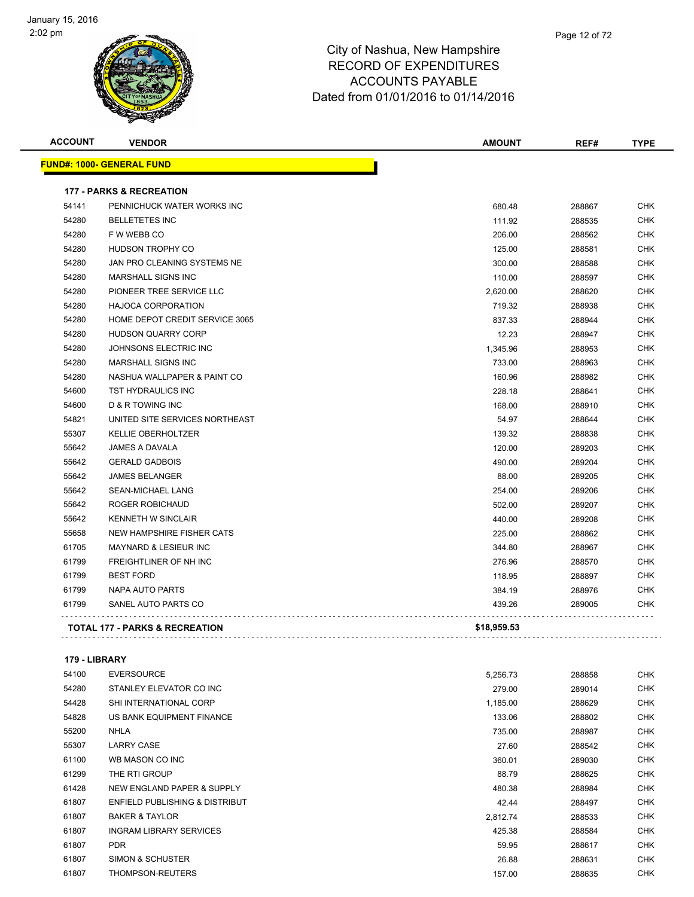

| <b>ACCOUNT</b> | <b>VENDOR</b>                             | <b>AMOUNT</b> | REF#   | <b>TYPE</b> |
|----------------|-------------------------------------------|---------------|--------|-------------|
|                | <b>FUND#: 1000- GENERAL FUND</b>          |               |        |             |
|                | <b>177 - PARKS &amp; RECREATION</b>       |               |        |             |
| 54141          | PENNICHUCK WATER WORKS INC                | 680.48        | 288867 | <b>CHK</b>  |
| 54280          | <b>BELLETETES INC</b>                     | 111.92        | 288535 | <b>CHK</b>  |
| 54280          | F W WEBB CO                               | 206.00        | 288562 | <b>CHK</b>  |
| 54280          | HUDSON TROPHY CO                          | 125.00        | 288581 | <b>CHK</b>  |
| 54280          | JAN PRO CLEANING SYSTEMS NE               | 300.00        | 288588 | CHK         |
| 54280          | <b>MARSHALL SIGNS INC</b>                 | 110.00        | 288597 | <b>CHK</b>  |
| 54280          | PIONEER TREE SERVICE LLC                  | 2,620.00      | 288620 | <b>CHK</b>  |
| 54280          | <b>HAJOCA CORPORATION</b>                 | 719.32        | 288938 | <b>CHK</b>  |
| 54280          | HOME DEPOT CREDIT SERVICE 3065            | 837.33        | 288944 | <b>CHK</b>  |
| 54280          | <b>HUDSON QUARRY CORP</b>                 | 12.23         | 288947 | <b>CHK</b>  |
| 54280          | JOHNSONS ELECTRIC INC                     | 1,345.96      | 288953 | <b>CHK</b>  |
| 54280          | MARSHALL SIGNS INC                        | 733.00        | 288963 | <b>CHK</b>  |
| 54280          | NASHUA WALLPAPER & PAINT CO               | 160.96        | 288982 | <b>CHK</b>  |
| 54600          | <b>TST HYDRAULICS INC</b>                 | 228.18        | 288641 | <b>CHK</b>  |
| 54600          | <b>D &amp; R TOWING INC</b>               | 168.00        | 288910 | <b>CHK</b>  |
| 54821          | UNITED SITE SERVICES NORTHEAST            | 54.97         | 288644 | <b>CHK</b>  |
| 55307          | <b>KELLIE OBERHOLTZER</b>                 | 139.32        | 288838 | <b>CHK</b>  |
| 55642          | JAMES A DAVALA                            | 120.00        | 289203 | <b>CHK</b>  |
| 55642          | <b>GERALD GADBOIS</b>                     | 490.00        | 289204 | <b>CHK</b>  |
| 55642          | <b>JAMES BELANGER</b>                     | 88.00         | 289205 | <b>CHK</b>  |
| 55642          | <b>SEAN-MICHAEL LANG</b>                  | 254.00        | 289206 | <b>CHK</b>  |
| 55642          | ROGER ROBICHAUD                           | 502.00        | 289207 | <b>CHK</b>  |
| 55642          | <b>KENNETH W SINCLAIR</b>                 | 440.00        | 289208 | <b>CHK</b>  |
| 55658          | NEW HAMPSHIRE FISHER CATS                 | 225.00        | 288862 | <b>CHK</b>  |
| 61705          | <b>MAYNARD &amp; LESIEUR INC</b>          | 344.80        | 288967 | <b>CHK</b>  |
| 61799          | FREIGHTLINER OF NH INC                    | 276.96        | 288570 | <b>CHK</b>  |
| 61799          | <b>BEST FORD</b>                          | 118.95        | 288897 | <b>CHK</b>  |
| 61799          | NAPA AUTO PARTS                           | 384.19        | 288976 | CHK         |
| 61799          | SANEL AUTO PARTS CO                       | 439.26        | 289005 | <b>CHK</b>  |
|                | <b>TOTAL 177 - PARKS &amp; RECREATION</b> | \$18,959.53   |        |             |
|                |                                           |               |        |             |

#### **179 - LIBRARY**

| 54100 | <b>EVERSOURCE</b>              | 5,256.73 | 288858 | <b>CHK</b> |
|-------|--------------------------------|----------|--------|------------|
| 54280 | STANLEY ELEVATOR CO INC        | 279.00   | 289014 | <b>CHK</b> |
| 54428 | <b>SHI INTERNATIONAL CORP</b>  | 1,185.00 | 288629 | <b>CHK</b> |
| 54828 | US BANK EQUIPMENT FINANCE      | 133.06   | 288802 | <b>CHK</b> |
| 55200 | <b>NHLA</b>                    | 735.00   | 288987 | <b>CHK</b> |
| 55307 | <b>LARRY CASE</b>              | 27.60    | 288542 | <b>CHK</b> |
| 61100 | WB MASON CO INC                | 360.01   | 289030 | <b>CHK</b> |
| 61299 | THE RTI GROUP                  | 88.79    | 288625 | <b>CHK</b> |
| 61428 | NEW ENGLAND PAPER & SUPPLY     | 480.38   | 288984 | <b>CHK</b> |
| 61807 | ENFIELD PUBLISHING & DISTRIBUT | 42.44    | 288497 | <b>CHK</b> |
| 61807 | <b>BAKER &amp; TAYLOR</b>      | 2,812.74 | 288533 | <b>CHK</b> |
| 61807 | <b>INGRAM LIBRARY SERVICES</b> | 425.38   | 288584 | <b>CHK</b> |
| 61807 | <b>PDR</b>                     | 59.95    | 288617 | <b>CHK</b> |
| 61807 | SIMON & SCHUSTER               | 26.88    | 288631 | <b>CHK</b> |
| 61807 | THOMPSON-REUTERS               | 157.00   | 288635 | <b>CHK</b> |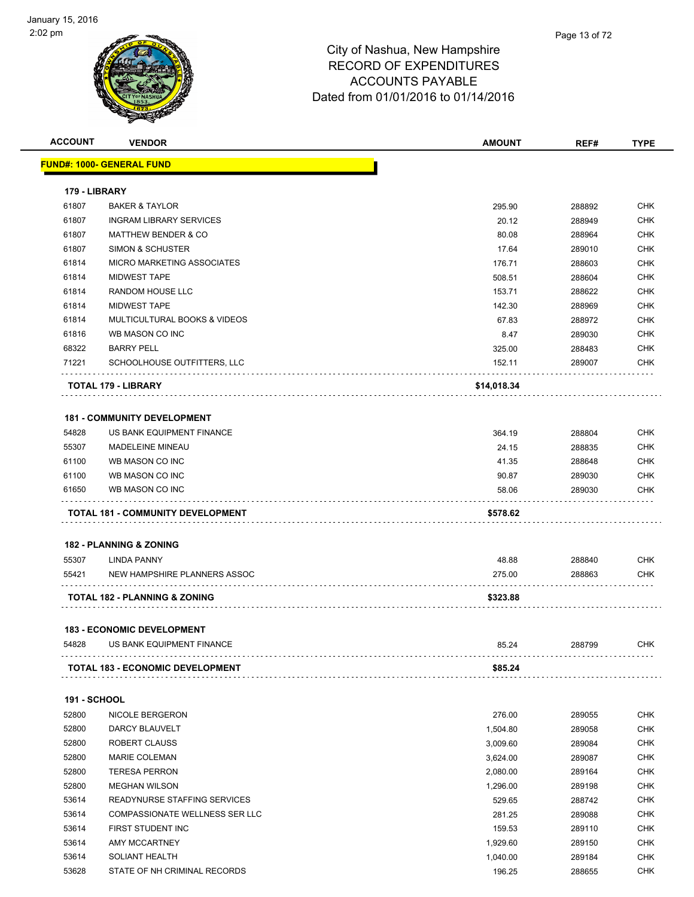

| <b>ACCOUNT</b>      | <b>VENDOR</b>                                      | AMOUNT      | REF#   | <b>TYPE</b> |
|---------------------|----------------------------------------------------|-------------|--------|-------------|
|                     | <u> FUND#: 1000- GENERAL FUND</u>                  |             |        |             |
| 179 - LIBRARY       |                                                    |             |        |             |
| 61807               | <b>BAKER &amp; TAYLOR</b>                          | 295.90      | 288892 | <b>CHK</b>  |
| 61807               | <b>INGRAM LIBRARY SERVICES</b>                     | 20.12       | 288949 | <b>CHK</b>  |
| 61807               | <b>MATTHEW BENDER &amp; CO</b>                     | 80.08       | 288964 | <b>CHK</b>  |
| 61807               | SIMON & SCHUSTER                                   | 17.64       | 289010 | CHK         |
| 61814               | <b>MICRO MARKETING ASSOCIATES</b>                  | 176.71      | 288603 | <b>CHK</b>  |
| 61814               | <b>MIDWEST TAPE</b>                                | 508.51      | 288604 | <b>CHK</b>  |
| 61814               | <b>RANDOM HOUSE LLC</b>                            | 153.71      | 288622 | <b>CHK</b>  |
| 61814               | <b>MIDWEST TAPE</b>                                | 142.30      | 288969 | <b>CHK</b>  |
| 61814               | MULTICULTURAL BOOKS & VIDEOS                       | 67.83       | 288972 | <b>CHK</b>  |
| 61816               | WB MASON CO INC                                    | 8.47        | 289030 | <b>CHK</b>  |
| 68322               | <b>BARRY PELL</b>                                  | 325.00      | 288483 | <b>CHK</b>  |
| 71221               | SCHOOLHOUSE OUTFITTERS, LLC                        | 152.11      | 289007 | CHK         |
|                     | <b>TOTAL 179 - LIBRARY</b>                         | \$14,018.34 |        |             |
|                     |                                                    |             |        |             |
|                     | <b>181 - COMMUNITY DEVELOPMENT</b>                 |             |        |             |
| 54828               | US BANK EQUIPMENT FINANCE                          | 364.19      | 288804 | CHK         |
| 55307               | <b>MADELEINE MINEAU</b>                            | 24.15       | 288835 | <b>CHK</b>  |
| 61100               | WB MASON CO INC                                    | 41.35       | 288648 | CHK         |
| 61100               | WB MASON CO INC                                    | 90.87       | 289030 | <b>CHK</b>  |
| 61650               | WB MASON CO INC                                    | 58.06       | 289030 | CHK         |
|                     | <b>TOTAL 181 - COMMUNITY DEVELOPMENT</b>           | \$578.62    |        |             |
|                     |                                                    |             |        |             |
|                     | <b>182 - PLANNING &amp; ZONING</b>                 |             |        |             |
| 55307               | <b>LINDA PANNY</b><br>NEW HAMPSHIRE PLANNERS ASSOC | 48.88       | 288840 | CHK         |
| 55421               |                                                    | 275.00      | 288863 | CHK         |
|                     | <b>TOTAL 182 - PLANNING &amp; ZONING</b>           | \$323.88    |        |             |
|                     | <b>183 - ECONOMIC DEVELOPMENT</b>                  |             |        |             |
| 54828               | US BANK EQUIPMENT FINANCE                          | 85.24       | 288799 | <b>CHK</b>  |
|                     | <b>TOTAL 183 - ECONOMIC DEVELOPMENT</b>            | \$85.24     |        |             |
|                     |                                                    |             |        |             |
| <b>191 - SCHOOL</b> |                                                    |             |        |             |
| 52800               | NICOLE BERGERON<br><b>DARCY BLAUVELT</b>           | 276.00      | 289055 | <b>CHK</b>  |
| 52800               |                                                    | 1,504.80    | 289058 | <b>CHK</b>  |
| 52800               | ROBERT CLAUSS                                      | 3,009.60    | 289084 | <b>CHK</b>  |
| 52800               | <b>MARIE COLEMAN</b>                               | 3,624.00    | 289087 | <b>CHK</b>  |
| 52800               | <b>TERESA PERRON</b>                               | 2,080.00    | 289164 | <b>CHK</b>  |
| 52800               | <b>MEGHAN WILSON</b>                               | 1,296.00    | 289198 | <b>CHK</b>  |
| 53614               | READYNURSE STAFFING SERVICES                       | 529.65      | 288742 | CHK         |
| 53614               | COMPASSIONATE WELLNESS SER LLC                     | 281.25      | 289088 | <b>CHK</b>  |
| 53614               | FIRST STUDENT INC                                  | 159.53      | 289110 | <b>CHK</b>  |
| 53614               | AMY MCCARTNEY                                      | 1,929.60    | 289150 | <b>CHK</b>  |
| 53614               | SOLIANT HEALTH                                     | 1,040.00    | 289184 | <b>CHK</b>  |
| 53628               | STATE OF NH CRIMINAL RECORDS                       | 196.25      | 288655 | <b>CHK</b>  |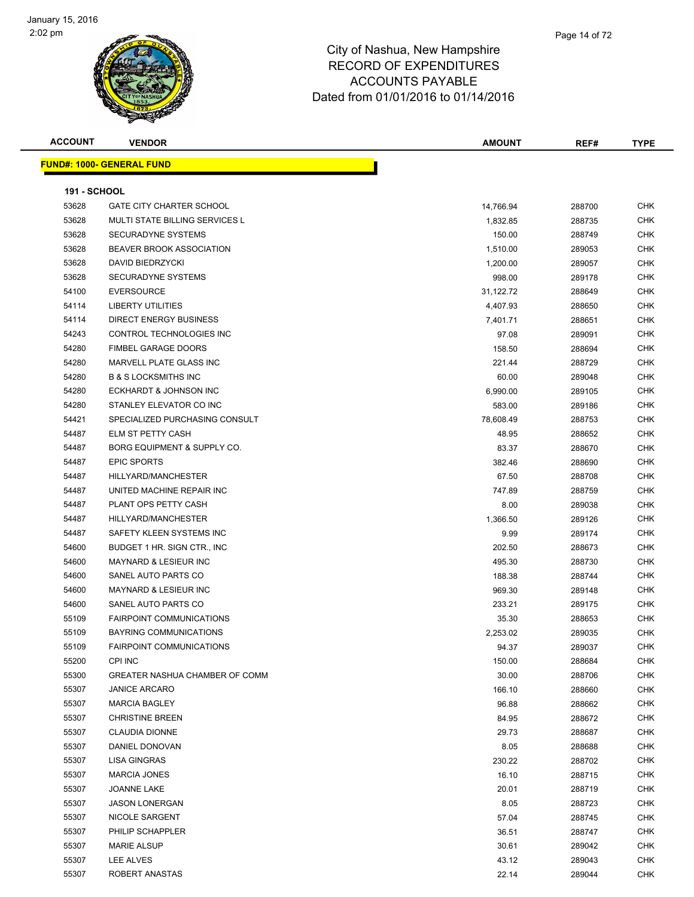

| <b>ACCOUNT</b>      | <b>VENDOR</b>                     | <b>AMOUNT</b> | REF#   | TYPE       |
|---------------------|-----------------------------------|---------------|--------|------------|
|                     | <u> FUND#: 1000- GENERAL FUND</u> |               |        |            |
|                     |                                   |               |        |            |
| <b>191 - SCHOOL</b> |                                   |               |        |            |
| 53628               | <b>GATE CITY CHARTER SCHOOL</b>   | 14,766.94     | 288700 | CHK        |
| 53628               | MULTI STATE BILLING SERVICES L    | 1,832.85      | 288735 | CHK        |
| 53628               | <b>SECURADYNE SYSTEMS</b>         | 150.00        | 288749 | CHK        |
| 53628               | <b>BEAVER BROOK ASSOCIATION</b>   | 1,510.00      | 289053 | CHK        |
| 53628               | DAVID BIEDRZYCKI                  | 1,200.00      | 289057 | CHK        |
| 53628               | <b>SECURADYNE SYSTEMS</b>         | 998.00        | 289178 | <b>CHK</b> |
| 54100               | <b>EVERSOURCE</b>                 | 31,122.72     | 288649 | <b>CHK</b> |
| 54114               | <b>LIBERTY UTILITIES</b>          | 4,407.93      | 288650 | <b>CHK</b> |
| 54114               | <b>DIRECT ENERGY BUSINESS</b>     | 7,401.71      | 288651 | <b>CHK</b> |
| 54243               | CONTROL TECHNOLOGIES INC          | 97.08         | 289091 | <b>CHK</b> |
| 54280               | <b>FIMBEL GARAGE DOORS</b>        | 158.50        | 288694 | CHK        |
| 54280               | MARVELL PLATE GLASS INC           | 221.44        | 288729 | <b>CHK</b> |
| 54280               | <b>B &amp; S LOCKSMITHS INC</b>   | 60.00         | 289048 | CHK        |
| 54280               | ECKHARDT & JOHNSON INC            | 6,990.00      | 289105 | <b>CHK</b> |
| 54280               | STANLEY ELEVATOR CO INC           | 583.00        | 289186 | <b>CHK</b> |
| 54421               | SPECIALIZED PURCHASING CONSULT    | 78,608.49     | 288753 | CHK        |
| 54487               | ELM ST PETTY CASH                 | 48.95         | 288652 | CHK        |
| 54487               | BORG EQUIPMENT & SUPPLY CO.       | 83.37         | 288670 | <b>CHK</b> |
| 54487               | <b>EPIC SPORTS</b>                | 382.46        | 288690 | <b>CHK</b> |
| 54487               | HILLYARD/MANCHESTER               | 67.50         | 288708 | <b>CHK</b> |
| 54487               | UNITED MACHINE REPAIR INC         | 747.89        | 288759 | CHK        |
| 54487               | PLANT OPS PETTY CASH              | 8.00          | 289038 | CHK        |
| 54487               | HILLYARD/MANCHESTER               | 1,366.50      | 289126 | CHK        |
| 54487               | SAFETY KLEEN SYSTEMS INC          | 9.99          | 289174 | <b>CHK</b> |
| 54600               | BUDGET 1 HR. SIGN CTR., INC       | 202.50        | 288673 | <b>CHK</b> |
| 54600               | MAYNARD & LESIEUR INC             | 495.30        | 288730 | CHK        |
| 54600               | SANEL AUTO PARTS CO               | 188.38        | 288744 | CHK        |
| 54600               | MAYNARD & LESIEUR INC             | 969.30        | 289148 | <b>CHK</b> |
| 54600               | SANEL AUTO PARTS CO               | 233.21        | 289175 | <b>CHK</b> |
| 55109               | <b>FAIRPOINT COMMUNICATIONS</b>   | 35.30         | 288653 | <b>CHK</b> |
| 55109               | <b>BAYRING COMMUNICATIONS</b>     | 2,253.02      | 289035 | <b>CHK</b> |
| 55109               | <b>FAIRPOINT COMMUNICATIONS</b>   | 94.37         | 289037 | CHK        |
| 55200               | CPI INC                           | 150.00        | 288684 | CHK        |
| 55300               | GREATER NASHUA CHAMBER OF COMM    | 30.00         | 288706 | <b>CHK</b> |
| 55307               | <b>JANICE ARCARO</b>              | 166.10        | 288660 | <b>CHK</b> |
| 55307               | <b>MARCIA BAGLEY</b>              | 96.88         | 288662 | CHK        |
| 55307               | <b>CHRISTINE BREEN</b>            | 84.95         | 288672 | CHK        |
| 55307               | <b>CLAUDIA DIONNE</b>             | 29.73         | 288687 | <b>CHK</b> |
| 55307               | DANIEL DONOVAN                    | 8.05          | 288688 | <b>CHK</b> |
| 55307               | LISA GINGRAS                      | 230.22        | 288702 | CHK        |
| 55307               | <b>MARCIA JONES</b>               | 16.10         | 288715 | <b>CHK</b> |
| 55307               | JOANNE LAKE                       | 20.01         | 288719 | CHK        |
| 55307               | <b>JASON LONERGAN</b>             | 8.05          | 288723 | CHK        |
| 55307               | NICOLE SARGENT                    | 57.04         | 288745 | CHK        |
| 55307               | PHILIP SCHAPPLER                  | 36.51         | 288747 | CHK        |
| 55307               | <b>MARIE ALSUP</b>                | 30.61         | 289042 | <b>CHK</b> |
| 55307               | LEE ALVES                         | 43.12         | 289043 | CHK        |
| 55307               | ROBERT ANASTAS                    | 22.14         | 289044 | <b>CHK</b> |
|                     |                                   |               |        |            |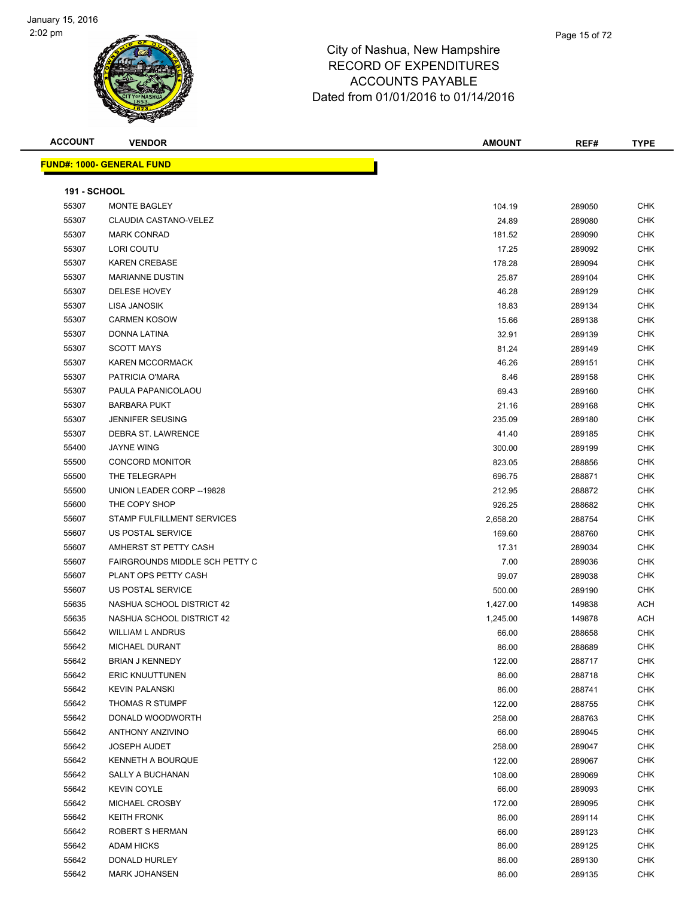

| <b>ACCOUNT</b>      | <b>VENDOR</b>                     | <b>AMOUNT</b> | REF#   | <b>TYPE</b> |
|---------------------|-----------------------------------|---------------|--------|-------------|
|                     | <u> FUND#: 1000- GENERAL FUND</u> |               |        |             |
|                     |                                   |               |        |             |
| <b>191 - SCHOOL</b> |                                   |               |        |             |
| 55307               | MONTE BAGLEY                      | 104.19        | 289050 | <b>CHK</b>  |
| 55307               | CLAUDIA CASTANO-VELEZ             | 24.89         | 289080 | <b>CHK</b>  |
| 55307               | <b>MARK CONRAD</b>                | 181.52        | 289090 | <b>CHK</b>  |
| 55307               | LORI COUTU                        | 17.25         | 289092 | <b>CHK</b>  |
| 55307               | <b>KAREN CREBASE</b>              | 178.28        | 289094 | <b>CHK</b>  |
| 55307               | <b>MARIANNE DUSTIN</b>            | 25.87         | 289104 | <b>CHK</b>  |
| 55307               | DELESE HOVEY                      | 46.28         | 289129 | <b>CHK</b>  |
| 55307               | LISA JANOSIK                      | 18.83         | 289134 | <b>CHK</b>  |
| 55307               | <b>CARMEN KOSOW</b>               | 15.66         | 289138 | <b>CHK</b>  |
| 55307               | DONNA LATINA                      | 32.91         | 289139 | <b>CHK</b>  |
| 55307               | <b>SCOTT MAYS</b>                 | 81.24         | 289149 | <b>CHK</b>  |
| 55307               | <b>KAREN MCCORMACK</b>            | 46.26         | 289151 | <b>CHK</b>  |
| 55307               | PATRICIA O'MARA                   | 8.46          | 289158 | <b>CHK</b>  |
| 55307               | PAULA PAPANICOLAOU                | 69.43         | 289160 | <b>CHK</b>  |
| 55307               | <b>BARBARA PUKT</b>               | 21.16         | 289168 | <b>CHK</b>  |
| 55307               | <b>JENNIFER SEUSING</b>           | 235.09        | 289180 | <b>CHK</b>  |
| 55307               | DEBRA ST. LAWRENCE                | 41.40         | 289185 | CHK         |
| 55400               | <b>JAYNE WING</b>                 | 300.00        | 289199 | <b>CHK</b>  |
| 55500               | <b>CONCORD MONITOR</b>            | 823.05        | 288856 | CHK         |
| 55500               | THE TELEGRAPH                     | 696.75        | 288871 | <b>CHK</b>  |
| 55500               | UNION LEADER CORP -- 19828        | 212.95        | 288872 | <b>CHK</b>  |
| 55600               | THE COPY SHOP                     | 926.25        | 288682 | <b>CHK</b>  |
| 55607               | STAMP FULFILLMENT SERVICES        | 2,658.20      | 288754 | <b>CHK</b>  |
| 55607               | US POSTAL SERVICE                 | 169.60        | 288760 | <b>CHK</b>  |
| 55607               | AMHERST ST PETTY CASH             | 17.31         | 289034 | <b>CHK</b>  |
| 55607               | FAIRGROUNDS MIDDLE SCH PETTY C    | 7.00          | 289036 | <b>CHK</b>  |
| 55607               | PLANT OPS PETTY CASH              | 99.07         | 289038 | <b>CHK</b>  |
| 55607               | US POSTAL SERVICE                 | 500.00        | 289190 | <b>CHK</b>  |
| 55635               | NASHUA SCHOOL DISTRICT 42         | 1,427.00      | 149838 | <b>ACH</b>  |
| 55635               | NASHUA SCHOOL DISTRICT 42         | 1,245.00      | 149878 | <b>ACH</b>  |
| 55642               | <b>WILLIAM L ANDRUS</b>           | 66.00         | 288658 | <b>CHK</b>  |
| 55642               | MICHAEL DURANT                    | 86.00         | 288689 | <b>CHK</b>  |
| 55642               | BRIAN J KENNEDY                   | 122.00        | 288717 | <b>CHK</b>  |
| 55642               | <b>ERIC KNUUTTUNEN</b>            | 86.00         | 288718 | <b>CHK</b>  |
| 55642               | <b>KEVIN PALANSKI</b>             | 86.00         | 288741 | <b>CHK</b>  |
| 55642               | <b>THOMAS R STUMPF</b>            | 122.00        | 288755 | <b>CHK</b>  |
| 55642               | DONALD WOODWORTH                  | 258.00        | 288763 | <b>CHK</b>  |
| 55642               | <b>ANTHONY ANZIVINO</b>           | 66.00         | 289045 | <b>CHK</b>  |
| 55642               | <b>JOSEPH AUDET</b>               | 258.00        | 289047 | <b>CHK</b>  |
| 55642               | <b>KENNETH A BOURQUE</b>          | 122.00        | 289067 | <b>CHK</b>  |
| 55642               | SALLY A BUCHANAN                  | 108.00        | 289069 | <b>CHK</b>  |
| 55642               | <b>KEVIN COYLE</b>                | 66.00         | 289093 | CHK         |
| 55642               | MICHAEL CROSBY                    | 172.00        | 289095 | <b>CHK</b>  |
| 55642               | <b>KEITH FRONK</b>                | 86.00         | 289114 | <b>CHK</b>  |
| 55642               | ROBERT S HERMAN                   | 66.00         | 289123 | CHK         |
| 55642               | <b>ADAM HICKS</b>                 | 86.00         | 289125 | <b>CHK</b>  |
| 55642               | DONALD HURLEY                     | 86.00         | 289130 | <b>CHK</b>  |
| 55642               | <b>MARK JOHANSEN</b>              | 86.00         | 289135 | <b>CHK</b>  |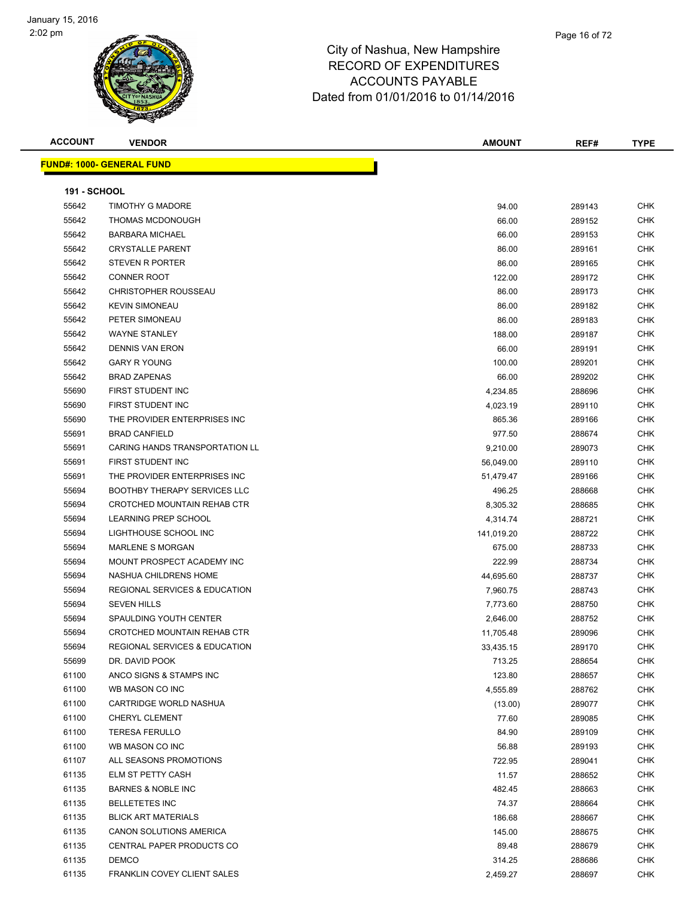

| <b>ACCOUNT</b> | <b>VENDOR</b>                            | <b>AMOUNT</b> | REF#   | <b>TYPE</b> |
|----------------|------------------------------------------|---------------|--------|-------------|
|                | <u> FUND#: 1000- GENERAL FUND</u>        |               |        |             |
|                |                                          |               |        |             |
| 191 - SCHOOL   |                                          |               |        |             |
| 55642          | <b>TIMOTHY G MADORE</b>                  | 94.00         | 289143 | <b>CHK</b>  |
| 55642          | <b>THOMAS MCDONOUGH</b>                  | 66.00         | 289152 | <b>CHK</b>  |
| 55642          | <b>BARBARA MICHAEL</b>                   | 66.00         | 289153 | <b>CHK</b>  |
| 55642          | <b>CRYSTALLE PARENT</b>                  | 86.00         | 289161 | <b>CHK</b>  |
| 55642          | STEVEN R PORTER                          | 86.00         | 289165 | <b>CHK</b>  |
| 55642          | <b>CONNER ROOT</b>                       | 122.00        | 289172 | <b>CHK</b>  |
| 55642          | <b>CHRISTOPHER ROUSSEAU</b>              | 86.00         | 289173 | <b>CHK</b>  |
| 55642          | <b>KEVIN SIMONEAU</b>                    | 86.00         | 289182 | <b>CHK</b>  |
| 55642          | PETER SIMONEAU                           | 86.00         | 289183 | <b>CHK</b>  |
| 55642          | <b>WAYNE STANLEY</b>                     | 188.00        | 289187 | <b>CHK</b>  |
| 55642          | <b>DENNIS VAN ERON</b>                   | 66.00         | 289191 | <b>CHK</b>  |
| 55642          | <b>GARY R YOUNG</b>                      | 100.00        | 289201 | <b>CHK</b>  |
| 55642          | <b>BRAD ZAPENAS</b>                      | 66.00         | 289202 | <b>CHK</b>  |
| 55690          | FIRST STUDENT INC                        | 4,234.85      | 288696 | <b>CHK</b>  |
| 55690          | FIRST STUDENT INC                        | 4,023.19      | 289110 | <b>CHK</b>  |
| 55690          | THE PROVIDER ENTERPRISES INC.            | 865.36        | 289166 | <b>CHK</b>  |
| 55691          | <b>BRAD CANFIELD</b>                     | 977.50        | 288674 | <b>CHK</b>  |
| 55691          | <b>CARING HANDS TRANSPORTATION LL</b>    | 9,210.00      | 289073 | <b>CHK</b>  |
| 55691          | FIRST STUDENT INC                        | 56,049.00     | 289110 | <b>CHK</b>  |
| 55691          | THE PROVIDER ENTERPRISES INC             | 51,479.47     | 289166 | <b>CHK</b>  |
| 55694          | <b>BOOTHBY THERAPY SERVICES LLC</b>      | 496.25        | 288668 | <b>CHK</b>  |
| 55694          | CROTCHED MOUNTAIN REHAB CTR              | 8,305.32      | 288685 | <b>CHK</b>  |
| 55694          | LEARNING PREP SCHOOL                     | 4,314.74      | 288721 | <b>CHK</b>  |
| 55694          | LIGHTHOUSE SCHOOL INC                    | 141,019.20    | 288722 | <b>CHK</b>  |
| 55694          | <b>MARLENE S MORGAN</b>                  | 675.00        | 288733 | <b>CHK</b>  |
| 55694          | MOUNT PROSPECT ACADEMY INC               | 222.99        | 288734 | <b>CHK</b>  |
| 55694          | NASHUA CHILDRENS HOME                    | 44,695.60     | 288737 | <b>CHK</b>  |
| 55694          | <b>REGIONAL SERVICES &amp; EDUCATION</b> | 7,960.75      | 288743 | <b>CHK</b>  |
| 55694          | <b>SEVEN HILLS</b>                       | 7,773.60      | 288750 | <b>CHK</b>  |
| 55694          | SPAULDING YOUTH CENTER                   | 2,646.00      | 288752 | <b>CHK</b>  |
| 55694          | CROTCHED MOUNTAIN REHAB CTR              | 11,705.48     | 289096 | CHK         |
| 55694          | REGIONAL SERVICES & EDUCATION            | 33,435.15     | 289170 | CHK         |
| 55699          | DR. DAVID POOK                           | 713.25        | 288654 | <b>CHK</b>  |
| 61100          | ANCO SIGNS & STAMPS INC                  | 123.80        | 288657 | <b>CHK</b>  |
| 61100          | WB MASON CO INC                          | 4,555.89      | 288762 | <b>CHK</b>  |
| 61100          | CARTRIDGE WORLD NASHUA                   | (13.00)       | 289077 | <b>CHK</b>  |
| 61100          | CHERYL CLEMENT                           | 77.60         | 289085 | CHK         |
| 61100          | <b>TERESA FERULLO</b>                    | 84.90         | 289109 | CHK         |
| 61100          | WB MASON CO INC                          | 56.88         | 289193 | CHK         |
| 61107          | ALL SEASONS PROMOTIONS                   | 722.95        | 289041 | CHK         |
| 61135          | ELM ST PETTY CASH                        | 11.57         | 288652 | CHK         |
| 61135          | <b>BARNES &amp; NOBLE INC</b>            | 482.45        | 288663 | CHK         |
| 61135          | <b>BELLETETES INC</b>                    | 74.37         | 288664 | CHK         |
| 61135          | <b>BLICK ART MATERIALS</b>               | 186.68        | 288667 | <b>CHK</b>  |
| 61135          | CANON SOLUTIONS AMERICA                  | 145.00        | 288675 | CHK         |
| 61135          | CENTRAL PAPER PRODUCTS CO                | 89.48         | 288679 | CHK         |
| 61135          | <b>DEMCO</b>                             | 314.25        | 288686 | CHK         |
| 61135          | FRANKLIN COVEY CLIENT SALES              | 2,459.27      | 288697 | CHK         |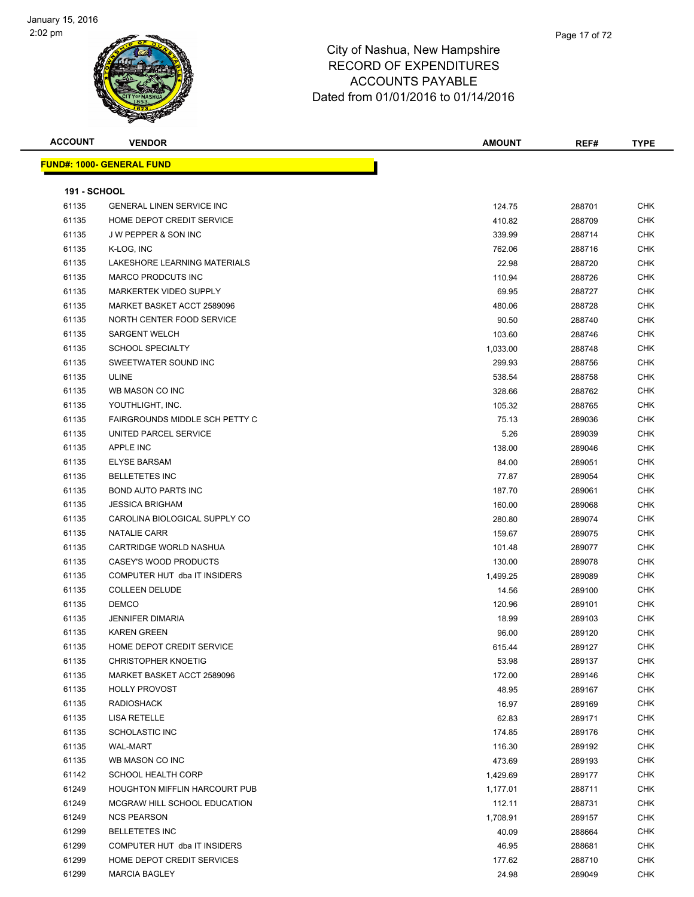| <b>ACCOUNT</b>      | <b>VENDOR</b>                    | <b>AMOUNT</b> | REF#   | <b>TYPE</b> |
|---------------------|----------------------------------|---------------|--------|-------------|
|                     | <b>FUND#: 1000- GENERAL FUND</b> |               |        |             |
|                     |                                  |               |        |             |
| <b>191 - SCHOOL</b> |                                  |               |        |             |
| 61135               | <b>GENERAL LINEN SERVICE INC</b> | 124.75        | 288701 | <b>CHK</b>  |
| 61135               | HOME DEPOT CREDIT SERVICE        | 410.82        | 288709 | <b>CHK</b>  |
| 61135               | J W PEPPER & SON INC             | 339.99        | 288714 | <b>CHK</b>  |
| 61135               | K-LOG, INC                       | 762.06        | 288716 | CHK         |
| 61135               | LAKESHORE LEARNING MATERIALS     | 22.98         | 288720 | CHK         |
| 61135               | <b>MARCO PRODCUTS INC</b>        | 110.94        | 288726 | <b>CHK</b>  |
| 61135               | <b>MARKERTEK VIDEO SUPPLY</b>    | 69.95         | 288727 | <b>CHK</b>  |
| 61135               | MARKET BASKET ACCT 2589096       | 480.06        | 288728 | <b>CHK</b>  |
| 61135               | NORTH CENTER FOOD SERVICE        | 90.50         | 288740 | <b>CHK</b>  |
| 61135               | <b>SARGENT WELCH</b>             | 103.60        | 288746 | CHK         |
| 61135               | <b>SCHOOL SPECIALTY</b>          | 1,033.00      | 288748 | CHK         |
| 61135               | SWEETWATER SOUND INC             | 299.93        | 288756 | CHK         |
| 61135               | <b>ULINE</b>                     | 538.54        | 288758 | CHK         |
| 61135               | WB MASON CO INC                  | 328.66        | 288762 | <b>CHK</b>  |
| 61135               | YOUTHLIGHT, INC.                 | 105.32        | 288765 | CHK         |
| 61135               | FAIRGROUNDS MIDDLE SCH PETTY C   | 75.13         | 289036 | CHK         |
| 61135               | UNITED PARCEL SERVICE            | 5.26          | 289039 | <b>CHK</b>  |
| 61135               | <b>APPLE INC</b>                 | 138.00        | 289046 | <b>CHK</b>  |
| 61135               | <b>ELYSE BARSAM</b>              | 84.00         | 289051 | <b>CHK</b>  |
| 61135               | <b>BELLETETES INC</b>            | 77.87         | 289054 | <b>CHK</b>  |
| 61135               | <b>BOND AUTO PARTS INC</b>       | 187.70        | 289061 | CHK         |
| 61135               | <b>JESSICA BRIGHAM</b>           | 160.00        | 289068 | <b>CHK</b>  |
| 61135               | CAROLINA BIOLOGICAL SUPPLY CO    | 280.80        | 289074 | CHK         |
| 61135               | <b>NATALIE CARR</b>              | 159.67        | 289075 | <b>CHK</b>  |
| 61135               | CARTRIDGE WORLD NASHUA           | 101.48        | 289077 | <b>CHK</b>  |
| 61135               | CASEY'S WOOD PRODUCTS            | 130.00        | 289078 | CHK         |
| 61135               | COMPUTER HUT dba IT INSIDERS     | 1,499.25      | 289089 | CHK         |
| 61135               | <b>COLLEEN DELUDE</b>            | 14.56         | 289100 | <b>CHK</b>  |
| 61135               | <b>DEMCO</b>                     | 120.96        | 289101 | <b>CHK</b>  |
| 61135               | <b>JENNIFER DIMARIA</b>          | 18.99         | 289103 | CHK         |
| 61135               | <b>KAREN GREEN</b>               | 96.00         | 289120 | CHK         |
| 61135               | HOME DEPOT CREDIT SERVICE        | 615.44        | 289127 | <b>CHK</b>  |
| 61135               | <b>CHRISTOPHER KNOETIG</b>       | 53.98         | 289137 | <b>CHK</b>  |
| 61135               | MARKET BASKET ACCT 2589096       | 172.00        | 289146 | <b>CHK</b>  |
| 61135               | <b>HOLLY PROVOST</b>             | 48.95         | 289167 | CHK         |
| 61135               | <b>RADIOSHACK</b>                | 16.97         | 289169 | CHK         |
| 61135               | LISA RETELLE                     | 62.83         | 289171 | CHK         |
| 61135               | SCHOLASTIC INC                   | 174.85        | 289176 | CHK         |
| 61135               | <b>WAL-MART</b>                  | 116.30        | 289192 | <b>CHK</b>  |
| 61135               | WB MASON CO INC                  | 473.69        | 289193 | <b>CHK</b>  |
| 61142               | <b>SCHOOL HEALTH CORP</b>        | 1,429.69      | 289177 | <b>CHK</b>  |
| 61249               | HOUGHTON MIFFLIN HARCOURT PUB    | 1,177.01      | 288711 | CHK         |
| 61249               | MCGRAW HILL SCHOOL EDUCATION     | 112.11        | 288731 | CHK         |
| 61249               | <b>NCS PEARSON</b>               | 1,708.91      | 289157 | <b>CHK</b>  |
| 61299               | <b>BELLETETES INC</b>            | 40.09         | 288664 | CHK         |
| 61299               | COMPUTER HUT dba IT INSIDERS     | 46.95         | 288681 | CHK         |
| 61299               | HOME DEPOT CREDIT SERVICES       | 177.62        | 288710 | CHK         |
| 61299               | <b>MARCIA BAGLEY</b>             | 24.98         | 289049 | CHK         |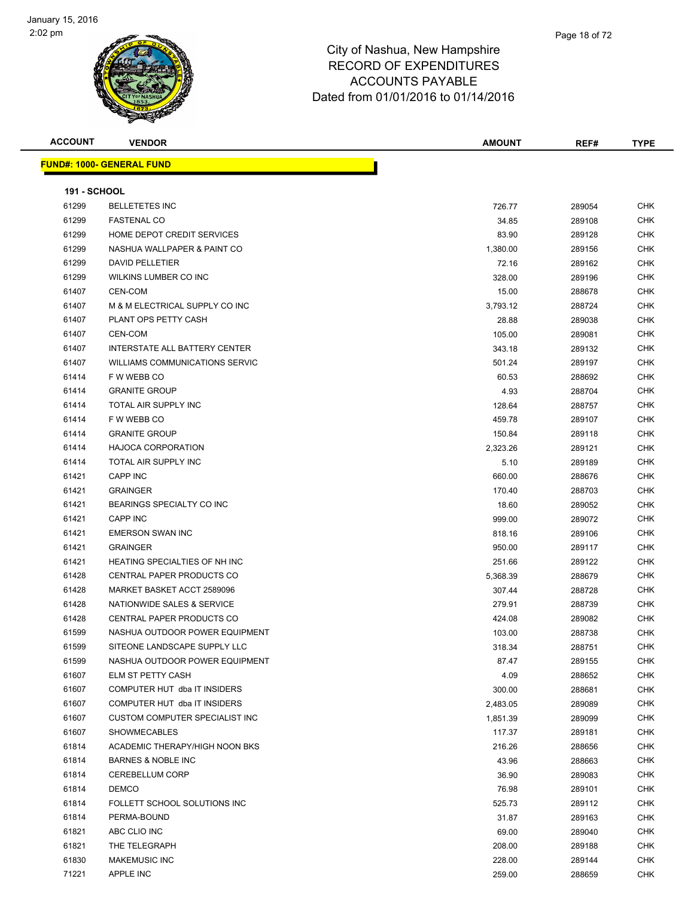

| <b>ACCOUNT</b>      | <b>VENDOR</b>                     | <b>AMOUNT</b> | REF#   | <b>TYPE</b> |
|---------------------|-----------------------------------|---------------|--------|-------------|
|                     | <u> FUND#: 1000- GENERAL FUND</u> |               |        |             |
|                     |                                   |               |        |             |
| <b>191 - SCHOOL</b> |                                   |               |        |             |
| 61299               | <b>BELLETETES INC</b>             | 726.77        | 289054 | <b>CHK</b>  |
| 61299               | <b>FASTENAL CO</b>                | 34.85         | 289108 | <b>CHK</b>  |
| 61299               | HOME DEPOT CREDIT SERVICES        | 83.90         | 289128 | CHK         |
| 61299               | NASHUA WALLPAPER & PAINT CO       | 1,380.00      | 289156 | CHK         |
| 61299               | <b>DAVID PELLETIER</b>            | 72.16         | 289162 | CHK         |
| 61299               | WILKINS LUMBER CO INC             | 328.00        | 289196 | <b>CHK</b>  |
| 61407               | CEN-COM                           | 15.00         | 288678 | CHK         |
| 61407               | M & M ELECTRICAL SUPPLY CO INC    | 3,793.12      | 288724 | <b>CHK</b>  |
| 61407               | PLANT OPS PETTY CASH              | 28.88         | 289038 | CHK         |
| 61407               | CEN-COM                           | 105.00        | 289081 | <b>CHK</b>  |
| 61407               | INTERSTATE ALL BATTERY CENTER     | 343.18        | 289132 | CHK         |
| 61407               | WILLIAMS COMMUNICATIONS SERVIC    | 501.24        | 289197 | CHK         |
| 61414               | F W WEBB CO                       | 60.53         | 288692 | <b>CHK</b>  |
| 61414               | <b>GRANITE GROUP</b>              | 4.93          | 288704 | CHK         |
| 61414               | TOTAL AIR SUPPLY INC              | 128.64        | 288757 | CHK         |
| 61414               | F W WEBB CO                       | 459.78        | 289107 | CHK         |
| 61414               | <b>GRANITE GROUP</b>              | 150.84        | 289118 | CHK         |
| 61414               | <b>HAJOCA CORPORATION</b>         | 2,323.26      | 289121 | CHK         |
| 61414               | TOTAL AIR SUPPLY INC              | 5.10          | 289189 | <b>CHK</b>  |
| 61421               | CAPP INC                          | 660.00        | 288676 | CHK         |
| 61421               | <b>GRAINGER</b>                   | 170.40        | 288703 | <b>CHK</b>  |
| 61421               | BEARINGS SPECIALTY CO INC         | 18.60         | 289052 | CHK         |
| 61421               | <b>CAPP INC</b>                   | 999.00        | 289072 | CHK         |
| 61421               | <b>EMERSON SWAN INC</b>           | 818.16        | 289106 | <b>CHK</b>  |
| 61421               | <b>GRAINGER</b>                   | 950.00        | 289117 | CHK         |
| 61421               | HEATING SPECIALTIES OF NH INC     | 251.66        | 289122 | CHK         |
| 61428               | CENTRAL PAPER PRODUCTS CO         | 5,368.39      | 288679 | CHK         |
| 61428               | MARKET BASKET ACCT 2589096        | 307.44        | 288728 | <b>CHK</b>  |
| 61428               | NATIONWIDE SALES & SERVICE        | 279.91        | 288739 | <b>CHK</b>  |
| 61428               | CENTRAL PAPER PRODUCTS CO         | 424.08        | 289082 | CHK         |
| 61599               | NASHUA OUTDOOR POWER EQUIPMENT    | 103.00        | 288738 | CHK         |
| 61599               | SITEONE LANDSCAPE SUPPLY LLC      | 318.34        | 288751 | <b>CHK</b>  |
| 61599               | NASHUA OUTDOOR POWER EQUIPMENT    | 87.47         | 289155 | CHK         |
| 61607               | <b>ELM ST PETTY CASH</b>          | 4.09          | 288652 | <b>CHK</b>  |
| 61607               | COMPUTER HUT dba IT INSIDERS      | 300.00        | 288681 | <b>CHK</b>  |
| 61607               | COMPUTER HUT dba IT INSIDERS      | 2,483.05      | 289089 | <b>CHK</b>  |
| 61607               | CUSTOM COMPUTER SPECIALIST INC    | 1,851.39      | 289099 | <b>CHK</b>  |
| 61607               | <b>SHOWMECABLES</b>               | 117.37        | 289181 | CHK         |
| 61814               | ACADEMIC THERAPY/HIGH NOON BKS    | 216.26        | 288656 | <b>CHK</b>  |
| 61814               | <b>BARNES &amp; NOBLE INC</b>     | 43.96         | 288663 | <b>CHK</b>  |
| 61814               | <b>CEREBELLUM CORP</b>            | 36.90         | 289083 | <b>CHK</b>  |
| 61814               | <b>DEMCO</b>                      | 76.98         | 289101 | <b>CHK</b>  |
| 61814               | FOLLETT SCHOOL SOLUTIONS INC      | 525.73        | 289112 | <b>CHK</b>  |
| 61814               | PERMA-BOUND                       | 31.87         | 289163 | <b>CHK</b>  |
| 61821               | ABC CLIO INC                      | 69.00         | 289040 | <b>CHK</b>  |
| 61821               | THE TELEGRAPH                     | 208.00        | 289188 | CHK         |
| 61830               | <b>MAKEMUSIC INC</b>              | 228.00        | 289144 | CHK         |
| 71221               | <b>APPLE INC</b>                  | 259.00        | 288659 | <b>CHK</b>  |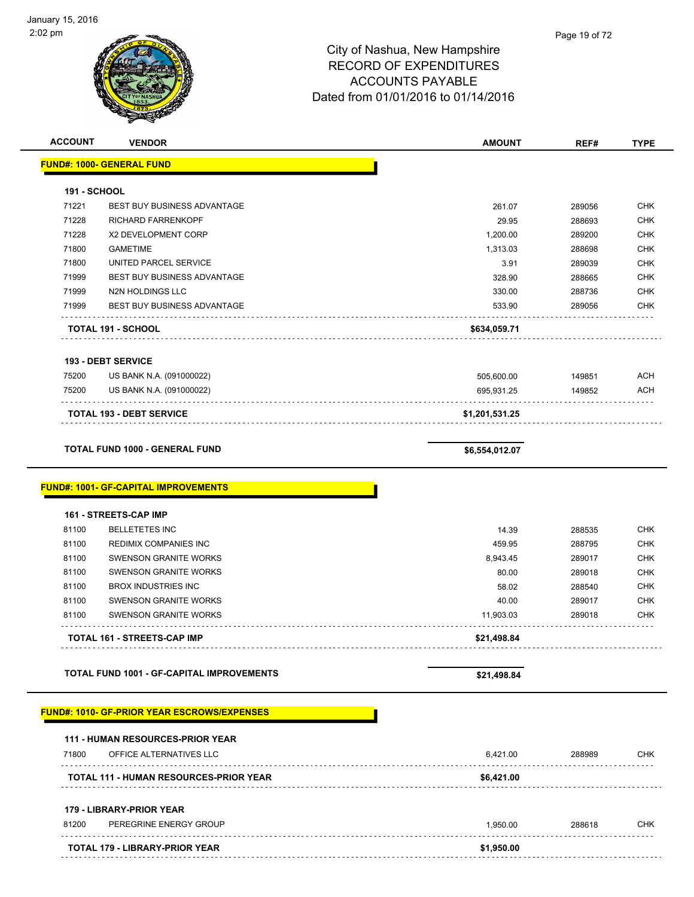

| <b>ACCOUNT</b>      | <b>VENDOR</b>                                                        | <b>AMOUNT</b>  | REF#   | <b>TYPE</b> |
|---------------------|----------------------------------------------------------------------|----------------|--------|-------------|
|                     | <b>FUND#: 1000- GENERAL FUND</b>                                     |                |        |             |
| <b>191 - SCHOOL</b> |                                                                      |                |        |             |
| 71221               | <b>BEST BUY BUSINESS ADVANTAGE</b>                                   | 261.07         | 289056 | <b>CHK</b>  |
| 71228               | RICHARD FARRENKOPF                                                   | 29.95          | 288693 | <b>CHK</b>  |
| 71228               | X2 DEVELOPMENT CORP                                                  | 1,200.00       | 289200 | <b>CHK</b>  |
| 71800               | <b>GAMETIME</b>                                                      | 1,313.03       | 288698 | <b>CHK</b>  |
| 71800               | UNITED PARCEL SERVICE                                                | 3.91           | 289039 | <b>CHK</b>  |
| 71999               | BEST BUY BUSINESS ADVANTAGE                                          | 328.90         | 288665 | <b>CHK</b>  |
| 71999               | N2N HOLDINGS LLC                                                     | 330.00         | 288736 | <b>CHK</b>  |
| 71999               | <b>BEST BUY BUSINESS ADVANTAGE</b>                                   | 533.90         | 289056 | <b>CHK</b>  |
|                     | <b>TOTAL 191 - SCHOOL</b>                                            | \$634,059.71   |        |             |
|                     | <b>193 - DEBT SERVICE</b>                                            |                |        |             |
| 75200               | US BANK N.A. (091000022)                                             | 505,600.00     | 149851 | <b>ACH</b>  |
| 75200               | US BANK N.A. (091000022)                                             | 695,931.25     | 149852 | <b>ACH</b>  |
|                     | <b>TOTAL 193 - DEBT SERVICE</b>                                      | \$1,201,531.25 |        |             |
|                     |                                                                      |                |        |             |
|                     | <b>TOTAL FUND 1000 - GENERAL FUND</b>                                | \$6,554,012.07 |        |             |
|                     | <b>FUND#: 1001- GF-CAPITAL IMPROVEMENTS</b><br>161 - STREETS-CAP IMP |                |        |             |
| 81100               | <b>BELLETETES INC</b>                                                | 14.39          | 288535 | <b>CHK</b>  |
| 81100               | REDIMIX COMPANIES INC                                                | 459.95         | 288795 | <b>CHK</b>  |
| 81100               | <b>SWENSON GRANITE WORKS</b>                                         | 8,943.45       | 289017 | <b>CHK</b>  |
| 81100               | <b>SWENSON GRANITE WORKS</b>                                         | 80.00          | 289018 | <b>CHK</b>  |
| 81100               | <b>BROX INDUSTRIES INC</b>                                           | 58.02          | 288540 | <b>CHK</b>  |
| 81100               | <b>SWENSON GRANITE WORKS</b>                                         | 40.00          | 289017 | <b>CHK</b>  |
| 81100               | <b>SWENSON GRANITE WORKS</b>                                         | 11,903.03      | 289018 | <b>CHK</b>  |
|                     | TOTAL 161 - STREETS-CAP IMP                                          | \$21,498.84    |        |             |
|                     | <b>TOTAL FUND 1001 - GF-CAPITAL IMPROVEMENTS</b>                     | \$21,498.84    |        |             |
|                     | <b>FUND#: 1010- GF-PRIOR YEAR ESCROWS/EXPENSES</b>                   |                |        |             |
|                     | <b>111 - HUMAN RESOURCES-PRIOR YEAR</b>                              |                |        |             |
| 71800               | OFFICE ALTERNATIVES LLC                                              | 6,421.00       | 288989 | <b>CHK</b>  |
|                     | TOTAL 111 - HUMAN RESOURCES-PRIOR YEAR                               | \$6,421.00     |        |             |
|                     | 179 - LIBRARY-PRIOR YEAR                                             |                |        |             |
| 81200               | PEREGRINE ENERGY GROUP                                               | 1,950.00       | 288618 | CHK         |
|                     | TOTAL 179 - LIBRARY-PRIOR YEAR                                       | \$1,950.00     |        |             |
|                     |                                                                      |                |        |             |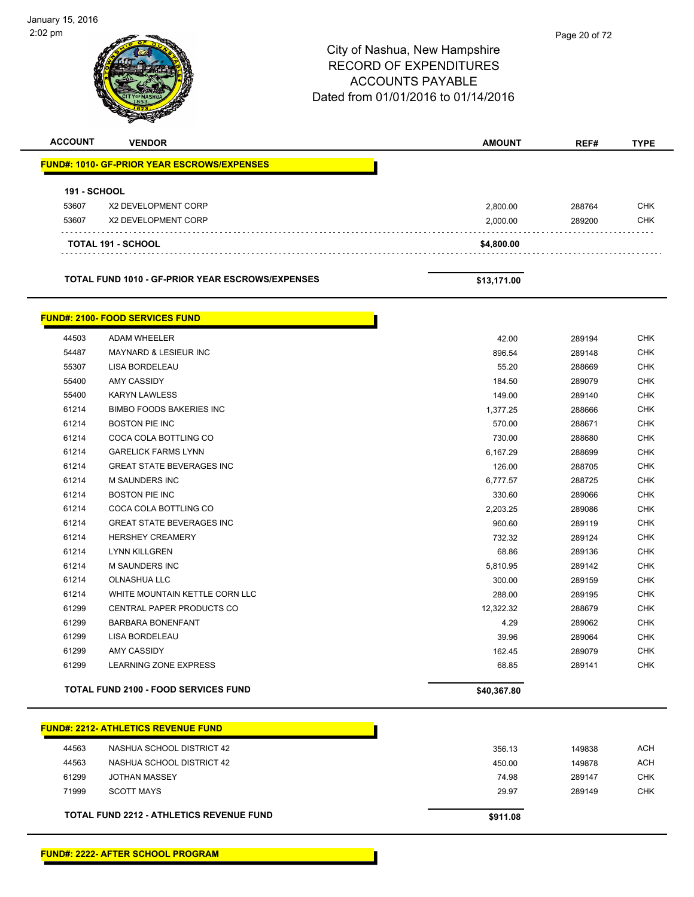$\overline{\phantom{0}}$ 

|                     |                                                     | City of Nashua, New Hampshire<br><b>RECORD OF EXPENDITURES</b><br><b>ACCOUNTS PAYABLE</b><br>Dated from 01/01/2016 to 01/14/2016 | Page 20 or 72    |                   |
|---------------------|-----------------------------------------------------|----------------------------------------------------------------------------------------------------------------------------------|------------------|-------------------|
| <b>ACCOUNT</b>      | <b>VENDOR</b>                                       | <b>AMOUNT</b>                                                                                                                    | REF#             | <b>TYPE</b>       |
|                     | <u> FUND#: 1010- GF-PRIOR YEAR ESCROWS/EXPENSES</u> |                                                                                                                                  |                  |                   |
| <b>191 - SCHOOL</b> |                                                     |                                                                                                                                  |                  |                   |
| 53607               | X2 DEVELOPMENT CORP                                 | 2,800.00                                                                                                                         | 288764           | <b>CHK</b>        |
| 53607               | X2 DEVELOPMENT CORP                                 | 2,000.00                                                                                                                         | 289200           | <b>CHK</b>        |
|                     | <b>TOTAL 191 - SCHOOL</b>                           | \$4,800.00                                                                                                                       |                  |                   |
|                     | TOTAL FUND 1010 - GF-PRIOR YEAR ESCROWS/EXPENSES    | \$13,171.00                                                                                                                      |                  |                   |
|                     | <b>FUND#: 2100- FOOD SERVICES FUND</b>              |                                                                                                                                  |                  |                   |
| 44503               | <b>ADAM WHEELER</b>                                 | 42.00                                                                                                                            | 289194           | <b>CHK</b>        |
| 54487               | <b>MAYNARD &amp; LESIEUR INC</b>                    | 896.54                                                                                                                           | 289148           | <b>CHK</b>        |
| 55307               | LISA BORDELEAU                                      | 55.20                                                                                                                            | 288669           | <b>CHK</b>        |
| 55400               | AMY CASSIDY                                         | 184.50                                                                                                                           | 289079           | <b>CHK</b>        |
| 55400               | <b>KARYN LAWLESS</b>                                | 149.00                                                                                                                           | 289140           | <b>CHK</b>        |
| 61214               | <b>BIMBO FOODS BAKERIES INC</b>                     | 1,377.25                                                                                                                         | 288666           | <b>CHK</b>        |
| 61214               | <b>BOSTON PIE INC</b>                               | 570.00                                                                                                                           | 288671           | CHK               |
| 61214               | COCA COLA BOTTLING CO                               | 730.00                                                                                                                           | 288680           | <b>CHK</b>        |
| 61214               | <b>GARELICK FARMS LYNN</b>                          | 6,167.29                                                                                                                         | 288699           | <b>CHK</b>        |
| 61214               | <b>GREAT STATE BEVERAGES INC</b>                    | 126.00                                                                                                                           | 288705           | <b>CHK</b>        |
| 61214               | <b>M SAUNDERS INC</b>                               | 6,777.57                                                                                                                         | 288725           | <b>CHK</b>        |
| 61214               | <b>BOSTON PIE INC</b>                               | 330.60                                                                                                                           | 289066           | <b>CHK</b>        |
| 61214               | COCA COLA BOTTLING CO                               | 2,203.25                                                                                                                         | 289086           | <b>CHK</b>        |
| 61214               | <b>GREAT STATE BEVERAGES INC</b>                    | 960.60                                                                                                                           | 289119           | <b>CHK</b>        |
| 61214               | <b>HERSHEY CREAMERY</b>                             | 732.32                                                                                                                           | 289124           | <b>CHK</b>        |
| 61214<br>61214      | <b>LYNN KILLGREN</b><br>M SAUNDERS INC              | 68.86                                                                                                                            | 289136           | <b>CHK</b><br>CHK |
| 61214               | <b>OLNASHUA LLC</b>                                 | 5,810.95<br>300.00                                                                                                               | 289142<br>289159 | CHK               |
| 61214               | WHITE MOUNTAIN KETTLE CORN LLC                      | 288.00                                                                                                                           | 289195           | <b>CHK</b>        |
| 61299               | CENTRAL PAPER PRODUCTS CO                           | 12,322.32                                                                                                                        | 288679           | CHK               |
| 61299               | <b>BARBARA BONENFANT</b>                            | 4.29                                                                                                                             | 289062           | CHK               |
| 61299               | LISA BORDELEAU                                      | 39.96                                                                                                                            | 289064           | <b>CHK</b>        |
| 61299               | AMY CASSIDY                                         | 162.45                                                                                                                           | 289079           | <b>CHK</b>        |
| 61299               | LEARNING ZONE EXPRESS                               | 68.85                                                                                                                            | 289141           | <b>CHK</b>        |
|                     | TOTAL FUND 2100 - FOOD SERVICES FUND                | \$40,367.80                                                                                                                      |                  |                   |

|       | <b>FUND#: 2212- ATHLETICS REVENUE FUND</b>      |          |
|-------|-------------------------------------------------|----------|
| 44563 | NASHUA SCHOOL DISTRICT 42                       | 356.13   |
| 44563 | NASHUA SCHOOL DISTRICT 42                       | 450.00   |
| 61299 | <b>JOTHAN MASSEY</b>                            | 74.98    |
| 71999 | <b>SCOTT MAYS</b>                               | 29.97    |
|       |                                                 |          |
|       | <b>TOTAL FUND 2212 - ATHLETICS REVENUE FUND</b> | \$911.08 |

Т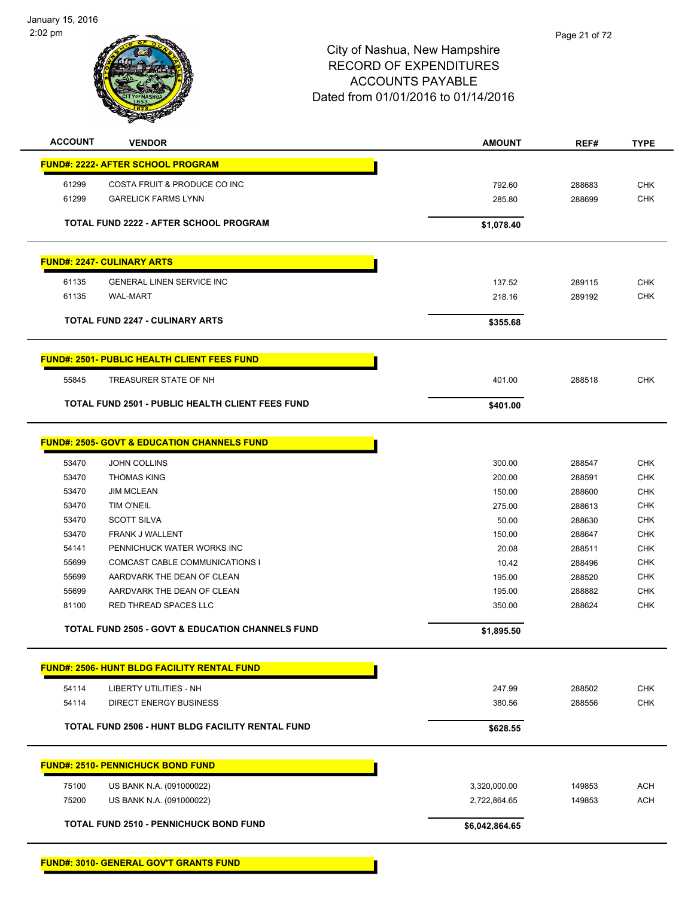

| <b>ACCOUNT</b> | <b>VENDOR</b>                                               | <b>AMOUNT</b>  | REF#   | <b>TYPE</b> |
|----------------|-------------------------------------------------------------|----------------|--------|-------------|
|                | <b>FUND#: 2222- AFTER SCHOOL PROGRAM</b>                    |                |        |             |
| 61299          | COSTA FRUIT & PRODUCE CO INC                                | 792.60         | 288683 | <b>CHK</b>  |
| 61299          | <b>GARELICK FARMS LYNN</b>                                  | 285.80         | 288699 | <b>CHK</b>  |
|                | <b>TOTAL FUND 2222 - AFTER SCHOOL PROGRAM</b>               | \$1,078.40     |        |             |
|                | <b>FUND#: 2247- CULINARY ARTS</b>                           |                |        |             |
| 61135          | <b>GENERAL LINEN SERVICE INC</b>                            | 137.52         | 289115 | CHK         |
| 61135          | <b>WAL-MART</b>                                             | 218.16         | 289192 | <b>CHK</b>  |
|                | <b>TOTAL FUND 2247 - CULINARY ARTS</b>                      | \$355.68       |        |             |
|                | <b>FUND#: 2501- PUBLIC HEALTH CLIENT FEES FUND</b>          |                |        |             |
| 55845          | TREASURER STATE OF NH                                       | 401.00         | 288518 | <b>CHK</b>  |
|                | <b>TOTAL FUND 2501 - PUBLIC HEALTH CLIENT FEES FUND</b>     | \$401.00       |        |             |
|                |                                                             |                |        |             |
|                | <b>FUND#: 2505- GOVT &amp; EDUCATION CHANNELS FUND</b>      |                |        |             |
| 53470          | <b>JOHN COLLINS</b>                                         | 300.00         | 288547 | <b>CHK</b>  |
| 53470          | <b>THOMAS KING</b>                                          | 200.00         | 288591 | <b>CHK</b>  |
| 53470          | <b>JIM MCLEAN</b>                                           | 150.00         | 288600 | <b>CHK</b>  |
| 53470          | <b>TIM O'NEIL</b>                                           | 275.00         | 288613 | <b>CHK</b>  |
| 53470          | <b>SCOTT SILVA</b>                                          | 50.00          | 288630 | <b>CHK</b>  |
| 53470          | <b>FRANK J WALLENT</b>                                      | 150.00         | 288647 | <b>CHK</b>  |
| 54141          | PENNICHUCK WATER WORKS INC                                  | 20.08          | 288511 | <b>CHK</b>  |
| 55699          | COMCAST CABLE COMMUNICATIONS I                              | 10.42          | 288496 | CHK         |
| 55699          | AARDVARK THE DEAN OF CLEAN                                  | 195.00         | 288520 | <b>CHK</b>  |
| 55699          | AARDVARK THE DEAN OF CLEAN                                  | 195.00         | 288882 | <b>CHK</b>  |
| 81100          | RED THREAD SPACES LLC                                       | 350.00         | 288624 | <b>CHK</b>  |
|                | <b>TOTAL FUND 2505 - GOVT &amp; EDUCATION CHANNELS FUND</b> | \$1,895.50     |        |             |
|                | <b>FUND#: 2506- HUNT BLDG FACILITY RENTAL FUND</b>          |                |        |             |
| 54114          | <b>LIBERTY UTILITIES - NH</b>                               | 247.99         | 288502 | <b>CHK</b>  |
| 54114          | <b>DIRECT ENERGY BUSINESS</b>                               | 380.56         | 288556 | <b>CHK</b>  |
|                | <b>TOTAL FUND 2506 - HUNT BLDG FACILITY RENTAL FUND</b>     | \$628.55       |        |             |
|                |                                                             |                |        |             |
|                | <b>FUND#: 2510- PENNICHUCK BOND FUND</b>                    |                |        |             |
| 75100          | US BANK N.A. (091000022)                                    | 3,320,000.00   | 149853 | <b>ACH</b>  |
| 75200          | US BANK N.A. (091000022)                                    | 2,722,864.65   | 149853 | <b>ACH</b>  |
|                | <b>TOTAL FUND 2510 - PENNICHUCK BOND FUND</b>               | \$6,042,864.65 |        |             |
|                |                                                             |                |        |             |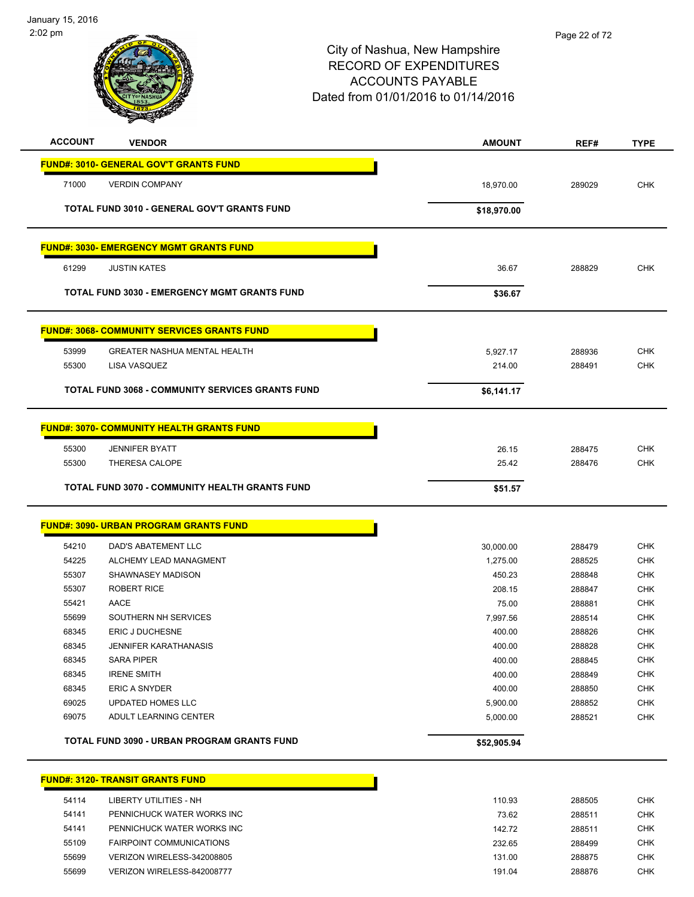| <b>ACCOUNT</b> | <b>VENDOR</b>                                           | <b>AMOUNT</b>         | REF#             | <b>TYPE</b>              |
|----------------|---------------------------------------------------------|-----------------------|------------------|--------------------------|
|                | <b>FUND#: 3010- GENERAL GOV'T GRANTS FUND</b>           |                       |                  |                          |
| 71000          | <b>VERDIN COMPANY</b>                                   | 18,970.00             | 289029           | <b>CHK</b>               |
|                |                                                         |                       |                  |                          |
|                | TOTAL FUND 3010 - GENERAL GOV'T GRANTS FUND             | \$18,970.00           |                  |                          |
|                | <b>FUND#: 3030- EMERGENCY MGMT GRANTS FUND</b>          |                       |                  |                          |
|                |                                                         |                       |                  |                          |
| 61299          | <b>JUSTIN KATES</b>                                     | 36.67                 | 288829           | CHK                      |
|                | <b>TOTAL FUND 3030 - EMERGENCY MGMT GRANTS FUND</b>     | \$36.67               |                  |                          |
|                | <u>FUND#: 3068- COMMUNITY SERVICES GRANTS FUND</u>      |                       |                  |                          |
| 53999          | <b>GREATER NASHUA MENTAL HEALTH</b>                     | 5,927.17              | 288936           | <b>CHK</b>               |
| 55300          | LISA VASQUEZ                                            | 214.00                | 288491           | <b>CHK</b>               |
|                |                                                         |                       |                  |                          |
|                | <b>TOTAL FUND 3068 - COMMUNITY SERVICES GRANTS FUND</b> | \$6,141.17            |                  |                          |
|                | <b>FUND#: 3070- COMMUNITY HEALTH GRANTS FUND</b>        |                       |                  |                          |
|                | <b>JENNIFER BYATT</b>                                   |                       |                  | <b>CHK</b>               |
| 55300<br>55300 | THERESA CALOPE                                          | 26.15<br>25.42        | 288475<br>288476 | CHK                      |
|                |                                                         |                       |                  |                          |
|                | TOTAL FUND 3070 - COMMUNITY HEALTH GRANTS FUND          | \$51.57               |                  |                          |
|                | <b>FUND#: 3090- URBAN PROGRAM GRANTS FUND</b>           |                       |                  |                          |
|                |                                                         |                       |                  |                          |
| 54210<br>54225 | DAD'S ABATEMENT LLC<br>ALCHEMY LEAD MANAGMENT           | 30,000.00<br>1,275.00 | 288479<br>288525 | <b>CHK</b><br><b>CHK</b> |
| 55307          | SHAWNASEY MADISON                                       | 450.23                | 288848           | CHK                      |
| 55307          | <b>ROBERT RICE</b>                                      | 208.15                | 288847           | <b>CHK</b>               |
| 55421          | AACE                                                    | 75.00                 | 288881           | <b>CHK</b>               |
| 55699          | SOUTHERN NH SERVICES                                    | 7,997.56              | 288514           | <b>CHK</b>               |
| 68345          | <b>ERIC J DUCHESNE</b>                                  | 400.00                | 288826           | <b>CHK</b>               |
| 68345          | JENNIFER KARATHANASIS                                   | 400.00                | 288828           | <b>CHK</b>               |
| 68345          | <b>SARA PIPER</b>                                       | 400.00                | 288845           | <b>CHK</b>               |
| 68345          | <b>IRENE SMITH</b>                                      | 400.00                | 288849           | <b>CHK</b>               |
| 68345          | <b>ERIC A SNYDER</b>                                    | 400.00                | 288850           | <b>CHK</b>               |
| 69025          | <b>UPDATED HOMES LLC</b>                                | 5,900.00              | 288852           | <b>CHK</b>               |
| 69075          | ADULT LEARNING CENTER                                   | 5,000.00              | 288521           | <b>CHK</b>               |
|                | TOTAL FUND 3090 - URBAN PROGRAM GRANTS FUND             | \$52,905.94           |                  |                          |
|                | <b>FUND#: 3120- TRANSIT GRANTS FUND</b>                 |                       |                  |                          |
|                |                                                         |                       |                  |                          |
| 54114          | LIBERTY UTILITIES - NH                                  | 110.93                | 288505           | <b>CHK</b>               |

# 54141 PENNICHUCK WATER WORKS INC 73.62 288511 CHK 54141 PENNICHUCK WATER WORKS INC **142.72** 288511 CHK 55109 FAIRPOINT COMMUNICATIONS 232.65 288499 CHK 55699 VERIZON WIRELESS-342008805 131.00 288875 CHK 55699 VERIZON WIRELESS-842008777 2008 191.04 288876 288876 CHK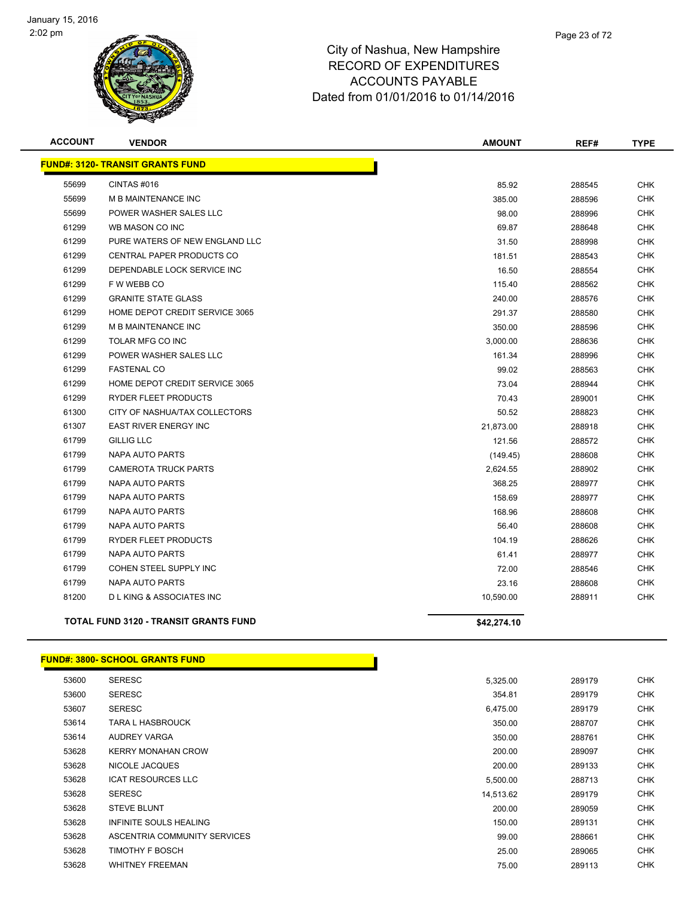

| <b>ACCOUNT</b> | <b>VENDOR</b>                                | <b>AMOUNT</b> | REF#   | <b>TYPE</b> |
|----------------|----------------------------------------------|---------------|--------|-------------|
|                | <b>FUND#: 3120- TRANSIT GRANTS FUND</b>      |               |        |             |
| 55699          | CINTAS#016                                   | 85.92         | 288545 | <b>CHK</b>  |
| 55699          | M B MAINTENANCE INC                          | 385.00        | 288596 | <b>CHK</b>  |
| 55699          | POWER WASHER SALES LLC                       | 98.00         | 288996 | <b>CHK</b>  |
| 61299          | WB MASON CO INC                              | 69.87         | 288648 | <b>CHK</b>  |
| 61299          | PURE WATERS OF NEW ENGLAND LLC               | 31.50         | 288998 | <b>CHK</b>  |
| 61299          | CENTRAL PAPER PRODUCTS CO                    | 181.51        | 288543 | CHK         |
| 61299          | DEPENDABLE LOCK SERVICE INC                  | 16.50         | 288554 | <b>CHK</b>  |
| 61299          | F W WEBB CO                                  | 115.40        | 288562 | <b>CHK</b>  |
| 61299          | <b>GRANITE STATE GLASS</b>                   | 240.00        | 288576 | <b>CHK</b>  |
| 61299          | HOME DEPOT CREDIT SERVICE 3065               | 291.37        | 288580 | <b>CHK</b>  |
| 61299          | M B MAINTENANCE INC                          | 350.00        | 288596 | <b>CHK</b>  |
| 61299          | TOLAR MFG CO INC                             | 3,000.00      | 288636 | <b>CHK</b>  |
| 61299          | POWER WASHER SALES LLC                       | 161.34        | 288996 | <b>CHK</b>  |
| 61299          | <b>FASTENAL CO</b>                           | 99.02         | 288563 | <b>CHK</b>  |
| 61299          | HOME DEPOT CREDIT SERVICE 3065               | 73.04         | 288944 | CHK         |
| 61299          | RYDER FLEET PRODUCTS                         | 70.43         | 289001 | <b>CHK</b>  |
| 61300          | CITY OF NASHUA/TAX COLLECTORS                | 50.52         | 288823 | <b>CHK</b>  |
| 61307          | <b>EAST RIVER ENERGY INC</b>                 | 21,873.00     | 288918 | <b>CHK</b>  |
| 61799          | <b>GILLIG LLC</b>                            | 121.56        | 288572 | <b>CHK</b>  |
| 61799          | <b>NAPA AUTO PARTS</b>                       | (149.45)      | 288608 | <b>CHK</b>  |
| 61799          | <b>CAMEROTA TRUCK PARTS</b>                  | 2,624.55      | 288902 | <b>CHK</b>  |
| 61799          | <b>NAPA AUTO PARTS</b>                       | 368.25        | 288977 | <b>CHK</b>  |
| 61799          | NAPA AUTO PARTS                              | 158.69        | 288977 | <b>CHK</b>  |
| 61799          | NAPA AUTO PARTS                              | 168.96        | 288608 | <b>CHK</b>  |
| 61799          | <b>NAPA AUTO PARTS</b>                       | 56.40         | 288608 | <b>CHK</b>  |
| 61799          | <b>RYDER FLEET PRODUCTS</b>                  | 104.19        | 288626 | <b>CHK</b>  |
| 61799          | <b>NAPA AUTO PARTS</b>                       | 61.41         | 288977 | <b>CHK</b>  |
| 61799          | COHEN STEEL SUPPLY INC                       | 72.00         | 288546 | <b>CHK</b>  |
| 61799          | NAPA AUTO PARTS                              | 23.16         | 288608 | <b>CHK</b>  |
| 81200          | <b>DLKING &amp; ASSOCIATES INC</b>           | 10,590.00     | 288911 | <b>CHK</b>  |
|                | <b>TOTAL FUND 3120 - TRANSIT GRANTS FUND</b> | \$42,274.10   |        |             |

#### **FUND#: 3800- SCHOOL GRANTS FUND**

| 53600 | <b>SERESC</b>                | 5,325.00  | 289179 | <b>CHK</b> |
|-------|------------------------------|-----------|--------|------------|
| 53600 | <b>SERESC</b>                | 354.81    | 289179 | <b>CHK</b> |
| 53607 | <b>SERESC</b>                | 6,475.00  | 289179 | <b>CHK</b> |
| 53614 | <b>TARA L HASBROUCK</b>      | 350.00    | 288707 | CHK        |
| 53614 | AUDREY VARGA                 | 350.00    | 288761 | CHK        |
| 53628 | <b>KERRY MONAHAN CROW</b>    | 200.00    | 289097 | <b>CHK</b> |
| 53628 | NICOLE JACQUES               | 200.00    | 289133 | <b>CHK</b> |
| 53628 | <b>ICAT RESOURCES LLC</b>    | 5,500.00  | 288713 | CHK        |
| 53628 | <b>SERESC</b>                | 14,513.62 | 289179 | <b>CHK</b> |
| 53628 | <b>STEVE BLUNT</b>           | 200.00    | 289059 | <b>CHK</b> |
| 53628 | INFINITE SOULS HEALING       | 150.00    | 289131 | <b>CHK</b> |
| 53628 | ASCENTRIA COMMUNITY SERVICES | 99.00     | 288661 | <b>CHK</b> |
| 53628 | TIMOTHY F BOSCH              | 25.00     | 289065 | <b>CHK</b> |
| 53628 | <b>WHITNEY FREEMAN</b>       | 75.00     | 289113 | CHK        |
|       |                              |           |        |            |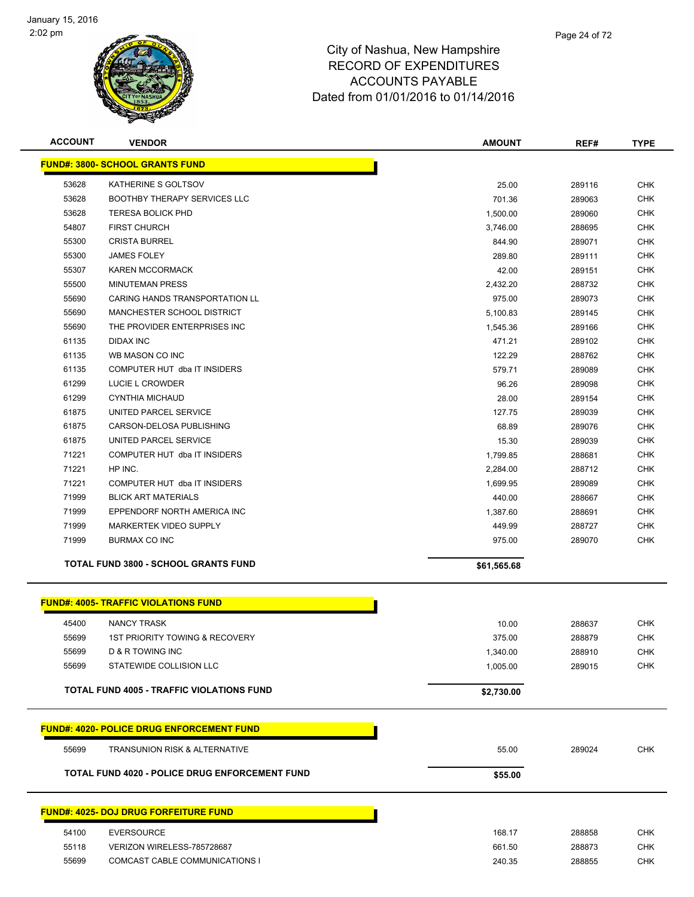

| <b>ACCOUNT</b> | <b>VENDOR</b>                                    | <b>AMOUNT</b> | REF#   | <b>TYPE</b> |
|----------------|--------------------------------------------------|---------------|--------|-------------|
|                | <b>FUND#: 3800- SCHOOL GRANTS FUND</b>           |               |        |             |
| 53628          | KATHERINE S GOLTSOV                              | 25.00         | 289116 | <b>CHK</b>  |
| 53628          | <b>BOOTHBY THERAPY SERVICES LLC</b>              | 701.36        | 289063 | <b>CHK</b>  |
| 53628          | <b>TERESA BOLICK PHD</b>                         | 1,500.00      | 289060 | <b>CHK</b>  |
| 54807          | <b>FIRST CHURCH</b>                              | 3,746.00      | 288695 | <b>CHK</b>  |
| 55300          | <b>CRISTA BURREL</b>                             | 844.90        | 289071 | <b>CHK</b>  |
| 55300          | <b>JAMES FOLEY</b>                               | 289.80        | 289111 | <b>CHK</b>  |
| 55307          | <b>KAREN MCCORMACK</b>                           | 42.00         | 289151 | CHK         |
| 55500          | <b>MINUTEMAN PRESS</b>                           | 2,432.20      | 288732 | <b>CHK</b>  |
| 55690          | CARING HANDS TRANSPORTATION LL                   | 975.00        | 289073 | CHK         |
| 55690          | <b>MANCHESTER SCHOOL DISTRICT</b>                | 5,100.83      | 289145 | CHK         |
| 55690          | THE PROVIDER ENTERPRISES INC                     | 1,545.36      | 289166 | <b>CHK</b>  |
| 61135          | DIDAX INC                                        | 471.21        | 289102 | <b>CHK</b>  |
| 61135          | WB MASON CO INC                                  | 122.29        | 288762 | CHK         |
| 61135          | COMPUTER HUT dba IT INSIDERS                     | 579.71        | 289089 | <b>CHK</b>  |
| 61299          | LUCIE L CROWDER                                  | 96.26         | 289098 | <b>CHK</b>  |
| 61299          | CYNTHIA MICHAUD                                  | 28.00         | 289154 | <b>CHK</b>  |
| 61875          | UNITED PARCEL SERVICE                            | 127.75        | 289039 | <b>CHK</b>  |
| 61875          | CARSON-DELOSA PUBLISHING                         | 68.89         | 289076 | <b>CHK</b>  |
| 61875          | UNITED PARCEL SERVICE                            | 15.30         | 289039 | <b>CHK</b>  |
| 71221          | COMPUTER HUT dba IT INSIDERS                     | 1,799.85      | 288681 | <b>CHK</b>  |
| 71221          | HP INC.                                          | 2,284.00      | 288712 | <b>CHK</b>  |
| 71221          | COMPUTER HUT dba IT INSIDERS                     | 1,699.95      | 289089 | <b>CHK</b>  |
| 71999          | <b>BLICK ART MATERIALS</b>                       | 440.00        | 288667 | <b>CHK</b>  |
| 71999          | EPPENDORF NORTH AMERICA INC                      | 1,387.60      | 288691 | <b>CHK</b>  |
| 71999          | MARKERTEK VIDEO SUPPLY                           | 449.99        | 288727 | <b>CHK</b>  |
| 71999          | <b>BURMAX CO INC</b>                             | 975.00        | 289070 | <b>CHK</b>  |
|                | TOTAL FUND 3800 - SCHOOL GRANTS FUND             |               |        |             |
|                |                                                  | \$61,565.68   |        |             |
|                | <b>FUND#: 4005- TRAFFIC VIOLATIONS FUND</b>      |               |        |             |
| 45400          | <b>NANCY TRASK</b>                               | 10.00         | 288637 | <b>CHK</b>  |
| 55699          | <b>1ST PRIORITY TOWING &amp; RECOVERY</b>        | 375.00        | 288879 | <b>CHK</b>  |
| 55699          | D & R TOWING INC                                 | 1,340.00      | 288910 | <b>CHK</b>  |
| 55699          | STATEWIDE COLLISION LLC                          | 1,005.00      | 289015 | <b>CHK</b>  |
|                | <b>TOTAL FUND 4005 - TRAFFIC VIOLATIONS FUND</b> |               |        |             |
|                |                                                  | \$2,730.00    |        |             |
|                | <b>FUND#: 4020- POLICE DRUG ENFORCEMENT FUND</b> |               |        |             |
| 55699          | <b>TRANSUNION RISK &amp; ALTERNATIVE</b>         | 55.00         | 289024 | <b>CHK</b>  |
|                | TOTAL FUND 4020 - POLICE DRUG ENFORCEMENT FUND   | \$55.00       |        |             |
|                |                                                  |               |        |             |
|                | <u> FUND#: 4025- DOJ DRUG FORFEITURE FUND</u>    |               |        |             |
| 54100          | <b>EVERSOURCE</b>                                | 168.17        | 288858 | <b>CHK</b>  |
| 55118          | VERIZON WIRELESS-785728687                       | 661.50        | 288873 | <b>CHK</b>  |
| 55699          | COMCAST CABLE COMMUNICATIONS I                   | 240.35        | 288855 | <b>CHK</b>  |
|                |                                                  |               |        |             |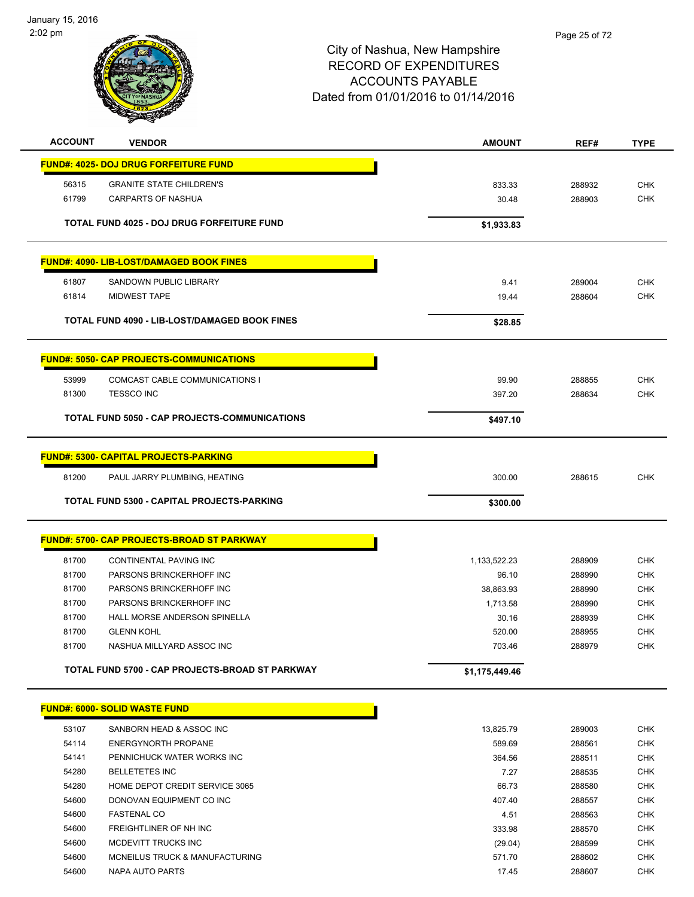January 15, 2016 2:02 pm



| <b>ACCOUNT</b> | <b>VENDOR</b>                                     | <b>AMOUNT</b>  | REF#   | <b>TYPE</b> |
|----------------|---------------------------------------------------|----------------|--------|-------------|
|                | <b>FUND#: 4025- DOJ DRUG FORFEITURE FUND</b>      |                |        |             |
| 56315          | <b>GRANITE STATE CHILDREN'S</b>                   | 833.33         | 288932 | <b>CHK</b>  |
| 61799          | <b>CARPARTS OF NASHUA</b>                         | 30.48          | 288903 | <b>CHK</b>  |
|                |                                                   |                |        |             |
|                | TOTAL FUND 4025 - DOJ DRUG FORFEITURE FUND        | \$1,933.83     |        |             |
|                | <b>FUND#: 4090- LIB-LOST/DAMAGED BOOK FINES</b>   |                |        |             |
|                |                                                   |                |        |             |
| 61807          | SANDOWN PUBLIC LIBRARY                            | 9.41           | 289004 | <b>CHK</b>  |
| 61814          | <b>MIDWEST TAPE</b>                               | 19.44          | 288604 | <b>CHK</b>  |
|                | TOTAL FUND 4090 - LIB-LOST/DAMAGED BOOK FINES     | \$28.85        |        |             |
|                | <b>FUND#: 5050- CAP PROJECTS-COMMUNICATIONS</b>   |                |        |             |
|                |                                                   |                |        |             |
| 53999          | <b>COMCAST CABLE COMMUNICATIONS I</b>             | 99.90          | 288855 | <b>CHK</b>  |
| 81300          | <b>TESSCO INC</b>                                 | 397.20         | 288634 | <b>CHK</b>  |
|                | TOTAL FUND 5050 - CAP PROJECTS-COMMUNICATIONS     | \$497.10       |        |             |
|                | <b>FUND#: 5300- CAPITAL PROJECTS-PARKING</b>      |                |        |             |
| 81200          | PAUL JARRY PLUMBING, HEATING                      | 300.00         | 288615 | <b>CHK</b>  |
|                | TOTAL FUND 5300 - CAPITAL PROJECTS-PARKING        | \$300.00       |        |             |
|                |                                                   |                |        |             |
|                | <b>FUND#: 5700- CAP PROJECTS-BROAD ST PARKWAY</b> |                |        |             |
| 81700          | CONTINENTAL PAVING INC                            | 1,133,522.23   | 288909 | <b>CHK</b>  |
| 81700          | PARSONS BRINCKERHOFF INC                          | 96.10          | 288990 | <b>CHK</b>  |
| 81700          | PARSONS BRINCKERHOFF INC                          | 38,863.93      | 288990 | <b>CHK</b>  |
| 81700          | PARSONS BRINCKERHOFF INC                          | 1,713.58       | 288990 | <b>CHK</b>  |
| 81700          | HALL MORSE ANDERSON SPINELLA                      | 30.16          | 288939 | <b>CHK</b>  |
| 81700          | <b>GLENN KOHL</b>                                 | 520.00         | 288955 | <b>CHK</b>  |
| 81700          | NASHUA MILLYARD ASSOC INC                         | 703.46         | 288979 | <b>CHK</b>  |
|                | TOTAL FUND 5700 - CAP PROJECTS-BROAD ST PARKWAY   | \$1,175,449.46 |        |             |
|                | <b>FUND#: 6000- SOLID WASTE FUND</b>              |                |        |             |
| 53107          | SANBORN HEAD & ASSOC INC                          | 13,825.79      | 289003 | <b>CHK</b>  |
| 54114          | <b>ENERGYNORTH PROPANE</b>                        | 589.69         | 288561 | <b>CHK</b>  |
| 54141          | PENNICHUCK WATER WORKS INC                        | 364.56         | 288511 | <b>CHK</b>  |
| 54280          | <b>BELLETETES INC</b>                             | 7.27           | 288535 | <b>CHK</b>  |
| 54280          | HOME DEPOT CREDIT SERVICE 3065                    | 66.73          | 288580 | <b>CHK</b>  |
| 54600          | DONOVAN EQUIPMENT CO INC                          | 407.40         | 288557 | <b>CHK</b>  |
| 54600          | <b>FASTENAL CO</b>                                | 4.51           | 288563 | <b>CHK</b>  |
| 54600          | FREIGHTLINER OF NH INC                            | 333.98         | 288570 | <b>CHK</b>  |
| 54600          | MCDEVITT TRUCKS INC                               | (29.04)        | 288599 | <b>CHK</b>  |
| 54600          | MCNEILUS TRUCK & MANUFACTURING                    | 571.70         | 288602 | <b>CHK</b>  |
| 54600          | NAPA AUTO PARTS                                   | 17.45          | 288607 | <b>CHK</b>  |
|                |                                                   |                |        |             |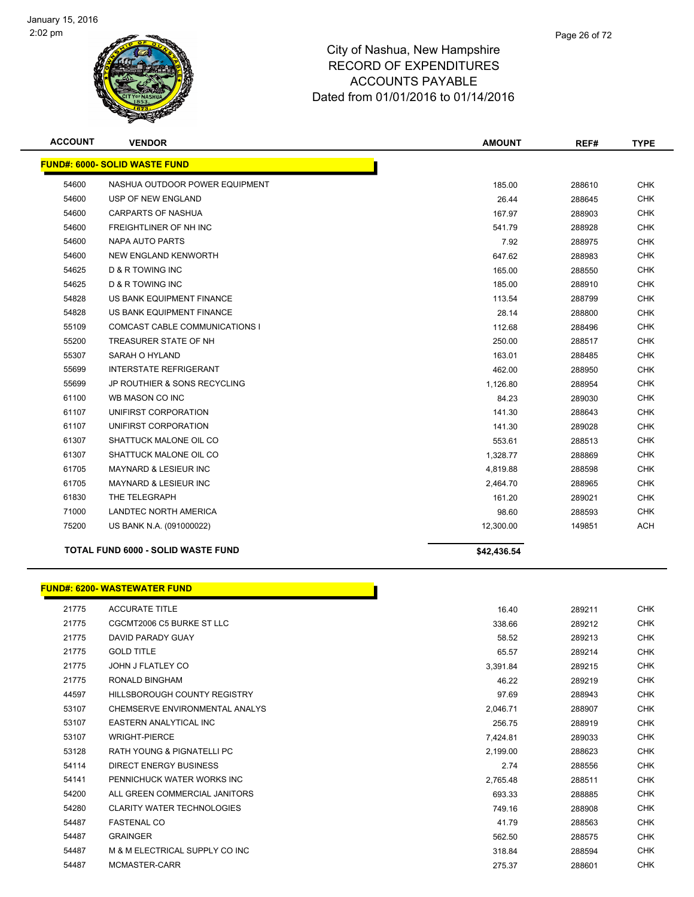

| <b>ACCOUNT</b> | <b>VENDOR</b>                             | <b>AMOUNT</b> | REF#   | <b>TYPE</b> |
|----------------|-------------------------------------------|---------------|--------|-------------|
|                | <b>FUND#: 6000- SOLID WASTE FUND</b>      |               |        |             |
| 54600          | NASHUA OUTDOOR POWER EQUIPMENT            | 185.00        | 288610 | <b>CHK</b>  |
| 54600          | USP OF NEW ENGLAND                        | 26.44         | 288645 | <b>CHK</b>  |
| 54600          | <b>CARPARTS OF NASHUA</b>                 | 167.97        | 288903 | <b>CHK</b>  |
| 54600          | FREIGHTLINER OF NH INC                    | 541.79        | 288928 | <b>CHK</b>  |
| 54600          | <b>NAPA AUTO PARTS</b>                    | 7.92          | 288975 | <b>CHK</b>  |
| 54600          | <b>NEW ENGLAND KENWORTH</b>               | 647.62        | 288983 | <b>CHK</b>  |
| 54625          | <b>D &amp; R TOWING INC</b>               | 165.00        | 288550 | <b>CHK</b>  |
| 54625          | <b>D &amp; R TOWING INC</b>               | 185.00        | 288910 | <b>CHK</b>  |
| 54828          | US BANK EQUIPMENT FINANCE                 | 113.54        | 288799 | <b>CHK</b>  |
| 54828          | US BANK EQUIPMENT FINANCE                 | 28.14         | 288800 | <b>CHK</b>  |
| 55109          | <b>COMCAST CABLE COMMUNICATIONS I</b>     | 112.68        | 288496 | <b>CHK</b>  |
| 55200          | TREASURER STATE OF NH                     | 250.00        | 288517 | <b>CHK</b>  |
| 55307          | SARAH O HYLAND                            | 163.01        | 288485 | <b>CHK</b>  |
| 55699          | <b>INTERSTATE REFRIGERANT</b>             | 462.00        | 288950 | <b>CHK</b>  |
| 55699          | <b>JP ROUTHIER &amp; SONS RECYCLING</b>   | 1,126.80      | 288954 | <b>CHK</b>  |
| 61100          | WB MASON CO INC                           | 84.23         | 289030 | <b>CHK</b>  |
| 61107          | UNIFIRST CORPORATION                      | 141.30        | 288643 | <b>CHK</b>  |
| 61107          | UNIFIRST CORPORATION                      | 141.30        | 289028 | <b>CHK</b>  |
| 61307          | SHATTUCK MALONE OIL CO                    | 553.61        | 288513 | <b>CHK</b>  |
| 61307          | SHATTUCK MALONE OIL CO                    | 1,328.77      | 288869 | <b>CHK</b>  |
| 61705          | <b>MAYNARD &amp; LESIEUR INC</b>          | 4,819.88      | 288598 | <b>CHK</b>  |
| 61705          | <b>MAYNARD &amp; LESIEUR INC</b>          | 2,464.70      | 288965 | <b>CHK</b>  |
| 61830          | THE TELEGRAPH                             | 161.20        | 289021 | <b>CHK</b>  |
| 71000          | LANDTEC NORTH AMERICA                     | 98.60         | 288593 | <b>CHK</b>  |
| 75200          | US BANK N.A. (091000022)                  | 12,300.00     | 149851 | <b>ACH</b>  |
|                | <b>TOTAL FUND 6000 - SOLID WASTE FUND</b> | \$42,436.54   |        |             |
|                | <b>FUND#: 6200- WASTEWATER FUND</b>       |               |        |             |
| 21775          | <b>ACCURATE TITLE</b>                     | 16.40         | 289211 | <b>CHK</b>  |
| 21775          | CGCMT2006 C5 BURKE ST LLC                 | 338.66        | 289212 | <b>CHK</b>  |

| 21775 | CGCMT2006 C5 BURKE ST LLC             | 338.66   | 289212 | <b>CHK</b> |
|-------|---------------------------------------|----------|--------|------------|
| 21775 | DAVID PARADY GUAY                     | 58.52    | 289213 | CHK        |
| 21775 | <b>GOLD TITLE</b>                     | 65.57    | 289214 | <b>CHK</b> |
| 21775 | JOHN J FLATLEY CO                     | 3,391.84 | 289215 | CHK        |
| 21775 | RONALD BINGHAM                        | 46.22    | 289219 | <b>CHK</b> |
| 44597 | <b>HILLSBOROUGH COUNTY REGISTRY</b>   | 97.69    | 288943 | <b>CHK</b> |
| 53107 | CHEMSERVE ENVIRONMENTAL ANALYS        | 2,046.71 | 288907 | CHK        |
| 53107 | EASTERN ANALYTICAL INC                | 256.75   | 288919 | CHK        |
| 53107 | <b>WRIGHT-PIERCE</b>                  | 7,424.81 | 289033 | CHK        |
| 53128 | <b>RATH YOUNG &amp; PIGNATELLI PC</b> | 2,199.00 | 288623 | CHK        |
| 54114 | DIRECT ENERGY BUSINESS                | 2.74     | 288556 | CHK        |
| 54141 | PENNICHUCK WATER WORKS INC            | 2,765.48 | 288511 | CHK        |
| 54200 | ALL GREEN COMMERCIAL JANITORS         | 693.33   | 288885 | CHK        |
| 54280 | <b>CLARITY WATER TECHNOLOGIES</b>     | 749.16   | 288908 | <b>CHK</b> |
| 54487 | <b>FASTENAL CO</b>                    | 41.79    | 288563 | <b>CHK</b> |
| 54487 | <b>GRAINGER</b>                       | 562.50   | 288575 | <b>CHK</b> |
| 54487 | M & M ELECTRICAL SUPPLY CO INC        | 318.84   | 288594 | <b>CHK</b> |
| 54487 | MCMASTER-CARR                         | 275.37   | 288601 | CHK        |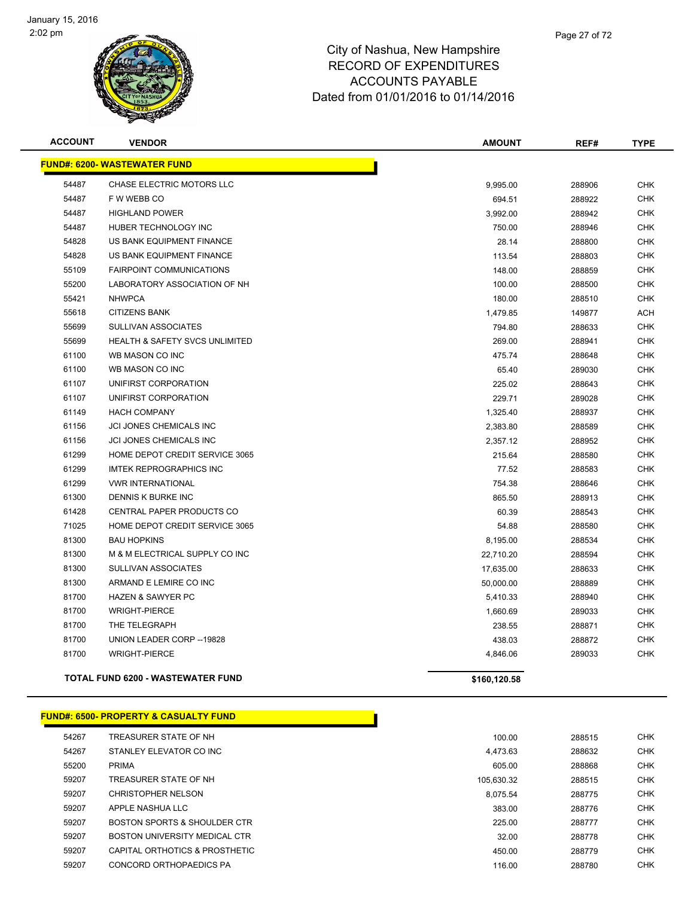

| <b>ACCOUNT</b> | <b>VENDOR</b>                             | <b>AMOUNT</b> | REF#   | <b>TYPE</b> |
|----------------|-------------------------------------------|---------------|--------|-------------|
|                | <b>FUND#: 6200- WASTEWATER FUND</b>       |               |        |             |
| 54487          | <b>CHASE ELECTRIC MOTORS LLC</b>          | 9,995.00      | 288906 | <b>CHK</b>  |
| 54487          | F W WEBB CO                               | 694.51        | 288922 | <b>CHK</b>  |
| 54487          | <b>HIGHLAND POWER</b>                     | 3,992.00      | 288942 | <b>CHK</b>  |
| 54487          | HUBER TECHNOLOGY INC                      | 750.00        | 288946 | <b>CHK</b>  |
| 54828          | US BANK EQUIPMENT FINANCE                 | 28.14         | 288800 | <b>CHK</b>  |
| 54828          | US BANK EQUIPMENT FINANCE                 | 113.54        | 288803 | <b>CHK</b>  |
| 55109          | <b>FAIRPOINT COMMUNICATIONS</b>           | 148.00        | 288859 | <b>CHK</b>  |
| 55200          | LABORATORY ASSOCIATION OF NH              | 100.00        | 288500 | <b>CHK</b>  |
| 55421          | <b>NHWPCA</b>                             | 180.00        | 288510 | <b>CHK</b>  |
| 55618          | <b>CITIZENS BANK</b>                      | 1,479.85      | 149877 | <b>ACH</b>  |
| 55699          | <b>SULLIVAN ASSOCIATES</b>                | 794.80        | 288633 | <b>CHK</b>  |
| 55699          | <b>HEALTH &amp; SAFETY SVCS UNLIMITED</b> | 269.00        | 288941 | <b>CHK</b>  |
| 61100          | WB MASON CO INC                           | 475.74        | 288648 | <b>CHK</b>  |
| 61100          | WB MASON CO INC                           | 65.40         | 289030 | <b>CHK</b>  |
| 61107          | UNIFIRST CORPORATION                      | 225.02        | 288643 | <b>CHK</b>  |
| 61107          | UNIFIRST CORPORATION                      | 229.71        | 289028 | <b>CHK</b>  |
| 61149          | <b>HACH COMPANY</b>                       | 1,325.40      | 288937 | <b>CHK</b>  |
| 61156          | JCI JONES CHEMICALS INC                   | 2,383.80      | 288589 | <b>CHK</b>  |
| 61156          | JCI JONES CHEMICALS INC                   | 2,357.12      | 288952 | <b>CHK</b>  |
| 61299          | HOME DEPOT CREDIT SERVICE 3065            | 215.64        | 288580 | <b>CHK</b>  |
| 61299          | <b>IMTEK REPROGRAPHICS INC</b>            | 77.52         | 288583 | <b>CHK</b>  |
| 61299          | <b>VWR INTERNATIONAL</b>                  | 754.38        | 288646 | <b>CHK</b>  |
| 61300          | DENNIS K BURKE INC                        | 865.50        | 288913 | <b>CHK</b>  |
| 61428          | CENTRAL PAPER PRODUCTS CO                 | 60.39         | 288543 | <b>CHK</b>  |
| 71025          | HOME DEPOT CREDIT SERVICE 3065            | 54.88         | 288580 | <b>CHK</b>  |
| 81300          | <b>BAU HOPKINS</b>                        | 8,195.00      | 288534 | <b>CHK</b>  |
| 81300          | M & M ELECTRICAL SUPPLY CO INC            | 22,710.20     | 288594 | <b>CHK</b>  |
| 81300          | SULLIVAN ASSOCIATES                       | 17,635.00     | 288633 | <b>CHK</b>  |
| 81300          | ARMAND E LEMIRE CO INC                    | 50,000.00     | 288889 | <b>CHK</b>  |
| 81700          | <b>HAZEN &amp; SAWYER PC</b>              | 5,410.33      | 288940 | <b>CHK</b>  |
| 81700          | <b>WRIGHT-PIERCE</b>                      | 1,660.69      | 289033 | <b>CHK</b>  |
| 81700          | THE TELEGRAPH                             | 238.55        | 288871 | <b>CHK</b>  |
| 81700          | UNION LEADER CORP -- 19828                | 438.03        | 288872 | <b>CHK</b>  |
| 81700          | <b>WRIGHT-PIERCE</b>                      | 4,846.06      | 289033 | <b>CHK</b>  |
|                | <b>TOTAL FUND 6200 - WASTEWATER FUND</b>  | \$160,120.58  |        |             |

#### **FUND#: 6500- PROPERTY & CASUALTY FUND**

| 54267<br>288515<br>TREASURER STATE OF NH<br>100.00<br>54267<br>STANLEY ELEVATOR CO INC<br>288632<br>4.473.63<br>55200<br><b>PRIMA</b><br>605.00<br>288868<br>59207<br>TREASURER STATE OF NH<br>288515<br>105.630.32<br>59207<br>CHRISTOPHER NELSON<br>8.075.54<br>288775<br>59207<br>APPLE NASHUA LLC<br>383.00<br>288776<br>59207<br>BOSTON SPORTS & SHOULDER CTR<br>225.00<br>288777<br>59207<br><b>BOSTON UNIVERSITY MEDICAL CTR</b><br>32.00<br>288778<br>59207<br>CAPITAL ORTHOTICS & PROSTHETIC<br>450.00<br>288779<br>59207<br>CONCORD ORTHOPAEDICS PA<br>288780<br>116.00 |  |  |            |
|-----------------------------------------------------------------------------------------------------------------------------------------------------------------------------------------------------------------------------------------------------------------------------------------------------------------------------------------------------------------------------------------------------------------------------------------------------------------------------------------------------------------------------------------------------------------------------------|--|--|------------|
|                                                                                                                                                                                                                                                                                                                                                                                                                                                                                                                                                                                   |  |  | <b>CHK</b> |
|                                                                                                                                                                                                                                                                                                                                                                                                                                                                                                                                                                                   |  |  | <b>CHK</b> |
|                                                                                                                                                                                                                                                                                                                                                                                                                                                                                                                                                                                   |  |  | <b>CHK</b> |
|                                                                                                                                                                                                                                                                                                                                                                                                                                                                                                                                                                                   |  |  | <b>CHK</b> |
|                                                                                                                                                                                                                                                                                                                                                                                                                                                                                                                                                                                   |  |  | <b>CHK</b> |
|                                                                                                                                                                                                                                                                                                                                                                                                                                                                                                                                                                                   |  |  | <b>CHK</b> |
|                                                                                                                                                                                                                                                                                                                                                                                                                                                                                                                                                                                   |  |  | <b>CHK</b> |
|                                                                                                                                                                                                                                                                                                                                                                                                                                                                                                                                                                                   |  |  | <b>CHK</b> |
|                                                                                                                                                                                                                                                                                                                                                                                                                                                                                                                                                                                   |  |  | <b>CHK</b> |
|                                                                                                                                                                                                                                                                                                                                                                                                                                                                                                                                                                                   |  |  | <b>CHK</b> |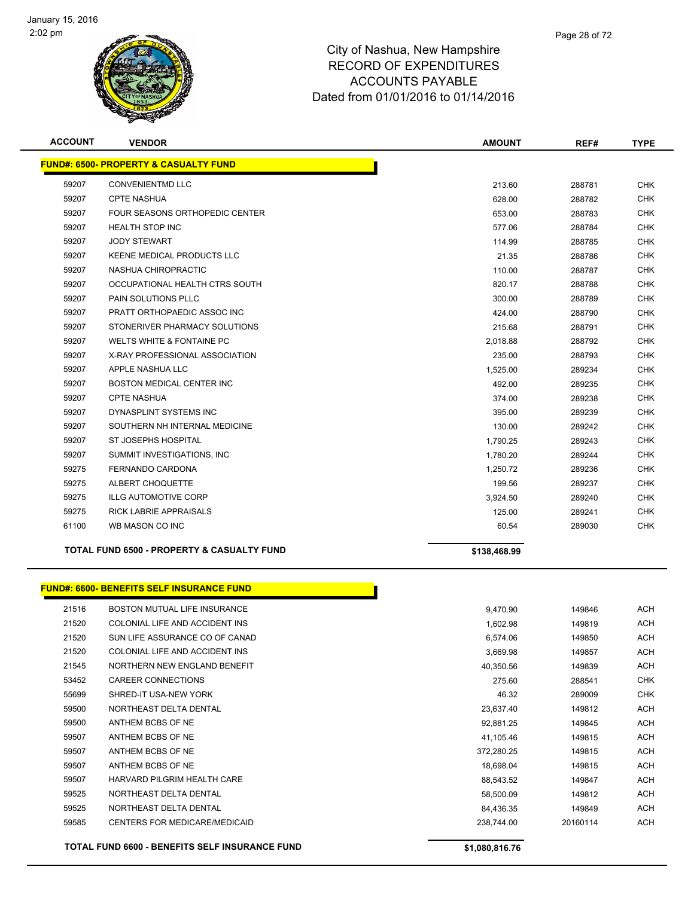

| <b>ACCOUNT</b> | <b>VENDOR</b>                                         | <b>AMOUNT</b> | REF#   | <b>TYPE</b> |
|----------------|-------------------------------------------------------|---------------|--------|-------------|
|                | <b>FUND#: 6500- PROPERTY &amp; CASUALTY FUND</b>      |               |        |             |
| 59207          | <b>CONVENIENTMD LLC</b>                               | 213.60        | 288781 | <b>CHK</b>  |
| 59207          | <b>CPTE NASHUA</b>                                    | 628.00        | 288782 | <b>CHK</b>  |
| 59207          | FOUR SEASONS ORTHOPEDIC CENTER                        | 653.00        | 288783 | <b>CHK</b>  |
| 59207          | <b>HEALTH STOP INC</b>                                | 577.06        | 288784 | <b>CHK</b>  |
| 59207          | <b>JODY STEWART</b>                                   | 114.99        | 288785 | <b>CHK</b>  |
| 59207          | KEENE MEDICAL PRODUCTS LLC                            | 21.35         | 288786 | <b>CHK</b>  |
| 59207          | NASHUA CHIROPRACTIC                                   | 110.00        | 288787 | <b>CHK</b>  |
| 59207          | OCCUPATIONAL HEALTH CTRS SOUTH                        | 820.17        | 288788 | <b>CHK</b>  |
| 59207          | PAIN SOLUTIONS PLLC                                   | 300.00        | 288789 | <b>CHK</b>  |
| 59207          | PRATT ORTHOPAEDIC ASSOC INC                           | 424.00        | 288790 | <b>CHK</b>  |
| 59207          | STONERIVER PHARMACY SOLUTIONS                         | 215.68        | 288791 | <b>CHK</b>  |
| 59207          | <b>WELTS WHITE &amp; FONTAINE PC</b>                  | 2,018.88      | 288792 | <b>CHK</b>  |
| 59207          | X-RAY PROFESSIONAL ASSOCIATION                        | 235.00        | 288793 | <b>CHK</b>  |
| 59207          | APPLE NASHUA LLC                                      | 1,525.00      | 289234 | <b>CHK</b>  |
| 59207          | <b>BOSTON MEDICAL CENTER INC</b>                      | 492.00        | 289235 | <b>CHK</b>  |
| 59207          | <b>CPTE NASHUA</b>                                    | 374.00        | 289238 | <b>CHK</b>  |
| 59207          | DYNASPLINT SYSTEMS INC                                | 395.00        | 289239 | <b>CHK</b>  |
| 59207          | SOUTHERN NH INTERNAL MEDICINE                         | 130.00        | 289242 | <b>CHK</b>  |
| 59207          | ST JOSEPHS HOSPITAL                                   | 1,790.25      | 289243 | <b>CHK</b>  |
| 59207          | SUMMIT INVESTIGATIONS. INC                            | 1,780.20      | 289244 | <b>CHK</b>  |
| 59275          | <b>FERNANDO CARDONA</b>                               | 1,250.72      | 289236 | <b>CHK</b>  |
| 59275          | ALBERT CHOQUETTE                                      | 199.56        | 289237 | <b>CHK</b>  |
| 59275          | <b>ILLG AUTOMOTIVE CORP</b>                           | 3,924.50      | 289240 | <b>CHK</b>  |
| 59275          | <b>RICK LABRIE APPRAISALS</b>                         | 125.00        | 289241 | <b>CHK</b>  |
| 61100          | WB MASON CO INC                                       | 60.54         | 289030 | <b>CHK</b>  |
|                | <b>TOTAL FUND 6500 - PROPERTY &amp; CASUALTY FUND</b> | \$138,468.99  |        |             |

|       | <b>FUND#: 6600- BENEFITS SELF INSURANCE FUND</b>      |                |          |            |
|-------|-------------------------------------------------------|----------------|----------|------------|
| 21516 | BOSTON MUTUAL LIFE INSURANCE                          | 9,470.90       | 149846   | <b>ACH</b> |
| 21520 | COLONIAL LIFE AND ACCIDENT INS                        | 1,602.98       | 149819   | <b>ACH</b> |
| 21520 | SUN LIFE ASSURANCE CO OF CANAD                        | 6.574.06       | 149850   | <b>ACH</b> |
| 21520 | COLONIAL LIFE AND ACCIDENT INS                        | 3,669.98       | 149857   | <b>ACH</b> |
| 21545 | NORTHERN NEW ENGLAND BENEFIT                          | 40,350.56      | 149839   | <b>ACH</b> |
| 53452 | <b>CAREER CONNECTIONS</b>                             | 275.60         | 288541   | <b>CHK</b> |
| 55699 | SHRED-IT USA-NEW YORK                                 | 46.32          | 289009   | <b>CHK</b> |
| 59500 | NORTHEAST DELTA DENTAL                                | 23,637.40      | 149812   | <b>ACH</b> |
| 59500 | ANTHEM BCBS OF NE                                     | 92,881.25      | 149845   | <b>ACH</b> |
| 59507 | ANTHEM BCBS OF NE                                     | 41,105.46      | 149815   | <b>ACH</b> |
| 59507 | ANTHEM BCBS OF NE                                     | 372,280.25     | 149815   | <b>ACH</b> |
| 59507 | ANTHEM BCBS OF NE                                     | 18,698.04      | 149815   | <b>ACH</b> |
| 59507 | HARVARD PILGRIM HEALTH CARE                           | 88,543.52      | 149847   | <b>ACH</b> |
| 59525 | NORTHEAST DELTA DENTAL                                | 58,500.09      | 149812   | <b>ACH</b> |
| 59525 | NORTHEAST DELTA DENTAL                                | 84.436.35      | 149849   | <b>ACH</b> |
| 59585 | CENTERS FOR MEDICARE/MEDICAID                         | 238,744.00     | 20160114 | <b>ACH</b> |
|       | <b>TOTAL FUND 6600 - BENEFITS SELF INSURANCE FUND</b> | \$1,080,816.76 |          |            |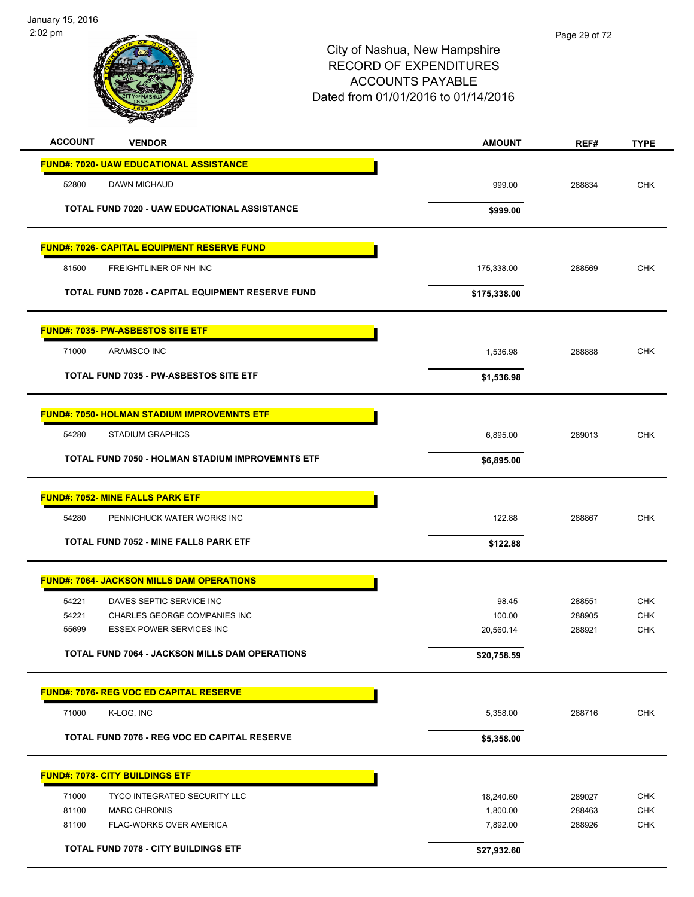

| <b>ACCOUNT</b><br><b>VENDOR</b>                                                   | <b>AMOUNT</b>       | REF#             | <b>TYPE</b>              |
|-----------------------------------------------------------------------------------|---------------------|------------------|--------------------------|
| <b>FUND#: 7020- UAW EDUCATIONAL ASSISTANCE</b>                                    |                     |                  |                          |
| 52800<br>DAWN MICHAUD                                                             | 999.00              | 288834           | <b>CHK</b>               |
| TOTAL FUND 7020 - UAW EDUCATIONAL ASSISTANCE                                      | \$999.00            |                  |                          |
| <b>FUND#: 7026- CAPITAL EQUIPMENT RESERVE FUND</b>                                |                     |                  |                          |
| 81500<br>FREIGHTLINER OF NH INC                                                   | 175,338.00          | 288569           | <b>CHK</b>               |
| <b>TOTAL FUND 7026 - CAPITAL EQUIPMENT RESERVE FUND</b>                           | \$175,338.00        |                  |                          |
| <b>FUND#: 7035- PW-ASBESTOS SITE ETF</b>                                          |                     |                  |                          |
| 71000<br>ARAMSCO INC                                                              | 1,536.98            | 288888           | <b>CHK</b>               |
| <b>TOTAL FUND 7035 - PW-ASBESTOS SITE ETF</b>                                     | \$1,536.98          |                  |                          |
| <b>FUND#: 7050- HOLMAN STADIUM IMPROVEMNTS ETF</b>                                |                     |                  |                          |
| 54280<br><b>STADIUM GRAPHICS</b>                                                  | 6,895.00            | 289013           | <b>CHK</b>               |
| <b>TOTAL FUND 7050 - HOLMAN STADIUM IMPROVEMNTS ETF</b>                           | \$6,895.00          |                  |                          |
| <b>FUND#: 7052- MINE FALLS PARK ETF</b>                                           |                     |                  |                          |
| 54280<br>PENNICHUCK WATER WORKS INC                                               | 122.88              | 288867           | <b>CHK</b>               |
| <b>TOTAL FUND 7052 - MINE FALLS PARK ETF</b>                                      | \$122.88            |                  |                          |
| <b>FUND#: 7064- JACKSON MILLS DAM OPERATIONS</b>                                  |                     |                  |                          |
| 54221<br>DAVES SEPTIC SERVICE INC                                                 | 98.45               | 288551           | <b>CHK</b>               |
| 54221<br>CHARLES GEORGE COMPANIES INC<br>55699<br><b>ESSEX POWER SERVICES INC</b> | 100.00<br>20,560.14 | 288905<br>288921 | <b>CHK</b><br><b>CHK</b> |
| <b>TOTAL FUND 7064 - JACKSON MILLS DAM OPERATIONS</b>                             | \$20,758.59         |                  |                          |
| <b>FUND#: 7076- REG VOC ED CAPITAL RESERVE</b>                                    |                     |                  |                          |
| 71000<br>K-LOG, INC                                                               | 5,358.00            | 288716           | <b>CHK</b>               |
| TOTAL FUND 7076 - REG VOC ED CAPITAL RESERVE                                      | \$5,358.00          |                  |                          |
| <b>FUND#: 7078- CITY BUILDINGS ETF</b>                                            |                     |                  |                          |
| 71000<br>TYCO INTEGRATED SECURITY LLC                                             | 18,240.60           | 289027           | <b>CHK</b>               |
| 81100<br><b>MARC CHRONIS</b>                                                      | 1,800.00            | 288463           | CHK                      |
| FLAG-WORKS OVER AMERICA<br>81100                                                  | 7,892.00            | 288926           | <b>CHK</b>               |
| <b>TOTAL FUND 7078 - CITY BUILDINGS ETF</b>                                       | \$27,932.60         |                  |                          |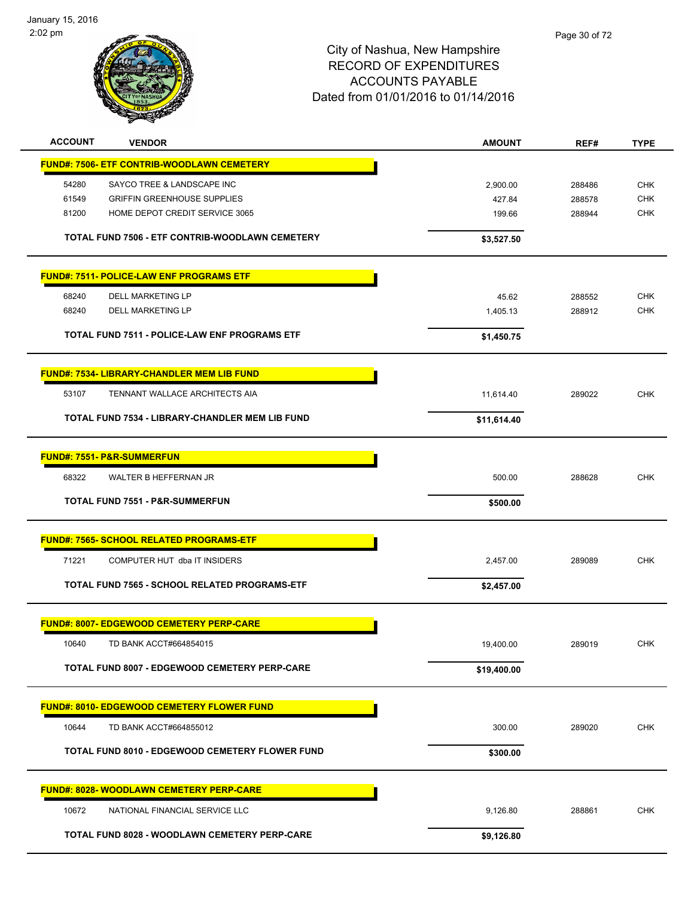January 15, 2016 2:02 pm



| <b>ACCOUNT</b> | <b>VENDOR</b>                                          | <b>AMOUNT</b> | REF#   | <b>TYPE</b> |
|----------------|--------------------------------------------------------|---------------|--------|-------------|
|                | <b>FUND#: 7506- ETF CONTRIB-WOODLAWN CEMETERY</b>      |               |        |             |
| 54280          | SAYCO TREE & LANDSCAPE INC                             | 2,900.00      | 288486 | <b>CHK</b>  |
| 61549          | <b>GRIFFIN GREENHOUSE SUPPLIES</b>                     | 427.84        | 288578 | <b>CHK</b>  |
| 81200          | HOME DEPOT CREDIT SERVICE 3065                         | 199.66        | 288944 | <b>CHK</b>  |
|                | TOTAL FUND 7506 - ETF CONTRIB-WOODLAWN CEMETERY        | \$3,527.50    |        |             |
|                |                                                        |               |        |             |
|                | <b>FUND#: 7511- POLICE-LAW ENF PROGRAMS ETF</b>        |               |        |             |
| 68240          | <b>DELL MARKETING LP</b>                               | 45.62         | 288552 | <b>CHK</b>  |
| 68240          | DELL MARKETING LP                                      | 1,405.13      | 288912 | <b>CHK</b>  |
|                | <b>TOTAL FUND 7511 - POLICE-LAW ENF PROGRAMS ETF</b>   | \$1,450.75    |        |             |
|                | <b>FUND#: 7534- LIBRARY-CHANDLER MEM LIB FUND</b>      |               |        |             |
| 53107          | TENNANT WALLACE ARCHITECTS AIA                         | 11,614.40     | 289022 | <b>CHK</b>  |
|                | <b>TOTAL FUND 7534 - LIBRARY-CHANDLER MEM LIB FUND</b> | \$11,614.40   |        |             |
|                |                                                        |               |        |             |
|                | <b>FUND#: 7551- P&amp;R-SUMMERFUN</b>                  |               |        |             |
| 68322          | WALTER B HEFFERNAN JR                                  | 500.00        | 288628 | <b>CHK</b>  |
|                | <b>TOTAL FUND 7551 - P&amp;R-SUMMERFUN</b>             | \$500.00      |        |             |
|                |                                                        |               |        |             |
|                | <b>FUND#: 7565- SCHOOL RELATED PROGRAMS-ETF</b>        |               |        |             |
| 71221          | COMPUTER HUT dba IT INSIDERS                           | 2,457.00      | 289089 | <b>CHK</b>  |
|                | TOTAL FUND 7565 - SCHOOL RELATED PROGRAMS-ETF          | \$2,457.00    |        |             |
|                | <b>FUND#: 8007- EDGEWOOD CEMETERY PERP-CARE</b>        |               |        |             |
| 10640          | TD BANK ACCT#664854015                                 | 19,400.00     | 289019 | <b>CHK</b>  |
|                | TOTAL FUND 8007 - EDGEWOOD CEMETERY PERP-CARE          | \$19,400.00   |        |             |
|                |                                                        |               |        |             |
|                | <b>FUND#: 8010- EDGEWOOD CEMETERY FLOWER FUND</b>      |               |        |             |
| 10644          | TD BANK ACCT#664855012                                 | 300.00        | 289020 | <b>CHK</b>  |
|                | <b>TOTAL FUND 8010 - EDGEWOOD CEMETERY FLOWER FUND</b> | \$300.00      |        |             |
|                |                                                        |               |        |             |
|                | <b>FUND#: 8028- WOODLAWN CEMETERY PERP-CARE</b>        |               |        |             |
| 10672          | NATIONAL FINANCIAL SERVICE LLC                         | 9,126.80      | 288861 | <b>CHK</b>  |
|                | <b>TOTAL FUND 8028 - WOODLAWN CEMETERY PERP-CARE</b>   | \$9,126.80    |        |             |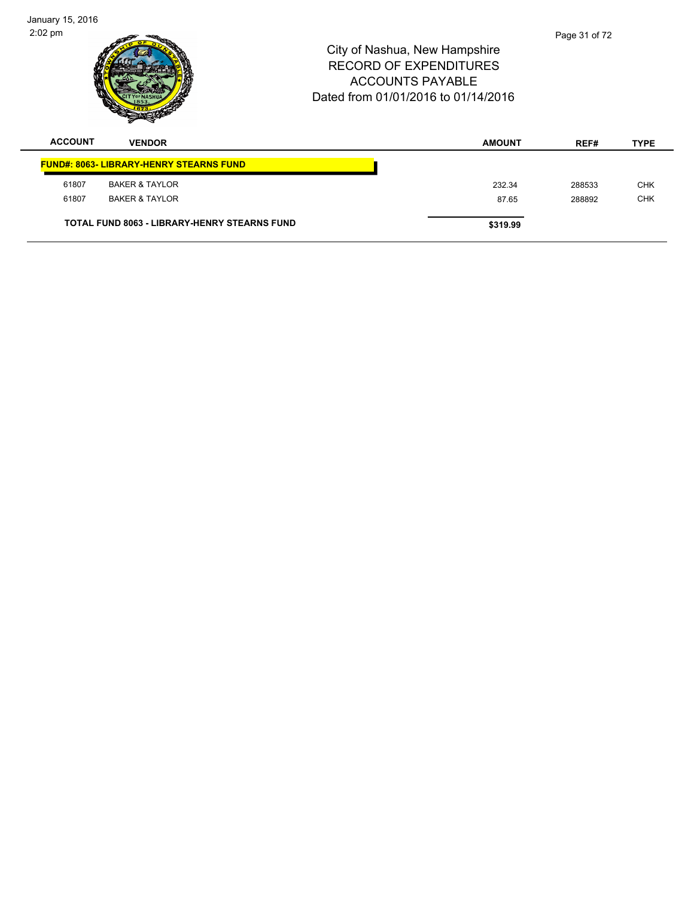| January 15, 2016<br>$2:02 \text{ pm}$ |                                                     | City of Nashua, New Hampshire<br>RECORD OF EXPENDITURES<br><b>ACCOUNTS PAYABLE</b><br>Dated from 01/01/2016 to 01/14/2016 |               | Page 31 of 72 |             |
|---------------------------------------|-----------------------------------------------------|---------------------------------------------------------------------------------------------------------------------------|---------------|---------------|-------------|
| <b>ACCOUNT</b>                        | <b>VENDOR</b>                                       |                                                                                                                           | <b>AMOUNT</b> | REF#          | <b>TYPE</b> |
|                                       | <b>FUND#: 8063- LIBRARY-HENRY STEARNS FUND</b>      |                                                                                                                           |               |               |             |
| 61807                                 | <b>BAKER &amp; TAYLOR</b>                           |                                                                                                                           | 232.34        | 288533        | <b>CHK</b>  |
| 61807                                 | <b>BAKER &amp; TAYLOR</b>                           |                                                                                                                           | 87.65         | 288892        | <b>CHK</b>  |
|                                       | <b>TOTAL FUND 8063 - LIBRARY-HENRY STEARNS FUND</b> |                                                                                                                           | \$319.99      |               |             |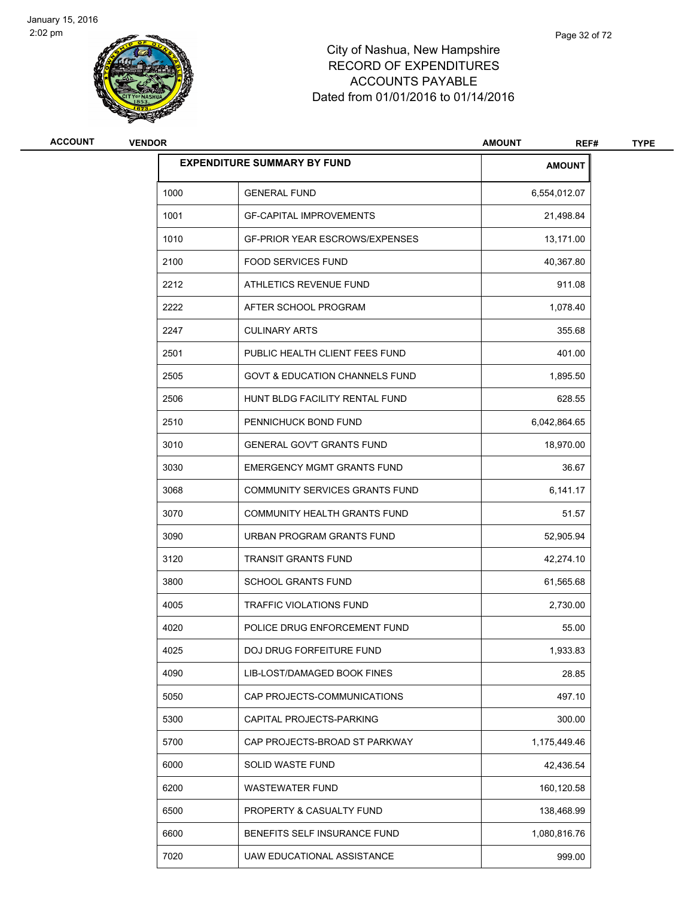

| ACCOUNT | <b>VENDOR</b> |                                           | <b>AMOUNT</b><br>REF# | <b>TYPE</b> |
|---------|---------------|-------------------------------------------|-----------------------|-------------|
|         |               | <b>EXPENDITURE SUMMARY BY FUND</b>        | <b>AMOUNT</b>         |             |
|         | 1000          | <b>GENERAL FUND</b>                       | 6,554,012.07          |             |
|         | 1001          | <b>GF-CAPITAL IMPROVEMENTS</b>            | 21,498.84             |             |
|         | 1010          | <b>GF-PRIOR YEAR ESCROWS/EXPENSES</b>     | 13,171.00             |             |
|         | 2100          | <b>FOOD SERVICES FUND</b>                 | 40,367.80             |             |
|         | 2212          | ATHLETICS REVENUE FUND                    | 911.08                |             |
|         | 2222          | AFTER SCHOOL PROGRAM                      | 1,078.40              |             |
|         | 2247          | <b>CULINARY ARTS</b>                      | 355.68                |             |
|         | 2501          | PUBLIC HEALTH CLIENT FEES FUND            | 401.00                |             |
|         | 2505          | <b>GOVT &amp; EDUCATION CHANNELS FUND</b> | 1,895.50              |             |
|         | 2506          | HUNT BLDG FACILITY RENTAL FUND            | 628.55                |             |
|         | 2510          | PENNICHUCK BOND FUND                      | 6,042,864.65          |             |
|         | 3010          | <b>GENERAL GOV'T GRANTS FUND</b>          | 18,970.00             |             |
|         | 3030          | <b>EMERGENCY MGMT GRANTS FUND</b>         | 36.67                 |             |
|         | 3068          | COMMUNITY SERVICES GRANTS FUND            | 6,141.17              |             |
|         | 3070          | COMMUNITY HEALTH GRANTS FUND              | 51.57                 |             |
|         | 3090          | URBAN PROGRAM GRANTS FUND                 | 52,905.94             |             |
|         | 3120          | <b>TRANSIT GRANTS FUND</b>                | 42,274.10             |             |
|         | 3800          | <b>SCHOOL GRANTS FUND</b>                 | 61,565.68             |             |
|         | 4005          | <b>TRAFFIC VIOLATIONS FUND</b>            | 2,730.00              |             |
|         | 4020          | POLICE DRUG ENFORCEMENT FUND              | 55.00                 |             |
|         | 4025          | DOJ DRUG FORFEITURE FUND                  | 1,933.83              |             |
|         | 4090          | LIB-LOST/DAMAGED BOOK FINES               | 28.85                 |             |
|         | 5050          | CAP PROJECTS-COMMUNICATIONS               | 497.10                |             |
|         | 5300          | CAPITAL PROJECTS-PARKING                  | 300.00                |             |
|         | 5700          | CAP PROJECTS-BROAD ST PARKWAY             | 1,175,449.46          |             |
|         | 6000          | SOLID WASTE FUND                          | 42,436.54             |             |
|         | 6200          | <b>WASTEWATER FUND</b>                    | 160,120.58            |             |
|         | 6500          | PROPERTY & CASUALTY FUND                  | 138,468.99            |             |
|         | 6600          | BENEFITS SELF INSURANCE FUND              | 1,080,816.76          |             |
|         | 7020          | UAW EDUCATIONAL ASSISTANCE                | 999.00                |             |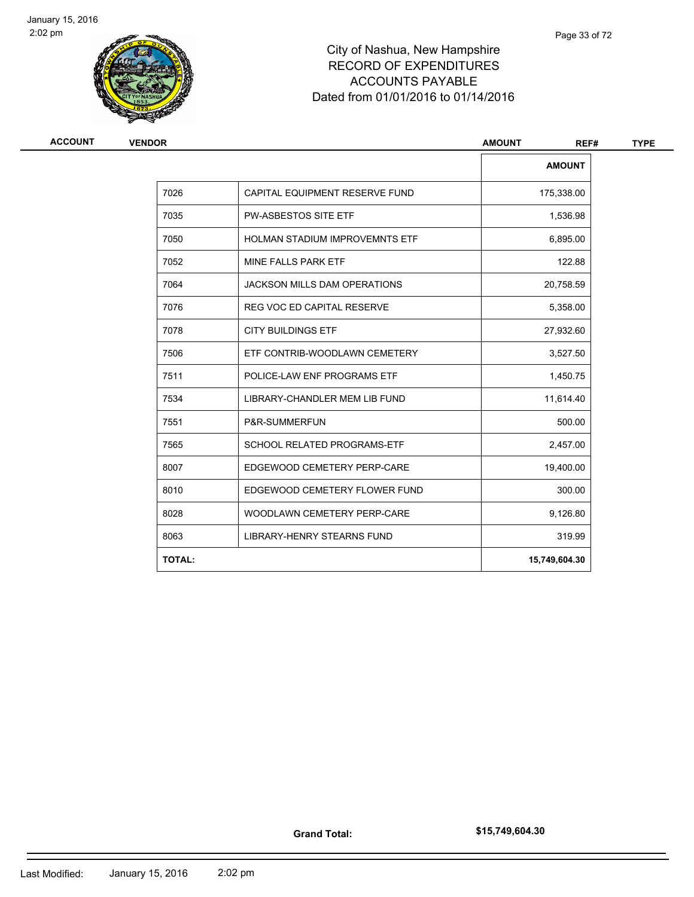

| <b>ACCOUNT</b> | <b>VENDOR</b> |                                     | <b>AMOUNT</b><br>REF# |
|----------------|---------------|-------------------------------------|-----------------------|
|                |               |                                     | <b>AMOUNT</b>         |
|                | 7026          | CAPITAL EQUIPMENT RESERVE FUND      | 175,338.00            |
|                | 7035          | <b>PW-ASBESTOS SITE ETF</b>         | 1,536.98              |
|                | 7050          | HOLMAN STADIUM IMPROVEMNTS ETF      | 6,895.00              |
|                | 7052          | MINE FALLS PARK ETF                 | 122.88                |
|                | 7064          | <b>JACKSON MILLS DAM OPERATIONS</b> | 20,758.59             |
|                | 7076          | <b>REG VOC ED CAPITAL RESERVE</b>   | 5,358.00              |
|                | 7078          | <b>CITY BUILDINGS ETF</b>           | 27,932.60             |
|                | 7506          | ETF CONTRIB-WOODLAWN CEMETERY       | 3,527.50              |
|                | 7511          | POLICE-LAW ENF PROGRAMS ETF         | 1,450.75              |
|                | 7534          | LIBRARY-CHANDLER MEM LIB FUND       | 11,614.40             |
|                | 7551          | P&R-SUMMERFUN                       | 500.00                |
|                | 7565          | SCHOOL RELATED PROGRAMS-ETF         | 2,457.00              |
|                | 8007          | EDGEWOOD CEMETERY PERP-CARE         | 19,400.00             |
|                | 8010          | EDGEWOOD CEMETERY FLOWER FUND       | 300.00                |
|                | 8028          | WOODLAWN CEMETERY PERP-CARE         | 9,126.80              |
|                | 8063          | <b>LIBRARY-HENRY STEARNS FUND</b>   | 319.99                |
|                | <b>TOTAL:</b> |                                     | 15,749,604.30         |
|                |               |                                     |                       |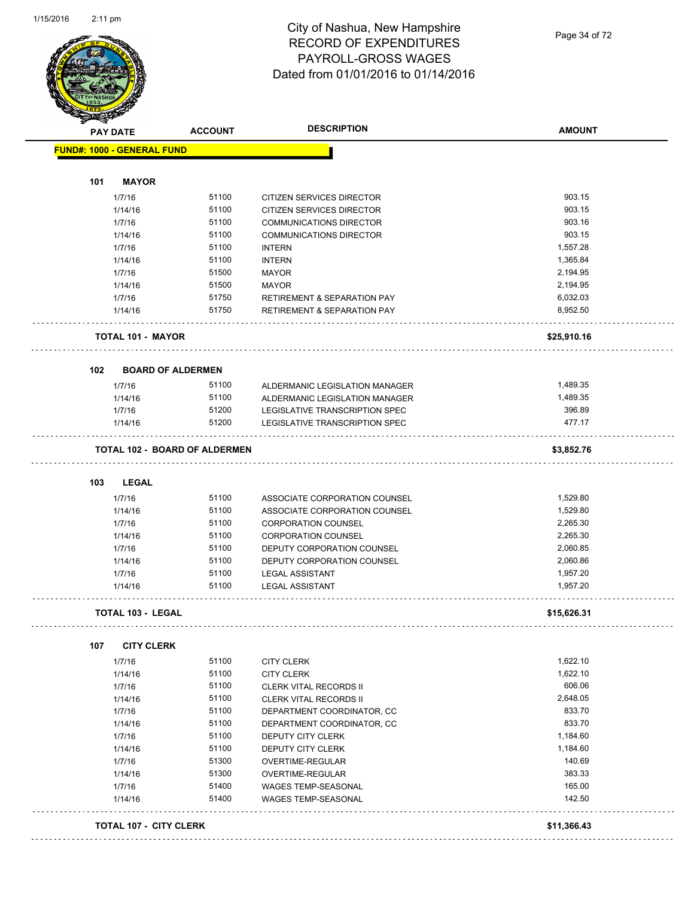

#### City of Nashua, New Hampshire RECORD OF EXPENDITURES PAYROLL-GROSS WAGES Dated from 01/01/2016 to 01/14/2016

Page 34 of 72

| <b>PAY DATE</b>                   | <b>ACCOUNT</b>                       | <b>DESCRIPTION</b>                                                               | <b>AMOUNT</b>        |
|-----------------------------------|--------------------------------------|----------------------------------------------------------------------------------|----------------------|
| <b>FUND#: 1000 - GENERAL FUND</b> |                                      |                                                                                  |                      |
| 101<br><b>MAYOR</b>               |                                      |                                                                                  |                      |
| 1/7/16                            | 51100                                | CITIZEN SERVICES DIRECTOR                                                        | 903.15               |
| 1/14/16                           | 51100                                | CITIZEN SERVICES DIRECTOR                                                        | 903.15               |
| 1/7/16                            | 51100                                | <b>COMMUNICATIONS DIRECTOR</b>                                                   | 903.16               |
| 1/14/16                           | 51100                                | <b>COMMUNICATIONS DIRECTOR</b>                                                   | 903.15               |
| 1/7/16                            | 51100                                | <b>INTERN</b>                                                                    | 1,557.28             |
| 1/14/16                           | 51100                                | <b>INTERN</b>                                                                    | 1,365.84             |
| 1/7/16                            | 51500                                |                                                                                  | 2,194.95             |
|                                   | 51500                                | <b>MAYOR</b>                                                                     | 2,194.95             |
| 1/14/16                           |                                      | <b>MAYOR</b>                                                                     |                      |
| 1/7/16<br>1/14/16                 | 51750<br>51750                       | <b>RETIREMENT &amp; SEPARATION PAY</b><br><b>RETIREMENT &amp; SEPARATION PAY</b> | 6,032.03<br>8,952.50 |
| <b>TOTAL 101 - MAYOR</b>          |                                      |                                                                                  | \$25,910.16          |
|                                   |                                      |                                                                                  |                      |
| 102                               | <b>BOARD OF ALDERMEN</b>             |                                                                                  |                      |
| 1/7/16                            | 51100                                | ALDERMANIC LEGISLATION MANAGER                                                   | 1,489.35             |
| 1/14/16                           | 51100                                | ALDERMANIC LEGISLATION MANAGER                                                   | 1,489.35             |
| 1/7/16                            | 51200                                | <b>LEGISLATIVE TRANSCRIPTION SPEC</b>                                            | 396.89               |
| 1/14/16                           | 51200                                | LEGISLATIVE TRANSCRIPTION SPEC                                                   | 477.17               |
|                                   | <b>TOTAL 102 - BOARD OF ALDERMEN</b> |                                                                                  | \$3,852.76           |
| 103<br>LEGAL                      |                                      |                                                                                  |                      |
| 1/7/16                            | 51100                                | ASSOCIATE CORPORATION COUNSEL                                                    | 1,529.80             |
| 1/14/16                           | 51100                                | ASSOCIATE CORPORATION COUNSEL                                                    | 1,529.80             |
| 1/7/16                            | 51100                                | <b>CORPORATION COUNSEL</b>                                                       | 2,265.30             |
| 1/14/16                           | 51100                                | <b>CORPORATION COUNSEL</b>                                                       | 2,265.30             |
| 1/7/16                            | 51100                                | DEPUTY CORPORATION COUNSEL                                                       | 2,060.85             |
| 1/14/16                           | 51100                                | DEPUTY CORPORATION COUNSEL                                                       | 2,060.86             |
| 1/7/16                            | 51100                                | <b>LEGAL ASSISTANT</b>                                                           | 1,957.20             |
| 1/14/16                           | 51100                                | <b>LEGAL ASSISTANT</b>                                                           | 1,957.20             |
| <b>TOTAL 103 - LEGAL</b>          |                                      |                                                                                  | \$15,626.31          |
| 107<br><b>CITY CLERK</b>          |                                      |                                                                                  |                      |
| 1/7/16                            | 51100                                | <b>CITY CLERK</b>                                                                | 1,622.10             |
| 1/14/16                           | 51100                                | <b>CITY CLERK</b>                                                                | 1,622.10             |
| 1/7/16                            | 51100                                | CLERK VITAL RECORDS II                                                           | 606.06               |
| 1/14/16                           | 51100                                | CLERK VITAL RECORDS II                                                           | 2,648.05             |
| 1/7/16                            | 51100                                | DEPARTMENT COORDINATOR, CC                                                       | 833.70               |
|                                   | 51100                                |                                                                                  | 833.70               |
| 1/14/16                           |                                      | DEPARTMENT COORDINATOR, CC                                                       |                      |
| 1/7/16                            | 51100                                | DEPUTY CITY CLERK                                                                | 1,184.60             |
| 1/14/16                           | 51100                                | DEPUTY CITY CLERK                                                                | 1,184.60             |
| 1/7/16                            | 51300                                | OVERTIME-REGULAR                                                                 | 140.69               |
| 1/14/16                           | 51300                                | OVERTIME-REGULAR                                                                 | 383.33               |
| 1/7/16                            | 51400                                | WAGES TEMP-SEASONAL                                                              | 165.00               |
| 1/14/16                           | 51400                                | <b>WAGES TEMP-SEASONAL</b>                                                       | 142.50               |
|                                   |                                      |                                                                                  |                      |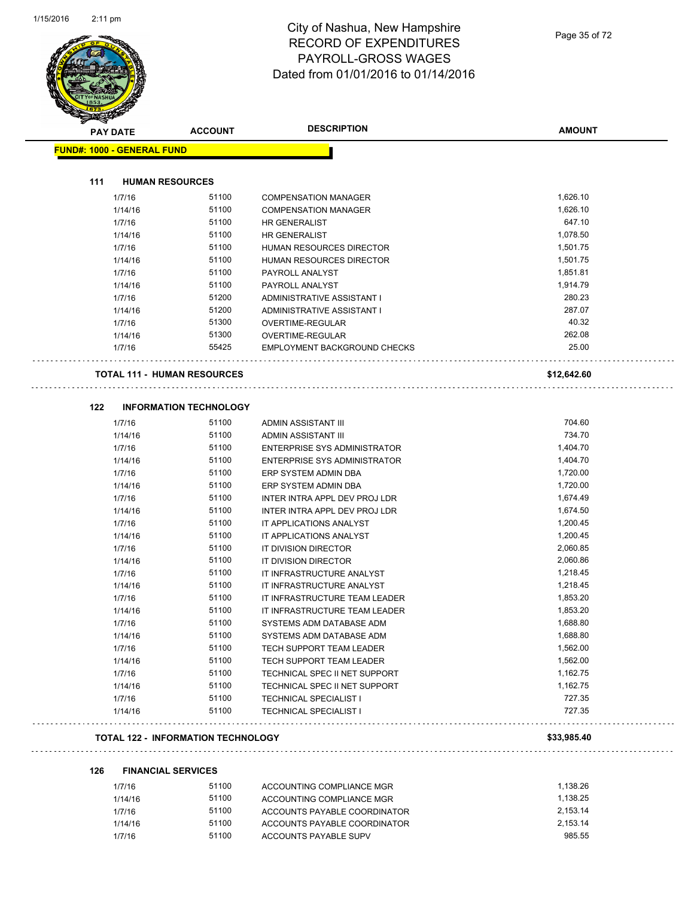

#### City of Nashua, New Hampshire RECORD OF EXPENDITURES PAYROLL-GROSS WAGES Dated from 01/01/2016 to 01/14/2016

| Sandon ( | <b>PAY DATE</b>                           | <b>ACCOUNT</b> | <b>DESCRIPTION</b>            | <b>AMOUNT</b> |
|----------|-------------------------------------------|----------------|-------------------------------|---------------|
|          | <b>FUND#: 1000 - GENERAL FUND</b>         |                |                               |               |
|          |                                           |                |                               |               |
| 111      | <b>HUMAN RESOURCES</b>                    |                |                               |               |
|          | 1/7/16                                    | 51100          | <b>COMPENSATION MANAGER</b>   | 1,626.10      |
|          | 1/14/16                                   | 51100          | <b>COMPENSATION MANAGER</b>   | 1,626.10      |
|          | 1/7/16                                    | 51100          | HR GENERALIST                 | 647.10        |
|          | 1/14/16                                   | 51100          | HR GENERALIST                 | 1,078.50      |
|          | 1/7/16                                    | 51100          | HUMAN RESOURCES DIRECTOR      | 1,501.75      |
|          | 1/14/16                                   | 51100          | HUMAN RESOURCES DIRECTOR      | 1,501.75      |
|          | 1/7/16                                    | 51100          | PAYROLL ANALYST               | 1,851.81      |
|          | 1/14/16                                   | 51100          | PAYROLL ANALYST               | 1,914.79      |
|          | 1/7/16                                    | 51200          | ADMINISTRATIVE ASSISTANT I    | 280.23        |
|          | 1/14/16                                   | 51200          | ADMINISTRATIVE ASSISTANT I    | 287.07        |
|          | 1/7/16                                    | 51300          | OVERTIME-REGULAR              | 40.32         |
|          | 1/14/16                                   | 51300          | OVERTIME-REGULAR              | 262.08        |
|          | 1/7/16                                    | 55425          | EMPLOYMENT BACKGROUND CHECKS  | 25.00         |
|          | TOTAL 111 - HUMAN RESOURCES               |                |                               | \$12,642.60   |
| 122      | <b>INFORMATION TECHNOLOGY</b>             |                |                               |               |
|          | 1/7/16                                    | 51100          | ADMIN ASSISTANT III           | 704.60        |
|          | 1/14/16                                   | 51100          | ADMIN ASSISTANT III           | 734.70        |
|          | 1/7/16                                    | 51100          | ENTERPRISE SYS ADMINISTRATOR  | 1,404.70      |
|          | 1/14/16                                   | 51100          | ENTERPRISE SYS ADMINISTRATOR  | 1,404.70      |
|          | 1/7/16                                    | 51100          | ERP SYSTEM ADMIN DBA          | 1,720.00      |
|          | 1/14/16                                   | 51100          | ERP SYSTEM ADMIN DBA          | 1,720.00      |
|          | 1/7/16                                    | 51100          | INTER INTRA APPL DEV PROJ LDR | 1,674.49      |
|          | 1/14/16                                   | 51100          | INTER INTRA APPL DEV PROJ LDR | 1,674.50      |
|          | 1/7/16                                    | 51100          | IT APPLICATIONS ANALYST       | 1,200.45      |
|          | 1/14/16                                   | 51100          | IT APPLICATIONS ANALYST       | 1,200.45      |
|          | 1/7/16                                    | 51100          | IT DIVISION DIRECTOR          | 2,060.85      |
|          | 1/14/16                                   | 51100          | IT DIVISION DIRECTOR          | 2,060.86      |
|          | 1/7/16                                    | 51100          | IT INFRASTRUCTURE ANALYST     | 1,218.45      |
|          | 1/14/16                                   | 51100          | IT INFRASTRUCTURE ANALYST     | 1,218.45      |
|          | 1/7/16                                    | 51100          | IT INFRASTRUCTURE TEAM LEADER | 1,853.20      |
|          | 1/14/16                                   | 51100          | IT INFRASTRUCTURE TEAM LEADER | 1,853.20      |
|          | 1/7/16                                    | 51100          | SYSTEMS ADM DATABASE ADM      | 1,688.80      |
|          | 1/14/16                                   | 51100          | SYSTEMS ADM DATABASE ADM      | 1,688.80      |
|          | 1/7/16                                    | 51100          | TECH SUPPORT TEAM LEADER      | 1,562.00      |
|          | 1/14/16                                   | 51100          | TECH SUPPORT TEAM LEADER      | 1,562.00      |
|          | 1/7/16                                    | 51100          | TECHNICAL SPEC II NET SUPPORT | 1,162.75      |
|          | 1/14/16                                   | 51100          | TECHNICAL SPEC II NET SUPPORT | 1,162.75      |
|          | 1/7/16                                    | 51100          | <b>TECHNICAL SPECIALIST I</b> | 727.35        |
|          | 1/14/16                                   | 51100          | <b>TECHNICAL SPECIALIST I</b> | 727.35        |
|          | <b>TOTAL 122 - INFORMATION TECHNOLOGY</b> |                |                               | \$33,985.40   |

# **126 FINANCIAL SERVICES**

| 1/7/16  | 51100 | ACCOUNTING COMPLIANCE MGR    | 1.138.26 |
|---------|-------|------------------------------|----------|
| 1/14/16 | 51100 | ACCOUNTING COMPLIANCE MGR    | 1.138.25 |
| 1/7/16  | 51100 | ACCOUNTS PAYABLE COORDINATOR | 2.153.14 |
| 1/14/16 | 51100 | ACCOUNTS PAYABLE COORDINATOR | 2.153.14 |
| 1/7/16  | 51100 | ACCOUNTS PAYABLE SUPV        | 985.55   |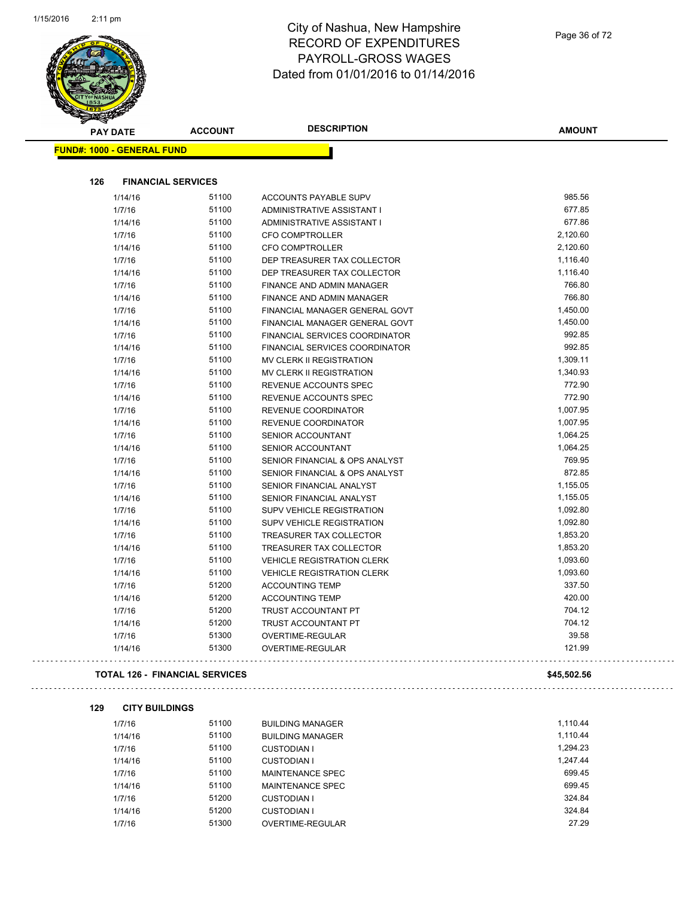

#### City of Nashua, New Hampshire RECORD OF EXPENDITURES PAYROLL-GROSS WAGES Dated from 01/01/2016 to 01/14/2016

| $\overline{\mathscr{D}}$          |                           |                                       |               |
|-----------------------------------|---------------------------|---------------------------------------|---------------|
| <b>PAY DATE</b>                   | <b>ACCOUNT</b>            | <b>DESCRIPTION</b>                    | <b>AMOUNT</b> |
| <b>FUND#: 1000 - GENERAL FUND</b> |                           |                                       |               |
|                                   |                           |                                       |               |
| 126                               | <b>FINANCIAL SERVICES</b> |                                       |               |
| 1/14/16                           | 51100                     | ACCOUNTS PAYABLE SUPV                 | 985.56        |
| 1/7/16                            | 51100                     | ADMINISTRATIVE ASSISTANT I            | 677.85        |
| 1/14/16                           | 51100                     | ADMINISTRATIVE ASSISTANT I            | 677.86        |
| 1/7/16                            | 51100                     | CFO COMPTROLLER                       | 2,120.60      |
| 1/14/16                           | 51100                     | <b>CFO COMPTROLLER</b>                | 2,120.60      |
| 1/7/16                            | 51100                     | DEP TREASURER TAX COLLECTOR           | 1,116.40      |
| 1/14/16                           | 51100                     | DEP TREASURER TAX COLLECTOR           | 1,116.40      |
| 1/7/16                            | 51100                     | FINANCE AND ADMIN MANAGER             | 766.80        |
| 1/14/16                           | 51100                     | <b>FINANCE AND ADMIN MANAGER</b>      | 766.80        |
| 1/7/16                            | 51100                     | FINANCIAL MANAGER GENERAL GOVT        | 1,450.00      |
| 1/14/16                           | 51100                     | FINANCIAL MANAGER GENERAL GOVT        | 1,450.00      |
| 1/7/16                            | 51100                     | <b>FINANCIAL SERVICES COORDINATOR</b> | 992.85        |
| 1/14/16                           | 51100                     | FINANCIAL SERVICES COORDINATOR        | 992.85        |
| 1/7/16                            | 51100                     | <b>MV CLERK II REGISTRATION</b>       | 1,309.11      |
| 1/14/16                           | 51100                     | MV CLERK II REGISTRATION              | 1,340.93      |
| 1/7/16                            | 51100                     | REVENUE ACCOUNTS SPEC                 | 772.90        |
| 1/14/16                           | 51100                     | REVENUE ACCOUNTS SPEC                 | 772.90        |
| 1/7/16                            | 51100                     | <b>REVENUE COORDINATOR</b>            | 1,007.95      |
| 1/14/16                           | 51100                     | REVENUE COORDINATOR                   | 1,007.95      |
| 1/7/16                            | 51100                     | <b>SENIOR ACCOUNTANT</b>              | 1,064.25      |
| 1/14/16                           | 51100                     | <b>SENIOR ACCOUNTANT</b>              | 1,064.25      |
| 1/7/16                            | 51100                     | SENIOR FINANCIAL & OPS ANALYST        | 769.95        |
| 1/14/16                           | 51100                     | SENIOR FINANCIAL & OPS ANALYST        | 872.85        |
| 1/7/16                            | 51100                     | SENIOR FINANCIAL ANALYST              | 1,155.05      |
| 1/14/16                           | 51100                     | SENIOR FINANCIAL ANALYST              | 1,155.05      |
| 1/7/16                            | 51100                     | <b>SUPV VEHICLE REGISTRATION</b>      | 1,092.80      |
| 1/14/16                           | 51100                     | SUPV VEHICLE REGISTRATION             | 1,092.80      |
| 1/7/16                            | 51100                     | <b>TREASURER TAX COLLECTOR</b>        | 1,853.20      |
| 1/14/16                           | 51100                     | TREASURER TAX COLLECTOR               | 1,853.20      |
| 1/7/16                            | 51100                     | <b>VEHICLE REGISTRATION CLERK</b>     | 1,093.60      |
| 1/14/16                           | 51100                     | <b>VEHICLE REGISTRATION CLERK</b>     | 1,093.60      |

| 1/14/16                               | 51200 | <b>ACCOUNTING TEMP</b>     | 420.00      |  |
|---------------------------------------|-------|----------------------------|-------------|--|
| 1/7/16                                | 51200 | TRUST ACCOUNTANT PT        | 704.12      |  |
| 1/14/16                               | 51200 | <b>TRUST ACCOUNTANT PT</b> | 704.12      |  |
| 1/7/16                                | 51300 | <b>OVERTIME-REGULAR</b>    | 39.58       |  |
| 1/14/16                               | 51300 | OVERTIME-REGULAR           | 121.99      |  |
| <b>TOTAL 126 - FINANCIAL SERVICES</b> |       |                            | \$45,502.56 |  |
|                                       |       |                            |             |  |
| 129<br><b>CITY BUILDINGS</b>          |       |                            |             |  |
| 1/7/16                                | 51100 | <b>BUILDING MANAGER</b>    | 1,110.44    |  |
| 1/14/16                               | 51100 | <b>BUILDING MANAGER</b>    | 1,110.44    |  |
| 1/7/16                                | 51100 | <b>CUSTODIAN I</b>         | 1,294.23    |  |
| 1/14/16                               | 51100 | <b>CUSTODIAN I</b>         | 1,247.44    |  |
| 1/7/16                                | 51100 | <b>MAINTENANCE SPEC</b>    | 699.45      |  |

1/7/16 51200 ACCOUNTING TEMP 337.50

| 1/7/16  | 51100 | MAINTENANCE SPEC   | 699.45 |
|---------|-------|--------------------|--------|
| 1/14/16 | 51100 | MAINTENANCE SPEC   | 699.45 |
| 1/7/16  | 51200 | CUSTODIAN I        | 324.84 |
| 1/14/16 | 51200 | <b>CUSTODIAN I</b> | 324.84 |
| 1/7/16  | 51300 | OVERTIME-REGULAR   | 27.29  |
|         |       |                    |        |

Page 36 of 72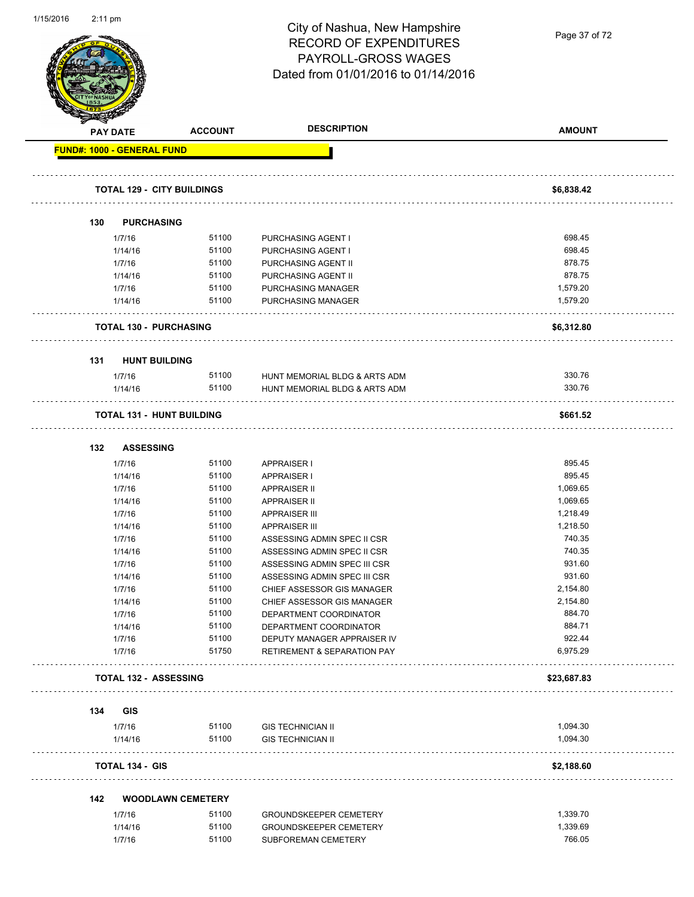| 1/15/2016 | $2:11 \text{ pm}$                 |                                   | City of Nashua, New Hampshire                                  |                  |
|-----------|-----------------------------------|-----------------------------------|----------------------------------------------------------------|------------------|
|           |                                   |                                   | <b>RECORD OF EXPENDITURES</b>                                  | Page 37 of 72    |
|           |                                   |                                   | PAYROLL-GROSS WAGES                                            |                  |
|           |                                   |                                   |                                                                |                  |
|           |                                   |                                   | Dated from 01/01/2016 to 01/14/2016                            |                  |
|           |                                   |                                   |                                                                |                  |
|           |                                   |                                   |                                                                |                  |
|           |                                   |                                   |                                                                |                  |
|           | PAY DATE                          | <b>ACCOUNT</b>                    | <b>DESCRIPTION</b>                                             | <b>AMOUNT</b>    |
|           | <b>FUND#: 1000 - GENERAL FUND</b> |                                   |                                                                |                  |
|           |                                   |                                   |                                                                |                  |
|           |                                   | <b>TOTAL 129 - CITY BUILDINGS</b> |                                                                | \$6,838.42       |
|           | 130                               | <b>PURCHASING</b>                 |                                                                |                  |
|           | 1/7/16                            | 51100                             | PURCHASING AGENT I                                             | 698.45           |
|           | 1/14/16                           | 51100                             | PURCHASING AGENT I                                             | 698.45           |
|           | 1/7/16                            | 51100                             | PURCHASING AGENT II                                            | 878.75           |
|           | 1/14/16                           | 51100                             | PURCHASING AGENT II                                            | 878.75           |
|           | 1/7/16                            | 51100                             | PURCHASING MANAGER                                             | 1,579.20         |
|           | 1/14/16                           | 51100                             | PURCHASING MANAGER                                             | 1,579.20         |
|           |                                   | <b>TOTAL 130 - PURCHASING</b>     |                                                                | \$6,312.80       |
|           | 131                               | <b>HUNT BUILDING</b>              |                                                                |                  |
|           |                                   |                                   |                                                                |                  |
|           | 1/7/16<br>1/14/16                 | 51100<br>51100                    | HUNT MEMORIAL BLDG & ARTS ADM<br>HUNT MEMORIAL BLDG & ARTS ADM | 330.76<br>330.76 |
|           |                                   |                                   |                                                                |                  |
|           |                                   | <b>TOTAL 131 - HUNT BUILDING</b>  |                                                                | \$661.52         |
|           | 132                               | <b>ASSESSING</b>                  |                                                                |                  |
|           | 1/7/16                            | 51100                             | <b>APPRAISER I</b>                                             | 895.45           |
|           | 1/14/16                           | 51100                             | <b>APPRAISER I</b>                                             | 895.45           |
|           | 1/7/16                            | 51100                             | <b>APPRAISER II</b>                                            | 1,069.65         |
|           | 1/14/16                           | 51100                             | <b>APPRAISER II</b>                                            | 1,069.65         |
|           | 1/7/16                            | 51100                             | <b>APPRAISER III</b>                                           | 1,218.49         |
|           | 1/14/16                           | 51100                             | <b>APPRAISER III</b>                                           | 1,218.50         |
|           | 1/7/16                            | 51100                             | ASSESSING ADMIN SPEC II CSR                                    | 740.35           |
|           | 1/14/16                           | 51100                             | ASSESSING ADMIN SPEC II CSR                                    | 740.35           |
|           | 1/7/16                            | 51100<br>51100                    | ASSESSING ADMIN SPEC III CSR<br>ASSESSING ADMIN SPEC III CSR   | 931.60<br>931.60 |
|           | 1/14/16<br>1/7/16                 | 51100                             | CHIEF ASSESSOR GIS MANAGER                                     | 2,154.80         |
|           | 1/14/16                           | 51100                             | CHIEF ASSESSOR GIS MANAGER                                     | 2,154.80         |
|           | 1/7/16                            | 51100                             | DEPARTMENT COORDINATOR                                         | 884.70           |
|           | 1/14/16                           | 51100                             | DEPARTMENT COORDINATOR                                         | 884.71           |
|           | 1/7/16                            | 51100                             | DEPUTY MANAGER APPRAISER IV                                    | 922.44           |
|           | 1/7/16                            | 51750                             | <b>RETIREMENT &amp; SEPARATION PAY</b>                         | 6,975.29         |
|           |                                   | <b>TOTAL 132 - ASSESSING</b>      |                                                                | \$23,687.83      |
|           |                                   |                                   |                                                                |                  |
|           | <b>GIS</b><br>134                 |                                   |                                                                |                  |
|           | 1/7/16                            | 51100                             | <b>GIS TECHNICIAN II</b>                                       | 1,094.30         |

| TOTAL 134 - GIS |       |                          | \$2.188.60 |
|-----------------|-------|--------------------------|------------|
| 1/14/16         | 51100 | GIS TECHNICIAN II        | .094.30    |
| /7/16           | 51100 | <b>GIS TECHNICIAN II</b> | .094.30    |

**142 WOODLAWN CEMETERY** 1/7/16 51100 GROUNDSKEEPER CEMETERY 1/7/16 51100 51100 1/14/16 51100 GROUNDSKEEPER CEMETERY 1,339.69 1/7/16 51100 SUBFOREMAN CEMETERY **1/7/16** 505.05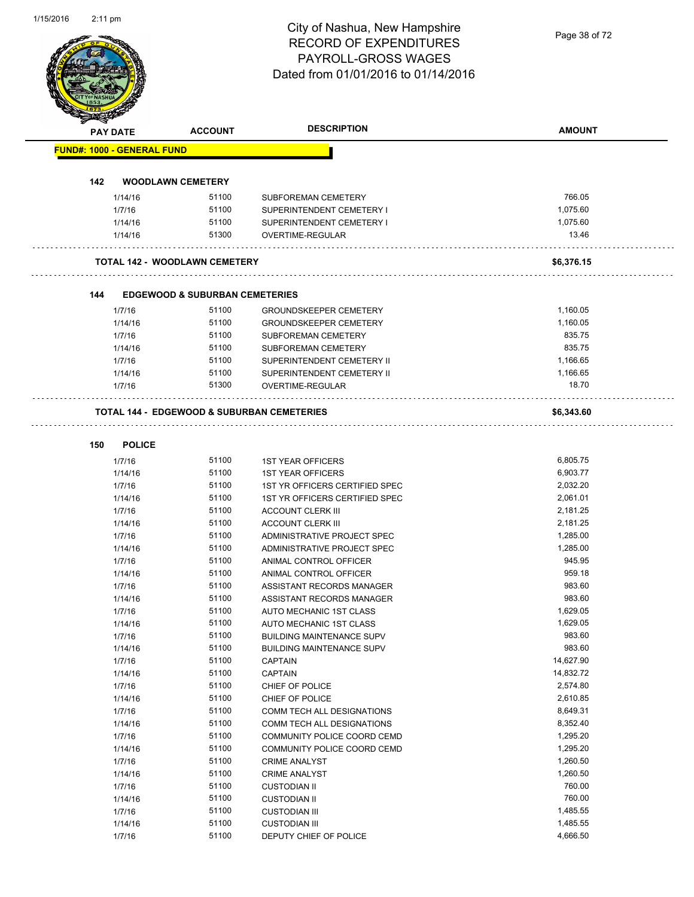Page 38 of 72

| PAY DATE                          |                   | <b>ACCOUNT</b>                            | <b>DESCRIPTION</b>                                    | <b>AMOUNT</b>        |
|-----------------------------------|-------------------|-------------------------------------------|-------------------------------------------------------|----------------------|
| <b>FUND#: 1000 - GENERAL FUND</b> |                   |                                           |                                                       |                      |
| 142                               |                   | <b>WOODLAWN CEMETERY</b>                  |                                                       |                      |
|                                   | 1/14/16           | 51100                                     | SUBFOREMAN CEMETERY                                   | 766.05               |
|                                   | 1/7/16            | 51100                                     | SUPERINTENDENT CEMETERY I                             | 1,075.60             |
|                                   | 1/14/16           | 51100                                     | SUPERINTENDENT CEMETERY I                             | 1,075.60             |
|                                   | 1/14/16           | 51300                                     | OVERTIME-REGULAR                                      | 13.46                |
|                                   |                   | <b>TOTAL 142 - WOODLAWN CEMETERY</b>      |                                                       | \$6,376.15           |
| 144                               |                   | <b>EDGEWOOD &amp; SUBURBAN CEMETERIES</b> |                                                       |                      |
|                                   | 1/7/16            | 51100                                     | <b>GROUNDSKEEPER CEMETERY</b>                         | 1,160.05             |
|                                   | 1/14/16           | 51100                                     | <b>GROUNDSKEEPER CEMETERY</b>                         | 1,160.05             |
|                                   | 1/7/16            | 51100                                     | SUBFOREMAN CEMETERY                                   | 835.75               |
|                                   | 1/14/16           | 51100                                     | SUBFOREMAN CEMETERY                                   | 835.75               |
|                                   | 1/7/16            | 51100                                     | SUPERINTENDENT CEMETERY II                            | 1,166.65             |
|                                   | 1/14/16           | 51100                                     | SUPERINTENDENT CEMETERY II                            | 1,166.65             |
|                                   | 1/7/16            | 51300                                     | OVERTIME-REGULAR                                      | 18.70                |
|                                   |                   |                                           | <b>TOTAL 144 - EDGEWOOD &amp; SUBURBAN CEMETERIES</b> | \$6,343.60           |
| 150                               | <b>POLICE</b>     |                                           |                                                       |                      |
|                                   | 1/7/16            | 51100                                     | <b>1ST YEAR OFFICERS</b>                              | 6,805.75             |
|                                   | 1/14/16           | 51100                                     | <b>1ST YEAR OFFICERS</b>                              | 6,903.77             |
|                                   | 1/7/16            | 51100                                     | 1ST YR OFFICERS CERTIFIED SPEC                        | 2,032.20             |
|                                   | 1/14/16           | 51100                                     | 1ST YR OFFICERS CERTIFIED SPEC                        | 2,061.01             |
|                                   | 1/7/16            | 51100                                     | <b>ACCOUNT CLERK III</b>                              | 2,181.25             |
|                                   | 1/14/16           | 51100                                     | <b>ACCOUNT CLERK III</b>                              | 2,181.25             |
|                                   | 1/7/16            | 51100                                     | ADMINISTRATIVE PROJECT SPEC                           | 1,285.00             |
|                                   | 1/14/16           | 51100                                     | ADMINISTRATIVE PROJECT SPEC                           | 1,285.00             |
|                                   | 1/7/16            | 51100                                     | ANIMAL CONTROL OFFICER                                | 945.95               |
|                                   | 1/14/16           | 51100                                     | ANIMAL CONTROL OFFICER                                | 959.18               |
|                                   | 1/7/16            | 51100                                     | ASSISTANT RECORDS MANAGER                             | 983.60<br>983.60     |
|                                   | 1/14/16<br>1/7/16 | 51100<br>51100                            | ASSISTANT RECORDS MANAGER<br>AUTO MECHANIC 1ST CLASS  | 1,629.05             |
|                                   | 1/14/16           | 51100                                     | AUTO MECHANIC 1ST CLASS                               | 1,629.05             |
|                                   | 1/7/16            | 51100                                     | <b>BUILDING MAINTENANCE SUPV</b>                      | 983.60               |
|                                   | 1/14/16           | 51100                                     | <b>BUILDING MAINTENANCE SUPV</b>                      | 983.60               |
|                                   | 1/7/16            | 51100                                     | <b>CAPTAIN</b>                                        | 14,627.90            |
|                                   | 1/14/16           | 51100                                     | <b>CAPTAIN</b>                                        | 14,832.72            |
|                                   | 1/7/16            | 51100                                     | CHIEF OF POLICE                                       | 2,574.80             |
|                                   | 1/14/16           | 51100                                     | CHIEF OF POLICE                                       | 2,610.85             |
|                                   | 1/7/16            | 51100                                     | COMM TECH ALL DESIGNATIONS                            | 8,649.31             |
|                                   | 1/14/16           | 51100                                     | COMM TECH ALL DESIGNATIONS                            | 8,352.40             |
|                                   | 1/7/16            | 51100                                     | COMMUNITY POLICE COORD CEMD                           | 1,295.20             |
|                                   | 1/14/16           | 51100                                     | COMMUNITY POLICE COORD CEMD                           | 1,295.20             |
|                                   | 1/7/16            | 51100                                     | <b>CRIME ANALYST</b>                                  | 1,260.50             |
|                                   | 1/14/16           | 51100                                     | <b>CRIME ANALYST</b>                                  | 1,260.50             |
|                                   | 1/7/16            | 51100                                     | <b>CUSTODIAN II</b>                                   | 760.00               |
|                                   | 1/14/16           | 51100                                     | <b>CUSTODIAN II</b>                                   | 760.00               |
|                                   |                   |                                           |                                                       |                      |
|                                   | 1/7/16<br>1/14/16 | 51100<br>51100                            | <b>CUSTODIAN III</b><br><b>CUSTODIAN III</b>          | 1,485.55<br>1,485.55 |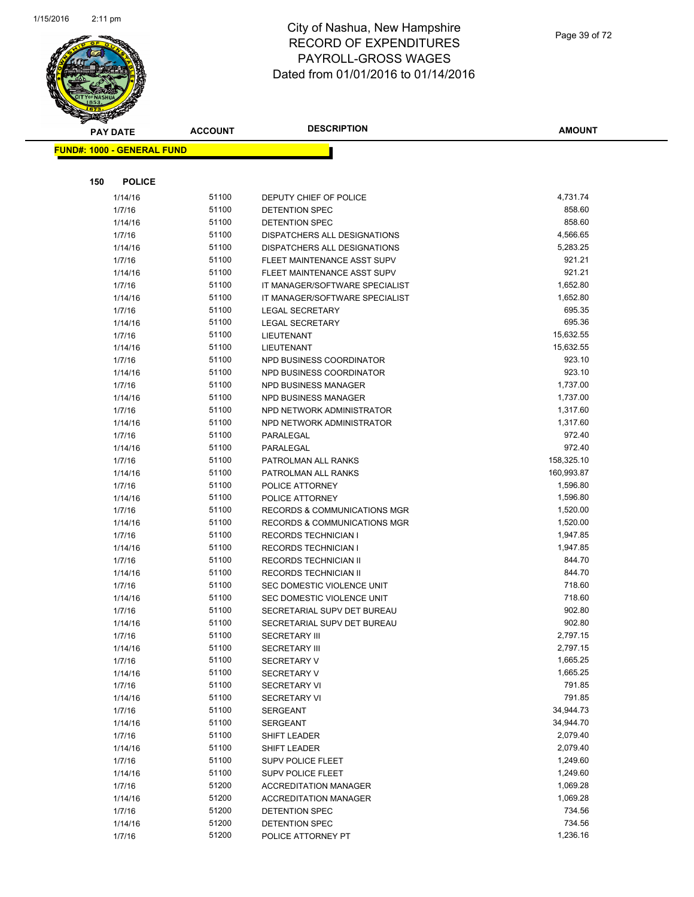

|     | <b>PAY DATE</b>                   | <b>ACCOUNT</b> | <b>DESCRIPTION</b>                                               | <b>AMOUNT</b>      |
|-----|-----------------------------------|----------------|------------------------------------------------------------------|--------------------|
|     | <b>FUND#: 1000 - GENERAL FUND</b> |                |                                                                  |                    |
|     |                                   |                |                                                                  |                    |
|     |                                   |                |                                                                  |                    |
| 150 | <b>POLICE</b>                     |                |                                                                  |                    |
|     | 1/14/16                           | 51100          | DEPUTY CHIEF OF POLICE                                           | 4,731.74           |
|     | 1/7/16                            | 51100          | DETENTION SPEC                                                   | 858.60             |
|     | 1/14/16                           | 51100          | DETENTION SPEC                                                   | 858.60             |
|     | 1/7/16                            | 51100          | DISPATCHERS ALL DESIGNATIONS                                     | 4,566.65           |
|     | 1/14/16                           | 51100          | DISPATCHERS ALL DESIGNATIONS                                     | 5,283.25           |
|     | 1/7/16                            | 51100<br>51100 | FLEET MAINTENANCE ASST SUPV                                      | 921.21<br>921.21   |
|     | 1/14/16<br>1/7/16                 | 51100          | FLEET MAINTENANCE ASST SUPV                                      | 1,652.80           |
|     | 1/14/16                           | 51100          | IT MANAGER/SOFTWARE SPECIALIST<br>IT MANAGER/SOFTWARE SPECIALIST | 1,652.80           |
|     | 1/7/16                            | 51100          | <b>LEGAL SECRETARY</b>                                           | 695.35             |
|     | 1/14/16                           | 51100          | LEGAL SECRETARY                                                  | 695.36             |
|     | 1/7/16                            | 51100          | LIEUTENANT                                                       | 15,632.55          |
|     | 1/14/16                           | 51100          | <b>LIEUTENANT</b>                                                | 15,632.55          |
|     | 1/7/16                            | 51100          | NPD BUSINESS COORDINATOR                                         | 923.10             |
|     | 1/14/16                           | 51100          | NPD BUSINESS COORDINATOR                                         | 923.10             |
|     | 1/7/16                            | 51100          | NPD BUSINESS MANAGER                                             | 1,737.00           |
|     | 1/14/16                           | 51100          | NPD BUSINESS MANAGER                                             | 1,737.00           |
|     | 1/7/16                            | 51100          | NPD NETWORK ADMINISTRATOR                                        | 1,317.60           |
|     | 1/14/16                           | 51100          | NPD NETWORK ADMINISTRATOR                                        | 1,317.60           |
|     | 1/7/16                            | 51100          | PARALEGAL                                                        | 972.40             |
|     | 1/14/16                           | 51100          | PARALEGAL                                                        | 972.40             |
|     | 1/7/16                            | 51100          | PATROLMAN ALL RANKS                                              | 158,325.10         |
|     | 1/14/16                           | 51100          | PATROLMAN ALL RANKS                                              | 160,993.87         |
|     | 1/7/16                            | 51100          | POLICE ATTORNEY                                                  | 1,596.80           |
|     | 1/14/16                           | 51100          | POLICE ATTORNEY                                                  | 1,596.80           |
|     | 1/7/16                            | 51100          | <b>RECORDS &amp; COMMUNICATIONS MGR</b>                          | 1,520.00           |
|     | 1/14/16                           | 51100          | <b>RECORDS &amp; COMMUNICATIONS MGR</b>                          | 1,520.00           |
|     | 1/7/16                            | 51100          | <b>RECORDS TECHNICIAN I</b>                                      | 1,947.85           |
|     | 1/14/16                           | 51100          | <b>RECORDS TECHNICIAN I</b>                                      | 1,947.85           |
|     | 1/7/16                            | 51100          | RECORDS TECHNICIAN II                                            | 844.70             |
|     | 1/14/16                           | 51100          | RECORDS TECHNICIAN II                                            | 844.70             |
|     | 1/7/16                            | 51100          | SEC DOMESTIC VIOLENCE UNIT                                       | 718.60             |
|     | 1/14/16                           | 51100          | SEC DOMESTIC VIOLENCE UNIT                                       | 718.60             |
|     | 1/7/16                            | 51100          | SECRETARIAL SUPV DET BUREAU                                      | 902.80             |
|     | 1/14/16                           | 51100          | SECRETARIAL SUPV DET BUREAU                                      | 902.80             |
|     | 1/7/16                            | 51100          | <b>SECRETARY III</b>                                             | 2,797.15           |
|     | 1/14/16                           | 51100          | <b>SECRETARY III</b>                                             | 2,797.15           |
|     | 1/7/16                            | 51100          | <b>SECRETARY V</b>                                               | 1,665.25           |
|     | 1/14/16                           | 51100          | <b>SECRETARY V</b>                                               | 1,665.25           |
|     | 1/7/16                            | 51100          | <b>SECRETARY VI</b>                                              | 791.85             |
|     | 1/14/16                           | 51100          | <b>SECRETARY VI</b>                                              | 791.85             |
|     | 1/7/16                            | 51100          | <b>SERGEANT</b>                                                  | 34,944.73          |
|     | 1/14/16                           | 51100          | SERGEANT                                                         | 34,944.70          |
|     | 1/7/16                            | 51100          | <b>SHIFT LEADER</b>                                              | 2,079.40           |
|     | 1/14/16                           | 51100          | <b>SHIFT LEADER</b>                                              | 2,079.40           |
|     | 1/7/16                            | 51100          | SUPV POLICE FLEET                                                | 1,249.60           |
|     | 1/14/16                           | 51100          | <b>SUPV POLICE FLEET</b>                                         | 1,249.60           |
|     | 1/7/16                            | 51200          | <b>ACCREDITATION MANAGER</b>                                     | 1,069.28           |
|     | 1/14/16                           | 51200<br>51200 | <b>ACCREDITATION MANAGER</b>                                     | 1,069.28<br>734.56 |
|     | 1/7/16                            | 51200          | DETENTION SPEC<br><b>DETENTION SPEC</b>                          | 734.56             |
|     | 1/14/16                           | 51200          |                                                                  | 1,236.16           |
|     | 1/7/16                            |                | POLICE ATTORNEY PT                                               |                    |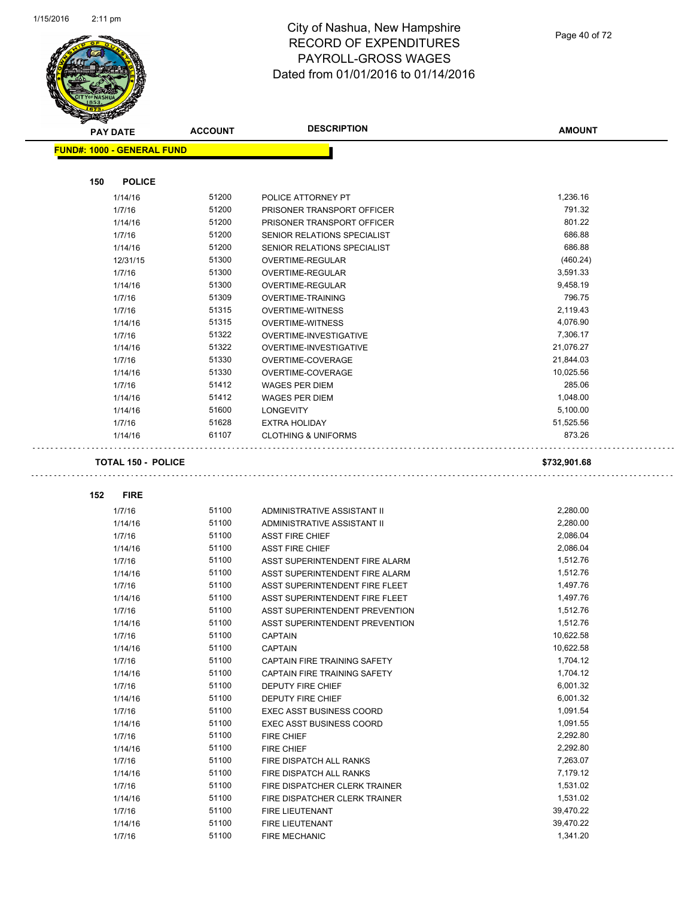

|     | <b>PAY DATE</b>                   | <b>ACCOUNT</b> | <b>DESCRIPTION</b>              | <b>AMOUNT</b> |
|-----|-----------------------------------|----------------|---------------------------------|---------------|
|     | <b>FUND#: 1000 - GENERAL FUND</b> |                |                                 |               |
|     |                                   |                |                                 |               |
| 150 | <b>POLICE</b>                     |                |                                 |               |
|     | 1/14/16                           | 51200          | POLICE ATTORNEY PT              | 1,236.16      |
|     | 1/7/16                            | 51200          | PRISONER TRANSPORT OFFICER      | 791.32        |
|     | 1/14/16                           | 51200          | PRISONER TRANSPORT OFFICER      | 801.22        |
|     | 1/7/16                            | 51200          | SENIOR RELATIONS SPECIALIST     | 686.88        |
|     | 1/14/16                           | 51200          | SENIOR RELATIONS SPECIALIST     | 686.88        |
|     | 12/31/15                          | 51300          | OVERTIME-REGULAR                | (460.24)      |
|     | 1/7/16                            | 51300          | OVERTIME-REGULAR                | 3,591.33      |
|     | 1/14/16                           | 51300          | OVERTIME-REGULAR                | 9,458.19      |
|     | 1/7/16                            | 51309          | <b>OVERTIME-TRAINING</b>        | 796.75        |
|     | 1/7/16                            | 51315          | <b>OVERTIME-WITNESS</b>         | 2,119.43      |
|     | 1/14/16                           | 51315          | <b>OVERTIME-WITNESS</b>         | 4,076.90      |
|     | 1/7/16                            | 51322          | OVERTIME-INVESTIGATIVE          | 7,306.17      |
|     | 1/14/16                           | 51322          | OVERTIME-INVESTIGATIVE          | 21,076.27     |
|     | 1/7/16                            | 51330          | OVERTIME-COVERAGE               | 21,844.03     |
|     | 1/14/16                           | 51330          | OVERTIME-COVERAGE               | 10,025.56     |
|     | 1/7/16                            | 51412          | <b>WAGES PER DIEM</b>           | 285.06        |
|     | 1/14/16                           | 51412          | <b>WAGES PER DIEM</b>           | 1,048.00      |
|     | 1/14/16                           | 51600          | <b>LONGEVITY</b>                | 5,100.00      |
|     | 1/7/16                            | 51628          | <b>EXTRA HOLIDAY</b>            | 51,525.56     |
|     | 1/14/16                           | 61107          | <b>CLOTHING &amp; UNIFORMS</b>  | 873.26        |
|     | <b>TOTAL 150 - POLICE</b>         |                |                                 | \$732,901.68  |
| 152 | <b>FIRE</b>                       |                |                                 |               |
|     | 1/7/16                            | 51100          | ADMINISTRATIVE ASSISTANT II     | 2,280.00      |
|     | 1/14/16                           | 51100          | ADMINISTRATIVE ASSISTANT II     | 2,280.00      |
|     | 1/7/16                            | 51100          | <b>ASST FIRE CHIEF</b>          | 2,086.04      |
|     | 1/14/16                           | 51100          | <b>ASST FIRE CHIEF</b>          | 2,086.04      |
|     | 1/7/16                            | 51100          | ASST SUPERINTENDENT FIRE ALARM  | 1,512.76      |
|     | 1/14/16                           | 51100          | ASST SUPERINTENDENT FIRE ALARM  | 1,512.76      |
|     | 1/7/16                            | 51100          | ASST SUPERINTENDENT FIRE FLEET  | 1,497.76      |
|     | 1/14/16                           | 51100          | ASST SUPERINTENDENT FIRE FLEET  | 1,497.76      |
|     | 1/7/16                            | 51100          | ASST SUPERINTENDENT PREVENTION  | 1,512.76      |
|     | 1/14/16                           | 51100          | ASST SUPERINTENDENT PREVENTION  | 1,512.76      |
|     | 1/7/16                            | 51100          | <b>CAPTAIN</b>                  | 10,622.58     |
|     | 1/14/16                           | 51100          | <b>CAPTAIN</b>                  | 10,622.58     |
|     | 1/7/16                            | 51100          | CAPTAIN FIRE TRAINING SAFETY    | 1,704.12      |
|     | 1/14/16                           | 51100          | CAPTAIN FIRE TRAINING SAFETY    | 1,704.12      |
|     | 1/7/16                            | 51100          | <b>DEPUTY FIRE CHIEF</b>        | 6,001.32      |
|     | 1/14/16                           | 51100          | DEPUTY FIRE CHIEF               | 6,001.32      |
|     | 1/7/16                            | 51100          | <b>EXEC ASST BUSINESS COORD</b> | 1,091.54      |
|     | 1/14/16                           | 51100          | EXEC ASST BUSINESS COORD        | 1,091.55      |
|     | 1/7/16                            | 51100          | <b>FIRE CHIEF</b>               | 2,292.80      |
|     | 1/14/16                           | 51100          | FIRE CHIEF                      | 2,292.80      |
|     | 1/7/16                            | 51100          | FIRE DISPATCH ALL RANKS         | 7,263.07      |
|     | 1/14/16                           | 51100          | FIRE DISPATCH ALL RANKS         | 7,179.12      |
|     | 1/7/16                            | 51100          | FIRE DISPATCHER CLERK TRAINER   | 1,531.02      |
|     | 1/14/16                           | 51100          | FIRE DISPATCHER CLERK TRAINER   | 1,531.02      |
|     | 1/7/16                            | 51100          | FIRE LIEUTENANT                 | 39,470.22     |
|     | 1/14/16                           | 51100          | FIRE LIEUTENANT                 | 39,470.22     |
|     | 1/7/16                            | 51100          | FIRE MECHANIC                   | 1,341.20      |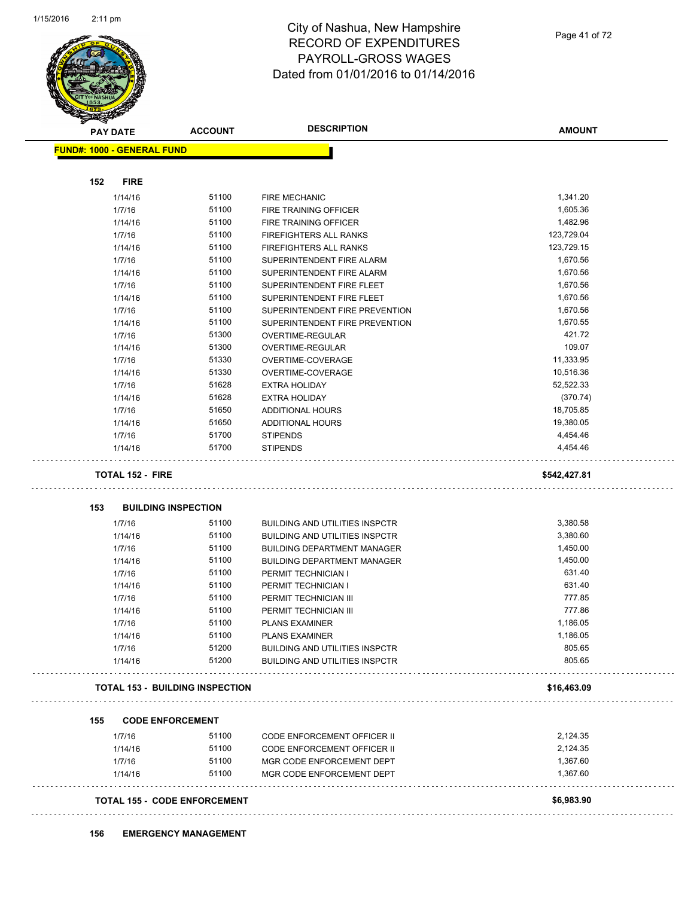

Page 41 of 72

|                                   | <b>ACCOUNT</b>                         | <b>DESCRIPTION</b>                    | <b>AMOUNT</b> |
|-----------------------------------|----------------------------------------|---------------------------------------|---------------|
| <b>FUND#: 1000 - GENERAL FUND</b> |                                        |                                       |               |
| 152<br><b>FIRE</b>                |                                        |                                       |               |
| 1/14/16                           | 51100                                  | <b>FIRE MECHANIC</b>                  | 1,341.20      |
| 1/7/16                            | 51100                                  | FIRE TRAINING OFFICER                 | 1,605.36      |
| 1/14/16                           | 51100                                  | FIRE TRAINING OFFICER                 | 1,482.96      |
| 1/7/16                            | 51100                                  | FIREFIGHTERS ALL RANKS                | 123,729.04    |
| 1/14/16                           | 51100                                  | <b>FIREFIGHTERS ALL RANKS</b>         | 123,729.15    |
| 1/7/16                            | 51100                                  | SUPERINTENDENT FIRE ALARM             | 1,670.56      |
| 1/14/16                           | 51100                                  | SUPERINTENDENT FIRE ALARM             | 1,670.56      |
| 1/7/16                            | 51100                                  | SUPERINTENDENT FIRE FLEET             | 1,670.56      |
| 1/14/16                           | 51100                                  | SUPERINTENDENT FIRE FLEET             | 1,670.56      |
| 1/7/16                            | 51100                                  | SUPERINTENDENT FIRE PREVENTION        | 1,670.56      |
| 1/14/16                           | 51100                                  | SUPERINTENDENT FIRE PREVENTION        | 1,670.55      |
| 1/7/16                            | 51300                                  | OVERTIME-REGULAR                      | 421.72        |
| 1/14/16                           | 51300                                  | OVERTIME-REGULAR                      | 109.07        |
| 1/7/16                            | 51330                                  | OVERTIME-COVERAGE                     | 11,333.95     |
| 1/14/16                           | 51330                                  | OVERTIME-COVERAGE                     | 10,516.36     |
| 1/7/16                            | 51628                                  | <b>EXTRA HOLIDAY</b>                  | 52,522.33     |
| 1/14/16                           | 51628                                  | <b>EXTRA HOLIDAY</b>                  | (370.74)      |
| 1/7/16                            | 51650                                  | ADDITIONAL HOURS                      | 18,705.85     |
| 1/14/16                           | 51650                                  | ADDITIONAL HOURS                      | 19,380.05     |
| 1/7/16                            | 51700                                  | <b>STIPENDS</b>                       | 4,454.46      |
| 1/14/16                           | 51700                                  | <b>STIPENDS</b>                       | 4,454.46      |
|                                   |                                        |                                       |               |
| <b>TOTAL 152 - FIRE</b>           |                                        |                                       | \$542,427.81  |
| 153                               | <b>BUILDING INSPECTION</b>             |                                       |               |
| 1/7/16                            | 51100                                  | <b>BUILDING AND UTILITIES INSPCTR</b> | 3,380.58      |
| 1/14/16                           | 51100                                  | <b>BUILDING AND UTILITIES INSPCTR</b> | 3,380.60      |
| 1/7/16                            | 51100                                  | <b>BUILDING DEPARTMENT MANAGER</b>    | 1,450.00      |
| 1/14/16                           | 51100                                  | <b>BUILDING DEPARTMENT MANAGER</b>    | 1,450.00      |
| 1/7/16                            | 51100                                  | PERMIT TECHNICIAN I                   | 631.40        |
| 1/14/16                           | 51100                                  | PERMIT TECHNICIAN I                   | 631.40        |
| 1/7/16                            | 51100                                  | PERMIT TECHNICIAN III                 | 777.85        |
| 1/14/16                           | 51100                                  | PERMIT TECHNICIAN III                 | 777.86        |
| 1/7/16                            | 51100                                  | PLANS EXAMINER                        | 1,186.05      |
| 1/14/16                           | 51100                                  | <b>PLANS EXAMINER</b>                 | 1,186.05      |
| 1/7/16                            | 51200                                  | <b>BUILDING AND UTILITIES INSPCTR</b> | 805.65        |
| 1/14/16                           | 51200                                  | <b>BUILDING AND UTILITIES INSPCTR</b> | 805.65        |
|                                   | <b>TOTAL 153 - BUILDING INSPECTION</b> |                                       | \$16,463.09   |
|                                   |                                        |                                       |               |
| 155                               | <b>CODE ENFORCEMENT</b>                |                                       |               |
| 1/7/16                            | 51100                                  | CODE ENFORCEMENT OFFICER II           | 2,124.35      |
| 1/14/16                           | 51100                                  | CODE ENFORCEMENT OFFICER II           | 2,124.35      |
| 1/7/16                            | 51100                                  | MGR CODE ENFORCEMENT DEPT             | 1,367.60      |
| 1/14/16                           | 51100                                  | MGR CODE ENFORCEMENT DEPT             | 1,367.60      |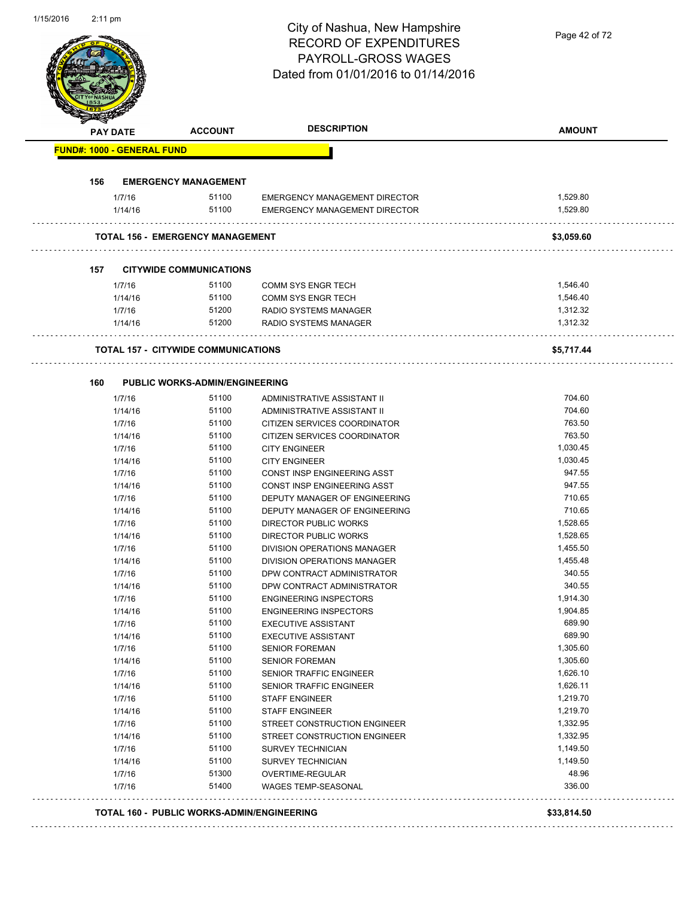| 1/15/2016 | $2:11 \text{ pm}$                 |                                                   | City of Nashua, New Hampshire<br><b>RECORD OF EXPENDITURES</b><br><b>PAYROLL-GROSS WAGES</b><br>Dated from 01/01/2016 to 01/14/2016 | Page 42 of 72        |
|-----------|-----------------------------------|---------------------------------------------------|-------------------------------------------------------------------------------------------------------------------------------------|----------------------|
|           | PAY DATE                          | <b>ACCOUNT</b>                                    | <b>DESCRIPTION</b>                                                                                                                  | <b>AMOUNT</b>        |
|           | <b>FUND#: 1000 - GENERAL FUND</b> |                                                   |                                                                                                                                     |                      |
|           | 156                               | <b>EMERGENCY MANAGEMENT</b>                       |                                                                                                                                     |                      |
|           | 1/7/16<br>1/14/16                 | 51100<br>51100                                    | <b>EMERGENCY MANAGEMENT DIRECTOR</b><br>EMERGENCY MANAGEMENT DIRECTOR                                                               | 1,529.80<br>1,529.80 |
|           |                                   | <b>TOTAL 156 - EMERGENCY MANAGEMENT</b>           |                                                                                                                                     | \$3,059.60           |
|           | 157                               | <b>CITYWIDE COMMUNICATIONS</b>                    |                                                                                                                                     |                      |
|           | 1/7/16                            | 51100                                             | <b>COMM SYS ENGR TECH</b>                                                                                                           | 1,546.40             |
|           | 1/14/16                           | 51100                                             | <b>COMM SYS ENGR TECH</b>                                                                                                           | 1,546.40             |
|           | 1/7/16                            | 51200                                             | RADIO SYSTEMS MANAGER                                                                                                               | 1,312.32             |
|           | 1/14/16                           | 51200                                             | RADIO SYSTEMS MANAGER                                                                                                               | 1,312.32             |
|           |                                   | <b>TOTAL 157 - CITYWIDE COMMUNICATIONS</b>        |                                                                                                                                     | \$5,717.44           |
|           | 160                               | <b>PUBLIC WORKS-ADMIN/ENGINEERING</b>             |                                                                                                                                     |                      |
|           | 1/7/16                            | 51100                                             | ADMINISTRATIVE ASSISTANT II                                                                                                         | 704.60               |
|           | 1/14/16                           | 51100                                             | ADMINISTRATIVE ASSISTANT II                                                                                                         | 704.60               |
|           | 1/7/16                            | 51100                                             | CITIZEN SERVICES COORDINATOR                                                                                                        | 763.50               |
|           | 1/14/16                           | 51100                                             | CITIZEN SERVICES COORDINATOR                                                                                                        | 763.50               |
|           | 1/7/16                            | 51100                                             | <b>CITY ENGINEER</b>                                                                                                                | 1,030.45             |
|           | 1/14/16                           | 51100                                             | <b>CITY ENGINEER</b>                                                                                                                | 1,030.45             |
|           | 1/7/16                            | 51100                                             | CONST INSP ENGINEERING ASST                                                                                                         | 947.55               |
|           | 1/14/16                           | 51100                                             | CONST INSP ENGINEERING ASST                                                                                                         | 947.55               |
|           | 1/7/16                            | 51100                                             | DEPUTY MANAGER OF ENGINEERING                                                                                                       | 710.65               |
|           | 1/14/16                           | 51100                                             | DEPUTY MANAGER OF ENGINEERING                                                                                                       | 710.65               |
|           | 1/7/16                            | 51100                                             | DIRECTOR PUBLIC WORKS                                                                                                               | 1,528.65             |
|           | 1/14/16                           | 51100                                             | DIRECTOR PUBLIC WORKS                                                                                                               | 1,528.65             |
|           | 1/7/16                            | 51100                                             | DIVISION OPERATIONS MANAGER                                                                                                         | 1,455.50             |
|           | 1/14/16                           | 51100<br>51100                                    | DIVISION OPERATIONS MANAGER                                                                                                         | 1,455.48<br>340.55   |
|           | 1/7/16<br>1/14/16                 | 51100                                             | DPW CONTRACT ADMINISTRATOR<br>DPW CONTRACT ADMINISTRATOR                                                                            | 340.55               |
|           | 1/7/16                            | 51100                                             | <b>ENGINEERING INSPECTORS</b>                                                                                                       | 1,914.30             |
|           | 1/14/16                           | 51100                                             | <b>ENGINEERING INSPECTORS</b>                                                                                                       | 1,904.85             |
|           | 1/7/16                            | 51100                                             | <b>EXECUTIVE ASSISTANT</b>                                                                                                          | 689.90               |
|           | 1/14/16                           | 51100                                             | <b>EXECUTIVE ASSISTANT</b>                                                                                                          | 689.90               |
|           | 1/7/16                            | 51100                                             | <b>SENIOR FOREMAN</b>                                                                                                               | 1,305.60             |
|           | 1/14/16                           | 51100                                             | <b>SENIOR FOREMAN</b>                                                                                                               | 1,305.60             |
|           | 1/7/16                            | 51100                                             | SENIOR TRAFFIC ENGINEER                                                                                                             | 1,626.10             |
|           | 1/14/16                           | 51100                                             | SENIOR TRAFFIC ENGINEER                                                                                                             | 1,626.11             |
|           | 1/7/16                            | 51100                                             | <b>STAFF ENGINEER</b>                                                                                                               | 1,219.70             |
|           | 1/14/16                           | 51100                                             | <b>STAFF ENGINEER</b>                                                                                                               | 1,219.70             |
|           | 1/7/16                            | 51100                                             | STREET CONSTRUCTION ENGINEER                                                                                                        | 1,332.95             |
|           | 1/14/16                           | 51100                                             | STREET CONSTRUCTION ENGINEER                                                                                                        | 1,332.95             |
|           | 1/7/16                            | 51100                                             | <b>SURVEY TECHNICIAN</b>                                                                                                            | 1,149.50             |
|           | 1/14/16                           | 51100                                             | <b>SURVEY TECHNICIAN</b>                                                                                                            | 1,149.50             |
|           | 1/7/16                            | 51300                                             | OVERTIME-REGULAR                                                                                                                    | 48.96                |
|           | 1/7/16                            | 51400                                             | WAGES TEMP-SEASONAL                                                                                                                 | 336.00               |
|           |                                   | <b>TOTAL 160 - PUBLIC WORKS-ADMIN/ENGINEERING</b> |                                                                                                                                     | \$33,814.50          |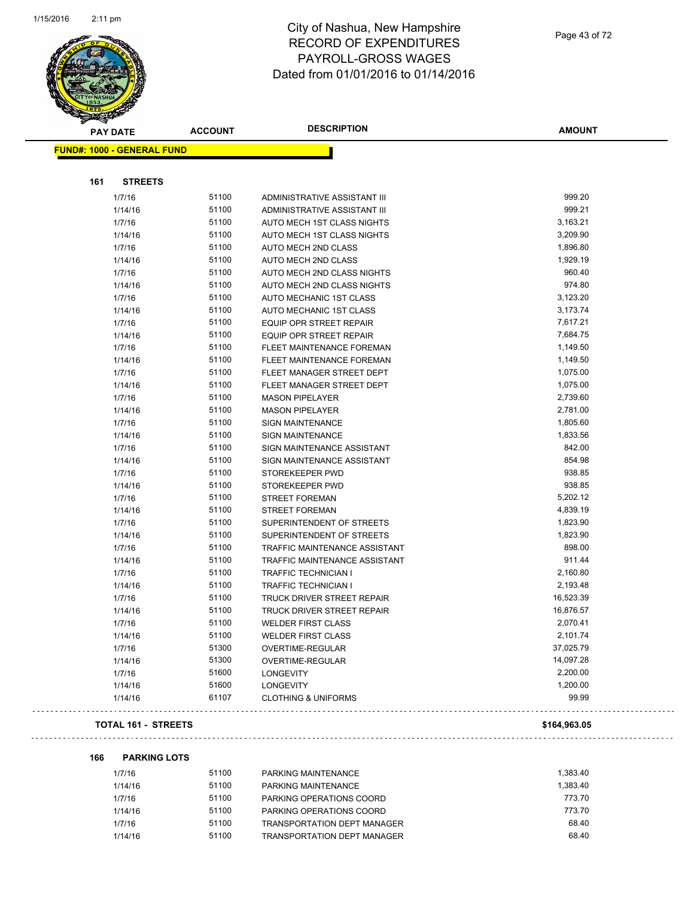

| <b>PAY DATE</b>                   | <b>ACCOUNT</b> | <b>DESCRIPTION</b>             | <b>AMOUNT</b> |
|-----------------------------------|----------------|--------------------------------|---------------|
| <b>FUND#: 1000 - GENERAL FUND</b> |                |                                |               |
|                                   |                |                                |               |
| 161<br><b>STREETS</b>             |                |                                |               |
| 1/7/16                            | 51100          | ADMINISTRATIVE ASSISTANT III   | 999.20        |
| 1/14/16                           | 51100          | ADMINISTRATIVE ASSISTANT III   | 999.21        |
| 1/7/16                            | 51100          | AUTO MECH 1ST CLASS NIGHTS     | 3,163.21      |
| 1/14/16                           | 51100          | AUTO MECH 1ST CLASS NIGHTS     | 3,209.90      |
| 1/7/16                            | 51100          | AUTO MECH 2ND CLASS            | 1,896.80      |
| 1/14/16                           | 51100          | AUTO MECH 2ND CLASS            | 1,929.19      |
| 1/7/16                            | 51100          | AUTO MECH 2ND CLASS NIGHTS     | 960.40        |
| 1/14/16                           | 51100          | AUTO MECH 2ND CLASS NIGHTS     | 974.80        |
| 1/7/16                            | 51100          | AUTO MECHANIC 1ST CLASS        | 3,123.20      |
| 1/14/16                           | 51100          | AUTO MECHANIC 1ST CLASS        | 3,173.74      |
| 1/7/16                            | 51100          | EQUIP OPR STREET REPAIR        | 7,617.21      |
| 1/14/16                           | 51100          | EQUIP OPR STREET REPAIR        | 7,684.75      |
| 1/7/16                            | 51100          | FLEET MAINTENANCE FOREMAN      | 1,149.50      |
| 1/14/16                           | 51100          | FLEET MAINTENANCE FOREMAN      | 1,149.50      |
| 1/7/16                            | 51100          | FLEET MANAGER STREET DEPT      | 1,075.00      |
| 1/14/16                           | 51100          | FLEET MANAGER STREET DEPT      | 1,075.00      |
| 1/7/16                            | 51100          | <b>MASON PIPELAYER</b>         | 2,739.60      |
| 1/14/16                           | 51100          | <b>MASON PIPELAYER</b>         | 2,781.00      |
| 1/7/16                            | 51100          | <b>SIGN MAINTENANCE</b>        | 1,805.60      |
| 1/14/16                           | 51100          | <b>SIGN MAINTENANCE</b>        | 1,833.56      |
| 1/7/16                            | 51100          | SIGN MAINTENANCE ASSISTANT     | 842.00        |
| 1/14/16                           | 51100          | SIGN MAINTENANCE ASSISTANT     | 854.98        |
| 1/7/16                            | 51100          | STOREKEEPER PWD                | 938.85        |
| 1/14/16                           | 51100          | STOREKEEPER PWD                | 938.85        |
| 1/7/16                            | 51100          | STREET FOREMAN                 | 5,202.12      |
| 1/14/16                           | 51100          | STREET FOREMAN                 | 4,839.19      |
| 1/7/16                            | 51100          | SUPERINTENDENT OF STREETS      | 1,823.90      |
| 1/14/16                           | 51100          | SUPERINTENDENT OF STREETS      | 1,823.90      |
| 1/7/16                            | 51100          | TRAFFIC MAINTENANCE ASSISTANT  | 898.00        |
| 1/14/16                           | 51100          | TRAFFIC MAINTENANCE ASSISTANT  | 911.44        |
| 1/7/16                            | 51100          | TRAFFIC TECHNICIAN I           | 2,160.80      |
| 1/14/16                           | 51100          | <b>TRAFFIC TECHNICIAN I</b>    | 2,193.48      |
| 1/7/16                            | 51100          | TRUCK DRIVER STREET REPAIR     | 16,523.39     |
| 1/14/16                           | 51100          | TRUCK DRIVER STREET REPAIR     | 16,876.57     |
| 1/7/16                            | 51100          | <b>WELDER FIRST CLASS</b>      | 2,070.41      |
| 1/14/16                           | 51100          | <b>WELDER FIRST CLASS</b>      | 2,101.74      |
| 1/7/16                            | 51300          | OVERTIME-REGULAR               | 37,025.79     |
| 1/14/16                           | 51300          | OVERTIME-REGULAR               | 14,097.28     |
| 1/7/16                            | 51600          | <b>LONGEVITY</b>               | 2,200.00      |
| 1/14/16                           | 51600          | <b>LONGEVITY</b>               | 1,200.00      |
| 1/14/16                           | 61107          | <b>CLOTHING &amp; UNIFORMS</b> | 99.99         |
| <b>TOTAL 161 - STREETS</b>        |                |                                | \$164,963.05  |

 $\bar{z}$  .

#### **166 PARKING LOTS**

| 1/7/16  | 51100 | PARKING MAINTENANCE                | 1.383.40 |
|---------|-------|------------------------------------|----------|
| 1/14/16 | 51100 | PARKING MAINTENANCE                | 1.383.40 |
| 1/7/16  | 51100 | PARKING OPERATIONS COORD           | 773.70   |
| 1/14/16 | 51100 | PARKING OPERATIONS COORD           | 773.70   |
| 1/7/16  | 51100 | <b>TRANSPORTATION DEPT MANAGER</b> | 68.40    |
| 1/14/16 | 51100 | <b>TRANSPORTATION DEPT MANAGER</b> | 68.40    |
|         |       |                                    |          |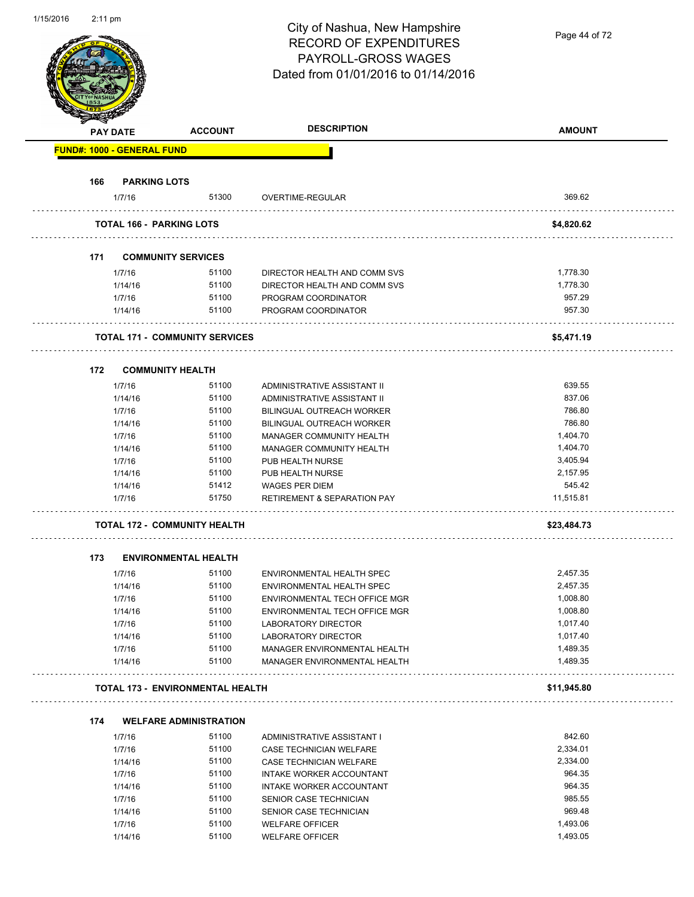| 1/15/2016 | $2:11 \text{ pm}$ |                                   |                                         | City of Nashua, New Hampshire<br><b>RECORD OF EXPENDITURES</b><br>PAYROLL-GROSS WAGES<br>Dated from 01/01/2016 to 01/14/2016 | Page 44 of 72 |
|-----------|-------------------|-----------------------------------|-----------------------------------------|------------------------------------------------------------------------------------------------------------------------------|---------------|
|           |                   | <b>PAY DATE</b>                   | <b>ACCOUNT</b>                          | <b>DESCRIPTION</b>                                                                                                           | <b>AMOUNT</b> |
|           |                   | <b>FUND#: 1000 - GENERAL FUND</b> |                                         |                                                                                                                              |               |
|           |                   |                                   |                                         |                                                                                                                              |               |
|           | 166               | <b>PARKING LOTS</b>               |                                         |                                                                                                                              |               |
|           |                   | 1/7/16                            | 51300                                   | OVERTIME-REGULAR                                                                                                             | 369.62        |
|           |                   |                                   | <b>TOTAL 166 - PARKING LOTS</b>         |                                                                                                                              | \$4,820.62    |
|           |                   |                                   |                                         |                                                                                                                              |               |
|           | 171               |                                   | <b>COMMUNITY SERVICES</b>               |                                                                                                                              |               |
|           |                   | 1/7/16                            | 51100                                   | DIRECTOR HEALTH AND COMM SVS                                                                                                 | 1,778.30      |
|           |                   | 1/14/16                           | 51100                                   | DIRECTOR HEALTH AND COMM SVS                                                                                                 | 1,778.30      |
|           |                   | 1/7/16                            | 51100                                   | PROGRAM COORDINATOR                                                                                                          | 957.29        |
|           |                   | 1/14/16                           | 51100                                   | PROGRAM COORDINATOR                                                                                                          | 957.30        |
|           |                   |                                   | <b>TOTAL 171 - COMMUNITY SERVICES</b>   |                                                                                                                              | \$5,471.19    |
|           |                   |                                   |                                         |                                                                                                                              |               |
|           | 172               |                                   | <b>COMMUNITY HEALTH</b>                 |                                                                                                                              |               |
|           |                   | 1/7/16                            | 51100                                   | ADMINISTRATIVE ASSISTANT II                                                                                                  | 639.55        |
|           |                   | 1/14/16                           | 51100                                   | ADMINISTRATIVE ASSISTANT II                                                                                                  | 837.06        |
|           |                   | 1/7/16                            | 51100                                   | BILINGUAL OUTREACH WORKER                                                                                                    | 786.80        |
|           |                   | 1/14/16                           | 51100                                   | <b>BILINGUAL OUTREACH WORKER</b>                                                                                             | 786.80        |
|           |                   | 1/7/16                            | 51100                                   | MANAGER COMMUNITY HEALTH                                                                                                     | 1,404.70      |
|           |                   | 1/14/16                           | 51100                                   | MANAGER COMMUNITY HEALTH                                                                                                     | 1,404.70      |
|           |                   | 1/7/16                            | 51100                                   | PUB HEALTH NURSE                                                                                                             | 3,405.94      |
|           |                   | 1/14/16                           | 51100                                   | PUB HEALTH NURSE                                                                                                             | 2,157.95      |
|           |                   | 1/14/16                           | 51412                                   | <b>WAGES PER DIEM</b>                                                                                                        | 545.42        |
|           |                   | 1/7/16                            | 51750                                   | <b>RETIREMENT &amp; SEPARATION PAY</b>                                                                                       | 11,515.81     |
|           |                   |                                   |                                         |                                                                                                                              |               |
|           |                   |                                   | TOTAL 172 - COMMUNITY HEALTH            |                                                                                                                              | \$23,484.73   |
|           | 173               |                                   | <b>ENVIRONMENTAL HEALTH</b>             |                                                                                                                              |               |
|           |                   | 1/7/16                            | 51100                                   | <b>ENVIRONMENTAL HEALTH SPEC</b>                                                                                             | 2,457.35      |
|           |                   | 1/14/16                           | 51100                                   | ENVIRONMENTAL HEALTH SPEC                                                                                                    | 2,457.35      |
|           |                   | 1/7/16                            | 51100                                   | ENVIRONMENTAL TECH OFFICE MGR                                                                                                | 1,008.80      |
|           |                   | 1/14/16                           | 51100                                   | ENVIRONMENTAL TECH OFFICE MGR                                                                                                | 1,008.80      |
|           |                   | 1/7/16                            | 51100                                   | LABORATORY DIRECTOR                                                                                                          | 1,017.40      |
|           |                   | 1/14/16                           | 51100                                   | <b>LABORATORY DIRECTOR</b>                                                                                                   | 1,017.40      |
|           |                   | 1/7/16                            | 51100                                   | MANAGER ENVIRONMENTAL HEALTH                                                                                                 | 1,489.35      |
|           |                   | 1/14/16                           | 51100                                   | MANAGER ENVIRONMENTAL HEALTH                                                                                                 | 1,489.35      |
|           |                   |                                   |                                         |                                                                                                                              |               |
|           |                   |                                   | <b>TOTAL 173 - ENVIRONMENTAL HEALTH</b> |                                                                                                                              | \$11,945.80   |
|           | 174               |                                   | <b>WELFARE ADMINISTRATION</b>           |                                                                                                                              |               |
|           |                   | 1/7/16                            | 51100                                   | ADMINISTRATIVE ASSISTANT I                                                                                                   | 842.60        |
|           |                   | 1/7/16                            | 51100                                   | CASE TECHNICIAN WELFARE                                                                                                      | 2,334.01      |
|           |                   | 1/14/16                           | 51100                                   | <b>CASE TECHNICIAN WELFARE</b>                                                                                               | 2,334.00      |
|           |                   | 1/7/16                            | 51100                                   | INTAKE WORKER ACCOUNTANT                                                                                                     | 964.35        |
|           |                   | 1/14/16                           | 51100                                   | INTAKE WORKER ACCOUNTANT                                                                                                     | 964.35        |
|           |                   | 1/7/16                            | 51100                                   | SENIOR CASE TECHNICIAN                                                                                                       | 985.55        |
|           |                   | 1/14/16                           | 51100                                   | SENIOR CASE TECHNICIAN                                                                                                       | 969.48        |
|           |                   | 1/7/16                            | 51100                                   | <b>WELFARE OFFICER</b>                                                                                                       | 1,493.06      |
|           |                   | 1/14/16                           | 51100                                   | <b>WELFARE OFFICER</b>                                                                                                       | 1,493.05      |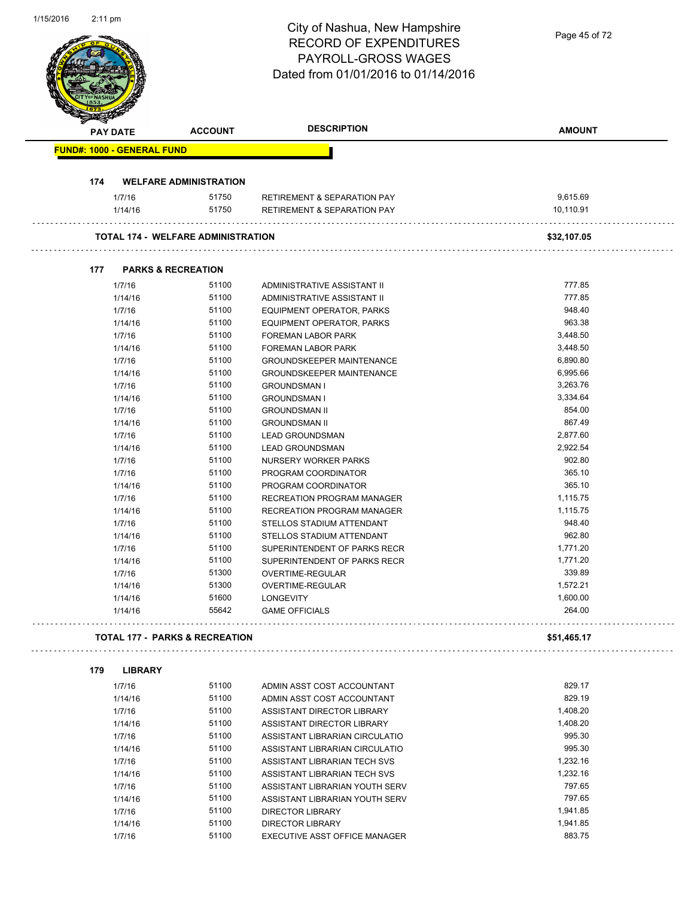|                                   |                   |                                           | City of Nashua, New Hampshire<br><b>RECORD OF EXPENDITURES</b> | Page 45 of 72      |
|-----------------------------------|-------------------|-------------------------------------------|----------------------------------------------------------------|--------------------|
|                                   |                   |                                           | <b>PAYROLL-GROSS WAGES</b>                                     |                    |
|                                   |                   |                                           | Dated from 01/01/2016 to 01/14/2016                            |                    |
|                                   |                   |                                           |                                                                |                    |
|                                   |                   |                                           |                                                                |                    |
|                                   |                   |                                           |                                                                |                    |
|                                   | <b>PAY DATE</b>   | <b>ACCOUNT</b>                            | <b>DESCRIPTION</b>                                             | <b>AMOUNT</b>      |
| <b>FUND#: 1000 - GENERAL FUND</b> |                   |                                           |                                                                |                    |
|                                   |                   |                                           |                                                                |                    |
| 174                               |                   | <b>WELFARE ADMINISTRATION</b>             |                                                                |                    |
|                                   | 1/7/16            | 51750                                     | <b>RETIREMENT &amp; SEPARATION PAY</b>                         | 9,615.69           |
|                                   | 1/14/16           | 51750                                     | RETIREMENT & SEPARATION PAY                                    | 10,110.91          |
|                                   |                   | <b>TOTAL 174 - WELFARE ADMINISTRATION</b> |                                                                | \$32,107.05        |
|                                   |                   |                                           |                                                                |                    |
| 177                               |                   | <b>PARKS &amp; RECREATION</b>             |                                                                |                    |
|                                   | 1/7/16            | 51100<br>51100                            | ADMINISTRATIVE ASSISTANT II<br>ADMINISTRATIVE ASSISTANT II     | 777.85<br>777.85   |
|                                   | 1/14/16<br>1/7/16 | 51100                                     |                                                                | 948.40             |
|                                   | 1/14/16           | 51100                                     | EQUIPMENT OPERATOR, PARKS<br>EQUIPMENT OPERATOR, PARKS         | 963.38             |
|                                   | 1/7/16            | 51100                                     | <b>FOREMAN LABOR PARK</b>                                      | 3,448.50           |
|                                   | 1/14/16           | 51100                                     | <b>FOREMAN LABOR PARK</b>                                      | 3,448.50           |
|                                   | 1/7/16            | 51100                                     | <b>GROUNDSKEEPER MAINTENANCE</b>                               | 6,890.80           |
|                                   | 1/14/16           | 51100                                     | <b>GROUNDSKEEPER MAINTENANCE</b>                               | 6,995.66           |
|                                   | 1/7/16            | 51100                                     |                                                                | 3,263.76           |
|                                   |                   | 51100                                     | <b>GROUNDSMAN I</b>                                            | 3,334.64           |
|                                   | 1/14/16           |                                           | <b>GROUNDSMAN I</b>                                            |                    |
|                                   | 1/7/16            | 51100                                     | <b>GROUNDSMAN II</b>                                           | 854.00             |
|                                   | 1/14/16           | 51100                                     | <b>GROUNDSMAN II</b>                                           | 867.49             |
|                                   | 1/7/16            | 51100                                     | <b>LEAD GROUNDSMAN</b>                                         | 2,877.60           |
|                                   | 1/14/16           | 51100                                     | <b>LEAD GROUNDSMAN</b>                                         | 2,922.54           |
|                                   | 1/7/16            | 51100                                     | NURSERY WORKER PARKS                                           | 902.80             |
|                                   | 1/7/16            | 51100                                     | PROGRAM COORDINATOR                                            | 365.10             |
|                                   | 1/14/16           | 51100                                     | PROGRAM COORDINATOR                                            | 365.10             |
|                                   | 1/7/16            | 51100                                     | RECREATION PROGRAM MANAGER                                     | 1,115.75           |
|                                   | 1/14/16           | 51100                                     | RECREATION PROGRAM MANAGER                                     | 1,115.75           |
|                                   | 1/7/16            | 51100                                     | STELLOS STADIUM ATTENDANT                                      | 948.40             |
|                                   | 1/14/16           | 51100                                     | STELLOS STADIUM ATTENDANT                                      | 962.80             |
|                                   | 1/7/16            | 51100                                     | SUPERINTENDENT OF PARKS RECR                                   | 1,771.20           |
|                                   | 1/14/16           | 51100                                     | SUPERINTENDENT OF PARKS RECR                                   | 1,771.20           |
|                                   | 1/7/16            | 51300                                     | OVERTIME-REGULAR                                               | 339.89             |
|                                   | 1/14/16           | 51300                                     | OVERTIME-REGULAR                                               | 1,572.21           |
|                                   | 1/14/16           | 51600<br>55642                            | <b>LONGEVITY</b><br><b>GAME OFFICIALS</b>                      | 1,600.00<br>264.00 |
|                                   | 1/14/16           |                                           |                                                                |                    |
|                                   |                   | <b>TOTAL 177 - PARKS &amp; RECREATION</b> |                                                                | \$51,465.17        |
| 179                               | <b>LIBRARY</b>    |                                           |                                                                |                    |
|                                   | 1/7/16            | 51100                                     | ADMIN ASST COST ACCOUNTANT                                     | 829.17             |
|                                   | 1/14/16           | 51100                                     | ADMIN ASST COST ACCOUNTANT                                     | 829.19             |
|                                   | 1/7/16            | 51100                                     | ASSISTANT DIRECTOR LIBRARY                                     | 1,408.20           |
|                                   | 1/14/16           | 51100                                     | ASSISTANT DIRECTOR LIBRARY                                     | 1,408.20           |
|                                   | 1/7/16            | 51100                                     | ASSISTANT LIBRARIAN CIRCULATIO                                 | 995.30             |
|                                   | 1/14/16           | 51100                                     | ASSISTANT LIBRARIAN CIRCULATIO                                 | 995.30             |
|                                   | 1/7/16            | 51100                                     | ASSISTANT LIBRARIAN TECH SVS                                   | 1,232.16           |
|                                   | 1/14/16           | 51100                                     | ASSISTANT LIBRARIAN TECH SVS                                   | 1,232.16           |
|                                   | 1/7/16            | 51100                                     | ASSISTANT LIBRARIAN YOUTH SERV                                 | 797.65             |
|                                   | 1/14/16           | 51100                                     | ASSISTANT LIBRARIAN YOUTH SERV                                 | 797.65             |
|                                   | 1/7/16            | 51100                                     | <b>DIRECTOR LIBRARY</b>                                        | 1,941.85           |
|                                   |                   | 51100                                     |                                                                | 1,941.85           |
|                                   | 1/14/16           |                                           | DIRECTOR LIBRARY                                               |                    |

1/15/2016 2:11 pm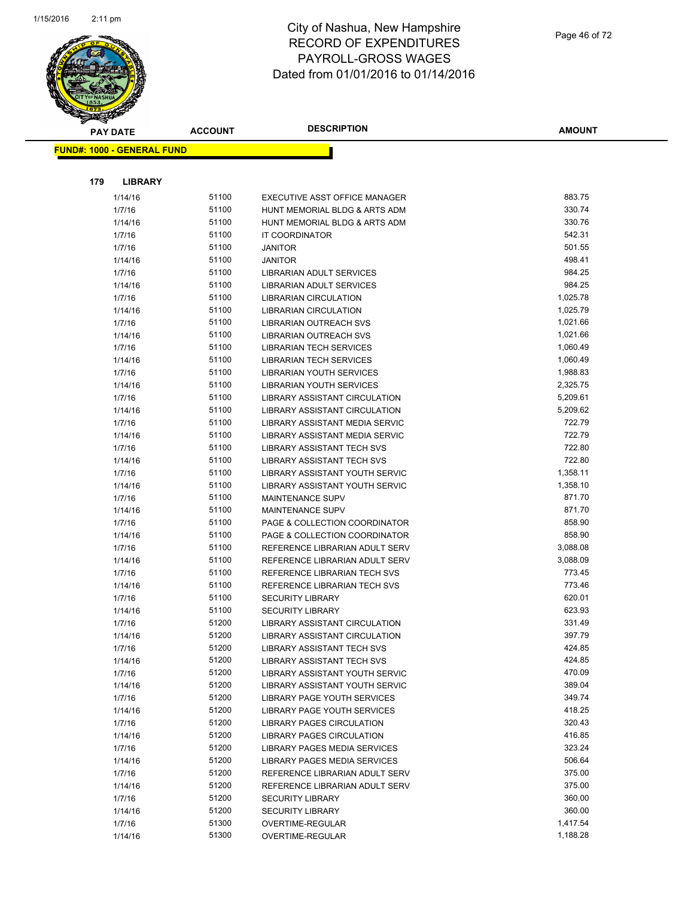

| <b>PAY DATE</b>                   | <b>ACCOUNT</b> | <b>DESCRIPTION</b>                                             | <b>AMOUNT</b>      |
|-----------------------------------|----------------|----------------------------------------------------------------|--------------------|
| <b>FUND#: 1000 - GENERAL FUND</b> |                |                                                                |                    |
|                                   |                |                                                                |                    |
|                                   |                |                                                                |                    |
| 179<br><b>LIBRARY</b>             |                |                                                                |                    |
| 1/14/16                           | 51100          | EXECUTIVE ASST OFFICE MANAGER                                  | 883.75             |
| 1/7/16                            | 51100          | HUNT MEMORIAL BLDG & ARTS ADM                                  | 330.74             |
| 1/14/16                           | 51100          | HUNT MEMORIAL BLDG & ARTS ADM                                  | 330.76             |
| 1/7/16                            | 51100          | IT COORDINATOR                                                 | 542.31             |
| 1/7/16                            | 51100          | <b>JANITOR</b>                                                 | 501.55             |
| 1/14/16                           | 51100          | <b>JANITOR</b>                                                 | 498.41             |
| 1/7/16                            | 51100          | <b>LIBRARIAN ADULT SERVICES</b>                                | 984.25             |
| 1/14/16                           | 51100          | <b>LIBRARIAN ADULT SERVICES</b>                                | 984.25             |
| 1/7/16                            | 51100          | <b>LIBRARIAN CIRCULATION</b>                                   | 1,025.78           |
| 1/14/16                           | 51100          | <b>LIBRARIAN CIRCULATION</b>                                   | 1,025.79           |
| 1/7/16                            | 51100          | LIBRARIAN OUTREACH SVS                                         | 1,021.66           |
| 1/14/16                           | 51100          | LIBRARIAN OUTREACH SVS                                         | 1,021.66           |
| 1/7/16                            | 51100          | <b>LIBRARIAN TECH SERVICES</b>                                 | 1,060.49           |
| 1/14/16                           | 51100          | <b>LIBRARIAN TECH SERVICES</b>                                 | 1,060.49           |
| 1/7/16                            | 51100          | LIBRARIAN YOUTH SERVICES                                       | 1,988.83           |
| 1/14/16                           | 51100          | LIBRARIAN YOUTH SERVICES                                       | 2,325.75           |
| 1/7/16                            | 51100          | <b>LIBRARY ASSISTANT CIRCULATION</b>                           | 5,209.61           |
| 1/14/16                           | 51100          | <b>LIBRARY ASSISTANT CIRCULATION</b>                           | 5,209.62           |
| 1/7/16                            | 51100          | <b>LIBRARY ASSISTANT MEDIA SERVIC</b>                          | 722.79             |
| 1/14/16                           | 51100          | LIBRARY ASSISTANT MEDIA SERVIC                                 | 722.79             |
| 1/7/16                            | 51100          | LIBRARY ASSISTANT TECH SVS                                     | 722.80             |
| 1/14/16                           | 51100          | LIBRARY ASSISTANT TECH SVS                                     | 722.80             |
| 1/7/16                            | 51100          | LIBRARY ASSISTANT YOUTH SERVIC                                 | 1,358.11           |
| 1/14/16                           | 51100          | LIBRARY ASSISTANT YOUTH SERVIC                                 | 1,358.10           |
| 1/7/16                            | 51100          | <b>MAINTENANCE SUPV</b>                                        | 871.70             |
| 1/14/16                           | 51100          | <b>MAINTENANCE SUPV</b>                                        | 871.70             |
| 1/7/16                            | 51100          | PAGE & COLLECTION COORDINATOR                                  | 858.90             |
| 1/14/16                           | 51100<br>51100 | PAGE & COLLECTION COORDINATOR                                  | 858.90<br>3,088.08 |
| 1/7/16                            | 51100          | REFERENCE LIBRARIAN ADULT SERV                                 | 3,088.09           |
| 1/14/16                           | 51100          | REFERENCE LIBRARIAN ADULT SERV<br>REFERENCE LIBRARIAN TECH SVS | 773.45             |
| 1/7/16<br>1/14/16                 | 51100          | REFERENCE LIBRARIAN TECH SVS                                   | 773.46             |
| 1/7/16                            | 51100          | <b>SECURITY LIBRARY</b>                                        | 620.01             |
| 1/14/16                           | 51100          | <b>SECURITY LIBRARY</b>                                        | 623.93             |
| 1/7/16                            | 51200          | <b>LIBRARY ASSISTANT CIRCULATION</b>                           | 331.49             |
| 1/14/16                           | 51200          | LIBRARY ASSISTANT CIRCULATION                                  | 397.79             |
| 1/7/16                            | 51200          | LIBRARY ASSISTANT TECH SVS                                     | 424.85             |
| 1/14/16                           | 51200          | LIBRARY ASSISTANT TECH SVS                                     | 424.85             |
| 1/7/16                            | 51200          | <b>LIBRARY ASSISTANT YOUTH SERVIC</b>                          | 470.09             |
| 1/14/16                           | 51200          | LIBRARY ASSISTANT YOUTH SERVIC                                 | 389.04             |
| 1/7/16                            | 51200          | <b>LIBRARY PAGE YOUTH SERVICES</b>                             | 349.74             |
| 1/14/16                           | 51200          | LIBRARY PAGE YOUTH SERVICES                                    | 418.25             |
| 1/7/16                            | 51200          | <b>LIBRARY PAGES CIRCULATION</b>                               | 320.43             |
| 1/14/16                           | 51200          | <b>LIBRARY PAGES CIRCULATION</b>                               | 416.85             |
| 1/7/16                            | 51200          | LIBRARY PAGES MEDIA SERVICES                                   | 323.24             |
| 1/14/16                           | 51200          | LIBRARY PAGES MEDIA SERVICES                                   | 506.64             |
| 1/7/16                            | 51200          | REFERENCE LIBRARIAN ADULT SERV                                 | 375.00             |
| 1/14/16                           | 51200          | REFERENCE LIBRARIAN ADULT SERV                                 | 375.00             |
| 1/7/16                            | 51200          | <b>SECURITY LIBRARY</b>                                        | 360.00             |
| 1/14/16                           | 51200          | <b>SECURITY LIBRARY</b>                                        | 360.00             |
| 1/7/16                            | 51300          | OVERTIME-REGULAR                                               | 1,417.54           |
| 1/14/16                           | 51300          | OVERTIME-REGULAR                                               | 1,188.28           |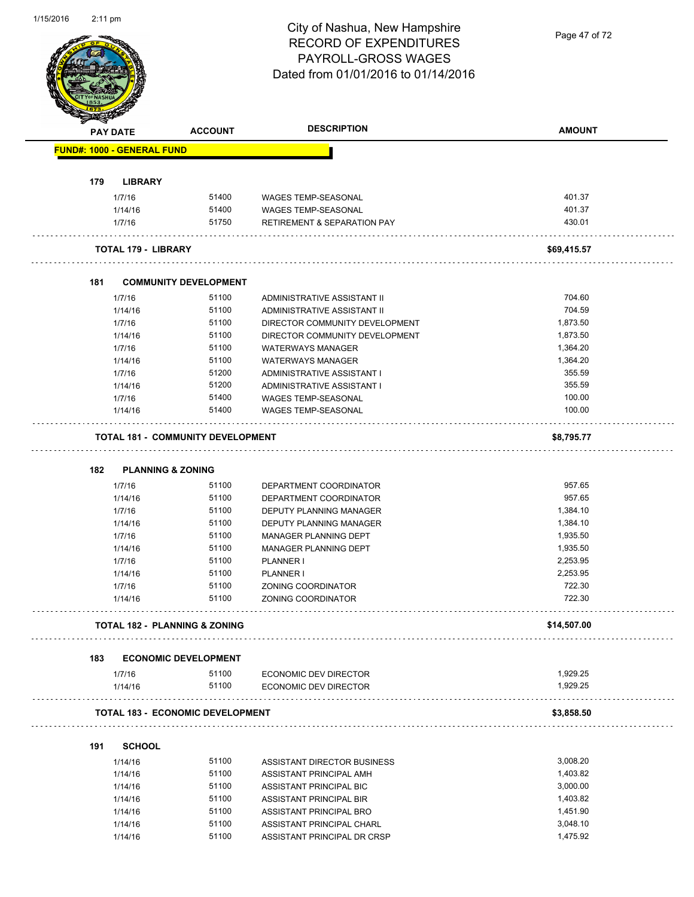Page 47 of 72

|     | <b>PAY DATE</b>                   | <b>ACCOUNT</b>                           | <b>DESCRIPTION</b>                                   | <b>AMOUNT</b>        |
|-----|-----------------------------------|------------------------------------------|------------------------------------------------------|----------------------|
|     | <b>FUND#: 1000 - GENERAL FUND</b> |                                          |                                                      |                      |
| 179 | <b>LIBRARY</b>                    |                                          |                                                      |                      |
|     | 1/7/16                            | 51400                                    | <b>WAGES TEMP-SEASONAL</b>                           | 401.37               |
|     | 1/14/16                           | 51400                                    | <b>WAGES TEMP-SEASONAL</b>                           | 401.37               |
|     | 1/7/16                            | 51750                                    | <b>RETIREMENT &amp; SEPARATION PAY</b>               | 430.01               |
|     | TOTAL 179 - LIBRARY               |                                          |                                                      | \$69,415.57          |
| 181 |                                   | <b>COMMUNITY DEVELOPMENT</b>             |                                                      |                      |
|     | 1/7/16                            | 51100                                    | ADMINISTRATIVE ASSISTANT II                          | 704.60               |
|     | 1/14/16                           | 51100                                    | ADMINISTRATIVE ASSISTANT II                          | 704.59               |
|     | 1/7/16                            | 51100                                    | DIRECTOR COMMUNITY DEVELOPMENT                       | 1,873.50             |
|     | 1/14/16                           | 51100                                    | DIRECTOR COMMUNITY DEVELOPMENT                       | 1,873.50             |
|     | 1/7/16                            | 51100                                    | <b>WATERWAYS MANAGER</b>                             | 1,364.20             |
|     | 1/14/16                           | 51100                                    | <b>WATERWAYS MANAGER</b>                             | 1,364.20             |
|     | 1/7/16                            | 51200                                    | ADMINISTRATIVE ASSISTANT I                           | 355.59               |
|     | 1/14/16                           | 51200                                    | ADMINISTRATIVE ASSISTANT I                           | 355.59               |
|     | 1/7/16                            | 51400                                    | <b>WAGES TEMP-SEASONAL</b>                           | 100.00               |
|     | 1/14/16                           | 51400                                    | WAGES TEMP-SEASONAL                                  | 100.00               |
|     |                                   | <b>TOTAL 181 - COMMUNITY DEVELOPMENT</b> |                                                      | \$8,795.77           |
|     |                                   |                                          |                                                      |                      |
| 182 |                                   | <b>PLANNING &amp; ZONING</b>             |                                                      |                      |
|     |                                   |                                          |                                                      |                      |
|     |                                   |                                          |                                                      |                      |
|     | 1/7/16                            | 51100                                    | DEPARTMENT COORDINATOR                               | 957.65               |
|     | 1/14/16                           | 51100                                    | DEPARTMENT COORDINATOR                               | 957.65               |
|     | 1/7/16                            | 51100                                    | DEPUTY PLANNING MANAGER                              | 1,384.10             |
|     | 1/14/16                           | 51100                                    | DEPUTY PLANNING MANAGER                              | 1,384.10             |
|     | 1/7/16                            | 51100                                    | <b>MANAGER PLANNING DEPT</b>                         | 1,935.50             |
|     | 1/14/16                           | 51100                                    | <b>MANAGER PLANNING DEPT</b>                         | 1,935.50             |
|     | 1/7/16                            | 51100                                    | PLANNER I                                            | 2,253.95             |
|     | 1/14/16                           | 51100                                    | <b>PLANNER I</b>                                     | 2,253.95             |
|     | 1/7/16<br>1/14/16                 | 51100<br>51100                           | ZONING COORDINATOR<br>ZONING COORDINATOR             | 722.30<br>722.30     |
|     |                                   | <b>TOTAL 182 - PLANNING &amp; ZONING</b> |                                                      | \$14,507.00          |
|     |                                   |                                          |                                                      |                      |
| 183 | 1/7/16                            | <b>ECONOMIC DEVELOPMENT</b><br>51100     | ECONOMIC DEV DIRECTOR                                | 1,929.25             |
|     | 1/14/16                           | 51100                                    | <b>ECONOMIC DEV DIRECTOR</b>                         | 1,929.25             |
|     |                                   | <b>TOTAL 183 - ECONOMIC DEVELOPMENT</b>  |                                                      | \$3,858.50           |
| 191 | <b>SCHOOL</b>                     |                                          |                                                      |                      |
|     |                                   |                                          |                                                      |                      |
|     | 1/14/16                           | 51100                                    | ASSISTANT DIRECTOR BUSINESS                          | 3,008.20             |
|     | 1/14/16                           | 51100                                    | ASSISTANT PRINCIPAL AMH                              | 1,403.82             |
|     | 1/14/16                           | 51100                                    | ASSISTANT PRINCIPAL BIC                              | 3,000.00             |
|     | 1/14/16                           | 51100                                    | ASSISTANT PRINCIPAL BIR                              | 1,403.82             |
|     | 1/14/16<br>1/14/16                | 51100<br>51100                           | ASSISTANT PRINCIPAL BRO<br>ASSISTANT PRINCIPAL CHARL | 1,451.90<br>3,048.10 |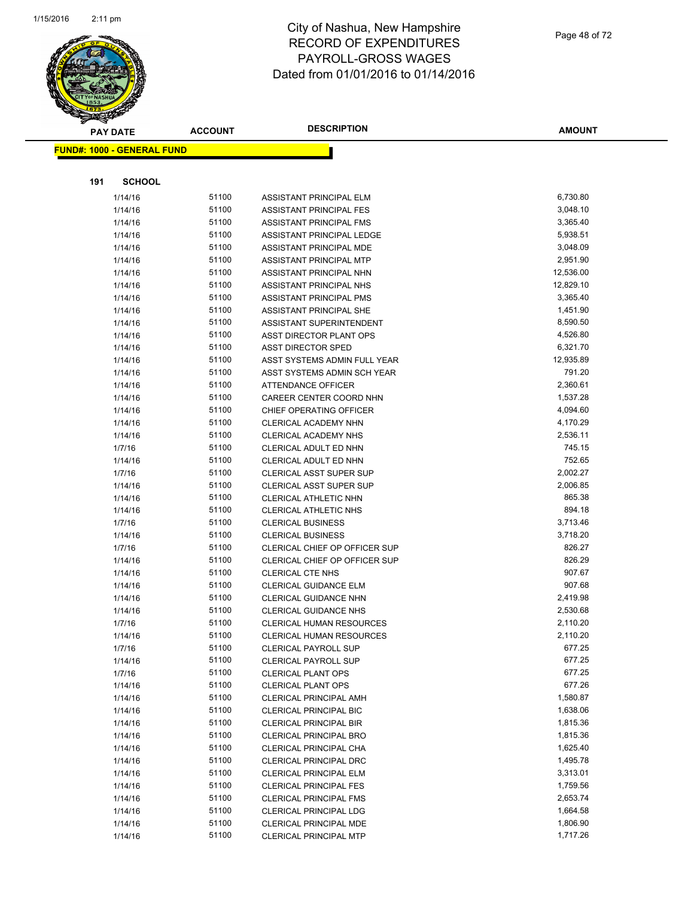

|     | <b>PAY DATE</b>                   | <b>ACCOUNT</b> | <b>DESCRIPTION</b>              | <b>AMOUNT</b> |
|-----|-----------------------------------|----------------|---------------------------------|---------------|
|     | <b>FUND#: 1000 - GENERAL FUND</b> |                |                                 |               |
|     |                                   |                |                                 |               |
|     |                                   |                |                                 |               |
| 191 | <b>SCHOOL</b>                     |                |                                 |               |
|     | 1/14/16                           | 51100          | ASSISTANT PRINCIPAL ELM         | 6,730.80      |
|     | 1/14/16                           | 51100          | ASSISTANT PRINCIPAL FES         | 3,048.10      |
|     | 1/14/16                           | 51100          | ASSISTANT PRINCIPAL FMS         | 3,365.40      |
|     | 1/14/16                           | 51100          | ASSISTANT PRINCIPAL LEDGE       | 5,938.51      |
|     | 1/14/16                           | 51100          | ASSISTANT PRINCIPAL MDE         | 3,048.09      |
|     | 1/14/16                           | 51100          | ASSISTANT PRINCIPAL MTP         | 2,951.90      |
|     | 1/14/16                           | 51100          | ASSISTANT PRINCIPAL NHN         | 12,536.00     |
|     | 1/14/16                           | 51100          | ASSISTANT PRINCIPAL NHS         | 12,829.10     |
|     | 1/14/16                           | 51100          | ASSISTANT PRINCIPAL PMS         | 3,365.40      |
|     | 1/14/16                           | 51100          | ASSISTANT PRINCIPAL SHE         | 1,451.90      |
|     | 1/14/16                           | 51100          | ASSISTANT SUPERINTENDENT        | 8,590.50      |
|     | 1/14/16                           | 51100          | ASST DIRECTOR PLANT OPS         | 4,526.80      |
|     | 1/14/16                           | 51100          | <b>ASST DIRECTOR SPED</b>       | 6,321.70      |
|     | 1/14/16                           | 51100          | ASST SYSTEMS ADMIN FULL YEAR    | 12,935.89     |
|     | 1/14/16                           | 51100          | ASST SYSTEMS ADMIN SCH YEAR     | 791.20        |
|     | 1/14/16                           | 51100          | <b>ATTENDANCE OFFICER</b>       | 2,360.61      |
|     | 1/14/16                           | 51100          | CAREER CENTER COORD NHN         | 1,537.28      |
|     | 1/14/16                           | 51100          | CHIEF OPERATING OFFICER         | 4,094.60      |
|     | 1/14/16                           | 51100          | CLERICAL ACADEMY NHN            | 4,170.29      |
|     | 1/14/16                           | 51100          | CLERICAL ACADEMY NHS            | 2,536.11      |
|     | 1/7/16                            | 51100          | CLERICAL ADULT ED NHN           | 745.15        |
|     | 1/14/16                           | 51100          | CLERICAL ADULT ED NHN           | 752.65        |
|     | 1/7/16                            | 51100          | CLERICAL ASST SUPER SUP         | 2,002.27      |
|     | 1/14/16                           | 51100          | <b>CLERICAL ASST SUPER SUP</b>  | 2,006.85      |
|     | 1/14/16                           | 51100          | CLERICAL ATHLETIC NHN           | 865.38        |
|     | 1/14/16                           | 51100          | <b>CLERICAL ATHLETIC NHS</b>    | 894.18        |
|     | 1/7/16                            | 51100          | <b>CLERICAL BUSINESS</b>        | 3,713.46      |
|     | 1/14/16                           | 51100          | <b>CLERICAL BUSINESS</b>        | 3,718.20      |
|     | 1/7/16                            | 51100          | CLERICAL CHIEF OP OFFICER SUP   | 826.27        |
|     | 1/14/16                           | 51100          | CLERICAL CHIEF OP OFFICER SUP   | 826.29        |
|     | 1/14/16                           | 51100          | <b>CLERICAL CTE NHS</b>         | 907.67        |
|     | 1/14/16                           | 51100          | <b>CLERICAL GUIDANCE ELM</b>    | 907.68        |
|     | 1/14/16                           | 51100          | <b>CLERICAL GUIDANCE NHN</b>    | 2,419.98      |
|     | 1/14/16                           | 51100          | <b>CLERICAL GUIDANCE NHS</b>    | 2,530.68      |
|     | 1/7/16                            | 51100          | <b>CLERICAL HUMAN RESOURCES</b> | 2,110.20      |
|     | 1/14/16                           | 51100          | CLERICAL HUMAN RESOURCES        | 2,110.20      |
|     | 1/7/16                            | 51100          | <b>CLERICAL PAYROLL SUP</b>     | 677.25        |
|     | 1/14/16                           | 51100          | <b>CLERICAL PAYROLL SUP</b>     | 677.25        |
|     | 1/7/16                            | 51100          | <b>CLERICAL PLANT OPS</b>       | 677.25        |
|     | 1/14/16                           | 51100          | <b>CLERICAL PLANT OPS</b>       | 677.26        |
|     | 1/14/16                           | 51100          | <b>CLERICAL PRINCIPAL AMH</b>   | 1,580.87      |
|     | 1/14/16                           | 51100          | <b>CLERICAL PRINCIPAL BIC</b>   | 1,638.06      |
|     | 1/14/16                           | 51100          | <b>CLERICAL PRINCIPAL BIR</b>   | 1,815.36      |
|     | 1/14/16                           | 51100          | CLERICAL PRINCIPAL BRO          | 1,815.36      |
|     | 1/14/16                           | 51100          | CLERICAL PRINCIPAL CHA          | 1,625.40      |
|     | 1/14/16                           | 51100          | CLERICAL PRINCIPAL DRC          | 1,495.78      |
|     | 1/14/16                           | 51100          | <b>CLERICAL PRINCIPAL ELM</b>   | 3,313.01      |
|     | 1/14/16                           | 51100          | <b>CLERICAL PRINCIPAL FES</b>   | 1,759.56      |
|     | 1/14/16                           | 51100          | <b>CLERICAL PRINCIPAL FMS</b>   | 2,653.74      |
|     | 1/14/16                           | 51100          | <b>CLERICAL PRINCIPAL LDG</b>   | 1,664.58      |
|     | 1/14/16                           | 51100          | CLERICAL PRINCIPAL MDE          | 1,806.90      |
|     | 1/14/16                           | 51100          | CLERICAL PRINCIPAL MTP          | 1,717.26      |
|     |                                   |                |                                 |               |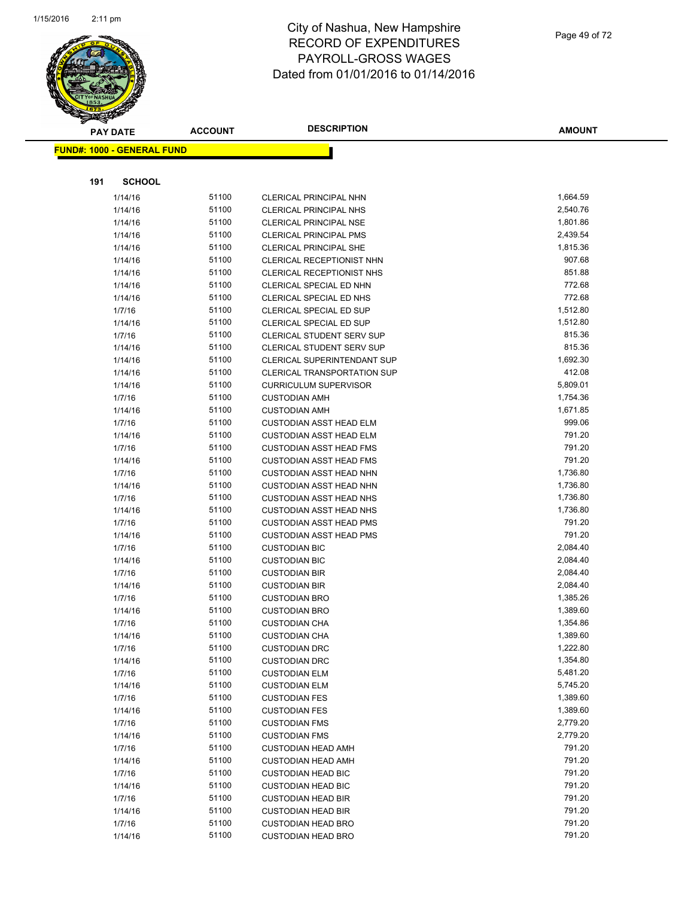

|     | <b>PAY DATE</b>                   | <b>ACCOUNT</b> | <b>DESCRIPTION</b>                                               | <b>AMOUNT</b>      |
|-----|-----------------------------------|----------------|------------------------------------------------------------------|--------------------|
|     | <b>FUND#: 1000 - GENERAL FUND</b> |                |                                                                  |                    |
|     |                                   |                |                                                                  |                    |
|     |                                   |                |                                                                  |                    |
| 191 | <b>SCHOOL</b>                     |                |                                                                  |                    |
|     | 1/14/16                           | 51100          | <b>CLERICAL PRINCIPAL NHN</b>                                    | 1,664.59           |
|     | 1/14/16                           | 51100          | <b>CLERICAL PRINCIPAL NHS</b>                                    | 2,540.76           |
|     | 1/14/16                           | 51100          | <b>CLERICAL PRINCIPAL NSE</b>                                    | 1,801.86           |
|     | 1/14/16                           | 51100          | <b>CLERICAL PRINCIPAL PMS</b>                                    | 2,439.54           |
|     | 1/14/16                           | 51100          | <b>CLERICAL PRINCIPAL SHE</b>                                    | 1,815.36           |
|     | 1/14/16                           | 51100          | CLERICAL RECEPTIONIST NHN                                        | 907.68             |
|     | 1/14/16                           | 51100          | <b>CLERICAL RECEPTIONIST NHS</b>                                 | 851.88             |
|     | 1/14/16                           | 51100          | CLERICAL SPECIAL ED NHN                                          | 772.68             |
|     | 1/14/16                           | 51100          | CLERICAL SPECIAL ED NHS                                          | 772.68             |
|     | 1/7/16                            | 51100          | CLERICAL SPECIAL ED SUP                                          | 1,512.80           |
|     | 1/14/16                           | 51100          | CLERICAL SPECIAL ED SUP                                          | 1,512.80           |
|     | 1/7/16                            | 51100          | CLERICAL STUDENT SERV SUP                                        | 815.36             |
|     | 1/14/16                           | 51100          | <b>CLERICAL STUDENT SERV SUP</b>                                 | 815.36             |
|     | 1/14/16                           | 51100          | CLERICAL SUPERINTENDANT SUP                                      | 1,692.30           |
|     | 1/14/16                           | 51100          | <b>CLERICAL TRANSPORTATION SUP</b>                               | 412.08             |
|     | 1/14/16                           | 51100          | <b>CURRICULUM SUPERVISOR</b>                                     | 5,809.01           |
|     | 1/7/16                            | 51100          | <b>CUSTODIAN AMH</b>                                             | 1,754.36           |
|     | 1/14/16                           | 51100          | <b>CUSTODIAN AMH</b>                                             | 1,671.85           |
|     | 1/7/16                            | 51100          | <b>CUSTODIAN ASST HEAD ELM</b>                                   | 999.06             |
|     | 1/14/16                           | 51100          | <b>CUSTODIAN ASST HEAD ELM</b>                                   | 791.20<br>791.20   |
|     | 1/7/16                            | 51100          | <b>CUSTODIAN ASST HEAD FMS</b>                                   |                    |
|     | 1/14/16                           | 51100<br>51100 | <b>CUSTODIAN ASST HEAD FMS</b>                                   | 791.20<br>1,736.80 |
|     | 1/7/16                            | 51100          | <b>CUSTODIAN ASST HEAD NHN</b>                                   | 1,736.80           |
|     | 1/14/16                           | 51100          | <b>CUSTODIAN ASST HEAD NHN</b>                                   | 1,736.80           |
|     | 1/7/16                            | 51100          | <b>CUSTODIAN ASST HEAD NHS</b><br><b>CUSTODIAN ASST HEAD NHS</b> | 1,736.80           |
|     | 1/14/16<br>1/7/16                 | 51100          | <b>CUSTODIAN ASST HEAD PMS</b>                                   | 791.20             |
|     | 1/14/16                           | 51100          | <b>CUSTODIAN ASST HEAD PMS</b>                                   | 791.20             |
|     | 1/7/16                            | 51100          | <b>CUSTODIAN BIC</b>                                             | 2,084.40           |
|     | 1/14/16                           | 51100          | <b>CUSTODIAN BIC</b>                                             | 2,084.40           |
|     | 1/7/16                            | 51100          | <b>CUSTODIAN BIR</b>                                             | 2,084.40           |
|     | 1/14/16                           | 51100          | <b>CUSTODIAN BIR</b>                                             | 2,084.40           |
|     | 1/7/16                            | 51100          | <b>CUSTODIAN BRO</b>                                             | 1,385.26           |
|     | 1/14/16                           | 51100          | <b>CUSTODIAN BRO</b>                                             | 1,389.60           |
|     | 1/7/16                            | 51100          | <b>CUSTODIAN CHA</b>                                             | 1,354.86           |
|     | 1/14/16                           | 51100          | <b>CUSTODIAN CHA</b>                                             | 1,389.60           |
|     | 1/7/16                            | 51100          | <b>CUSTODIAN DRC</b>                                             | 1,222.80           |
|     | 1/14/16                           | 51100          | <b>CUSTODIAN DRC</b>                                             | 1,354.80           |
|     | 1/7/16                            | 51100          | <b>CUSTODIAN ELM</b>                                             | 5,481.20           |
|     | 1/14/16                           | 51100          | <b>CUSTODIAN ELM</b>                                             | 5,745.20           |
|     | 1/7/16                            | 51100          | <b>CUSTODIAN FES</b>                                             | 1,389.60           |
|     | 1/14/16                           | 51100          | <b>CUSTODIAN FES</b>                                             | 1,389.60           |
|     | 1/7/16                            | 51100          | <b>CUSTODIAN FMS</b>                                             | 2,779.20           |
|     | 1/14/16                           | 51100          | <b>CUSTODIAN FMS</b>                                             | 2,779.20           |
|     | 1/7/16                            | 51100          | <b>CUSTODIAN HEAD AMH</b>                                        | 791.20             |
|     | 1/14/16                           | 51100          | <b>CUSTODIAN HEAD AMH</b>                                        | 791.20             |
|     | 1/7/16                            | 51100          | <b>CUSTODIAN HEAD BIC</b>                                        | 791.20             |
|     | 1/14/16                           | 51100          | <b>CUSTODIAN HEAD BIC</b>                                        | 791.20             |
|     | 1/7/16                            | 51100          | <b>CUSTODIAN HEAD BIR</b>                                        | 791.20             |
|     | 1/14/16                           | 51100          | <b>CUSTODIAN HEAD BIR</b>                                        | 791.20             |
|     | 1/7/16                            | 51100          | <b>CUSTODIAN HEAD BRO</b>                                        | 791.20             |
|     | 1/14/16                           | 51100          | <b>CUSTODIAN HEAD BRO</b>                                        | 791.20             |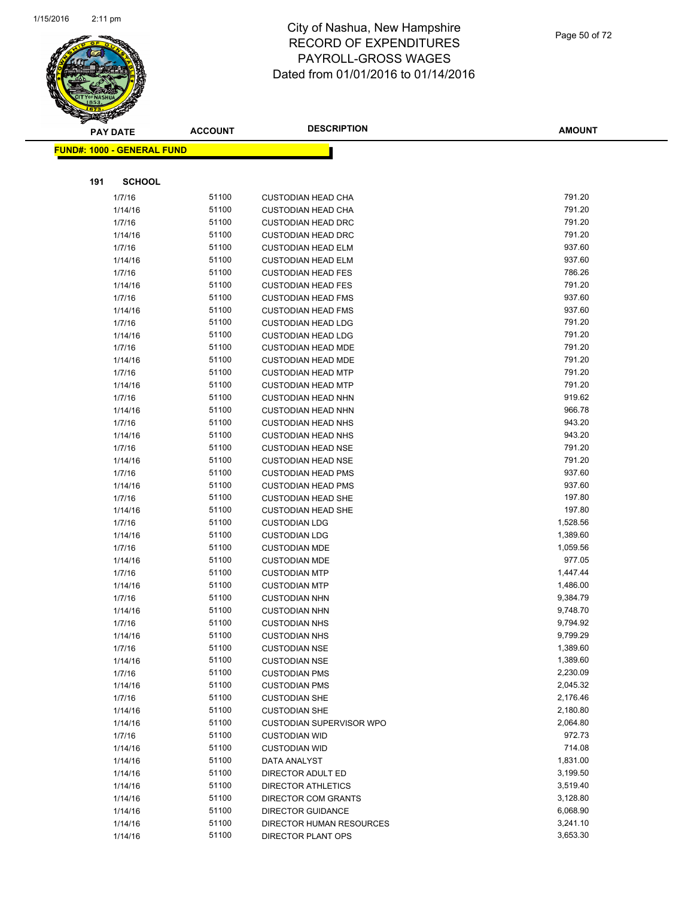

|     | <b>PAY DATE</b>                    | <b>ACCOUNT</b> | <b>DESCRIPTION</b>                                     | <b>AMOUNT</b>    |
|-----|------------------------------------|----------------|--------------------------------------------------------|------------------|
|     | <u> FUND#: 1000 - GENERAL FUND</u> |                |                                                        |                  |
|     |                                    |                |                                                        |                  |
|     |                                    |                |                                                        |                  |
| 191 | <b>SCHOOL</b>                      |                |                                                        |                  |
|     | 1/7/16                             | 51100          | <b>CUSTODIAN HEAD CHA</b>                              | 791.20           |
|     | 1/14/16                            | 51100          | <b>CUSTODIAN HEAD CHA</b>                              | 791.20           |
|     | 1/7/16                             | 51100          | <b>CUSTODIAN HEAD DRC</b>                              | 791.20           |
|     | 1/14/16                            | 51100          | <b>CUSTODIAN HEAD DRC</b>                              | 791.20           |
|     | 1/7/16                             | 51100          | <b>CUSTODIAN HEAD ELM</b>                              | 937.60           |
|     | 1/14/16                            | 51100          | <b>CUSTODIAN HEAD ELM</b>                              | 937.60           |
|     | 1/7/16                             | 51100          | <b>CUSTODIAN HEAD FES</b>                              | 786.26           |
|     | 1/14/16                            | 51100          | <b>CUSTODIAN HEAD FES</b>                              | 791.20           |
|     | 1/7/16                             | 51100          | <b>CUSTODIAN HEAD FMS</b>                              | 937.60           |
|     | 1/14/16                            | 51100          | <b>CUSTODIAN HEAD FMS</b>                              | 937.60           |
|     | 1/7/16                             | 51100          | <b>CUSTODIAN HEAD LDG</b>                              | 791.20           |
|     | 1/14/16                            | 51100          | <b>CUSTODIAN HEAD LDG</b>                              | 791.20           |
|     | 1/7/16                             | 51100<br>51100 | <b>CUSTODIAN HEAD MDE</b>                              | 791.20<br>791.20 |
|     | 1/14/16                            | 51100          | <b>CUSTODIAN HEAD MDE</b>                              | 791.20           |
|     | 1/7/16                             | 51100          | <b>CUSTODIAN HEAD MTP</b>                              | 791.20           |
|     | 1/14/16<br>1/7/16                  | 51100          | <b>CUSTODIAN HEAD MTP</b><br><b>CUSTODIAN HEAD NHN</b> | 919.62           |
|     |                                    | 51100          |                                                        | 966.78           |
|     | 1/14/16<br>1/7/16                  | 51100          | <b>CUSTODIAN HEAD NHN</b><br><b>CUSTODIAN HEAD NHS</b> | 943.20           |
|     | 1/14/16                            | 51100          | <b>CUSTODIAN HEAD NHS</b>                              | 943.20           |
|     | 1/7/16                             | 51100          | <b>CUSTODIAN HEAD NSE</b>                              | 791.20           |
|     | 1/14/16                            | 51100          | <b>CUSTODIAN HEAD NSE</b>                              | 791.20           |
|     | 1/7/16                             | 51100          | <b>CUSTODIAN HEAD PMS</b>                              | 937.60           |
|     | 1/14/16                            | 51100          | <b>CUSTODIAN HEAD PMS</b>                              | 937.60           |
|     | 1/7/16                             | 51100          | <b>CUSTODIAN HEAD SHE</b>                              | 197.80           |
|     | 1/14/16                            | 51100          | <b>CUSTODIAN HEAD SHE</b>                              | 197.80           |
|     | 1/7/16                             | 51100          | <b>CUSTODIAN LDG</b>                                   | 1,528.56         |
|     | 1/14/16                            | 51100          | <b>CUSTODIAN LDG</b>                                   | 1,389.60         |
|     | 1/7/16                             | 51100          | <b>CUSTODIAN MDE</b>                                   | 1,059.56         |
|     | 1/14/16                            | 51100          | <b>CUSTODIAN MDE</b>                                   | 977.05           |
|     | 1/7/16                             | 51100          | <b>CUSTODIAN MTP</b>                                   | 1,447.44         |
|     | 1/14/16                            | 51100          | <b>CUSTODIAN MTP</b>                                   | 1,486.00         |
|     | 1/7/16                             | 51100          | <b>CUSTODIAN NHN</b>                                   | 9,384.79         |
|     | 1/14/16                            | 51100          | <b>CUSTODIAN NHN</b>                                   | 9,748.70         |
|     | 1/7/16                             | 51100          | <b>CUSTODIAN NHS</b>                                   | 9,794.92         |
|     | 1/14/16                            | 51100          | <b>CUSTODIAN NHS</b>                                   | 9,799.29         |
|     | 1/7/16                             | 51100          | <b>CUSTODIAN NSE</b>                                   | 1,389.60         |
|     | 1/14/16                            | 51100          | <b>CUSTODIAN NSE</b>                                   | 1,389.60         |
|     | 1/7/16                             | 51100          | <b>CUSTODIAN PMS</b>                                   | 2,230.09         |
|     | 1/14/16                            | 51100          | <b>CUSTODIAN PMS</b>                                   | 2,045.32         |
|     | 1/7/16                             | 51100          | <b>CUSTODIAN SHE</b>                                   | 2,176.46         |
|     | 1/14/16                            | 51100          | <b>CUSTODIAN SHE</b>                                   | 2,180.80         |
|     | 1/14/16                            | 51100          | <b>CUSTODIAN SUPERVISOR WPO</b>                        | 2,064.80         |
|     | 1/7/16                             | 51100          | <b>CUSTODIAN WID</b>                                   | 972.73           |
|     | 1/14/16                            | 51100          | <b>CUSTODIAN WID</b>                                   | 714.08           |
|     | 1/14/16                            | 51100          | <b>DATA ANALYST</b>                                    | 1,831.00         |
|     | 1/14/16                            | 51100          | DIRECTOR ADULT ED                                      | 3,199.50         |
|     | 1/14/16                            | 51100          | <b>DIRECTOR ATHLETICS</b>                              | 3,519.40         |
|     | 1/14/16                            | 51100          | DIRECTOR COM GRANTS                                    | 3,128.80         |
|     | 1/14/16                            | 51100          | <b>DIRECTOR GUIDANCE</b>                               | 6,068.90         |
|     | 1/14/16                            | 51100          | DIRECTOR HUMAN RESOURCES                               | 3,241.10         |
|     | 1/14/16                            | 51100          | <b>DIRECTOR PLANT OPS</b>                              | 3,653.30         |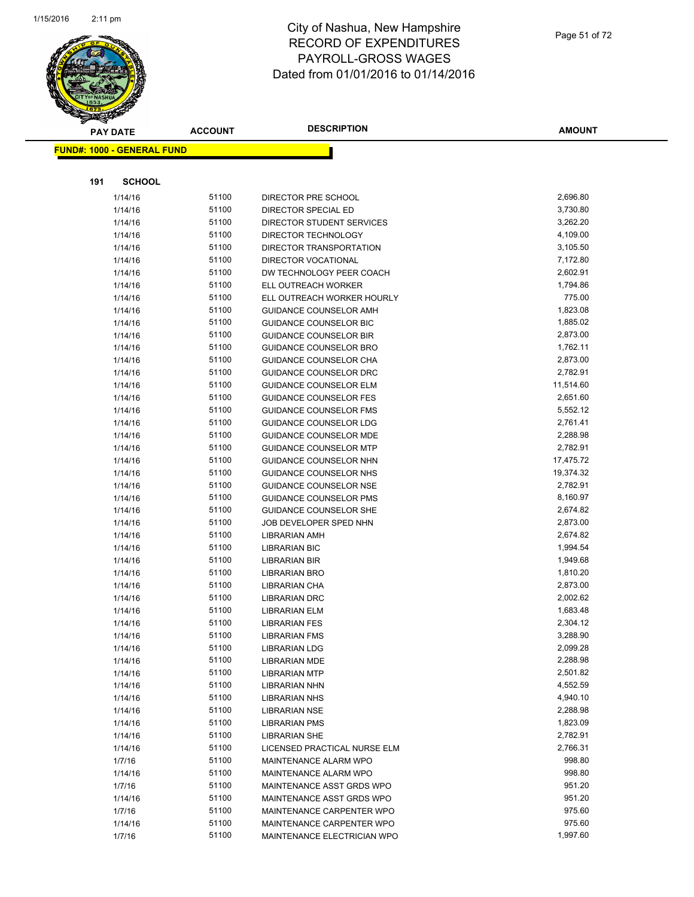

|     | <b>PAY DATE</b>                    | <b>ACCOUNT</b> | <b>DESCRIPTION</b>                                             | <b>AMOUNT</b>         |
|-----|------------------------------------|----------------|----------------------------------------------------------------|-----------------------|
|     | <u> FUND#: 1000 - GENERAL FUND</u> |                |                                                                |                       |
|     |                                    |                |                                                                |                       |
|     |                                    |                |                                                                |                       |
| 191 | <b>SCHOOL</b>                      |                |                                                                |                       |
|     | 1/14/16                            | 51100          | DIRECTOR PRE SCHOOL                                            | 2,696.80              |
|     | 1/14/16                            | 51100          | DIRECTOR SPECIAL ED                                            | 3,730.80              |
|     | 1/14/16                            | 51100          | DIRECTOR STUDENT SERVICES                                      | 3,262.20              |
|     | 1/14/16                            | 51100          | DIRECTOR TECHNOLOGY                                            | 4,109.00              |
|     | 1/14/16                            | 51100          | DIRECTOR TRANSPORTATION                                        | 3,105.50              |
|     | 1/14/16                            | 51100          | DIRECTOR VOCATIONAL                                            | 7,172.80              |
|     | 1/14/16                            | 51100          | DW TECHNOLOGY PEER COACH                                       | 2,602.91              |
|     | 1/14/16                            | 51100          | ELL OUTREACH WORKER                                            | 1,794.86              |
|     | 1/14/16                            | 51100          | ELL OUTREACH WORKER HOURLY                                     | 775.00                |
|     | 1/14/16                            | 51100          | GUIDANCE COUNSELOR AMH                                         | 1,823.08              |
|     | 1/14/16                            | 51100<br>51100 | <b>GUIDANCE COUNSELOR BIC</b>                                  | 1,885.02              |
|     | 1/14/16                            |                | <b>GUIDANCE COUNSELOR BIR</b>                                  | 2,873.00<br>1,762.11  |
|     | 1/14/16                            | 51100<br>51100 | <b>GUIDANCE COUNSELOR BRO</b>                                  |                       |
|     | 1/14/16                            |                | <b>GUIDANCE COUNSELOR CHA</b>                                  | 2,873.00              |
|     | 1/14/16                            | 51100<br>51100 | <b>GUIDANCE COUNSELOR DRC</b>                                  | 2,782.91<br>11,514.60 |
|     | 1/14/16                            | 51100          | <b>GUIDANCE COUNSELOR ELM</b>                                  | 2,651.60              |
|     | 1/14/16                            | 51100          | <b>GUIDANCE COUNSELOR FES</b><br><b>GUIDANCE COUNSELOR FMS</b> | 5,552.12              |
|     | 1/14/16                            | 51100          |                                                                | 2,761.41              |
|     | 1/14/16                            | 51100          | <b>GUIDANCE COUNSELOR LDG</b><br><b>GUIDANCE COUNSELOR MDE</b> | 2,288.98              |
|     | 1/14/16<br>1/14/16                 | 51100          | <b>GUIDANCE COUNSELOR MTP</b>                                  | 2,782.91              |
|     | 1/14/16                            | 51100          | GUIDANCE COUNSELOR NHN                                         | 17,475.72             |
|     | 1/14/16                            | 51100          | GUIDANCE COUNSELOR NHS                                         | 19,374.32             |
|     | 1/14/16                            | 51100          | <b>GUIDANCE COUNSELOR NSE</b>                                  | 2,782.91              |
|     | 1/14/16                            | 51100          | <b>GUIDANCE COUNSELOR PMS</b>                                  | 8,160.97              |
|     | 1/14/16                            | 51100          | <b>GUIDANCE COUNSELOR SHE</b>                                  | 2,674.82              |
|     | 1/14/16                            | 51100          | JOB DEVELOPER SPED NHN                                         | 2,873.00              |
|     | 1/14/16                            | 51100          | <b>LIBRARIAN AMH</b>                                           | 2,674.82              |
|     | 1/14/16                            | 51100          | <b>LIBRARIAN BIC</b>                                           | 1,994.54              |
|     | 1/14/16                            | 51100          | <b>LIBRARIAN BIR</b>                                           | 1,949.68              |
|     | 1/14/16                            | 51100          | <b>LIBRARIAN BRO</b>                                           | 1,810.20              |
|     | 1/14/16                            | 51100          | LIBRARIAN CHA                                                  | 2,873.00              |
|     | 1/14/16                            | 51100          | <b>LIBRARIAN DRC</b>                                           | 2,002.62              |
|     | 1/14/16                            | 51100          | <b>LIBRARIAN ELM</b>                                           | 1,683.48              |
|     | 1/14/16                            | 51100          | <b>LIBRARIAN FES</b>                                           | 2,304.12              |
|     | 1/14/16                            | 51100          | <b>LIBRARIAN FMS</b>                                           | 3,288.90              |
|     | 1/14/16                            | 51100          | <b>LIBRARIAN LDG</b>                                           | 2,099.28              |
|     | 1/14/16                            | 51100          | <b>LIBRARIAN MDE</b>                                           | 2,288.98              |
|     | 1/14/16                            | 51100          | <b>LIBRARIAN MTP</b>                                           | 2,501.82              |
|     | 1/14/16                            | 51100          | <b>LIBRARIAN NHN</b>                                           | 4,552.59              |
|     | 1/14/16                            | 51100          | <b>LIBRARIAN NHS</b>                                           | 4,940.10              |
|     | 1/14/16                            | 51100          | <b>LIBRARIAN NSE</b>                                           | 2,288.98              |
|     | 1/14/16                            | 51100          | <b>LIBRARIAN PMS</b>                                           | 1,823.09              |
|     | 1/14/16                            | 51100          | <b>LIBRARIAN SHE</b>                                           | 2,782.91              |
|     | 1/14/16                            | 51100          | LICENSED PRACTICAL NURSE ELM                                   | 2,766.31              |
|     | 1/7/16                             | 51100          | MAINTENANCE ALARM WPO                                          | 998.80                |
|     | 1/14/16                            | 51100          | MAINTENANCE ALARM WPO                                          | 998.80                |
|     | 1/7/16                             | 51100          | MAINTENANCE ASST GRDS WPO                                      | 951.20                |
|     | 1/14/16                            | 51100          | MAINTENANCE ASST GRDS WPO                                      | 951.20                |
|     | 1/7/16                             | 51100          | MAINTENANCE CARPENTER WPO                                      | 975.60                |
|     | 1/14/16                            | 51100          | MAINTENANCE CARPENTER WPO                                      | 975.60                |
|     | 1/7/16                             | 51100          | MAINTENANCE ELECTRICIAN WPO                                    | 1,997.60              |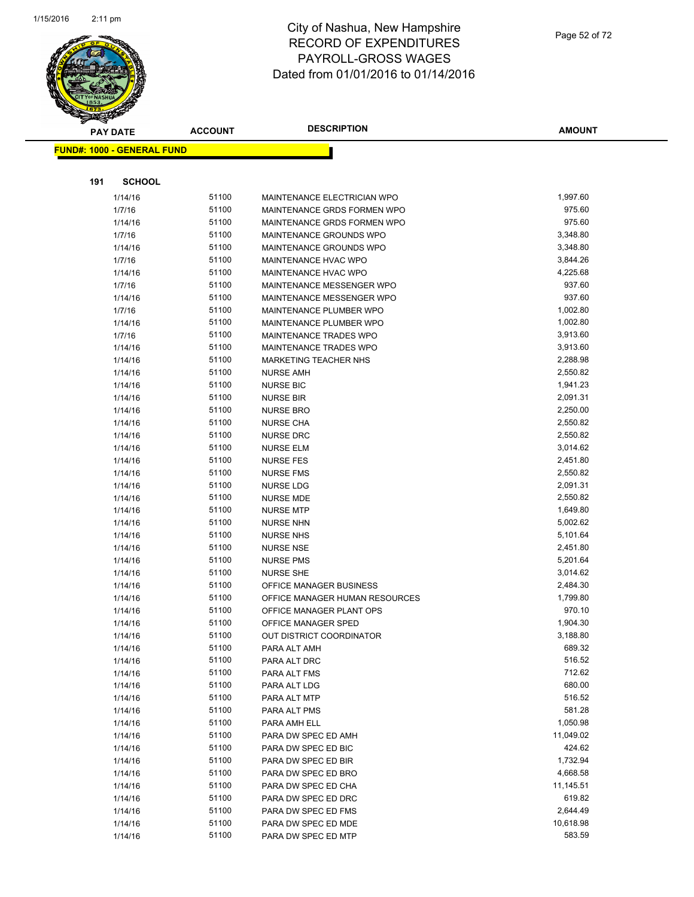

| <b>PAY DATE</b> |                                   | <b>ACCOUNT</b> | <b>DESCRIPTION</b>                          | <b>AMOUNT</b>        |
|-----------------|-----------------------------------|----------------|---------------------------------------------|----------------------|
|                 | <b>FUND#: 1000 - GENERAL FUND</b> |                |                                             |                      |
|                 |                                   |                |                                             |                      |
|                 |                                   |                |                                             |                      |
| 191             | <b>SCHOOL</b>                     |                |                                             |                      |
|                 | 1/14/16                           | 51100          | MAINTENANCE ELECTRICIAN WPO                 | 1,997.60             |
|                 | 1/7/16                            | 51100          | MAINTENANCE GRDS FORMEN WPO                 | 975.60               |
|                 | 1/14/16                           | 51100          | MAINTENANCE GRDS FORMEN WPO                 | 975.60               |
|                 | 1/7/16                            | 51100          | MAINTENANCE GROUNDS WPO                     | 3,348.80             |
|                 | 1/14/16                           | 51100          | MAINTENANCE GROUNDS WPO                     | 3,348.80             |
|                 | 1/7/16                            | 51100          | MAINTENANCE HVAC WPO                        | 3,844.26             |
|                 | 1/14/16                           | 51100          | MAINTENANCE HVAC WPO                        | 4,225.68             |
|                 | 1/7/16                            | 51100          | MAINTENANCE MESSENGER WPO                   | 937.60               |
|                 | 1/14/16                           | 51100          | MAINTENANCE MESSENGER WPO                   | 937.60               |
|                 | 1/7/16                            | 51100          | MAINTENANCE PLUMBER WPO                     | 1,002.80             |
|                 | 1/14/16                           | 51100          | MAINTENANCE PLUMBER WPO                     | 1,002.80             |
|                 | 1/7/16                            | 51100          | MAINTENANCE TRADES WPO                      | 3,913.60             |
|                 | 1/14/16                           | 51100          | MAINTENANCE TRADES WPO                      | 3,913.60             |
|                 | 1/14/16                           | 51100          | MARKETING TEACHER NHS                       | 2,288.98             |
|                 | 1/14/16                           | 51100          | <b>NURSE AMH</b>                            | 2,550.82             |
|                 | 1/14/16                           | 51100          | <b>NURSE BIC</b>                            | 1,941.23             |
|                 | 1/14/16                           | 51100          | <b>NURSE BIR</b>                            | 2,091.31             |
|                 | 1/14/16                           | 51100          | <b>NURSE BRO</b>                            | 2,250.00             |
|                 | 1/14/16                           | 51100          | <b>NURSE CHA</b>                            | 2,550.82             |
|                 | 1/14/16                           | 51100          | <b>NURSE DRC</b>                            | 2,550.82             |
|                 | 1/14/16                           | 51100          | <b>NURSE ELM</b>                            | 3,014.62             |
|                 | 1/14/16                           | 51100          | <b>NURSE FES</b>                            | 2,451.80             |
|                 | 1/14/16                           | 51100          | <b>NURSE FMS</b>                            | 2,550.82             |
|                 | 1/14/16                           | 51100          | <b>NURSE LDG</b>                            | 2,091.31             |
|                 | 1/14/16                           | 51100          | <b>NURSE MDE</b>                            | 2,550.82             |
|                 | 1/14/16                           | 51100<br>51100 | <b>NURSE MTP</b>                            | 1,649.80             |
|                 | 1/14/16                           |                | <b>NURSE NHN</b>                            | 5,002.62             |
|                 | 1/14/16                           | 51100<br>51100 | <b>NURSE NHS</b>                            | 5,101.64<br>2,451.80 |
|                 | 1/14/16<br>1/14/16                | 51100          | <b>NURSE NSE</b><br><b>NURSE PMS</b>        | 5,201.64             |
|                 |                                   | 51100          |                                             | 3,014.62             |
|                 | 1/14/16<br>1/14/16                | 51100          | <b>NURSE SHE</b><br>OFFICE MANAGER BUSINESS | 2,484.30             |
|                 | 1/14/16                           | 51100          | OFFICE MANAGER HUMAN RESOURCES              | 1,799.80             |
|                 | 1/14/16                           | 51100          | OFFICE MANAGER PLANT OPS                    | 970.10               |
|                 | 1/14/16                           | 51100          | OFFICE MANAGER SPED                         | 1,904.30             |
|                 | 1/14/16                           | 51100          | OUT DISTRICT COORDINATOR                    | 3,188.80             |
|                 | 1/14/16                           | 51100          | PARA ALT AMH                                | 689.32               |
|                 | 1/14/16                           | 51100          | PARA ALT DRC                                | 516.52               |
|                 | 1/14/16                           | 51100          | PARA ALT FMS                                | 712.62               |
|                 | 1/14/16                           | 51100          | PARA ALT LDG                                | 680.00               |
|                 | 1/14/16                           | 51100          | PARA ALT MTP                                | 516.52               |
|                 | 1/14/16                           | 51100          | PARA ALT PMS                                | 581.28               |
|                 | 1/14/16                           | 51100          | PARA AMH ELL                                | 1,050.98             |
|                 | 1/14/16                           | 51100          | PARA DW SPEC ED AMH                         | 11,049.02            |
|                 | 1/14/16                           | 51100          | PARA DW SPEC ED BIC                         | 424.62               |
|                 | 1/14/16                           | 51100          | PARA DW SPEC ED BIR                         | 1,732.94             |
|                 | 1/14/16                           | 51100          | PARA DW SPEC ED BRO                         | 4,668.58             |
|                 | 1/14/16                           | 51100          | PARA DW SPEC ED CHA                         | 11,145.51            |
|                 | 1/14/16                           | 51100          | PARA DW SPEC ED DRC                         | 619.82               |
|                 | 1/14/16                           | 51100          | PARA DW SPEC ED FMS                         | 2,644.49             |
|                 | 1/14/16                           | 51100          | PARA DW SPEC ED MDE                         | 10,618.98            |
|                 | 1/14/16                           | 51100          | PARA DW SPEC ED MTP                         | 583.59               |
|                 |                                   |                |                                             |                      |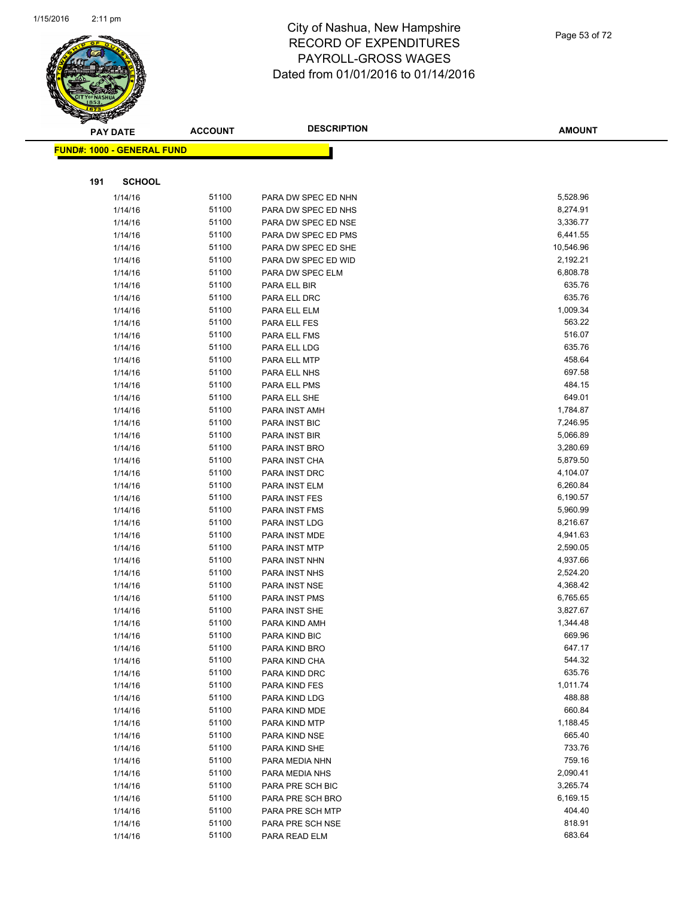

|     | <b>PAY DATE</b>                    | <b>ACCOUNT</b> | <b>DESCRIPTION</b>                | <b>AMOUNT</b>      |
|-----|------------------------------------|----------------|-----------------------------------|--------------------|
|     | <u> FUND#: 1000 - GENERAL FUND</u> |                |                                   |                    |
|     |                                    |                |                                   |                    |
| 191 | <b>SCHOOL</b>                      |                |                                   |                    |
|     |                                    | 51100          |                                   | 5,528.96           |
|     | 1/14/16                            | 51100          | PARA DW SPEC ED NHN               |                    |
|     | 1/14/16                            |                | PARA DW SPEC ED NHS               | 8,274.91           |
|     | 1/14/16                            | 51100          | PARA DW SPEC ED NSE               | 3,336.77           |
|     | 1/14/16                            | 51100          | PARA DW SPEC ED PMS               | 6,441.55           |
|     | 1/14/16                            | 51100          | PARA DW SPEC ED SHE               | 10,546.96          |
|     | 1/14/16                            | 51100          | PARA DW SPEC ED WID               | 2,192.21           |
|     | 1/14/16                            | 51100          | PARA DW SPEC ELM                  | 6,808.78           |
|     | 1/14/16                            | 51100          | PARA ELL BIR                      | 635.76             |
|     | 1/14/16                            | 51100          | PARA ELL DRC                      | 635.76             |
|     | 1/14/16                            | 51100          | PARA ELL ELM                      | 1,009.34           |
|     | 1/14/16                            | 51100          | PARA ELL FES                      | 563.22             |
|     | 1/14/16                            | 51100          | PARA ELL FMS                      | 516.07             |
|     | 1/14/16                            | 51100          | PARA ELL LDG                      | 635.76             |
|     | 1/14/16                            | 51100          | PARA ELL MTP                      | 458.64             |
|     | 1/14/16                            | 51100          | PARA ELL NHS                      | 697.58             |
|     | 1/14/16                            | 51100          | PARA ELL PMS                      | 484.15             |
|     | 1/14/16                            | 51100          | PARA ELL SHE                      | 649.01             |
|     | 1/14/16                            | 51100          | PARA INST AMH                     | 1,784.87           |
|     | 1/14/16                            | 51100          | PARA INST BIC                     | 7,246.95           |
|     | 1/14/16                            | 51100          | PARA INST BIR                     | 5,066.89           |
|     | 1/14/16                            | 51100          | PARA INST BRO                     | 3,280.69           |
|     | 1/14/16                            | 51100          | PARA INST CHA                     | 5,879.50           |
|     | 1/14/16                            | 51100          | PARA INST DRC                     | 4,104.07           |
|     | 1/14/16                            | 51100          | PARA INST ELM                     | 6,260.84           |
|     | 1/14/16                            | 51100          | PARA INST FES                     | 6,190.57           |
|     | 1/14/16                            | 51100          | PARA INST FMS                     | 5,960.99           |
|     | 1/14/16                            | 51100          | PARA INST LDG                     | 8,216.67           |
|     | 1/14/16                            | 51100          | PARA INST MDE                     | 4,941.63           |
|     | 1/14/16                            | 51100          | PARA INST MTP                     | 2,590.05           |
|     | 1/14/16                            | 51100          | PARA INST NHN                     | 4,937.66           |
|     | 1/14/16                            | 51100          | PARA INST NHS                     | 2,524.20           |
|     | 1/14/16                            | 51100          | PARA INST NSE                     | 4,368.42           |
|     | 1/14/16                            | 51100          | PARA INST PMS                     | 6,765.65           |
|     | 1/14/16                            | 51100          | PARA INST SHE                     | 3,827.67           |
|     | 1/14/16                            | 51100<br>51100 | PARA KIND AMH                     | 1,344.48<br>669.96 |
|     | 1/14/16                            |                | PARA KIND BIC                     |                    |
|     | 1/14/16                            | 51100<br>51100 | PARA KIND BRO                     | 647.17<br>544.32   |
|     | 1/14/16                            |                | PARA KIND CHA                     | 635.76             |
|     | 1/14/16                            | 51100<br>51100 | PARA KIND DRC                     | 1,011.74           |
|     | 1/14/16                            |                | PARA KIND FES                     |                    |
|     | 1/14/16                            | 51100<br>51100 | PARA KIND LDG                     | 488.88<br>660.84   |
|     | 1/14/16<br>1/14/16                 | 51100          | PARA KIND MDE                     | 1,188.45           |
|     |                                    | 51100          | PARA KIND MTP                     | 665.40             |
|     | 1/14/16<br>1/14/16                 | 51100          | PARA KIND NSE<br>PARA KIND SHE    | 733.76             |
|     |                                    | 51100          |                                   | 759.16             |
|     | 1/14/16<br>1/14/16                 | 51100          | PARA MEDIA NHN<br>PARA MEDIA NHS  | 2,090.41           |
|     |                                    | 51100          |                                   | 3,265.74           |
|     | 1/14/16                            | 51100          | PARA PRE SCH BIC                  | 6,169.15           |
|     | 1/14/16                            | 51100          | PARA PRE SCH BRO                  | 404.40             |
|     | 1/14/16                            | 51100          | PARA PRE SCH MTP                  | 818.91             |
|     | 1/14/16<br>1/14/16                 | 51100          | PARA PRE SCH NSE<br>PARA READ ELM | 683.64             |
|     |                                    |                |                                   |                    |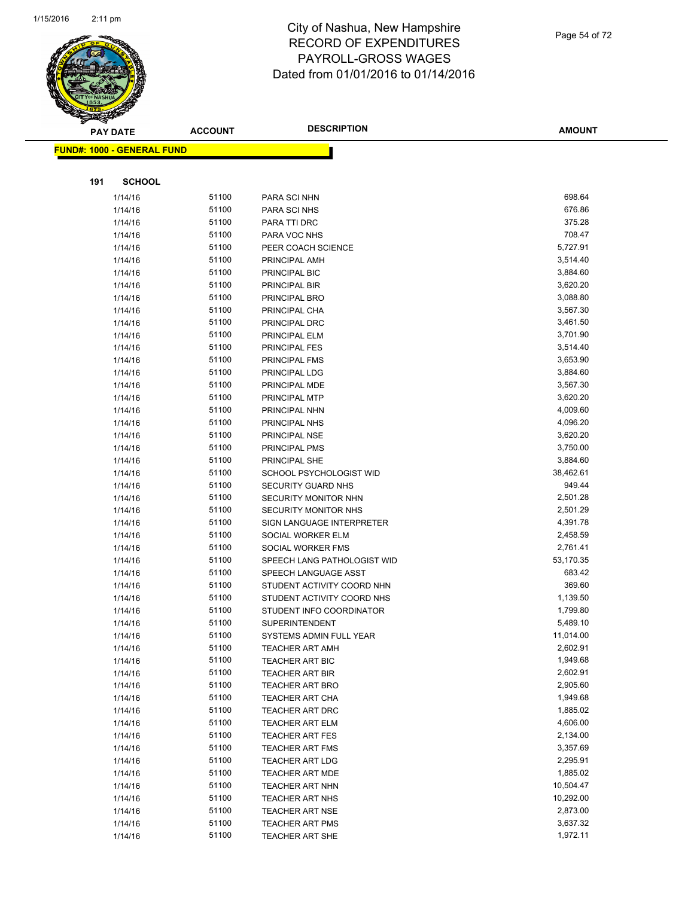

|     | <b>PAY DATE</b>                   | <b>ACCOUNT</b> | <b>DESCRIPTION</b>                    | <b>AMOUNT</b>        |
|-----|-----------------------------------|----------------|---------------------------------------|----------------------|
|     | <b>FUND#: 1000 - GENERAL FUND</b> |                |                                       |                      |
|     |                                   |                |                                       |                      |
|     |                                   |                |                                       |                      |
| 191 | <b>SCHOOL</b>                     |                |                                       |                      |
|     | 1/14/16                           | 51100          | PARA SCI NHN                          | 698.64               |
|     | 1/14/16                           | 51100          | PARA SCI NHS                          | 676.86               |
|     | 1/14/16                           | 51100          | PARA TTI DRC                          | 375.28               |
|     | 1/14/16                           | 51100          | PARA VOC NHS                          | 708.47               |
|     | 1/14/16                           | 51100          | PEER COACH SCIENCE                    | 5,727.91             |
|     | 1/14/16                           | 51100          | PRINCIPAL AMH                         | 3,514.40             |
|     | 1/14/16                           | 51100          | PRINCIPAL BIC                         | 3,884.60             |
|     | 1/14/16                           | 51100          | PRINCIPAL BIR                         | 3,620.20             |
|     | 1/14/16                           | 51100          | PRINCIPAL BRO                         | 3,088.80             |
|     | 1/14/16                           | 51100          | PRINCIPAL CHA                         | 3,567.30             |
|     | 1/14/16                           | 51100          | PRINCIPAL DRC                         | 3,461.50             |
|     | 1/14/16                           | 51100<br>51100 | PRINCIPAL ELM                         | 3,701.90             |
|     | 1/14/16                           | 51100          | <b>PRINCIPAL FES</b><br>PRINCIPAL FMS | 3,514.40<br>3,653.90 |
|     | 1/14/16<br>1/14/16                | 51100          | PRINCIPAL LDG                         | 3,884.60             |
|     | 1/14/16                           | 51100          | PRINCIPAL MDE                         | 3,567.30             |
|     | 1/14/16                           | 51100          | PRINCIPAL MTP                         | 3,620.20             |
|     | 1/14/16                           | 51100          | PRINCIPAL NHN                         | 4,009.60             |
|     | 1/14/16                           | 51100          | PRINCIPAL NHS                         | 4,096.20             |
|     | 1/14/16                           | 51100          | PRINCIPAL NSE                         | 3,620.20             |
|     | 1/14/16                           | 51100          | PRINCIPAL PMS                         | 3,750.00             |
|     | 1/14/16                           | 51100          | PRINCIPAL SHE                         | 3,884.60             |
|     | 1/14/16                           | 51100          | SCHOOL PSYCHOLOGIST WID               | 38,462.61            |
|     | 1/14/16                           | 51100          | SECURITY GUARD NHS                    | 949.44               |
|     | 1/14/16                           | 51100          | SECURITY MONITOR NHN                  | 2,501.28             |
|     | 1/14/16                           | 51100          | <b>SECURITY MONITOR NHS</b>           | 2,501.29             |
|     | 1/14/16                           | 51100          | SIGN LANGUAGE INTERPRETER             | 4,391.78             |
|     | 1/14/16                           | 51100          | SOCIAL WORKER ELM                     | 2,458.59             |
|     | 1/14/16                           | 51100          | SOCIAL WORKER FMS                     | 2,761.41             |
|     | 1/14/16                           | 51100          | SPEECH LANG PATHOLOGIST WID           | 53,170.35            |
|     | 1/14/16                           | 51100          | SPEECH LANGUAGE ASST                  | 683.42               |
|     | 1/14/16                           | 51100          | STUDENT ACTIVITY COORD NHN            | 369.60               |
|     | 1/14/16                           | 51100          | STUDENT ACTIVITY COORD NHS            | 1,139.50             |
|     | 1/14/16                           | 51100          | STUDENT INFO COORDINATOR              | 1,799.80             |
|     | 1/14/16                           | 51100          | <b>SUPERINTENDENT</b>                 | 5,489.10             |
|     | 1/14/16                           | 51100          | SYSTEMS ADMIN FULL YEAR               | 11,014.00            |
|     | 1/14/16                           | 51100          | <b>TEACHER ART AMH</b>                | 2,602.91             |
|     | 1/14/16                           | 51100          | <b>TEACHER ART BIC</b>                | 1,949.68             |
|     | 1/14/16                           | 51100          | <b>TEACHER ART BIR</b>                | 2,602.91             |
|     | 1/14/16                           | 51100          | <b>TEACHER ART BRO</b>                | 2,905.60             |
|     | 1/14/16                           | 51100          | <b>TEACHER ART CHA</b>                | 1,949.68             |
|     | 1/14/16                           | 51100          | <b>TEACHER ART DRC</b>                | 1,885.02             |
|     | 1/14/16                           | 51100          | <b>TEACHER ART ELM</b>                | 4,606.00             |
|     | 1/14/16                           | 51100          | <b>TEACHER ART FES</b>                | 2,134.00             |
|     | 1/14/16                           | 51100          | <b>TEACHER ART FMS</b>                | 3,357.69             |
|     | 1/14/16                           | 51100          | <b>TEACHER ART LDG</b>                | 2,295.91             |
|     | 1/14/16                           | 51100          | <b>TEACHER ART MDE</b>                | 1,885.02             |
|     | 1/14/16                           | 51100          | <b>TEACHER ART NHN</b>                | 10,504.47            |
|     | 1/14/16                           | 51100          | <b>TEACHER ART NHS</b>                | 10,292.00            |
|     | 1/14/16                           | 51100          | <b>TEACHER ART NSE</b>                | 2,873.00             |
|     | 1/14/16                           | 51100<br>51100 | <b>TEACHER ART PMS</b>                | 3,637.32<br>1,972.11 |
|     | 1/14/16                           |                | TEACHER ART SHE                       |                      |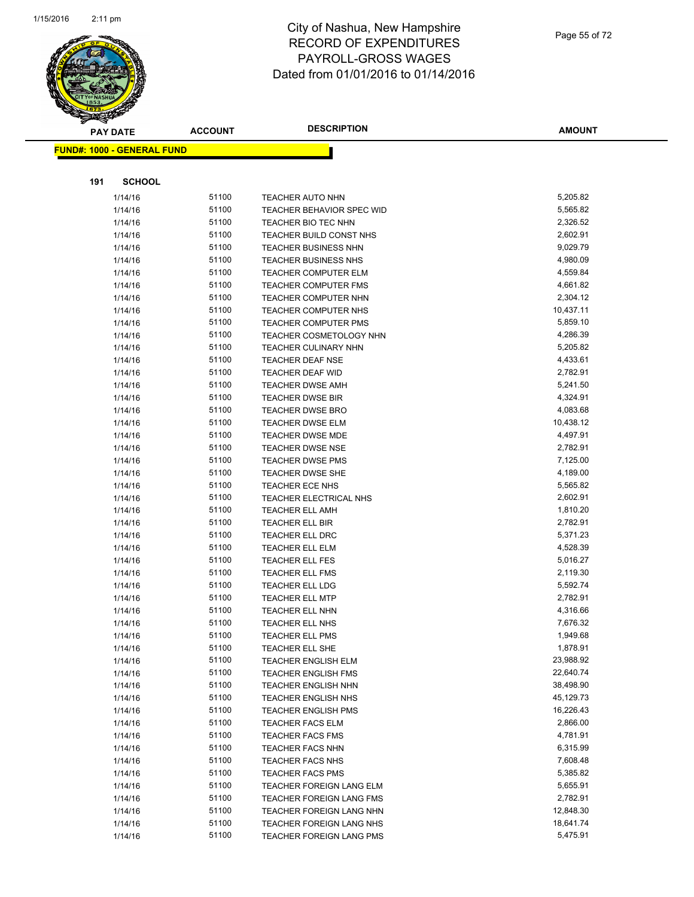

|     | <b>PAY DATE</b>                    | <b>ACCOUNT</b> | <b>DESCRIPTION</b>                                 | <b>AMOUNT</b>        |
|-----|------------------------------------|----------------|----------------------------------------------------|----------------------|
|     | <u> FUND#: 1000 - GENERAL FUND</u> |                |                                                    |                      |
|     |                                    |                |                                                    |                      |
|     |                                    |                |                                                    |                      |
| 191 | <b>SCHOOL</b>                      |                |                                                    |                      |
|     | 1/14/16                            | 51100          | <b>TEACHER AUTO NHN</b>                            | 5,205.82             |
|     | 1/14/16                            | 51100          | <b>TEACHER BEHAVIOR SPEC WID</b>                   | 5,565.82             |
|     | 1/14/16                            | 51100          | TEACHER BIO TEC NHN                                | 2,326.52             |
|     | 1/14/16                            | 51100          | TEACHER BUILD CONST NHS                            | 2,602.91             |
|     | 1/14/16                            | 51100          | <b>TEACHER BUSINESS NHN</b>                        | 9,029.79             |
|     | 1/14/16                            | 51100          | <b>TEACHER BUSINESS NHS</b>                        | 4,980.09             |
|     | 1/14/16                            | 51100          | <b>TEACHER COMPUTER ELM</b>                        | 4,559.84             |
|     | 1/14/16                            | 51100          | <b>TEACHER COMPUTER FMS</b>                        | 4,661.82             |
|     | 1/14/16                            | 51100          | <b>TEACHER COMPUTER NHN</b>                        | 2,304.12             |
|     | 1/14/16                            | 51100          | TEACHER COMPUTER NHS                               | 10,437.11            |
|     | 1/14/16                            | 51100          | <b>TEACHER COMPUTER PMS</b>                        | 5,859.10             |
|     | 1/14/16                            | 51100          | TEACHER COSMETOLOGY NHN                            | 4,286.39             |
|     | 1/14/16                            | 51100          | <b>TEACHER CULINARY NHN</b>                        | 5,205.82             |
|     | 1/14/16                            | 51100          | <b>TEACHER DEAF NSE</b>                            | 4,433.61             |
|     | 1/14/16                            | 51100          | <b>TEACHER DEAF WID</b>                            | 2,782.91             |
|     | 1/14/16                            | 51100          | <b>TEACHER DWSE AMH</b>                            | 5,241.50             |
|     | 1/14/16                            | 51100<br>51100 | <b>TEACHER DWSE BIR</b>                            | 4,324.91<br>4,083.68 |
|     | 1/14/16                            | 51100          | <b>TEACHER DWSE BRO</b>                            | 10,438.12            |
|     | 1/14/16                            | 51100          | <b>TEACHER DWSE ELM</b><br><b>TEACHER DWSE MDE</b> | 4,497.91             |
|     | 1/14/16<br>1/14/16                 | 51100          | <b>TEACHER DWSE NSE</b>                            | 2,782.91             |
|     | 1/14/16                            | 51100          | <b>TEACHER DWSE PMS</b>                            | 7,125.00             |
|     | 1/14/16                            | 51100          | <b>TEACHER DWSE SHE</b>                            | 4,189.00             |
|     | 1/14/16                            | 51100          | <b>TEACHER ECE NHS</b>                             | 5,565.82             |
|     | 1/14/16                            | 51100          | TEACHER ELECTRICAL NHS                             | 2,602.91             |
|     | 1/14/16                            | 51100          | <b>TEACHER ELL AMH</b>                             | 1,810.20             |
|     | 1/14/16                            | 51100          | TEACHER ELL BIR                                    | 2,782.91             |
|     | 1/14/16                            | 51100          | TEACHER ELL DRC                                    | 5,371.23             |
|     | 1/14/16                            | 51100          | TEACHER ELL ELM                                    | 4,528.39             |
|     | 1/14/16                            | 51100          | <b>TEACHER ELL FES</b>                             | 5,016.27             |
|     | 1/14/16                            | 51100          | TEACHER ELL FMS                                    | 2,119.30             |
|     | 1/14/16                            | 51100          | TEACHER ELL LDG                                    | 5,592.74             |
|     | 1/14/16                            | 51100          | <b>TEACHER ELL MTP</b>                             | 2,782.91             |
|     | 1/14/16                            | 51100          | <b>TEACHER ELL NHN</b>                             | 4,316.66             |
|     | 1/14/16                            | 51100          | TEACHER ELL NHS                                    | 7,676.32             |
|     | 1/14/16                            | 51100          | TEACHER ELL PMS                                    | 1,949.68             |
|     | 1/14/16                            | 51100          | TEACHER ELL SHE                                    | 1,878.91             |
|     | 1/14/16                            | 51100          | <b>TEACHER ENGLISH ELM</b>                         | 23,988.92            |
|     | 1/14/16                            | 51100          | <b>TEACHER ENGLISH FMS</b>                         | 22,640.74            |
|     | 1/14/16                            | 51100          | TEACHER ENGLISH NHN                                | 38,498.90            |
|     | 1/14/16                            | 51100          | <b>TEACHER ENGLISH NHS</b>                         | 45,129.73            |
|     | 1/14/16                            | 51100          | <b>TEACHER ENGLISH PMS</b>                         | 16,226.43            |
|     | 1/14/16                            | 51100          | TEACHER FACS ELM                                   | 2,866.00             |
|     | 1/14/16                            | 51100          | <b>TEACHER FACS FMS</b>                            | 4,781.91             |
|     | 1/14/16                            | 51100          | <b>TEACHER FACS NHN</b>                            | 6,315.99             |
|     | 1/14/16                            | 51100          | <b>TEACHER FACS NHS</b>                            | 7,608.48             |
|     | 1/14/16                            | 51100          | <b>TEACHER FACS PMS</b>                            | 5,385.82             |
|     | 1/14/16                            | 51100          | TEACHER FOREIGN LANG ELM                           | 5,655.91             |
|     | 1/14/16                            | 51100          | TEACHER FOREIGN LANG FMS                           | 2,782.91             |
|     | 1/14/16                            | 51100          | TEACHER FOREIGN LANG NHN                           | 12,848.30            |
|     | 1/14/16                            | 51100          | TEACHER FOREIGN LANG NHS                           | 18,641.74            |
|     | 1/14/16                            | 51100          | TEACHER FOREIGN LANG PMS                           | 5,475.91             |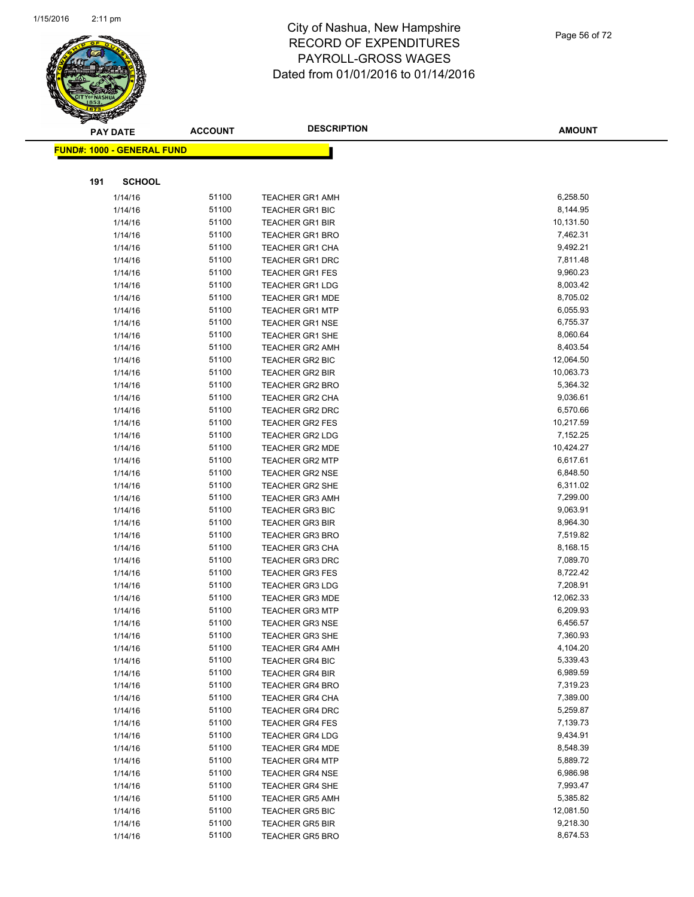

|     | <b>PAY DATE</b>                   | <b>ACCOUNT</b> | <b>DESCRIPTION</b>                               | <b>AMOUNT</b>        |
|-----|-----------------------------------|----------------|--------------------------------------------------|----------------------|
|     | <b>FUND#: 1000 - GENERAL FUND</b> |                |                                                  |                      |
|     |                                   |                |                                                  |                      |
|     |                                   |                |                                                  |                      |
| 191 | <b>SCHOOL</b>                     |                |                                                  |                      |
|     | 1/14/16                           | 51100          | <b>TEACHER GR1 AMH</b>                           | 6,258.50             |
|     | 1/14/16                           | 51100          | <b>TEACHER GR1 BIC</b>                           | 8,144.95             |
|     | 1/14/16                           | 51100          | <b>TEACHER GR1 BIR</b>                           | 10,131.50            |
|     | 1/14/16                           | 51100          | <b>TEACHER GR1 BRO</b>                           | 7,462.31             |
|     | 1/14/16                           | 51100          | <b>TEACHER GR1 CHA</b>                           | 9,492.21             |
|     | 1/14/16                           | 51100          | <b>TEACHER GR1 DRC</b>                           | 7,811.48             |
|     | 1/14/16                           | 51100          | <b>TEACHER GR1 FES</b>                           | 9,960.23             |
|     | 1/14/16                           | 51100          | <b>TEACHER GR1 LDG</b>                           | 8,003.42             |
|     | 1/14/16                           | 51100          | <b>TEACHER GR1 MDE</b>                           | 8,705.02             |
|     | 1/14/16                           | 51100          | <b>TEACHER GR1 MTP</b>                           | 6,055.93             |
|     | 1/14/16                           | 51100          | <b>TEACHER GR1 NSE</b>                           | 6,755.37             |
|     | 1/14/16                           | 51100          | TEACHER GR1 SHE                                  | 8,060.64             |
|     | 1/14/16                           | 51100          | <b>TEACHER GR2 AMH</b>                           | 8,403.54             |
|     | 1/14/16                           | 51100          | TEACHER GR2 BIC                                  | 12,064.50            |
|     | 1/14/16                           | 51100          | TEACHER GR2 BIR                                  | 10,063.73            |
|     | 1/14/16                           | 51100          | <b>TEACHER GR2 BRO</b>                           | 5,364.32             |
|     | 1/14/16                           | 51100          | <b>TEACHER GR2 CHA</b>                           | 9,036.61             |
|     | 1/14/16                           | 51100          | <b>TEACHER GR2 DRC</b>                           | 6,570.66             |
|     | 1/14/16                           | 51100          | <b>TEACHER GR2 FES</b>                           | 10,217.59            |
|     | 1/14/16                           | 51100          | <b>TEACHER GR2 LDG</b>                           | 7,152.25             |
|     | 1/14/16                           | 51100          | TEACHER GR2 MDE                                  | 10,424.27            |
|     | 1/14/16                           | 51100          | <b>TEACHER GR2 MTP</b>                           | 6,617.61             |
|     | 1/14/16                           | 51100          | <b>TEACHER GR2 NSE</b>                           | 6,848.50             |
|     | 1/14/16                           | 51100          | <b>TEACHER GR2 SHE</b>                           | 6,311.02             |
|     | 1/14/16                           | 51100          | <b>TEACHER GR3 AMH</b>                           | 7,299.00<br>9,063.91 |
|     | 1/14/16<br>1/14/16                | 51100<br>51100 | <b>TEACHER GR3 BIC</b>                           | 8,964.30             |
|     | 1/14/16                           | 51100          | <b>TEACHER GR3 BIR</b><br><b>TEACHER GR3 BRO</b> | 7,519.82             |
|     | 1/14/16                           | 51100          | <b>TEACHER GR3 CHA</b>                           | 8,168.15             |
|     | 1/14/16                           | 51100          | <b>TEACHER GR3 DRC</b>                           | 7,089.70             |
|     | 1/14/16                           | 51100          | <b>TEACHER GR3 FES</b>                           | 8,722.42             |
|     | 1/14/16                           | 51100          | <b>TEACHER GR3 LDG</b>                           | 7,208.91             |
|     | 1/14/16                           | 51100          | <b>TEACHER GR3 MDE</b>                           | 12,062.33            |
|     | 1/14/16                           | 51100          | <b>TEACHER GR3 MTP</b>                           | 6,209.93             |
|     | 1/14/16                           | 51100          | <b>TEACHER GR3 NSE</b>                           | 6,456.57             |
|     | 1/14/16                           | 51100          | <b>TEACHER GR3 SHE</b>                           | 7,360.93             |
|     | 1/14/16                           | 51100          | <b>TEACHER GR4 AMH</b>                           | 4,104.20             |
|     | 1/14/16                           | 51100          | <b>TEACHER GR4 BIC</b>                           | 5,339.43             |
|     | 1/14/16                           | 51100          | <b>TEACHER GR4 BIR</b>                           | 6,989.59             |
|     | 1/14/16                           | 51100          | <b>TEACHER GR4 BRO</b>                           | 7,319.23             |
|     | 1/14/16                           | 51100          | <b>TEACHER GR4 CHA</b>                           | 7,389.00             |
|     | 1/14/16                           | 51100          | <b>TEACHER GR4 DRC</b>                           | 5,259.87             |
|     | 1/14/16                           | 51100          | <b>TEACHER GR4 FES</b>                           | 7,139.73             |
|     | 1/14/16                           | 51100          | <b>TEACHER GR4 LDG</b>                           | 9,434.91             |
|     | 1/14/16                           | 51100          | <b>TEACHER GR4 MDE</b>                           | 8,548.39             |
|     | 1/14/16                           | 51100          | <b>TEACHER GR4 MTP</b>                           | 5,889.72             |
|     | 1/14/16                           | 51100          | <b>TEACHER GR4 NSE</b>                           | 6,986.98             |
|     | 1/14/16                           | 51100          | TEACHER GR4 SHE                                  | 7,993.47             |
|     | 1/14/16                           | 51100          | <b>TEACHER GR5 AMH</b>                           | 5,385.82             |
|     | 1/14/16                           | 51100          | <b>TEACHER GR5 BIC</b>                           | 12,081.50            |
|     | 1/14/16                           | 51100          | <b>TEACHER GR5 BIR</b>                           | 9,218.30             |
|     | 1/14/16                           | 51100          | <b>TEACHER GR5 BRO</b>                           | 8,674.53             |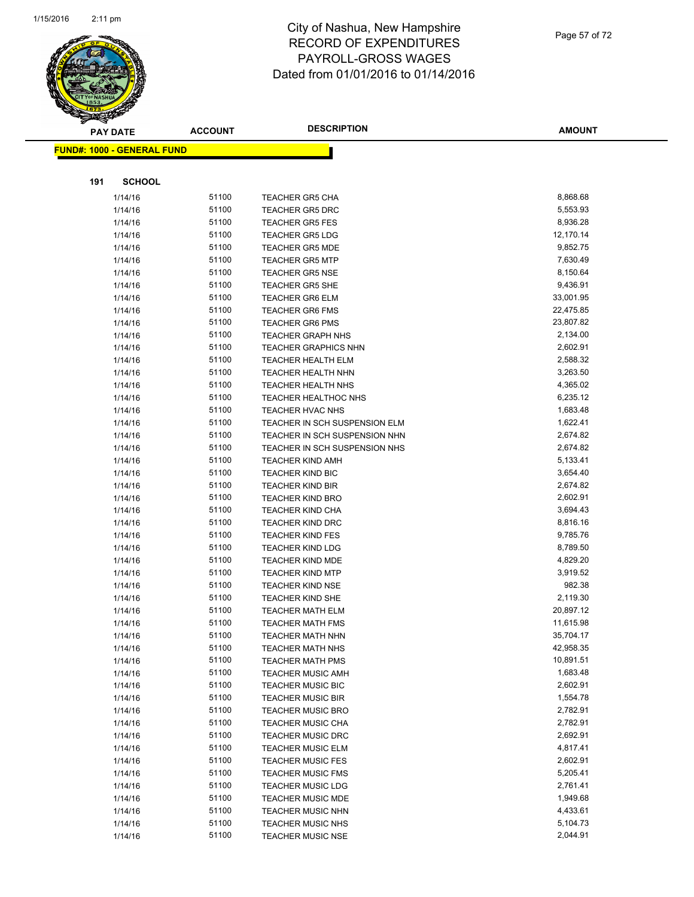

|     | <b>PAY DATE</b>                   | <b>ACCOUNT</b> | <b>DESCRIPTION</b>                               | <b>AMOUNT</b>        |
|-----|-----------------------------------|----------------|--------------------------------------------------|----------------------|
|     | <b>FUND#: 1000 - GENERAL FUND</b> |                |                                                  |                      |
|     |                                   |                |                                                  |                      |
| 191 | <b>SCHOOL</b>                     |                |                                                  |                      |
|     |                                   |                |                                                  |                      |
|     | 1/14/16                           | 51100          | <b>TEACHER GR5 CHA</b>                           | 8,868.68             |
|     | 1/14/16                           | 51100          | <b>TEACHER GR5 DRC</b>                           | 5,553.93             |
|     | 1/14/16                           | 51100          | <b>TEACHER GR5 FES</b>                           | 8,936.28             |
|     | 1/14/16                           | 51100          | <b>TEACHER GR5 LDG</b>                           | 12,170.14            |
|     | 1/14/16                           | 51100<br>51100 | <b>TEACHER GR5 MDE</b>                           | 9,852.75             |
|     | 1/14/16                           | 51100          | <b>TEACHER GR5 MTP</b>                           | 7,630.49<br>8,150.64 |
|     | 1/14/16<br>1/14/16                | 51100          | <b>TEACHER GR5 NSE</b><br><b>TEACHER GR5 SHE</b> | 9,436.91             |
|     | 1/14/16                           | 51100          | <b>TEACHER GR6 ELM</b>                           | 33,001.95            |
|     | 1/14/16                           | 51100          | <b>TEACHER GR6 FMS</b>                           | 22,475.85            |
|     | 1/14/16                           | 51100          | <b>TEACHER GR6 PMS</b>                           | 23,807.82            |
|     | 1/14/16                           | 51100          | <b>TEACHER GRAPH NHS</b>                         | 2,134.00             |
|     | 1/14/16                           | 51100          | <b>TEACHER GRAPHICS NHN</b>                      | 2,602.91             |
|     | 1/14/16                           | 51100          | <b>TEACHER HEALTH ELM</b>                        | 2,588.32             |
|     | 1/14/16                           | 51100          | <b>TEACHER HEALTH NHN</b>                        | 3,263.50             |
|     | 1/14/16                           | 51100          | <b>TEACHER HEALTH NHS</b>                        | 4,365.02             |
|     | 1/14/16                           | 51100          | <b>TEACHER HEALTHOC NHS</b>                      | 6,235.12             |
|     | 1/14/16                           | 51100          | <b>TEACHER HVAC NHS</b>                          | 1,683.48             |
|     | 1/14/16                           | 51100          | TEACHER IN SCH SUSPENSION ELM                    | 1,622.41             |
|     | 1/14/16                           | 51100          | TEACHER IN SCH SUSPENSION NHN                    | 2,674.82             |
|     | 1/14/16                           | 51100          | TEACHER IN SCH SUSPENSION NHS                    | 2,674.82             |
|     | 1/14/16                           | 51100          | <b>TEACHER KIND AMH</b>                          | 5,133.41             |
|     | 1/14/16                           | 51100          | <b>TEACHER KIND BIC</b>                          | 3,654.40             |
|     | 1/14/16                           | 51100          | <b>TEACHER KIND BIR</b>                          | 2,674.82             |
|     | 1/14/16                           | 51100          | <b>TEACHER KIND BRO</b>                          | 2,602.91             |
|     | 1/14/16                           | 51100          | <b>TEACHER KIND CHA</b>                          | 3,694.43             |
|     | 1/14/16                           | 51100          | <b>TEACHER KIND DRC</b>                          | 8,816.16             |
|     | 1/14/16                           | 51100          | <b>TEACHER KIND FES</b>                          | 9,785.76             |
|     | 1/14/16                           | 51100          | <b>TEACHER KIND LDG</b>                          | 8,789.50             |
|     | 1/14/16                           | 51100          | <b>TEACHER KIND MDE</b>                          | 4,829.20             |
|     | 1/14/16                           | 51100          | <b>TEACHER KIND MTP</b>                          | 3,919.52             |
|     | 1/14/16                           | 51100          | <b>TEACHER KIND NSE</b>                          | 982.38               |
|     | 1/14/16                           | 51100          | TEACHER KIND SHE                                 | 2,119.30             |
|     | 1/14/16                           | 51100          | <b>TEACHER MATH ELM</b>                          | 20,897.12            |
|     | 1/14/16                           | 51100          | <b>TEACHER MATH FMS</b>                          | 11,615.98            |
|     | 1/14/16                           | 51100          | <b>TEACHER MATH NHN</b>                          | 35,704.17            |
|     | 1/14/16                           | 51100          | <b>TEACHER MATH NHS</b>                          | 42,958.35            |
|     | 1/14/16                           | 51100          | <b>TEACHER MATH PMS</b>                          | 10,891.51            |
|     | 1/14/16                           | 51100          | <b>TEACHER MUSIC AMH</b>                         | 1,683.48             |
|     | 1/14/16                           | 51100          | <b>TEACHER MUSIC BIC</b>                         | 2,602.91             |
|     | 1/14/16                           | 51100          | <b>TEACHER MUSIC BIR</b>                         | 1,554.78             |
|     | 1/14/16                           | 51100          | <b>TEACHER MUSIC BRO</b>                         | 2,782.91             |
|     | 1/14/16                           | 51100          | <b>TEACHER MUSIC CHA</b>                         | 2,782.91             |
|     | 1/14/16                           | 51100          | <b>TEACHER MUSIC DRC</b>                         | 2,692.91             |
|     | 1/14/16                           | 51100          | <b>TEACHER MUSIC ELM</b>                         | 4,817.41             |
|     | 1/14/16                           | 51100          | <b>TEACHER MUSIC FES</b>                         | 2,602.91             |
|     | 1/14/16                           | 51100          | <b>TEACHER MUSIC FMS</b>                         | 5,205.41             |
|     | 1/14/16                           | 51100          | <b>TEACHER MUSIC LDG</b>                         | 2,761.41             |
|     | 1/14/16                           | 51100          | <b>TEACHER MUSIC MDE</b>                         | 1,949.68             |
|     | 1/14/16                           | 51100          | <b>TEACHER MUSIC NHN</b>                         | 4,433.61             |
|     | 1/14/16                           | 51100          | <b>TEACHER MUSIC NHS</b>                         | 5,104.73             |
|     | 1/14/16                           | 51100          | <b>TEACHER MUSIC NSE</b>                         | 2,044.91             |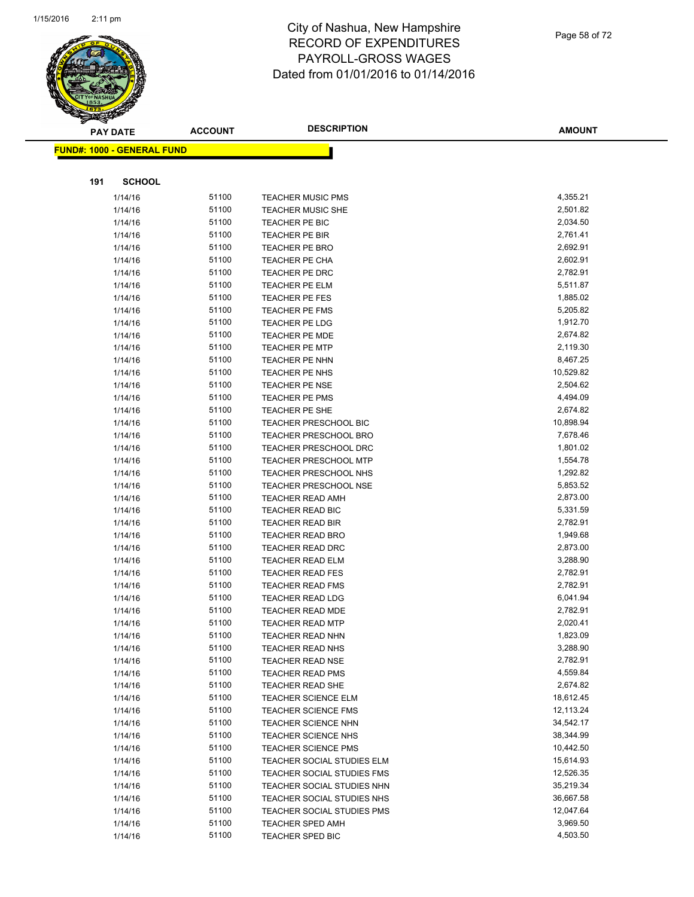

| Page 58 of 72 |
|---------------|
|               |

|     | <b>PAY DATE</b>                   | <b>ACCOUNT</b> | <b>DESCRIPTION</b>                          | <b>AMOUNT</b>        |
|-----|-----------------------------------|----------------|---------------------------------------------|----------------------|
|     | <b>FUND#: 1000 - GENERAL FUND</b> |                |                                             |                      |
|     |                                   |                |                                             |                      |
|     |                                   |                |                                             |                      |
| 191 | <b>SCHOOL</b>                     |                |                                             |                      |
|     | 1/14/16                           | 51100          | <b>TEACHER MUSIC PMS</b>                    | 4,355.21             |
|     | 1/14/16                           | 51100          | <b>TEACHER MUSIC SHE</b>                    | 2,501.82             |
|     | 1/14/16                           | 51100          | TEACHER PE BIC                              | 2,034.50             |
|     | 1/14/16                           | 51100          | <b>TEACHER PE BIR</b>                       | 2,761.41             |
|     | 1/14/16                           | 51100          | <b>TEACHER PE BRO</b>                       | 2,692.91             |
|     | 1/14/16                           | 51100          | TEACHER PE CHA                              | 2,602.91             |
|     | 1/14/16                           | 51100          | <b>TEACHER PE DRC</b>                       | 2,782.91             |
|     | 1/14/16                           | 51100          | TEACHER PE ELM                              | 5,511.87             |
|     | 1/14/16                           | 51100          | <b>TEACHER PE FES</b>                       | 1,885.02             |
|     | 1/14/16                           | 51100          | TEACHER PE FMS                              | 5,205.82             |
|     | 1/14/16                           | 51100          | TEACHER PE LDG                              | 1,912.70             |
|     | 1/14/16                           | 51100          | <b>TEACHER PE MDE</b>                       | 2,674.82             |
|     | 1/14/16                           | 51100          | <b>TEACHER PE MTP</b>                       | 2,119.30             |
|     | 1/14/16                           | 51100          | TEACHER PE NHN                              | 8,467.25             |
|     | 1/14/16                           | 51100          | <b>TEACHER PE NHS</b>                       | 10,529.82            |
|     | 1/14/16                           | 51100          | <b>TEACHER PE NSE</b>                       | 2,504.62             |
|     | 1/14/16                           | 51100          | <b>TEACHER PE PMS</b>                       | 4,494.09             |
|     | 1/14/16                           | 51100          | TEACHER PE SHE                              | 2,674.82             |
|     | 1/14/16                           | 51100          | TEACHER PRESCHOOL BIC                       | 10,898.94            |
|     | 1/14/16                           | 51100          | TEACHER PRESCHOOL BRO                       | 7,678.46             |
|     | 1/14/16                           | 51100          | TEACHER PRESCHOOL DRC                       | 1,801.02             |
|     | 1/14/16                           | 51100          | <b>TEACHER PRESCHOOL MTP</b>                | 1,554.78             |
|     | 1/14/16                           | 51100          | TEACHER PRESCHOOL NHS                       | 1,292.82<br>5,853.52 |
|     | 1/14/16                           | 51100<br>51100 | TEACHER PRESCHOOL NSE                       | 2,873.00             |
|     | 1/14/16<br>1/14/16                | 51100          | <b>TEACHER READ AMH</b><br>TEACHER READ BIC | 5,331.59             |
|     | 1/14/16                           | 51100          | <b>TEACHER READ BIR</b>                     | 2,782.91             |
|     | 1/14/16                           | 51100          | <b>TEACHER READ BRO</b>                     | 1,949.68             |
|     | 1/14/16                           | 51100          | <b>TEACHER READ DRC</b>                     | 2,873.00             |
|     | 1/14/16                           | 51100          | <b>TEACHER READ ELM</b>                     | 3,288.90             |
|     | 1/14/16                           | 51100          | <b>TEACHER READ FES</b>                     | 2,782.91             |
|     | 1/14/16                           | 51100          | <b>TEACHER READ FMS</b>                     | 2,782.91             |
|     | 1/14/16                           | 51100          | <b>TEACHER READ LDG</b>                     | 6,041.94             |
|     | 1/14/16                           | 51100          | TEACHER READ MDE                            | 2,782.91             |
|     | 1/14/16                           | 51100          | <b>TEACHER READ MTP</b>                     | 2,020.41             |
|     | 1/14/16                           | 51100          | <b>TEACHER READ NHN</b>                     | 1,823.09             |
|     | 1/14/16                           | 51100          | TEACHER READ NHS                            | 3,288.90             |
|     | 1/14/16                           | 51100          | <b>TEACHER READ NSE</b>                     | 2,782.91             |
|     | 1/14/16                           | 51100          | <b>TEACHER READ PMS</b>                     | 4,559.84             |
|     | 1/14/16                           | 51100          | TEACHER READ SHE                            | 2,674.82             |
|     | 1/14/16                           | 51100          | <b>TEACHER SCIENCE ELM</b>                  | 18,612.45            |
|     | 1/14/16                           | 51100          | <b>TEACHER SCIENCE FMS</b>                  | 12,113.24            |
|     | 1/14/16                           | 51100          | TEACHER SCIENCE NHN                         | 34,542.17            |
|     | 1/14/16                           | 51100          | TEACHER SCIENCE NHS                         | 38,344.99            |
|     | 1/14/16                           | 51100          | <b>TEACHER SCIENCE PMS</b>                  | 10,442.50            |
|     | 1/14/16                           | 51100          | TEACHER SOCIAL STUDIES ELM                  | 15,614.93            |
|     | 1/14/16                           | 51100          | TEACHER SOCIAL STUDIES FMS                  | 12,526.35            |
|     | 1/14/16                           | 51100          | TEACHER SOCIAL STUDIES NHN                  | 35,219.34            |
|     | 1/14/16                           | 51100          | TEACHER SOCIAL STUDIES NHS                  | 36,667.58            |
|     | 1/14/16                           | 51100          | TEACHER SOCIAL STUDIES PMS                  | 12,047.64            |
|     | 1/14/16                           | 51100          | <b>TEACHER SPED AMH</b>                     | 3,969.50             |
|     | 1/14/16                           | 51100          | TEACHER SPED BIC                            | 4,503.50             |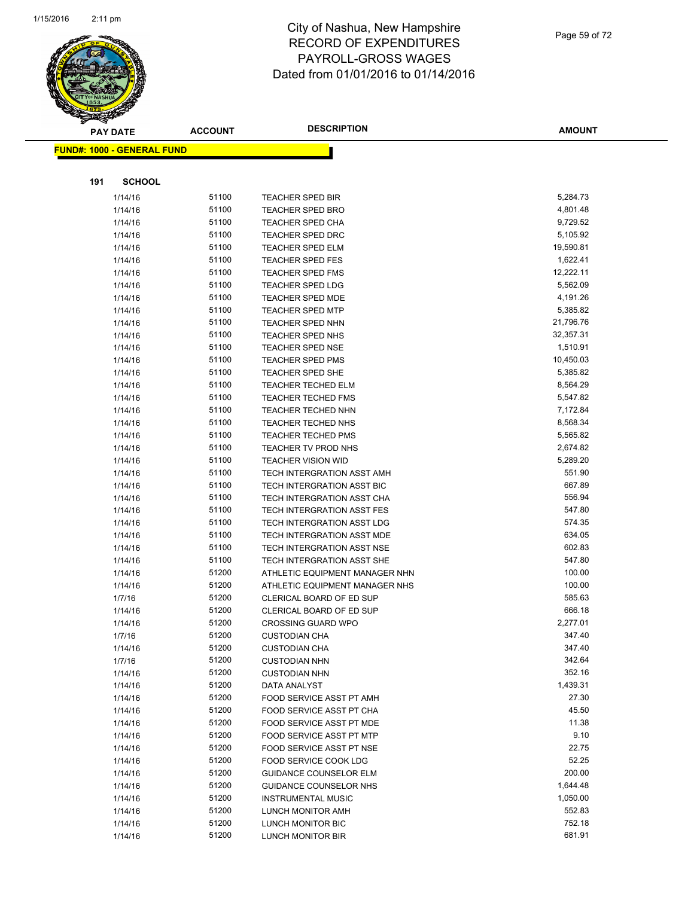

Page 59 of 72

**AMOUNT**

| <b>FUND#: 1000 - GENERAL FUND</b> |                |                                                          |                  |
|-----------------------------------|----------------|----------------------------------------------------------|------------------|
|                                   |                |                                                          |                  |
| 191<br><b>SCHOOL</b>              |                |                                                          |                  |
| 1/14/16                           | 51100          | TEACHER SPED BIR                                         | 5,284.73         |
| 1/14/16                           | 51100          | <b>TEACHER SPED BRO</b>                                  | 4,801.48         |
| 1/14/16                           | 51100          | <b>TEACHER SPED CHA</b>                                  | 9,729.52         |
| 1/14/16                           | 51100          | TEACHER SPED DRC                                         | 5,105.92         |
| 1/14/16                           | 51100          | <b>TEACHER SPED ELM</b>                                  | 19,590.81        |
| 1/14/16                           | 51100          | <b>TEACHER SPED FES</b>                                  | 1,622.41         |
| 1/14/16                           | 51100          | <b>TEACHER SPED FMS</b>                                  | 12,222.11        |
| 1/14/16                           | 51100          | <b>TEACHER SPED LDG</b>                                  | 5,562.09         |
| 1/14/16                           | 51100          | <b>TEACHER SPED MDE</b>                                  | 4,191.26         |
| 1/14/16                           | 51100          | <b>TEACHER SPED MTP</b>                                  | 5,385.82         |
| 1/14/16                           | 51100          | TEACHER SPED NHN                                         | 21,796.76        |
| 1/14/16                           | 51100          | <b>TEACHER SPED NHS</b>                                  | 32,357.31        |
| 1/14/16                           | 51100          | <b>TEACHER SPED NSE</b>                                  | 1,510.91         |
| 1/14/16                           | 51100          | <b>TEACHER SPED PMS</b>                                  | 10,450.03        |
| 1/14/16                           | 51100          | <b>TEACHER SPED SHE</b>                                  | 5,385.82         |
| 1/14/16                           | 51100          | <b>TEACHER TECHED ELM</b>                                | 8,564.29         |
| 1/14/16                           | 51100          | <b>TEACHER TECHED FMS</b>                                | 5,547.82         |
| 1/14/16                           | 51100          | <b>TEACHER TECHED NHN</b>                                | 7,172.84         |
| 1/14/16                           | 51100          | TEACHER TECHED NHS                                       | 8,568.34         |
| 1/14/16                           | 51100          | <b>TEACHER TECHED PMS</b>                                | 5,565.82         |
| 1/14/16                           | 51100          | TEACHER TV PROD NHS                                      | 2,674.82         |
| 1/14/16                           | 51100          | <b>TEACHER VISION WID</b>                                | 5,289.20         |
| 1/14/16                           | 51100          | TECH INTERGRATION ASST AMH                               | 551.90           |
| 1/14/16                           | 51100          | TECH INTERGRATION ASST BIC                               | 667.89           |
| 1/14/16                           | 51100          | TECH INTERGRATION ASST CHA                               | 556.94<br>547.80 |
| 1/14/16                           | 51100<br>51100 | TECH INTERGRATION ASST FES                               | 574.35           |
| 1/14/16<br>1/14/16                | 51100          | TECH INTERGRATION ASST LDG<br>TECH INTERGRATION ASST MDE | 634.05           |
| 1/14/16                           | 51100          | TECH INTERGRATION ASST NSE                               | 602.83           |
| 1/14/16                           | 51100          | TECH INTERGRATION ASST SHE                               | 547.80           |
| 1/14/16                           | 51200          | ATHLETIC EQUIPMENT MANAGER NHN                           | 100.00           |
| 1/14/16                           | 51200          | ATHLETIC EQUIPMENT MANAGER NHS                           | 100.00           |
| 1/7/16                            | 51200          | CLERICAL BOARD OF ED SUP                                 | 585.63           |
| 1/14/16                           | 51200          | CLERICAL BOARD OF ED SUP                                 | 666.18           |
| 1/14/16                           | 51200          | <b>CROSSING GUARD WPO</b>                                | 2,277.01         |
| 1/7/16                            | 51200          | <b>CUSTODIAN CHA</b>                                     | 347.40           |
| 1/14/16                           | 51200          | <b>CUSTODIAN CHA</b>                                     | 347.40           |
| 1/7/16                            | 51200          | <b>CUSTODIAN NHN</b>                                     | 342.64           |
| 1/14/16                           | 51200          | <b>CUSTODIAN NHN</b>                                     | 352.16           |
| 1/14/16                           | 51200          | DATA ANALYST                                             | 1,439.31         |
| 1/14/16                           | 51200          | FOOD SERVICE ASST PT AMH                                 | 27.30            |
| 1/14/16                           | 51200          | FOOD SERVICE ASST PT CHA                                 | 45.50            |
| 1/14/16                           | 51200          | FOOD SERVICE ASST PT MDE                                 | 11.38            |
| 1/14/16                           | 51200          | <b>FOOD SERVICE ASST PT MTP</b>                          | 9.10             |
| 1/14/16                           | 51200          | <b>FOOD SERVICE ASST PT NSE</b>                          | 22.75            |
| 1/14/16                           | 51200          | FOOD SERVICE COOK LDG                                    | 52.25            |
| 1/14/16                           | 51200          | <b>GUIDANCE COUNSELOR ELM</b>                            | 200.00           |
| 1/14/16                           | 51200          | <b>GUIDANCE COUNSELOR NHS</b>                            | 1,644.48         |
| 1/14/16                           | 51200          | <b>INSTRUMENTAL MUSIC</b>                                | 1,050.00         |
| 1/14/16                           | 51200          | LUNCH MONITOR AMH                                        | 552.83           |
| 1/14/16                           | 51200          | LUNCH MONITOR BIC                                        | 752.18           |
| 1/14/16                           | 51200          | LUNCH MONITOR BIR                                        | 681.91           |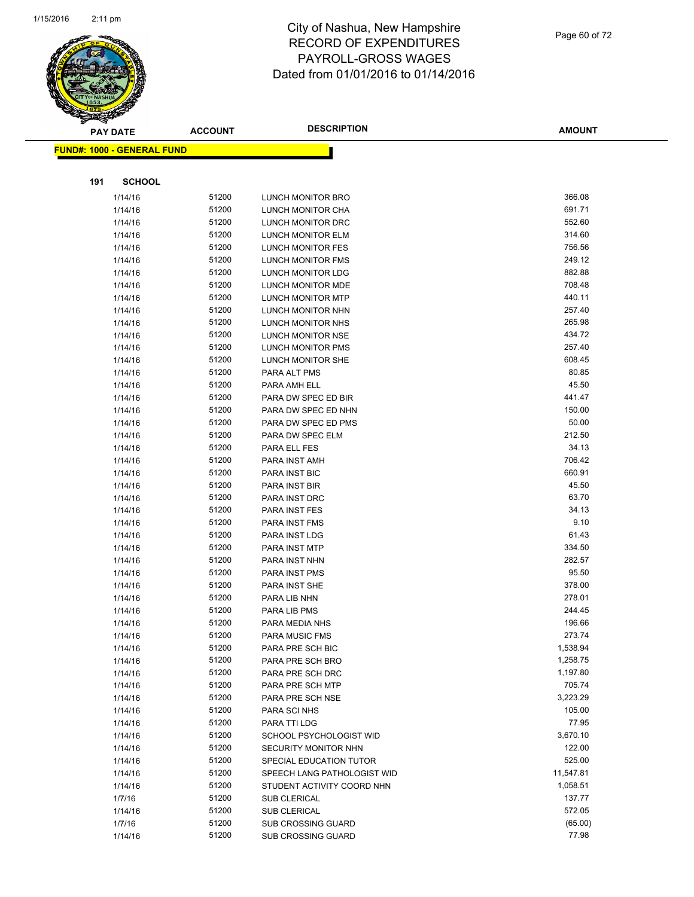

|     | <b>PAY DATE</b>                   | <b>ACCOUNT</b> | <b>DESCRIPTION</b>                            | <b>AMOUNT</b>    |
|-----|-----------------------------------|----------------|-----------------------------------------------|------------------|
|     | <b>FUND#: 1000 - GENERAL FUND</b> |                |                                               |                  |
|     |                                   |                |                                               |                  |
|     |                                   |                |                                               |                  |
| 191 | <b>SCHOOL</b>                     |                |                                               |                  |
|     | 1/14/16                           | 51200          | LUNCH MONITOR BRO                             | 366.08           |
|     | 1/14/16                           | 51200          | LUNCH MONITOR CHA                             | 691.71           |
|     | 1/14/16                           | 51200          | LUNCH MONITOR DRC                             | 552.60           |
|     | 1/14/16                           | 51200          | LUNCH MONITOR ELM                             | 314.60           |
|     | 1/14/16                           | 51200          | LUNCH MONITOR FES                             | 756.56           |
|     | 1/14/16                           | 51200          | LUNCH MONITOR FMS                             | 249.12           |
|     | 1/14/16                           | 51200          | LUNCH MONITOR LDG                             | 882.88           |
|     | 1/14/16                           | 51200          | LUNCH MONITOR MDE                             | 708.48           |
|     | 1/14/16                           | 51200          | LUNCH MONITOR MTP                             | 440.11           |
|     | 1/14/16                           | 51200          | LUNCH MONITOR NHN                             | 257.40           |
|     | 1/14/16                           | 51200          | LUNCH MONITOR NHS                             | 265.98           |
|     | 1/14/16                           | 51200          | LUNCH MONITOR NSE                             | 434.72<br>257.40 |
|     | 1/14/16                           | 51200<br>51200 | LUNCH MONITOR PMS<br><b>LUNCH MONITOR SHE</b> | 608.45           |
|     | 1/14/16<br>1/14/16                | 51200          | PARA ALT PMS                                  | 80.85            |
|     |                                   | 51200          | PARA AMH ELL                                  | 45.50            |
|     | 1/14/16<br>1/14/16                | 51200          | PARA DW SPEC ED BIR                           | 441.47           |
|     | 1/14/16                           | 51200          | PARA DW SPEC ED NHN                           | 150.00           |
|     | 1/14/16                           | 51200          | PARA DW SPEC ED PMS                           | 50.00            |
|     | 1/14/16                           | 51200          | PARA DW SPEC ELM                              | 212.50           |
|     | 1/14/16                           | 51200          | PARA ELL FES                                  | 34.13            |
|     | 1/14/16                           | 51200          | PARA INST AMH                                 | 706.42           |
|     | 1/14/16                           | 51200          | PARA INST BIC                                 | 660.91           |
|     | 1/14/16                           | 51200          | <b>PARA INST BIR</b>                          | 45.50            |
|     | 1/14/16                           | 51200          | PARA INST DRC                                 | 63.70            |
|     | 1/14/16                           | 51200          | PARA INST FES                                 | 34.13            |
|     | 1/14/16                           | 51200          | <b>PARA INST FMS</b>                          | 9.10             |
|     | 1/14/16                           | 51200          | PARA INST LDG                                 | 61.43            |
|     | 1/14/16                           | 51200          | PARA INST MTP                                 | 334.50           |
|     | 1/14/16                           | 51200          | PARA INST NHN                                 | 282.57           |
|     | 1/14/16                           | 51200          | PARA INST PMS                                 | 95.50            |
|     | 1/14/16                           | 51200          | PARA INST SHE                                 | 378.00           |
|     | 1/14/16                           | 51200          | PARA LIB NHN                                  | 278.01           |
|     | 1/14/16                           | 51200          | PARA LIB PMS                                  | 244.45           |
|     | 1/14/16                           | 51200          | PARA MEDIA NHS                                | 196.66           |
|     | 1/14/16                           | 51200          | PARA MUSIC FMS                                | 273.74           |
|     | 1/14/16                           | 51200          | PARA PRE SCH BIC                              | 1,538.94         |
|     | 1/14/16                           | 51200          | PARA PRE SCH BRO                              | 1,258.75         |
|     | 1/14/16                           | 51200          | PARA PRE SCH DRC                              | 1,197.80         |
|     | 1/14/16                           | 51200          | PARA PRE SCH MTP                              | 705.74           |
|     | 1/14/16                           | 51200          | PARA PRE SCH NSE                              | 3,223.29         |
|     | 1/14/16                           | 51200          | PARA SCI NHS                                  | 105.00           |
|     | 1/14/16                           | 51200          | PARA TTI LDG                                  | 77.95            |
|     | 1/14/16                           | 51200          | SCHOOL PSYCHOLOGIST WID                       | 3,670.10         |
|     | 1/14/16                           | 51200          | SECURITY MONITOR NHN                          | 122.00           |
|     | 1/14/16                           | 51200          | SPECIAL EDUCATION TUTOR                       | 525.00           |
|     | 1/14/16                           | 51200          | SPEECH LANG PATHOLOGIST WID                   | 11,547.81        |
|     | 1/14/16                           | 51200          | STUDENT ACTIVITY COORD NHN                    | 1,058.51         |
|     | 1/7/16                            | 51200          | <b>SUB CLERICAL</b>                           | 137.77           |
|     | 1/14/16                           | 51200          | <b>SUB CLERICAL</b>                           | 572.05           |
|     | 1/7/16                            | 51200          | <b>SUB CROSSING GUARD</b>                     | (65.00)          |
|     | 1/14/16                           | 51200          | <b>SUB CROSSING GUARD</b>                     | 77.98            |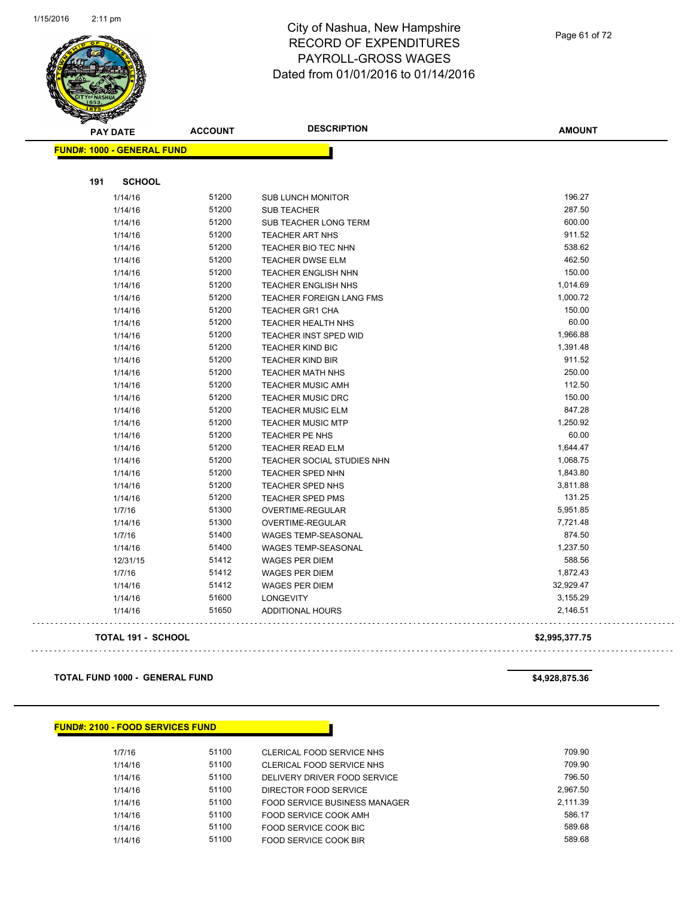

Page 61 of 72

|     | <b>PAY DATE</b>                   | <b>ACCOUNT</b> | <b>DESCRIPTION</b>           | <b>AMOUNT</b>  |
|-----|-----------------------------------|----------------|------------------------------|----------------|
|     | <b>FUND#: 1000 - GENERAL FUND</b> |                |                              |                |
| 191 | <b>SCHOOL</b>                     |                |                              |                |
|     |                                   |                |                              | 196.27         |
|     | 1/14/16                           | 51200          | <b>SUB LUNCH MONITOR</b>     | 287.50         |
|     | 1/14/16                           | 51200          | <b>SUB TEACHER</b>           |                |
|     | 1/14/16                           | 51200          | SUB TEACHER LONG TERM        | 600.00         |
|     | 1/14/16                           | 51200          | TEACHER ART NHS              | 911.52         |
|     | 1/14/16                           | 51200          | TEACHER BIO TEC NHN          | 538.62         |
|     | 1/14/16                           | 51200          | <b>TEACHER DWSE ELM</b>      | 462.50         |
|     | 1/14/16                           | 51200          | TEACHER ENGLISH NHN          | 150.00         |
|     | 1/14/16                           | 51200          | <b>TEACHER ENGLISH NHS</b>   | 1,014.69       |
|     | 1/14/16                           | 51200          | TEACHER FOREIGN LANG FMS     | 1,000.72       |
|     | 1/14/16                           | 51200          | <b>TEACHER GR1 CHA</b>       | 150.00         |
|     | 1/14/16                           | 51200          | TEACHER HEALTH NHS           | 60.00          |
|     | 1/14/16                           | 51200          | <b>TEACHER INST SPED WID</b> | 1,966.88       |
|     | 1/14/16                           | 51200          | <b>TEACHER KIND BIC</b>      | 1,391.48       |
|     | 1/14/16                           | 51200          | <b>TEACHER KIND BIR</b>      | 911.52         |
|     | 1/14/16                           | 51200          | <b>TEACHER MATH NHS</b>      | 250.00         |
|     | 1/14/16                           | 51200          | <b>TEACHER MUSIC AMH</b>     | 112.50         |
|     | 1/14/16                           | 51200          | <b>TEACHER MUSIC DRC</b>     | 150.00         |
|     | 1/14/16                           | 51200          | <b>TEACHER MUSIC ELM</b>     | 847.28         |
|     | 1/14/16                           | 51200          | <b>TEACHER MUSIC MTP</b>     | 1,250.92       |
|     | 1/14/16                           | 51200          | <b>TEACHER PE NHS</b>        | 60.00          |
|     | 1/14/16                           | 51200          | <b>TEACHER READ ELM</b>      | 1,644.47       |
|     | 1/14/16                           | 51200          | TEACHER SOCIAL STUDIES NHN   | 1,068.75       |
|     | 1/14/16                           | 51200          | TEACHER SPED NHN             | 1,843.80       |
|     | 1/14/16                           | 51200          | TEACHER SPED NHS             | 3,811.88       |
|     | 1/14/16                           | 51200          | <b>TEACHER SPED PMS</b>      | 131.25         |
|     | 1/7/16                            | 51300          | OVERTIME-REGULAR             | 5,951.85       |
|     | 1/14/16                           | 51300          | <b>OVERTIME-REGULAR</b>      | 7,721.48       |
|     | 1/7/16                            | 51400          | <b>WAGES TEMP-SEASONAL</b>   | 874.50         |
|     | 1/14/16                           | 51400          | <b>WAGES TEMP-SEASONAL</b>   | 1,237.50       |
|     | 12/31/15                          | 51412          | <b>WAGES PER DIEM</b>        | 588.56         |
|     | 1/7/16                            | 51412          | WAGES PER DIEM               | 1,872.43       |
|     | 1/14/16                           | 51412          | <b>WAGES PER DIEM</b>        | 32,929.47      |
|     | 1/14/16                           | 51600          | <b>LONGEVITY</b>             | 3,155.29       |
|     | 1/14/16                           | 51650          | <b>ADDITIONAL HOURS</b>      | 2,146.51       |
|     | <b>TOTAL 191 - SCHOOL</b>         |                |                              | \$2,995,377.75 |
|     |                                   |                |                              |                |

### **TOTAL FUND 1000 - GENERAL FUND \$4,928,875.36**

### **FUND#: 2100 - FOOD SERVICES FUND**

| 1/7/16  | 51100 | CLERICAL FOOD SERVICE NHS            | 709.90   |
|---------|-------|--------------------------------------|----------|
| 1/14/16 | 51100 | CLERICAL FOOD SERVICE NHS            | 709.90   |
| 1/14/16 | 51100 | DELIVERY DRIVER FOOD SERVICE         | 796.50   |
| 1/14/16 | 51100 | DIRECTOR FOOD SERVICE                | 2.967.50 |
| 1/14/16 | 51100 | <b>FOOD SERVICE BUSINESS MANAGER</b> | 2.111.39 |
| 1/14/16 | 51100 | FOOD SERVICE COOK AMH                | 586.17   |
| 1/14/16 | 51100 | FOOD SERVICE COOK BIC                | 589.68   |
| 1/14/16 | 51100 | FOOD SERVICE COOK BIR                | 589.68   |

. . .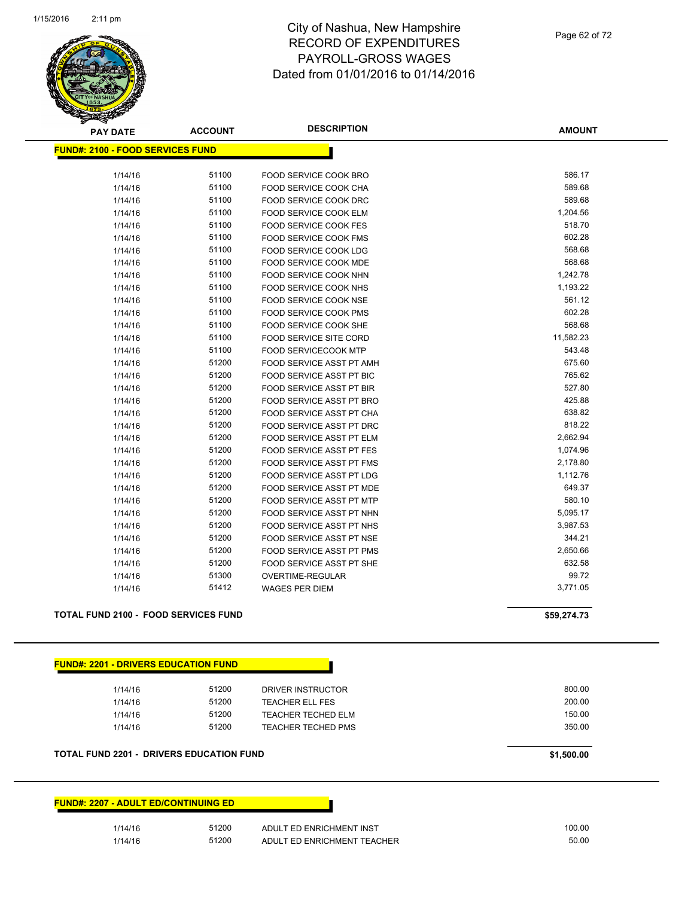

| <b>PAY DATE</b>                             | <b>ACCOUNT</b> | <b>DESCRIPTION</b>              | <b>AMOUNT</b> |
|---------------------------------------------|----------------|---------------------------------|---------------|
| <b>FUND#: 2100 - FOOD SERVICES FUND</b>     |                |                                 |               |
| 1/14/16                                     | 51100          | FOOD SERVICE COOK BRO           | 586.17        |
| 1/14/16                                     | 51100          | FOOD SERVICE COOK CHA           | 589.68        |
| 1/14/16                                     | 51100          | FOOD SERVICE COOK DRC           | 589.68        |
| 1/14/16                                     | 51100          | <b>FOOD SERVICE COOK ELM</b>    | 1,204.56      |
| 1/14/16                                     | 51100          | <b>FOOD SERVICE COOK FES</b>    | 518.70        |
|                                             | 51100          |                                 | 602.28        |
| 1/14/16                                     | 51100          | FOOD SERVICE COOK FMS           | 568.68        |
| 1/14/16                                     |                | FOOD SERVICE COOK LDG           | 568.68        |
| 1/14/16                                     | 51100          | <b>FOOD SERVICE COOK MDE</b>    |               |
| 1/14/16                                     | 51100          | FOOD SERVICE COOK NHN           | 1,242.78      |
| 1/14/16                                     | 51100          | FOOD SERVICE COOK NHS           | 1,193.22      |
| 1/14/16                                     | 51100          | FOOD SERVICE COOK NSE           | 561.12        |
| 1/14/16                                     | 51100          | FOOD SERVICE COOK PMS           | 602.28        |
| 1/14/16                                     | 51100          | <b>FOOD SERVICE COOK SHE</b>    | 568.68        |
| 1/14/16                                     | 51100          | <b>FOOD SERVICE SITE CORD</b>   | 11,582.23     |
| 1/14/16                                     | 51100          | <b>FOOD SERVICECOOK MTP</b>     | 543.48        |
| 1/14/16                                     | 51200          | FOOD SERVICE ASST PT AMH        | 675.60        |
| 1/14/16                                     | 51200          | FOOD SERVICE ASST PT BIC        | 765.62        |
| 1/14/16                                     | 51200          | FOOD SERVICE ASST PT BIR        | 527.80        |
| 1/14/16                                     | 51200          | FOOD SERVICE ASST PT BRO        | 425.88        |
| 1/14/16                                     | 51200          | FOOD SERVICE ASST PT CHA        | 638.82        |
| 1/14/16                                     | 51200          | <b>FOOD SERVICE ASST PT DRC</b> | 818.22        |
| 1/14/16                                     | 51200          | FOOD SERVICE ASST PT ELM        | 2,662.94      |
| 1/14/16                                     | 51200          | <b>FOOD SERVICE ASST PT FES</b> | 1,074.96      |
| 1/14/16                                     | 51200          | FOOD SERVICE ASST PT FMS        | 2,178.80      |
| 1/14/16                                     | 51200          | FOOD SERVICE ASST PT LDG        | 1,112.76      |
| 1/14/16                                     | 51200          | FOOD SERVICE ASST PT MDE        | 649.37        |
| 1/14/16                                     | 51200          | FOOD SERVICE ASST PT MTP        | 580.10        |
| 1/14/16                                     | 51200          | FOOD SERVICE ASST PT NHN        | 5,095.17      |
| 1/14/16                                     | 51200          | FOOD SERVICE ASST PT NHS        | 3,987.53      |
| 1/14/16                                     | 51200          | FOOD SERVICE ASST PT NSE        | 344.21        |
| 1/14/16                                     | 51200          | FOOD SERVICE ASST PT PMS        | 2,650.66      |
| 1/14/16                                     | 51200          | FOOD SERVICE ASST PT SHE        | 632.58        |
| 1/14/16                                     | 51300          | OVERTIME-REGULAR                | 99.72         |
| 1/14/16                                     | 51412          | <b>WAGES PER DIEM</b>           | 3,771.05      |
| <b>TOTAL FUND 2100 - FOOD SERVICES FUND</b> |                |                                 |               |
|                                             |                |                                 | \$59,274.73   |

### **FUND#: 2201 - DRIVERS EDUCATION FUND**

| 1/14/16 | 51200 | DRIVER INSTRUCTOR      | 800.00 |
|---------|-------|------------------------|--------|
| 1/14/16 | 51200 | <b>TEACHER ELL FES</b> | 200.00 |
| 1/14/16 | 51200 | TEACHER TECHED ELM     | 150.00 |
| 1/14/16 | 51200 | TEACHER TECHED PMS     | 350.00 |
|         |       |                        |        |

### **TOTAL FUND 2201 - DRIVERS EDUCATION FUND \$1,500.00**

| <b>FUND#: 2207 - ADULT ED/CONTINUING ED  </b> |       |                             |
|-----------------------------------------------|-------|-----------------------------|
| 1/14/16                                       | 51200 | ADULT ED ENRICHMENT INST    |
| 1/14/16                                       | 51200 | ADULT ED ENRICHMENT TEACHER |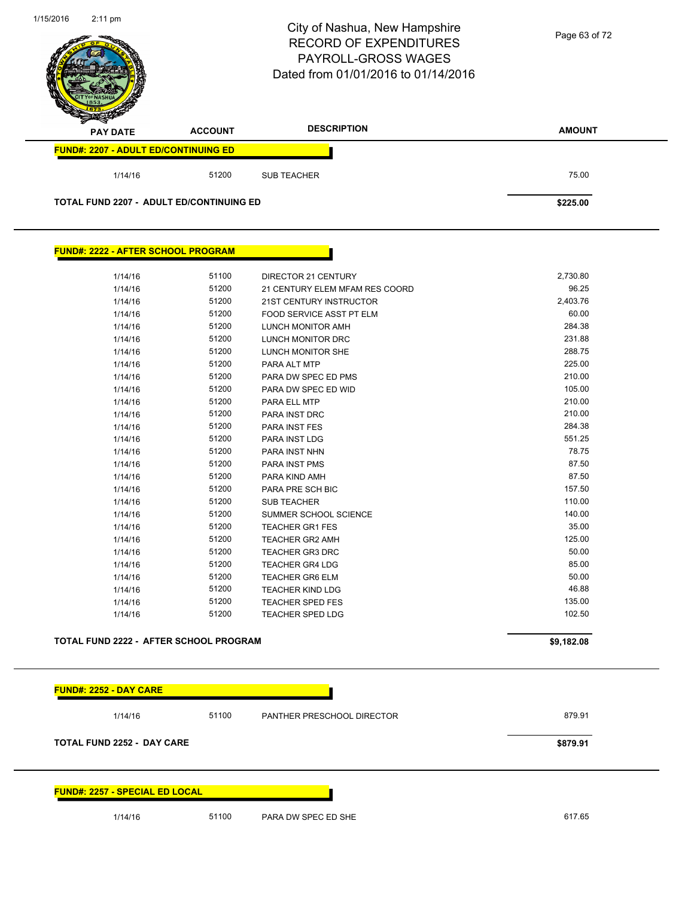|                                             |                | City of Nashua, New Hampshire<br><b>RECORD OF EXPENDITURES</b><br>PAYROLL-GROSS WAGES<br>Dated from 01/01/2016 to 01/14/2016 | Page 63 of 72    |
|---------------------------------------------|----------------|------------------------------------------------------------------------------------------------------------------------------|------------------|
| <b>PAY DATE</b>                             | <b>ACCOUNT</b> | <b>DESCRIPTION</b>                                                                                                           | <b>AMOUNT</b>    |
| <b>FUND#: 2207 - ADULT ED/CONTINUING ED</b> |                |                                                                                                                              |                  |
| 1/14/16                                     | 51200          | <b>SUB TEACHER</b>                                                                                                           | 75.00            |
| TOTAL FUND 2207 - ADULT ED/CONTINUING ED    |                |                                                                                                                              | \$225.00         |
| <b>FUND#: 2222 - AFTER SCHOOL PROGRAM</b>   |                |                                                                                                                              |                  |
| 1/14/16                                     | 51100          | DIRECTOR 21 CENTURY                                                                                                          | 2,730.80         |
| 1/14/16                                     | 51200          | 21 CENTURY ELEM MFAM RES COORD                                                                                               | 96.25            |
| 1/14/16                                     | 51200          | 21ST CENTURY INSTRUCTOR                                                                                                      | 2,403.76         |
| 1/14/16                                     | 51200          | FOOD SERVICE ASST PT ELM                                                                                                     | 60.00            |
| 1/14/16                                     | 51200          | LUNCH MONITOR AMH                                                                                                            | 284.38           |
| 1/14/16                                     | 51200          | LUNCH MONITOR DRC                                                                                                            | 231.88           |
| 1/14/16                                     | 51200          | LUNCH MONITOR SHE                                                                                                            | 288.75           |
| 1/14/16                                     | 51200          | PARA ALT MTP                                                                                                                 | 225.00           |
| 1/14/16                                     | 51200          | PARA DW SPEC ED PMS                                                                                                          | 210.00           |
| 1/14/16                                     | 51200          | PARA DW SPEC ED WID                                                                                                          | 105.00           |
| 1/14/16                                     | 51200          | PARA ELL MTP                                                                                                                 | 210.00           |
| 1/14/16                                     | 51200          | PARA INST DRC                                                                                                                | 210.00           |
| 1/14/16                                     | 51200          | PARA INST FES                                                                                                                | 284.38           |
| 1/14/16                                     | 51200          | PARA INST LDG                                                                                                                | 551.25           |
| 1/14/16                                     | 51200          | PARA INST NHN                                                                                                                | 78.75            |
| 1/14/16                                     | 51200          | PARA INST PMS                                                                                                                | 87.50            |
| 1/14/16                                     | 51200          | PARA KIND AMH                                                                                                                | 87.50            |
| 1/14/16                                     | 51200          | PARA PRE SCH BIC                                                                                                             | 157.50           |
| 1/14/16                                     | 51200          | <b>SUB TEACHER</b>                                                                                                           | 110.00<br>140.00 |
| 1/14/16                                     | 51200<br>51200 | SUMMER SCHOOL SCIENCE                                                                                                        | 35.00            |
| 1/14/16                                     | 51200          | <b>TEACHER GR1 FES</b><br>TEACHER GR2 AMH                                                                                    | 125.00           |
| 1/14/16<br>1/14/16                          | 51200          | TEACHER GR3 DRC                                                                                                              | 50.00            |
| 1/14/16                                     | 51200          | <b>TEACHER GR4 LDG</b>                                                                                                       | 85.00            |
| 1/14/16                                     | 51200          | <b>TEACHER GR6 ELM</b>                                                                                                       | 50.00            |
| 1/14/16                                     | 51200          | <b>TEACHER KIND LDG</b>                                                                                                      | 46.88            |
| 1/14/16                                     | 51200          | <b>TEACHER SPED FES</b>                                                                                                      | 135.00           |
| 1/14/16                                     | 51200          | <b>TEACHER SPED LDG</b>                                                                                                      | 102.50           |
| TOTAL FUND 2222 - AFTER SCHOOL PROGRAM      |                |                                                                                                                              | \$9,182.08       |

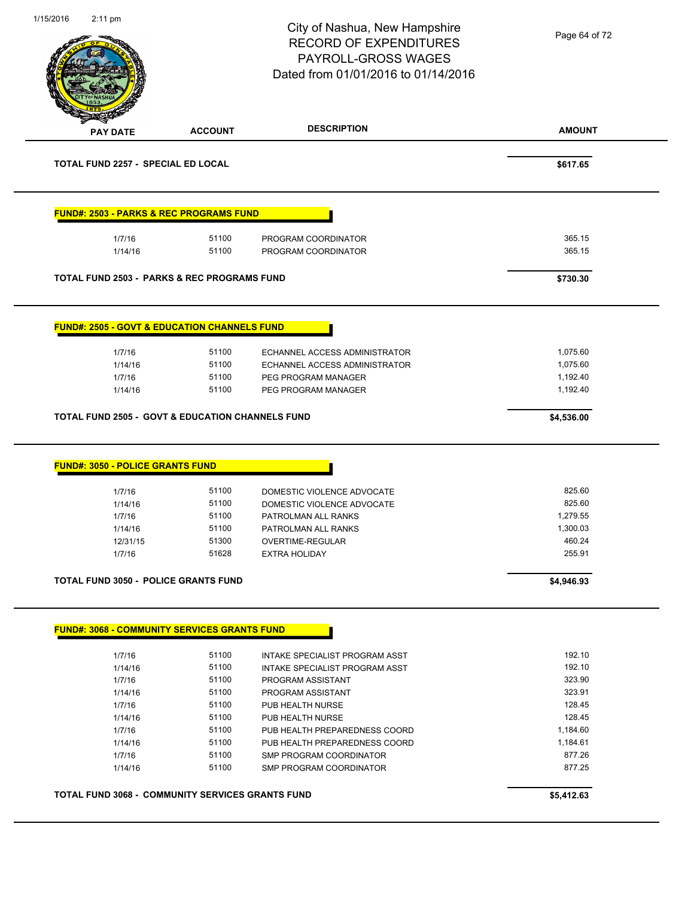|                                                                                                                  |                | City of Nashua, New Hampshire<br><b>RECORD OF EXPENDITURES</b><br><b>PAYROLL-GROSS WAGES</b><br>Dated from 01/01/2016 to 01/14/2016 | Page 64 of 72      |
|------------------------------------------------------------------------------------------------------------------|----------------|-------------------------------------------------------------------------------------------------------------------------------------|--------------------|
| <b>PAY DATE</b>                                                                                                  | <b>ACCOUNT</b> | <b>DESCRIPTION</b>                                                                                                                  | <b>AMOUNT</b>      |
| <b>TOTAL FUND 2257 - SPECIAL ED LOCAL</b>                                                                        |                |                                                                                                                                     | \$617.65           |
| <b>FUND#: 2503 - PARKS &amp; REC PROGRAMS FUND</b>                                                               |                |                                                                                                                                     |                    |
| 1/7/16                                                                                                           | 51100          | PROGRAM COORDINATOR                                                                                                                 | 365.15             |
| 1/14/16                                                                                                          | 51100          | PROGRAM COORDINATOR                                                                                                                 | 365.15             |
| <b>TOTAL FUND 2503 - PARKS &amp; REC PROGRAMS FUND</b>                                                           |                |                                                                                                                                     | \$730.30           |
| <b>FUND#: 2505 - GOVT &amp; EDUCATION CHANNELS FUND</b>                                                          |                |                                                                                                                                     |                    |
| 1/7/16                                                                                                           | 51100          | ECHANNEL ACCESS ADMINISTRATOR                                                                                                       | 1,075.60           |
| 1/14/16                                                                                                          | 51100          | ECHANNEL ACCESS ADMINISTRATOR                                                                                                       | 1,075.60           |
| 1/7/16                                                                                                           | 51100          | PEG PROGRAM MANAGER                                                                                                                 | 1,192.40           |
| 1/14/16                                                                                                          | 51100          | PEG PROGRAM MANAGER                                                                                                                 | 1,192.40           |
|                                                                                                                  |                |                                                                                                                                     |                    |
|                                                                                                                  |                |                                                                                                                                     | \$4,536.00         |
|                                                                                                                  |                |                                                                                                                                     |                    |
| 1/7/16                                                                                                           | 51100          | DOMESTIC VIOLENCE ADVOCATE                                                                                                          | 825.60             |
| 1/14/16                                                                                                          | 51100          | DOMESTIC VIOLENCE ADVOCATE                                                                                                          | 825.60             |
| 1/7/16                                                                                                           | 51100          | PATROLMAN ALL RANKS                                                                                                                 | 1,279.55           |
| 1/14/16<br>12/31/15                                                                                              | 51100<br>51300 | PATROLMAN ALL RANKS<br>OVERTIME-REGULAR                                                                                             | 1,300.03<br>460.24 |
| <b>TOTAL FUND 2505 - GOVT &amp; EDUCATION CHANNELS FUND</b><br><b>FUND#: 3050 - POLICE GRANTS FUND</b><br>1/7/16 | 51628          | <b>EXTRA HOLIDAY</b>                                                                                                                | 255.91             |
|                                                                                                                  |                |                                                                                                                                     | \$4,946.93         |
|                                                                                                                  |                |                                                                                                                                     |                    |
|                                                                                                                  |                |                                                                                                                                     |                    |
| 1/7/16                                                                                                           | 51100          | INTAKE SPECIALIST PROGRAM ASST                                                                                                      | 192.10<br>192.10   |
| 1/14/16<br>1/7/16                                                                                                | 51100<br>51100 | INTAKE SPECIALIST PROGRAM ASST<br>PROGRAM ASSISTANT                                                                                 | 323.90             |
| 1/14/16                                                                                                          | 51100          | PROGRAM ASSISTANT                                                                                                                   | 323.91             |
| 1/7/16                                                                                                           | 51100          | PUB HEALTH NURSE                                                                                                                    | 128.45             |
| 1/14/16                                                                                                          | 51100          | PUB HEALTH NURSE                                                                                                                    | 128.45             |
| 1/7/16                                                                                                           | 51100          | PUB HEALTH PREPAREDNESS COORD                                                                                                       | 1,184.60           |
| 1/14/16                                                                                                          | 51100          | PUB HEALTH PREPAREDNESS COORD                                                                                                       | 1,184.61           |
| <b>TOTAL FUND 3050 - POLICE GRANTS FUND</b><br><b>FUND#: 3068 - COMMUNITY SERVICES GRANTS FUND</b><br>1/7/16     | 51100          | SMP PROGRAM COORDINATOR                                                                                                             | 877.26             |
| 1/14/16                                                                                                          | 51100          | SMP PROGRAM COORDINATOR                                                                                                             | 877.25             |
| TOTAL FUND 3068 - COMMUNITY SERVICES GRANTS FUND                                                                 |                |                                                                                                                                     | \$5,412.63         |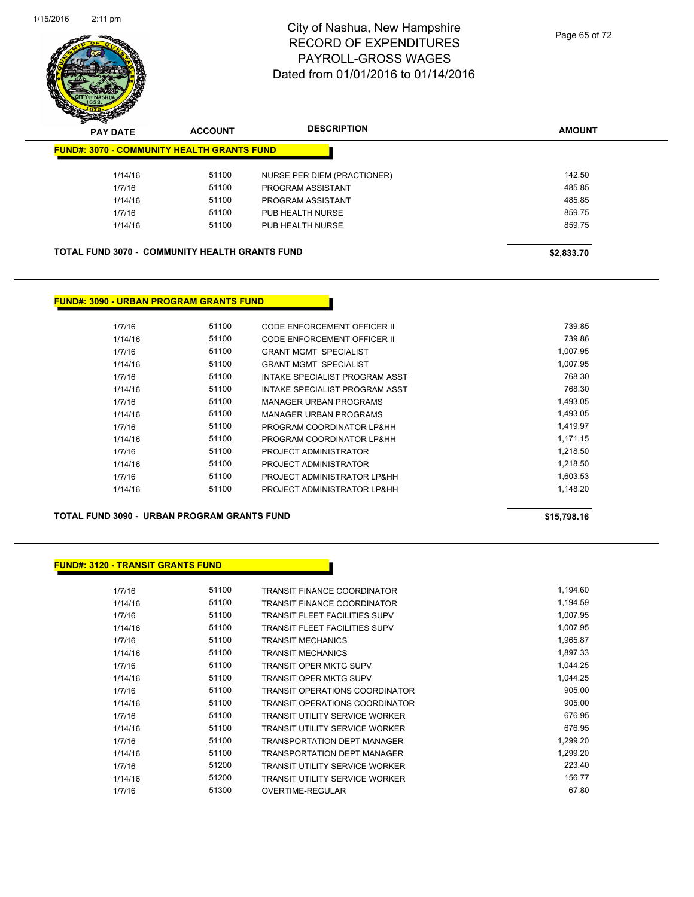

| -<br><b>PAY DATE</b>                                  | <b>ACCOUNT</b> | <b>DESCRIPTION</b>          | <b>AMOUNT</b> |
|-------------------------------------------------------|----------------|-----------------------------|---------------|
| <b>FUND#: 3070 - COMMUNITY HEALTH GRANTS FUND</b>     |                |                             |               |
| 1/14/16                                               | 51100          | NURSE PER DIEM (PRACTIONER) | 142.50        |
| 1/7/16                                                | 51100          | PROGRAM ASSISTANT           | 485.85        |
| 1/14/16                                               | 51100          | PROGRAM ASSISTANT           | 485.85        |
| 1/7/16                                                | 51100          | PUB HEALTH NURSE            | 859.75        |
| 1/14/16                                               | 51100          | PUB HEALTH NURSE            | 859.75        |
|                                                       |                |                             |               |
| <b>TOTAL FUND 3070 - COMMUNITY HEALTH GRANTS FUND</b> |                |                             | \$2,833.70    |

### **FUND#: 3090 - URBAN PROGRAM GRANTS FUND**

| 1/7/16  | 51100 | CODE ENFORCEMENT OFFICER II    | 739.85   |
|---------|-------|--------------------------------|----------|
| 1/14/16 | 51100 | CODE ENFORCEMENT OFFICER II    | 739.86   |
| 1/7/16  | 51100 | <b>GRANT MGMT SPECIALIST</b>   | 1.007.95 |
| 1/14/16 | 51100 | <b>GRANT MGMT SPECIALIST</b>   | 1.007.95 |
| 1/7/16  | 51100 | INTAKE SPECIALIST PROGRAM ASST | 768.30   |
| 1/14/16 | 51100 | INTAKE SPECIALIST PROGRAM ASST | 768.30   |
| 1/7/16  | 51100 | MANAGER URBAN PROGRAMS         | 1.493.05 |
| 1/14/16 | 51100 | MANAGER URBAN PROGRAMS         | 1.493.05 |
| 1/7/16  | 51100 | PROGRAM COORDINATOR LP&HH      | 1.419.97 |
| 1/14/16 | 51100 | PROGRAM COORDINATOR LP&HH      | 1.171.15 |
| 1/7/16  | 51100 | PROJECT ADMINISTRATOR          | 1.218.50 |
| 1/14/16 | 51100 | PROJECT ADMINISTRATOR          | 1.218.50 |
| 1/7/16  | 51100 | PROJECT ADMINISTRATOR LP&HH    | 1.603.53 |
| 1/14/16 | 51100 | PROJECT ADMINISTRATOR LP&HH    | 1.148.20 |
|         |       |                                |          |

**TOTAL FUND 3090 - URBAN PROGRAM GRANTS FUND \$15,798.16** 

### **FUND#: 3120 - TRANSIT GRANTS FUND**

| 1/7/16  | 51100 | <b>TRANSIT FINANCE COORDINATOR</b>    | 1,194.60 |
|---------|-------|---------------------------------------|----------|
| 1/14/16 | 51100 | <b>TRANSIT FINANCE COORDINATOR</b>    | 1,194.59 |
| 1/7/16  | 51100 | <b>TRANSIT FLEET FACILITIES SUPV</b>  | 1,007.95 |
| 1/14/16 | 51100 | <b>TRANSIT FLEET FACILITIES SUPV</b>  | 1,007.95 |
| 1/7/16  | 51100 | <b>TRANSIT MECHANICS</b>              | 1,965.87 |
| 1/14/16 | 51100 | <b>TRANSIT MECHANICS</b>              | 1,897.33 |
| 1/7/16  | 51100 | <b>TRANSIT OPER MKTG SUPV</b>         | 1.044.25 |
| 1/14/16 | 51100 | <b>TRANSIT OPER MKTG SUPV</b>         | 1,044.25 |
| 1/7/16  | 51100 | <b>TRANSIT OPERATIONS COORDINATOR</b> | 905.00   |
| 1/14/16 | 51100 | <b>TRANSIT OPERATIONS COORDINATOR</b> | 905.00   |
| 1/7/16  | 51100 | <b>TRANSIT UTILITY SERVICE WORKER</b> | 676.95   |
| 1/14/16 | 51100 | <b>TRANSIT UTILITY SERVICE WORKER</b> | 676.95   |
| 1/7/16  | 51100 | <b>TRANSPORTATION DEPT MANAGER</b>    | 1,299.20 |
| 1/14/16 | 51100 | <b>TRANSPORTATION DEPT MANAGER</b>    | 1,299.20 |
| 1/7/16  | 51200 | <b>TRANSIT UTILITY SERVICE WORKER</b> | 223.40   |
| 1/14/16 | 51200 | <b>TRANSIT UTILITY SERVICE WORKER</b> | 156.77   |
| 1/7/16  | 51300 | OVERTIME-REGULAR                      | 67.80    |
|         |       |                                       |          |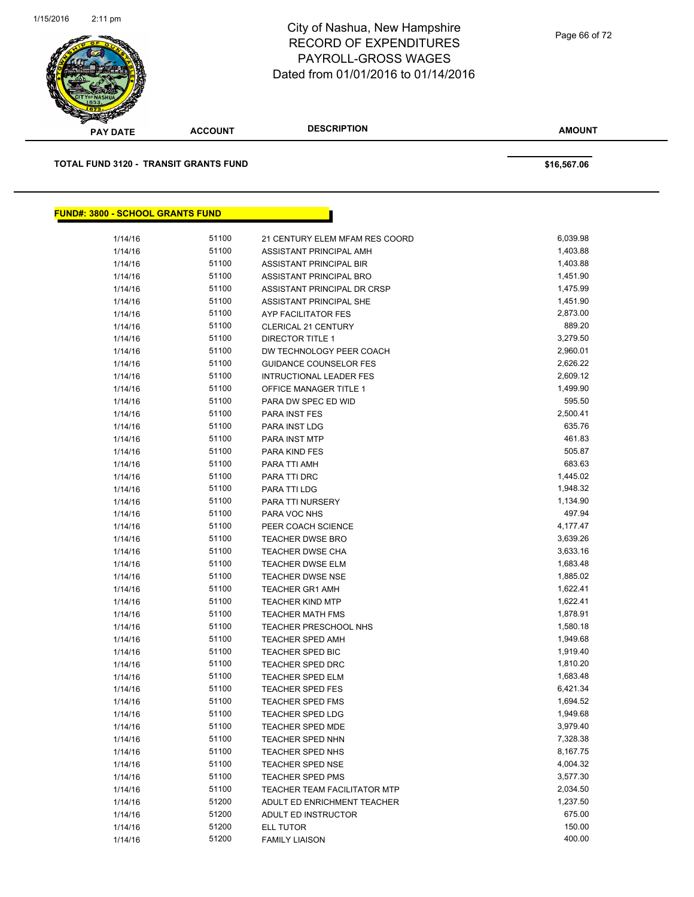

**AMOUNT PAY DATE ACCOUNT DESCRIPTION TOTAL FUND 3120 - TRANSIT GRANTS FUND \$16,567.06 FUND#: 3800 - SCHOOL GRANTS FUND**

| 1/14/16 | 51100 | 21 CENTURY ELEM MFAM RES COORD      | 6,039.98 |
|---------|-------|-------------------------------------|----------|
| 1/14/16 | 51100 | ASSISTANT PRINCIPAL AMH             | 1,403.88 |
| 1/14/16 | 51100 | <b>ASSISTANT PRINCIPAL BIR</b>      | 1,403.88 |
| 1/14/16 | 51100 | ASSISTANT PRINCIPAL BRO             | 1,451.90 |
| 1/14/16 | 51100 | ASSISTANT PRINCIPAL DR CRSP         | 1,475.99 |
| 1/14/16 | 51100 | ASSISTANT PRINCIPAL SHE             | 1,451.90 |
| 1/14/16 | 51100 | <b>AYP FACILITATOR FES</b>          | 2,873.00 |
| 1/14/16 | 51100 | <b>CLERICAL 21 CENTURY</b>          | 889.20   |
| 1/14/16 | 51100 | <b>DIRECTOR TITLE 1</b>             | 3,279.50 |
| 1/14/16 | 51100 | DW TECHNOLOGY PEER COACH            | 2,960.01 |
| 1/14/16 | 51100 | <b>GUIDANCE COUNSELOR FES</b>       | 2,626.22 |
| 1/14/16 | 51100 | <b>INTRUCTIONAL LEADER FES</b>      | 2,609.12 |
| 1/14/16 | 51100 | OFFICE MANAGER TITLE 1              | 1,499.90 |
| 1/14/16 | 51100 | PARA DW SPEC ED WID                 | 595.50   |
| 1/14/16 | 51100 | PARA INST FES                       | 2,500.41 |
| 1/14/16 | 51100 | PARA INST LDG                       | 635.76   |
| 1/14/16 | 51100 | PARA INST MTP                       | 461.83   |
| 1/14/16 | 51100 | PARA KIND FES                       | 505.87   |
| 1/14/16 | 51100 | PARA TTI AMH                        | 683.63   |
| 1/14/16 | 51100 | PARA TTI DRC                        | 1,445.02 |
| 1/14/16 | 51100 | PARA TTI LDG                        | 1,948.32 |
| 1/14/16 | 51100 | PARA TTI NURSERY                    | 1,134.90 |
| 1/14/16 | 51100 | PARA VOC NHS                        | 497.94   |
| 1/14/16 | 51100 | PEER COACH SCIENCE                  | 4,177.47 |
| 1/14/16 | 51100 | <b>TEACHER DWSE BRO</b>             | 3,639.26 |
| 1/14/16 | 51100 | <b>TEACHER DWSE CHA</b>             | 3,633.16 |
| 1/14/16 | 51100 | <b>TEACHER DWSE ELM</b>             | 1,683.48 |
| 1/14/16 | 51100 | <b>TEACHER DWSE NSE</b>             | 1,885.02 |
| 1/14/16 | 51100 | <b>TEACHER GR1 AMH</b>              | 1,622.41 |
| 1/14/16 | 51100 | <b>TEACHER KIND MTP</b>             | 1,622.41 |
| 1/14/16 | 51100 | <b>TEACHER MATH FMS</b>             | 1,878.91 |
| 1/14/16 | 51100 | <b>TEACHER PRESCHOOL NHS</b>        | 1,580.18 |
| 1/14/16 | 51100 | <b>TEACHER SPED AMH</b>             | 1,949.68 |
| 1/14/16 | 51100 | TEACHER SPED BIC                    | 1,919.40 |
| 1/14/16 | 51100 | <b>TEACHER SPED DRC</b>             | 1,810.20 |
| 1/14/16 | 51100 | <b>TEACHER SPED ELM</b>             | 1,683.48 |
| 1/14/16 | 51100 | <b>TEACHER SPED FES</b>             | 6,421.34 |
| 1/14/16 | 51100 | <b>TEACHER SPED FMS</b>             | 1,694.52 |
| 1/14/16 | 51100 | <b>TEACHER SPED LDG</b>             | 1,949.68 |
| 1/14/16 | 51100 | <b>TEACHER SPED MDE</b>             | 3,979.40 |
| 1/14/16 | 51100 | TEACHER SPED NHN                    | 7,328.38 |
| 1/14/16 | 51100 | <b>TEACHER SPED NHS</b>             | 8,167.75 |
| 1/14/16 | 51100 | <b>TEACHER SPED NSE</b>             | 4,004.32 |
| 1/14/16 | 51100 | <b>TEACHER SPED PMS</b>             | 3,577.30 |
| 1/14/16 | 51100 | <b>TEACHER TEAM FACILITATOR MTP</b> | 2,034.50 |
| 1/14/16 | 51200 | ADULT ED ENRICHMENT TEACHER         | 1,237.50 |
| 1/14/16 | 51200 | ADULT ED INSTRUCTOR                 | 675.00   |
| 1/14/16 | 51200 | ELL TUTOR                           | 150.00   |
| 1/14/16 | 51200 | <b>FAMILY LIAISON</b>               | 400.00   |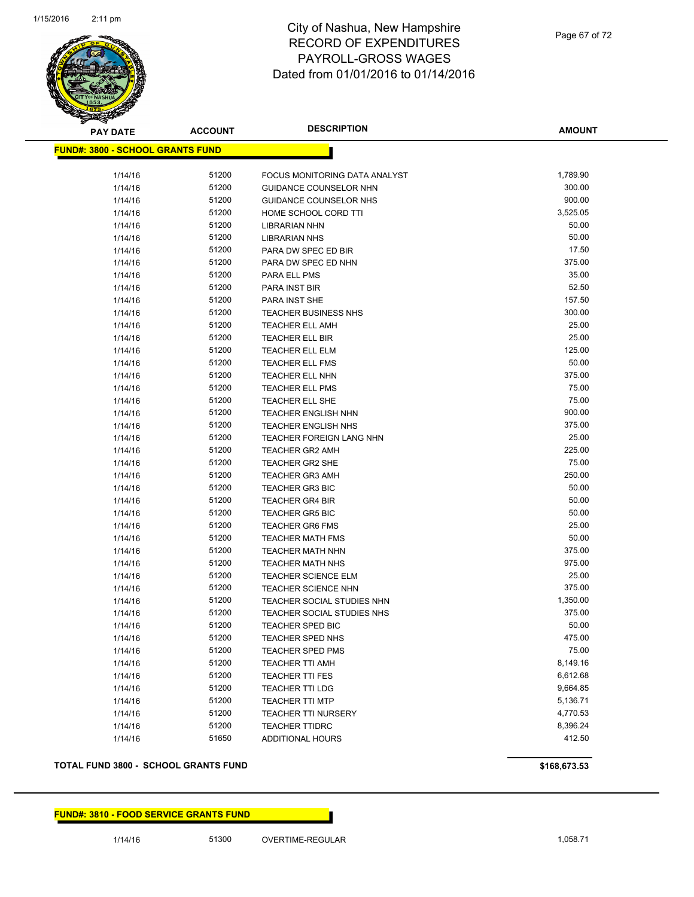

| <u> FUND#: 3800 - SCHOOL GRANTS FUND</u><br>51200<br>1,789.90<br>1/14/16<br>FOCUS MONITORING DATA ANALYST<br>51200<br>300.00<br>1/14/16<br>GUIDANCE COUNSELOR NHN<br>900.00<br>51200<br>1/14/16<br><b>GUIDANCE COUNSELOR NHS</b><br>51200<br>3,525.05<br>HOME SCHOOL CORD TTI<br>1/14/16<br>51200<br>50.00<br>1/14/16<br><b>LIBRARIAN NHN</b><br>50.00<br>51200<br>1/14/16<br><b>LIBRARIAN NHS</b><br>17.50<br>51200<br>1/14/16<br>PARA DW SPEC ED BIR<br>375.00<br>51200<br>1/14/16<br>PARA DW SPEC ED NHN<br>35.00<br>51200<br>1/14/16<br>PARA ELL PMS<br>52.50<br>51200<br>1/14/16<br>PARA INST BIR<br>51200<br>157.50<br>1/14/16<br>PARA INST SHE<br>51200<br>300.00<br>1/14/16<br><b>TEACHER BUSINESS NHS</b><br>51200<br>25.00<br>1/14/16<br><b>TEACHER ELL AMH</b><br>25.00<br>51200<br>1/14/16<br>TEACHER ELL BIR<br>125.00<br>51200<br>1/14/16<br><b>TEACHER ELL ELM</b><br>50.00<br>51200<br>1/14/16<br><b>TEACHER ELL FMS</b><br>375.00<br>51200<br>1/14/16<br>TEACHER ELL NHN<br>75.00<br>51200<br>1/14/16<br><b>TEACHER ELL PMS</b><br>75.00<br>51200<br>1/14/16<br>TEACHER ELL SHE<br>900.00<br>51200<br>1/14/16<br><b>TEACHER ENGLISH NHN</b><br>375.00<br>51200<br>1/14/16<br><b>TEACHER ENGLISH NHS</b><br>51200<br>25.00<br>1/14/16<br><b>TEACHER FOREIGN LANG NHN</b><br>225.00<br>51200<br>1/14/16<br><b>TEACHER GR2 AMH</b><br>51200<br>75.00<br>1/14/16<br><b>TEACHER GR2 SHE</b><br>51200<br>250.00<br>1/14/16<br><b>TEACHER GR3 AMH</b><br>50.00<br>51200<br>1/14/16<br><b>TEACHER GR3 BIC</b><br>50.00<br>51200<br>1/14/16<br><b>TEACHER GR4 BIR</b><br>50.00<br>51200<br>1/14/16<br><b>TEACHER GR5 BIC</b><br>25.00<br>51200<br>1/14/16<br><b>TEACHER GR6 FMS</b><br>50.00<br>51200<br>1/14/16<br><b>TEACHER MATH FMS</b><br>51200<br>375.00<br>1/14/16<br><b>TEACHER MATH NHN</b><br>51200<br>975.00<br>1/14/16<br><b>TEACHER MATH NHS</b><br>25.00<br>51200<br>1/14/16<br><b>TEACHER SCIENCE ELM</b><br>375.00<br>51200<br>1/14/16<br><b>TEACHER SCIENCE NHN</b><br>51200<br>1,350.00<br>1/14/16<br>TEACHER SOCIAL STUDIES NHN<br>375.00<br>51200<br>TEACHER SOCIAL STUDIES NHS<br>1/14/16<br>51200<br>50.00<br>1/14/16<br><b>TEACHER SPED BIC</b><br>51200<br>475.00<br>TEACHER SPED NHS<br>1/14/16<br>51200<br>75.00<br>1/14/16<br><b>TEACHER SPED PMS</b><br>8,149.16<br>1/14/16<br>51200<br><b>TEACHER TTI AMH</b><br>51200<br>6,612.68<br>1/14/16<br><b>TEACHER TTI FES</b><br>51200<br>9,664.85<br>1/14/16<br><b>TEACHER TTI LDG</b><br>51200<br>5,136.71<br>1/14/16<br><b>TEACHER TTI MTP</b><br>51200<br>4,770.53<br>1/14/16<br><b>TEACHER TTI NURSERY</b><br>51200<br>8,396.24<br>1/14/16<br><b>TEACHER TTIDRC</b><br>412.50<br>1/14/16<br>51650<br><b>ADDITIONAL HOURS</b> | <b>PAY DATE</b> | <b>ACCOUNT</b> | <b>DESCRIPTION</b> | <b>AMOUNT</b> |
|------------------------------------------------------------------------------------------------------------------------------------------------------------------------------------------------------------------------------------------------------------------------------------------------------------------------------------------------------------------------------------------------------------------------------------------------------------------------------------------------------------------------------------------------------------------------------------------------------------------------------------------------------------------------------------------------------------------------------------------------------------------------------------------------------------------------------------------------------------------------------------------------------------------------------------------------------------------------------------------------------------------------------------------------------------------------------------------------------------------------------------------------------------------------------------------------------------------------------------------------------------------------------------------------------------------------------------------------------------------------------------------------------------------------------------------------------------------------------------------------------------------------------------------------------------------------------------------------------------------------------------------------------------------------------------------------------------------------------------------------------------------------------------------------------------------------------------------------------------------------------------------------------------------------------------------------------------------------------------------------------------------------------------------------------------------------------------------------------------------------------------------------------------------------------------------------------------------------------------------------------------------------------------------------------------------------------------------------------------------------------------------------------------------------------------------------------------------------------------------------------------------------------------------------------------------------------------------------------------------------------------------------------------------------------------------------------------------|-----------------|----------------|--------------------|---------------|
|                                                                                                                                                                                                                                                                                                                                                                                                                                                                                                                                                                                                                                                                                                                                                                                                                                                                                                                                                                                                                                                                                                                                                                                                                                                                                                                                                                                                                                                                                                                                                                                                                                                                                                                                                                                                                                                                                                                                                                                                                                                                                                                                                                                                                                                                                                                                                                                                                                                                                                                                                                                                                                                                                                                  |                 |                |                    |               |
|                                                                                                                                                                                                                                                                                                                                                                                                                                                                                                                                                                                                                                                                                                                                                                                                                                                                                                                                                                                                                                                                                                                                                                                                                                                                                                                                                                                                                                                                                                                                                                                                                                                                                                                                                                                                                                                                                                                                                                                                                                                                                                                                                                                                                                                                                                                                                                                                                                                                                                                                                                                                                                                                                                                  |                 |                |                    |               |
|                                                                                                                                                                                                                                                                                                                                                                                                                                                                                                                                                                                                                                                                                                                                                                                                                                                                                                                                                                                                                                                                                                                                                                                                                                                                                                                                                                                                                                                                                                                                                                                                                                                                                                                                                                                                                                                                                                                                                                                                                                                                                                                                                                                                                                                                                                                                                                                                                                                                                                                                                                                                                                                                                                                  |                 |                |                    |               |
|                                                                                                                                                                                                                                                                                                                                                                                                                                                                                                                                                                                                                                                                                                                                                                                                                                                                                                                                                                                                                                                                                                                                                                                                                                                                                                                                                                                                                                                                                                                                                                                                                                                                                                                                                                                                                                                                                                                                                                                                                                                                                                                                                                                                                                                                                                                                                                                                                                                                                                                                                                                                                                                                                                                  |                 |                |                    |               |
|                                                                                                                                                                                                                                                                                                                                                                                                                                                                                                                                                                                                                                                                                                                                                                                                                                                                                                                                                                                                                                                                                                                                                                                                                                                                                                                                                                                                                                                                                                                                                                                                                                                                                                                                                                                                                                                                                                                                                                                                                                                                                                                                                                                                                                                                                                                                                                                                                                                                                                                                                                                                                                                                                                                  |                 |                |                    |               |
|                                                                                                                                                                                                                                                                                                                                                                                                                                                                                                                                                                                                                                                                                                                                                                                                                                                                                                                                                                                                                                                                                                                                                                                                                                                                                                                                                                                                                                                                                                                                                                                                                                                                                                                                                                                                                                                                                                                                                                                                                                                                                                                                                                                                                                                                                                                                                                                                                                                                                                                                                                                                                                                                                                                  |                 |                |                    |               |
|                                                                                                                                                                                                                                                                                                                                                                                                                                                                                                                                                                                                                                                                                                                                                                                                                                                                                                                                                                                                                                                                                                                                                                                                                                                                                                                                                                                                                                                                                                                                                                                                                                                                                                                                                                                                                                                                                                                                                                                                                                                                                                                                                                                                                                                                                                                                                                                                                                                                                                                                                                                                                                                                                                                  |                 |                |                    |               |
|                                                                                                                                                                                                                                                                                                                                                                                                                                                                                                                                                                                                                                                                                                                                                                                                                                                                                                                                                                                                                                                                                                                                                                                                                                                                                                                                                                                                                                                                                                                                                                                                                                                                                                                                                                                                                                                                                                                                                                                                                                                                                                                                                                                                                                                                                                                                                                                                                                                                                                                                                                                                                                                                                                                  |                 |                |                    |               |
|                                                                                                                                                                                                                                                                                                                                                                                                                                                                                                                                                                                                                                                                                                                                                                                                                                                                                                                                                                                                                                                                                                                                                                                                                                                                                                                                                                                                                                                                                                                                                                                                                                                                                                                                                                                                                                                                                                                                                                                                                                                                                                                                                                                                                                                                                                                                                                                                                                                                                                                                                                                                                                                                                                                  |                 |                |                    |               |
|                                                                                                                                                                                                                                                                                                                                                                                                                                                                                                                                                                                                                                                                                                                                                                                                                                                                                                                                                                                                                                                                                                                                                                                                                                                                                                                                                                                                                                                                                                                                                                                                                                                                                                                                                                                                                                                                                                                                                                                                                                                                                                                                                                                                                                                                                                                                                                                                                                                                                                                                                                                                                                                                                                                  |                 |                |                    |               |
|                                                                                                                                                                                                                                                                                                                                                                                                                                                                                                                                                                                                                                                                                                                                                                                                                                                                                                                                                                                                                                                                                                                                                                                                                                                                                                                                                                                                                                                                                                                                                                                                                                                                                                                                                                                                                                                                                                                                                                                                                                                                                                                                                                                                                                                                                                                                                                                                                                                                                                                                                                                                                                                                                                                  |                 |                |                    |               |
|                                                                                                                                                                                                                                                                                                                                                                                                                                                                                                                                                                                                                                                                                                                                                                                                                                                                                                                                                                                                                                                                                                                                                                                                                                                                                                                                                                                                                                                                                                                                                                                                                                                                                                                                                                                                                                                                                                                                                                                                                                                                                                                                                                                                                                                                                                                                                                                                                                                                                                                                                                                                                                                                                                                  |                 |                |                    |               |
|                                                                                                                                                                                                                                                                                                                                                                                                                                                                                                                                                                                                                                                                                                                                                                                                                                                                                                                                                                                                                                                                                                                                                                                                                                                                                                                                                                                                                                                                                                                                                                                                                                                                                                                                                                                                                                                                                                                                                                                                                                                                                                                                                                                                                                                                                                                                                                                                                                                                                                                                                                                                                                                                                                                  |                 |                |                    |               |
|                                                                                                                                                                                                                                                                                                                                                                                                                                                                                                                                                                                                                                                                                                                                                                                                                                                                                                                                                                                                                                                                                                                                                                                                                                                                                                                                                                                                                                                                                                                                                                                                                                                                                                                                                                                                                                                                                                                                                                                                                                                                                                                                                                                                                                                                                                                                                                                                                                                                                                                                                                                                                                                                                                                  |                 |                |                    |               |
|                                                                                                                                                                                                                                                                                                                                                                                                                                                                                                                                                                                                                                                                                                                                                                                                                                                                                                                                                                                                                                                                                                                                                                                                                                                                                                                                                                                                                                                                                                                                                                                                                                                                                                                                                                                                                                                                                                                                                                                                                                                                                                                                                                                                                                                                                                                                                                                                                                                                                                                                                                                                                                                                                                                  |                 |                |                    |               |
|                                                                                                                                                                                                                                                                                                                                                                                                                                                                                                                                                                                                                                                                                                                                                                                                                                                                                                                                                                                                                                                                                                                                                                                                                                                                                                                                                                                                                                                                                                                                                                                                                                                                                                                                                                                                                                                                                                                                                                                                                                                                                                                                                                                                                                                                                                                                                                                                                                                                                                                                                                                                                                                                                                                  |                 |                |                    |               |
|                                                                                                                                                                                                                                                                                                                                                                                                                                                                                                                                                                                                                                                                                                                                                                                                                                                                                                                                                                                                                                                                                                                                                                                                                                                                                                                                                                                                                                                                                                                                                                                                                                                                                                                                                                                                                                                                                                                                                                                                                                                                                                                                                                                                                                                                                                                                                                                                                                                                                                                                                                                                                                                                                                                  |                 |                |                    |               |
|                                                                                                                                                                                                                                                                                                                                                                                                                                                                                                                                                                                                                                                                                                                                                                                                                                                                                                                                                                                                                                                                                                                                                                                                                                                                                                                                                                                                                                                                                                                                                                                                                                                                                                                                                                                                                                                                                                                                                                                                                                                                                                                                                                                                                                                                                                                                                                                                                                                                                                                                                                                                                                                                                                                  |                 |                |                    |               |
|                                                                                                                                                                                                                                                                                                                                                                                                                                                                                                                                                                                                                                                                                                                                                                                                                                                                                                                                                                                                                                                                                                                                                                                                                                                                                                                                                                                                                                                                                                                                                                                                                                                                                                                                                                                                                                                                                                                                                                                                                                                                                                                                                                                                                                                                                                                                                                                                                                                                                                                                                                                                                                                                                                                  |                 |                |                    |               |
|                                                                                                                                                                                                                                                                                                                                                                                                                                                                                                                                                                                                                                                                                                                                                                                                                                                                                                                                                                                                                                                                                                                                                                                                                                                                                                                                                                                                                                                                                                                                                                                                                                                                                                                                                                                                                                                                                                                                                                                                                                                                                                                                                                                                                                                                                                                                                                                                                                                                                                                                                                                                                                                                                                                  |                 |                |                    |               |
|                                                                                                                                                                                                                                                                                                                                                                                                                                                                                                                                                                                                                                                                                                                                                                                                                                                                                                                                                                                                                                                                                                                                                                                                                                                                                                                                                                                                                                                                                                                                                                                                                                                                                                                                                                                                                                                                                                                                                                                                                                                                                                                                                                                                                                                                                                                                                                                                                                                                                                                                                                                                                                                                                                                  |                 |                |                    |               |
|                                                                                                                                                                                                                                                                                                                                                                                                                                                                                                                                                                                                                                                                                                                                                                                                                                                                                                                                                                                                                                                                                                                                                                                                                                                                                                                                                                                                                                                                                                                                                                                                                                                                                                                                                                                                                                                                                                                                                                                                                                                                                                                                                                                                                                                                                                                                                                                                                                                                                                                                                                                                                                                                                                                  |                 |                |                    |               |
|                                                                                                                                                                                                                                                                                                                                                                                                                                                                                                                                                                                                                                                                                                                                                                                                                                                                                                                                                                                                                                                                                                                                                                                                                                                                                                                                                                                                                                                                                                                                                                                                                                                                                                                                                                                                                                                                                                                                                                                                                                                                                                                                                                                                                                                                                                                                                                                                                                                                                                                                                                                                                                                                                                                  |                 |                |                    |               |
|                                                                                                                                                                                                                                                                                                                                                                                                                                                                                                                                                                                                                                                                                                                                                                                                                                                                                                                                                                                                                                                                                                                                                                                                                                                                                                                                                                                                                                                                                                                                                                                                                                                                                                                                                                                                                                                                                                                                                                                                                                                                                                                                                                                                                                                                                                                                                                                                                                                                                                                                                                                                                                                                                                                  |                 |                |                    |               |
|                                                                                                                                                                                                                                                                                                                                                                                                                                                                                                                                                                                                                                                                                                                                                                                                                                                                                                                                                                                                                                                                                                                                                                                                                                                                                                                                                                                                                                                                                                                                                                                                                                                                                                                                                                                                                                                                                                                                                                                                                                                                                                                                                                                                                                                                                                                                                                                                                                                                                                                                                                                                                                                                                                                  |                 |                |                    |               |
|                                                                                                                                                                                                                                                                                                                                                                                                                                                                                                                                                                                                                                                                                                                                                                                                                                                                                                                                                                                                                                                                                                                                                                                                                                                                                                                                                                                                                                                                                                                                                                                                                                                                                                                                                                                                                                                                                                                                                                                                                                                                                                                                                                                                                                                                                                                                                                                                                                                                                                                                                                                                                                                                                                                  |                 |                |                    |               |
|                                                                                                                                                                                                                                                                                                                                                                                                                                                                                                                                                                                                                                                                                                                                                                                                                                                                                                                                                                                                                                                                                                                                                                                                                                                                                                                                                                                                                                                                                                                                                                                                                                                                                                                                                                                                                                                                                                                                                                                                                                                                                                                                                                                                                                                                                                                                                                                                                                                                                                                                                                                                                                                                                                                  |                 |                |                    |               |
|                                                                                                                                                                                                                                                                                                                                                                                                                                                                                                                                                                                                                                                                                                                                                                                                                                                                                                                                                                                                                                                                                                                                                                                                                                                                                                                                                                                                                                                                                                                                                                                                                                                                                                                                                                                                                                                                                                                                                                                                                                                                                                                                                                                                                                                                                                                                                                                                                                                                                                                                                                                                                                                                                                                  |                 |                |                    |               |
|                                                                                                                                                                                                                                                                                                                                                                                                                                                                                                                                                                                                                                                                                                                                                                                                                                                                                                                                                                                                                                                                                                                                                                                                                                                                                                                                                                                                                                                                                                                                                                                                                                                                                                                                                                                                                                                                                                                                                                                                                                                                                                                                                                                                                                                                                                                                                                                                                                                                                                                                                                                                                                                                                                                  |                 |                |                    |               |
|                                                                                                                                                                                                                                                                                                                                                                                                                                                                                                                                                                                                                                                                                                                                                                                                                                                                                                                                                                                                                                                                                                                                                                                                                                                                                                                                                                                                                                                                                                                                                                                                                                                                                                                                                                                                                                                                                                                                                                                                                                                                                                                                                                                                                                                                                                                                                                                                                                                                                                                                                                                                                                                                                                                  |                 |                |                    |               |
|                                                                                                                                                                                                                                                                                                                                                                                                                                                                                                                                                                                                                                                                                                                                                                                                                                                                                                                                                                                                                                                                                                                                                                                                                                                                                                                                                                                                                                                                                                                                                                                                                                                                                                                                                                                                                                                                                                                                                                                                                                                                                                                                                                                                                                                                                                                                                                                                                                                                                                                                                                                                                                                                                                                  |                 |                |                    |               |
|                                                                                                                                                                                                                                                                                                                                                                                                                                                                                                                                                                                                                                                                                                                                                                                                                                                                                                                                                                                                                                                                                                                                                                                                                                                                                                                                                                                                                                                                                                                                                                                                                                                                                                                                                                                                                                                                                                                                                                                                                                                                                                                                                                                                                                                                                                                                                                                                                                                                                                                                                                                                                                                                                                                  |                 |                |                    |               |
|                                                                                                                                                                                                                                                                                                                                                                                                                                                                                                                                                                                                                                                                                                                                                                                                                                                                                                                                                                                                                                                                                                                                                                                                                                                                                                                                                                                                                                                                                                                                                                                                                                                                                                                                                                                                                                                                                                                                                                                                                                                                                                                                                                                                                                                                                                                                                                                                                                                                                                                                                                                                                                                                                                                  |                 |                |                    |               |
|                                                                                                                                                                                                                                                                                                                                                                                                                                                                                                                                                                                                                                                                                                                                                                                                                                                                                                                                                                                                                                                                                                                                                                                                                                                                                                                                                                                                                                                                                                                                                                                                                                                                                                                                                                                                                                                                                                                                                                                                                                                                                                                                                                                                                                                                                                                                                                                                                                                                                                                                                                                                                                                                                                                  |                 |                |                    |               |
|                                                                                                                                                                                                                                                                                                                                                                                                                                                                                                                                                                                                                                                                                                                                                                                                                                                                                                                                                                                                                                                                                                                                                                                                                                                                                                                                                                                                                                                                                                                                                                                                                                                                                                                                                                                                                                                                                                                                                                                                                                                                                                                                                                                                                                                                                                                                                                                                                                                                                                                                                                                                                                                                                                                  |                 |                |                    |               |
|                                                                                                                                                                                                                                                                                                                                                                                                                                                                                                                                                                                                                                                                                                                                                                                                                                                                                                                                                                                                                                                                                                                                                                                                                                                                                                                                                                                                                                                                                                                                                                                                                                                                                                                                                                                                                                                                                                                                                                                                                                                                                                                                                                                                                                                                                                                                                                                                                                                                                                                                                                                                                                                                                                                  |                 |                |                    |               |
|                                                                                                                                                                                                                                                                                                                                                                                                                                                                                                                                                                                                                                                                                                                                                                                                                                                                                                                                                                                                                                                                                                                                                                                                                                                                                                                                                                                                                                                                                                                                                                                                                                                                                                                                                                                                                                                                                                                                                                                                                                                                                                                                                                                                                                                                                                                                                                                                                                                                                                                                                                                                                                                                                                                  |                 |                |                    |               |
|                                                                                                                                                                                                                                                                                                                                                                                                                                                                                                                                                                                                                                                                                                                                                                                                                                                                                                                                                                                                                                                                                                                                                                                                                                                                                                                                                                                                                                                                                                                                                                                                                                                                                                                                                                                                                                                                                                                                                                                                                                                                                                                                                                                                                                                                                                                                                                                                                                                                                                                                                                                                                                                                                                                  |                 |                |                    |               |
|                                                                                                                                                                                                                                                                                                                                                                                                                                                                                                                                                                                                                                                                                                                                                                                                                                                                                                                                                                                                                                                                                                                                                                                                                                                                                                                                                                                                                                                                                                                                                                                                                                                                                                                                                                                                                                                                                                                                                                                                                                                                                                                                                                                                                                                                                                                                                                                                                                                                                                                                                                                                                                                                                                                  |                 |                |                    |               |
|                                                                                                                                                                                                                                                                                                                                                                                                                                                                                                                                                                                                                                                                                                                                                                                                                                                                                                                                                                                                                                                                                                                                                                                                                                                                                                                                                                                                                                                                                                                                                                                                                                                                                                                                                                                                                                                                                                                                                                                                                                                                                                                                                                                                                                                                                                                                                                                                                                                                                                                                                                                                                                                                                                                  |                 |                |                    |               |
|                                                                                                                                                                                                                                                                                                                                                                                                                                                                                                                                                                                                                                                                                                                                                                                                                                                                                                                                                                                                                                                                                                                                                                                                                                                                                                                                                                                                                                                                                                                                                                                                                                                                                                                                                                                                                                                                                                                                                                                                                                                                                                                                                                                                                                                                                                                                                                                                                                                                                                                                                                                                                                                                                                                  |                 |                |                    |               |
|                                                                                                                                                                                                                                                                                                                                                                                                                                                                                                                                                                                                                                                                                                                                                                                                                                                                                                                                                                                                                                                                                                                                                                                                                                                                                                                                                                                                                                                                                                                                                                                                                                                                                                                                                                                                                                                                                                                                                                                                                                                                                                                                                                                                                                                                                                                                                                                                                                                                                                                                                                                                                                                                                                                  |                 |                |                    |               |
|                                                                                                                                                                                                                                                                                                                                                                                                                                                                                                                                                                                                                                                                                                                                                                                                                                                                                                                                                                                                                                                                                                                                                                                                                                                                                                                                                                                                                                                                                                                                                                                                                                                                                                                                                                                                                                                                                                                                                                                                                                                                                                                                                                                                                                                                                                                                                                                                                                                                                                                                                                                                                                                                                                                  |                 |                |                    |               |
|                                                                                                                                                                                                                                                                                                                                                                                                                                                                                                                                                                                                                                                                                                                                                                                                                                                                                                                                                                                                                                                                                                                                                                                                                                                                                                                                                                                                                                                                                                                                                                                                                                                                                                                                                                                                                                                                                                                                                                                                                                                                                                                                                                                                                                                                                                                                                                                                                                                                                                                                                                                                                                                                                                                  |                 |                |                    |               |
|                                                                                                                                                                                                                                                                                                                                                                                                                                                                                                                                                                                                                                                                                                                                                                                                                                                                                                                                                                                                                                                                                                                                                                                                                                                                                                                                                                                                                                                                                                                                                                                                                                                                                                                                                                                                                                                                                                                                                                                                                                                                                                                                                                                                                                                                                                                                                                                                                                                                                                                                                                                                                                                                                                                  |                 |                |                    |               |
|                                                                                                                                                                                                                                                                                                                                                                                                                                                                                                                                                                                                                                                                                                                                                                                                                                                                                                                                                                                                                                                                                                                                                                                                                                                                                                                                                                                                                                                                                                                                                                                                                                                                                                                                                                                                                                                                                                                                                                                                                                                                                                                                                                                                                                                                                                                                                                                                                                                                                                                                                                                                                                                                                                                  |                 |                |                    |               |
|                                                                                                                                                                                                                                                                                                                                                                                                                                                                                                                                                                                                                                                                                                                                                                                                                                                                                                                                                                                                                                                                                                                                                                                                                                                                                                                                                                                                                                                                                                                                                                                                                                                                                                                                                                                                                                                                                                                                                                                                                                                                                                                                                                                                                                                                                                                                                                                                                                                                                                                                                                                                                                                                                                                  |                 |                |                    |               |
|                                                                                                                                                                                                                                                                                                                                                                                                                                                                                                                                                                                                                                                                                                                                                                                                                                                                                                                                                                                                                                                                                                                                                                                                                                                                                                                                                                                                                                                                                                                                                                                                                                                                                                                                                                                                                                                                                                                                                                                                                                                                                                                                                                                                                                                                                                                                                                                                                                                                                                                                                                                                                                                                                                                  |                 |                |                    |               |
|                                                                                                                                                                                                                                                                                                                                                                                                                                                                                                                                                                                                                                                                                                                                                                                                                                                                                                                                                                                                                                                                                                                                                                                                                                                                                                                                                                                                                                                                                                                                                                                                                                                                                                                                                                                                                                                                                                                                                                                                                                                                                                                                                                                                                                                                                                                                                                                                                                                                                                                                                                                                                                                                                                                  |                 |                |                    |               |

### **TOTAL FUND 3800 - SCHOOL GRANTS FUND \$168,673.53**

**FUND#: 3810 - FOOD SERVICE GRANTS FUND**

1/14/16 51300 OVERTIME-REGULAR 1,058.71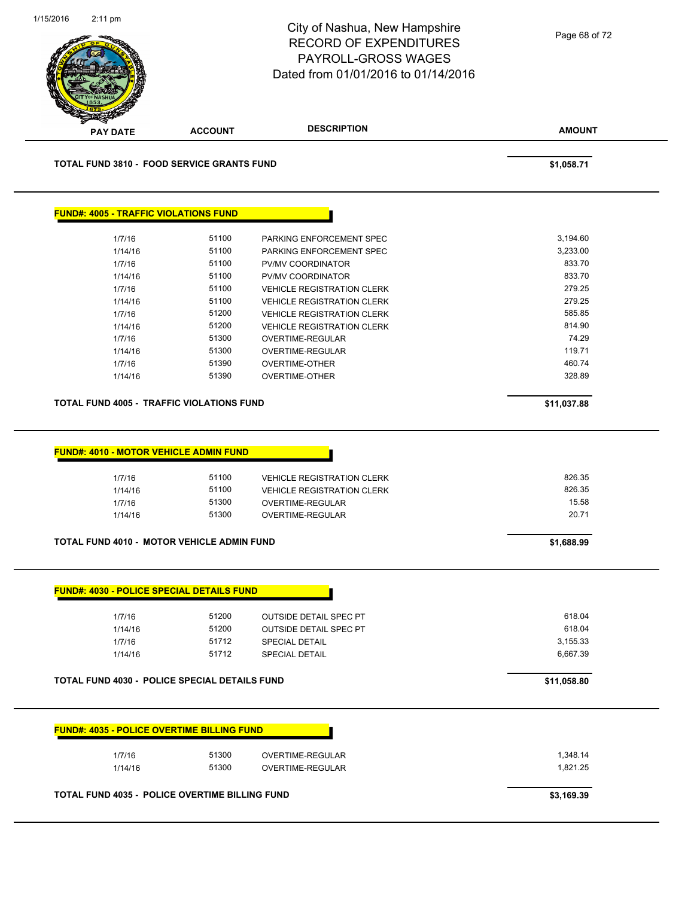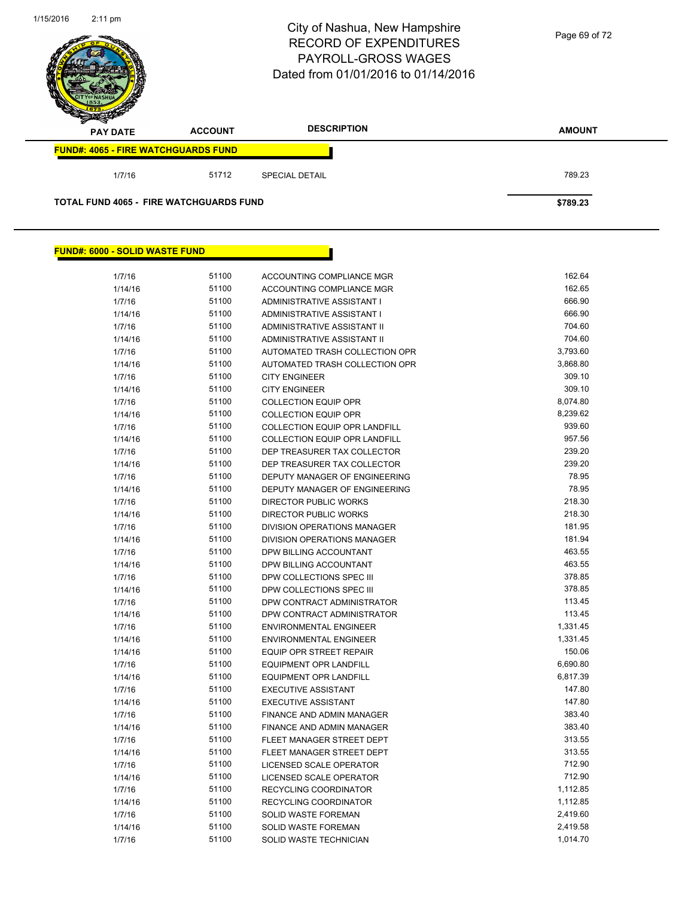

### **FUND#: 6000 - SOLID WASTE FUND**

| 1/7/16  | 51100 | ACCOUNTING COMPLIANCE MGR            | 162.64   |
|---------|-------|--------------------------------------|----------|
| 1/14/16 | 51100 | ACCOUNTING COMPLIANCE MGR            | 162.65   |
| 1/7/16  | 51100 | ADMINISTRATIVE ASSISTANT I           | 666.90   |
| 1/14/16 | 51100 | ADMINISTRATIVE ASSISTANT I           | 666.90   |
| 1/7/16  | 51100 | ADMINISTRATIVE ASSISTANT II          | 704.60   |
| 1/14/16 | 51100 | ADMINISTRATIVE ASSISTANT II          | 704.60   |
| 1/7/16  | 51100 | AUTOMATED TRASH COLLECTION OPR       | 3,793.60 |
| 1/14/16 | 51100 | AUTOMATED TRASH COLLECTION OPR       | 3,868.80 |
| 1/7/16  | 51100 | <b>CITY ENGINEER</b>                 | 309.10   |
| 1/14/16 | 51100 | <b>CITY ENGINEER</b>                 | 309.10   |
| 1/7/16  | 51100 | <b>COLLECTION EQUIP OPR</b>          | 8,074.80 |
| 1/14/16 | 51100 | <b>COLLECTION EQUIP OPR</b>          | 8,239.62 |
| 1/7/16  | 51100 | COLLECTION EQUIP OPR LANDFILL        | 939.60   |
| 1/14/16 | 51100 | <b>COLLECTION EQUIP OPR LANDFILL</b> | 957.56   |
| 1/7/16  | 51100 | DEP TREASURER TAX COLLECTOR          | 239.20   |
| 1/14/16 | 51100 | DEP TREASURER TAX COLLECTOR          | 239.20   |
| 1/7/16  | 51100 | DEPUTY MANAGER OF ENGINEERING        | 78.95    |
| 1/14/16 | 51100 | DEPUTY MANAGER OF ENGINEERING        | 78.95    |
| 1/7/16  | 51100 | <b>DIRECTOR PUBLIC WORKS</b>         | 218.30   |
| 1/14/16 | 51100 | <b>DIRECTOR PUBLIC WORKS</b>         | 218.30   |
| 1/7/16  | 51100 | DIVISION OPERATIONS MANAGER          | 181.95   |
| 1/14/16 | 51100 | <b>DIVISION OPERATIONS MANAGER</b>   | 181.94   |
| 1/7/16  | 51100 | DPW BILLING ACCOUNTANT               | 463.55   |
| 1/14/16 | 51100 | DPW BILLING ACCOUNTANT               | 463.55   |
| 1/7/16  | 51100 | DPW COLLECTIONS SPEC III             | 378.85   |
| 1/14/16 | 51100 | DPW COLLECTIONS SPEC III             | 378.85   |
| 1/7/16  | 51100 | DPW CONTRACT ADMINISTRATOR           | 113.45   |
| 1/14/16 | 51100 | DPW CONTRACT ADMINISTRATOR           | 113.45   |
| 1/7/16  | 51100 | <b>ENVIRONMENTAL ENGINEER</b>        | 1,331.45 |
| 1/14/16 | 51100 | <b>ENVIRONMENTAL ENGINEER</b>        | 1,331.45 |
| 1/14/16 | 51100 | <b>EQUIP OPR STREET REPAIR</b>       | 150.06   |
| 1/7/16  | 51100 | <b>EQUIPMENT OPR LANDFILL</b>        | 6,690.80 |
| 1/14/16 | 51100 | <b>EQUIPMENT OPR LANDFILL</b>        | 6,817.39 |
| 1/7/16  | 51100 | <b>EXECUTIVE ASSISTANT</b>           | 147.80   |
| 1/14/16 | 51100 | <b>EXECUTIVE ASSISTANT</b>           | 147.80   |
| 1/7/16  | 51100 | <b>FINANCE AND ADMIN MANAGER</b>     | 383.40   |
| 1/14/16 | 51100 | FINANCE AND ADMIN MANAGER            | 383.40   |
| 1/7/16  | 51100 | FLEET MANAGER STREET DEPT            | 313.55   |
| 1/14/16 | 51100 | FLEET MANAGER STREET DEPT            | 313.55   |
| 1/7/16  | 51100 | LICENSED SCALE OPERATOR              | 712.90   |
| 1/14/16 | 51100 | LICENSED SCALE OPERATOR              | 712.90   |
| 1/7/16  | 51100 | <b>RECYCLING COORDINATOR</b>         | 1,112.85 |
| 1/14/16 | 51100 | <b>RECYCLING COORDINATOR</b>         | 1,112.85 |
| 1/7/16  | 51100 | SOLID WASTE FOREMAN                  | 2,419.60 |
| 1/14/16 | 51100 | SOLID WASTE FOREMAN                  | 2,419.58 |
| 1/7/16  | 51100 | <b>SOLID WASTE TECHNICIAN</b>        | 1,014.70 |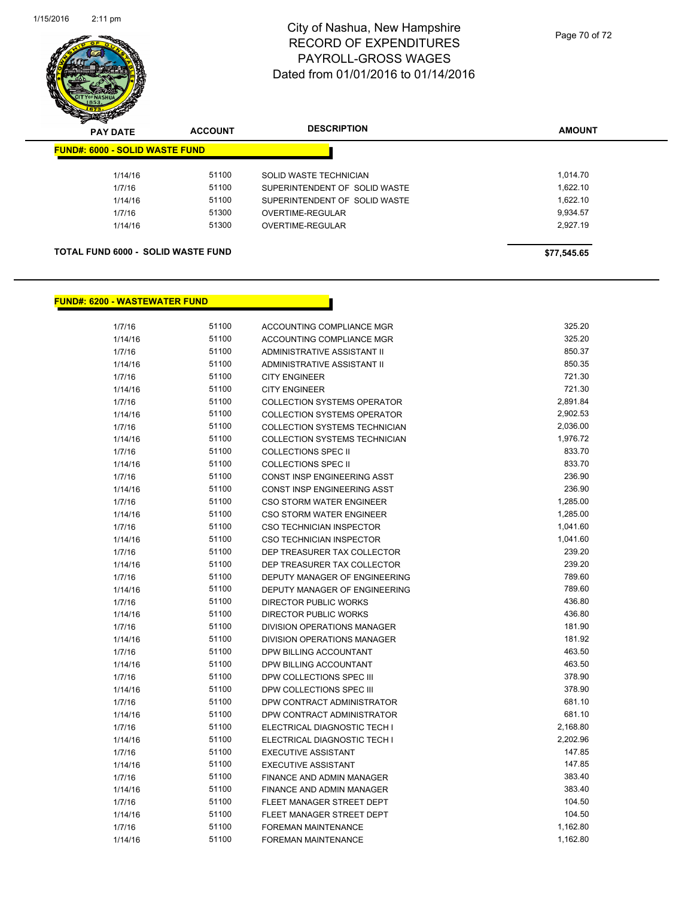

| $\boldsymbol{\nu}$<br>--<br><b>PAY DATE</b> | <b>ACCOUNT</b> | <b>DESCRIPTION</b>            | <b>AMOUNT</b> |
|---------------------------------------------|----------------|-------------------------------|---------------|
| <b>FUND#: 6000 - SOLID WASTE FUND</b>       |                |                               |               |
| 1/14/16                                     | 51100          | SOLID WASTE TECHNICIAN        | 1.014.70      |
| 1/7/16                                      | 51100          | SUPERINTENDENT OF SOLID WASTE | 1,622.10      |
| 1/14/16                                     | 51100          | SUPERINTENDENT OF SOLID WASTE | 1,622.10      |
| 1/7/16                                      | 51300          | OVERTIME-REGULAR              | 9,934.57      |
| 1/14/16                                     | 51300          | OVERTIME-REGULAR              | 2,927.19      |
|                                             |                |                               |               |
| <b>TOTAL FUND 6000 - SOLID WASTE FUND</b>   |                |                               | \$77,545.65   |

### **FUND#: 6200 - WASTEWATER FUND**

| 1/7/16  | 51100 | ACCOUNTING COMPLIANCE MGR          | 325.20   |
|---------|-------|------------------------------------|----------|
| 1/14/16 | 51100 | ACCOUNTING COMPLIANCE MGR          | 325.20   |
| 1/7/16  | 51100 | ADMINISTRATIVE ASSISTANT II        | 850.37   |
| 1/14/16 | 51100 | <b>ADMINISTRATIVE ASSISTANT II</b> | 850.35   |
| 1/7/16  | 51100 | <b>CITY ENGINEER</b>               | 721.30   |
| 1/14/16 | 51100 | <b>CITY ENGINEER</b>               | 721.30   |
| 1/7/16  | 51100 | <b>COLLECTION SYSTEMS OPERATOR</b> | 2,891.84 |
| 1/14/16 | 51100 | <b>COLLECTION SYSTEMS OPERATOR</b> | 2,902.53 |
| 1/7/16  | 51100 | COLLECTION SYSTEMS TECHNICIAN      | 2,036.00 |
| 1/14/16 | 51100 | COLLECTION SYSTEMS TECHNICIAN      | 1,976.72 |
| 1/7/16  | 51100 | <b>COLLECTIONS SPEC II</b>         | 833.70   |
| 1/14/16 | 51100 | <b>COLLECTIONS SPEC II</b>         | 833.70   |
| 1/7/16  | 51100 | CONST INSP ENGINEERING ASST        | 236.90   |
| 1/14/16 | 51100 | CONST INSP ENGINEERING ASST        | 236.90   |
| 1/7/16  | 51100 | CSO STORM WATER ENGINEER           | 1,285.00 |
| 1/14/16 | 51100 | <b>CSO STORM WATER ENGINEER</b>    | 1,285.00 |
| 1/7/16  | 51100 | CSO TECHNICIAN INSPECTOR           | 1,041.60 |
| 1/14/16 | 51100 | CSO TECHNICIAN INSPECTOR           | 1,041.60 |
| 1/7/16  | 51100 | DEP TREASURER TAX COLLECTOR        | 239.20   |
| 1/14/16 | 51100 | DEP TREASURER TAX COLLECTOR        | 239.20   |
| 1/7/16  | 51100 | DEPUTY MANAGER OF ENGINEERING      | 789.60   |
| 1/14/16 | 51100 | DEPUTY MANAGER OF ENGINEERING      | 789.60   |
| 1/7/16  | 51100 | <b>DIRECTOR PUBLIC WORKS</b>       | 436.80   |
| 1/14/16 | 51100 | <b>DIRECTOR PUBLIC WORKS</b>       | 436.80   |
| 1/7/16  | 51100 | DIVISION OPERATIONS MANAGER        | 181.90   |
| 1/14/16 | 51100 | DIVISION OPERATIONS MANAGER        | 181.92   |
| 1/7/16  | 51100 | DPW BILLING ACCOUNTANT             | 463.50   |
| 1/14/16 | 51100 | DPW BILLING ACCOUNTANT             | 463.50   |
| 1/7/16  | 51100 | DPW COLLECTIONS SPEC III           | 378.90   |
| 1/14/16 | 51100 | DPW COLLECTIONS SPEC III           | 378.90   |
| 1/7/16  | 51100 | DPW CONTRACT ADMINISTRATOR         | 681.10   |
| 1/14/16 | 51100 | DPW CONTRACT ADMINISTRATOR         | 681.10   |
| 1/7/16  | 51100 | ELECTRICAL DIAGNOSTIC TECH I       | 2,168.80 |
| 1/14/16 | 51100 | ELECTRICAL DIAGNOSTIC TECH I       | 2,202.96 |
| 1/7/16  | 51100 | <b>EXECUTIVE ASSISTANT</b>         | 147.85   |
| 1/14/16 | 51100 | <b>EXECUTIVE ASSISTANT</b>         | 147.85   |
| 1/7/16  | 51100 | FINANCE AND ADMIN MANAGER          | 383.40   |
| 1/14/16 | 51100 | FINANCE AND ADMIN MANAGER          | 383.40   |
| 1/7/16  | 51100 | FLEET MANAGER STREET DEPT          | 104.50   |
| 1/14/16 | 51100 | FLEET MANAGER STREET DEPT          | 104.50   |
| 1/7/16  | 51100 | <b>FOREMAN MAINTENANCE</b>         | 1,162.80 |
| 1/14/16 | 51100 | <b>FOREMAN MAINTENANCE</b>         | 1,162.80 |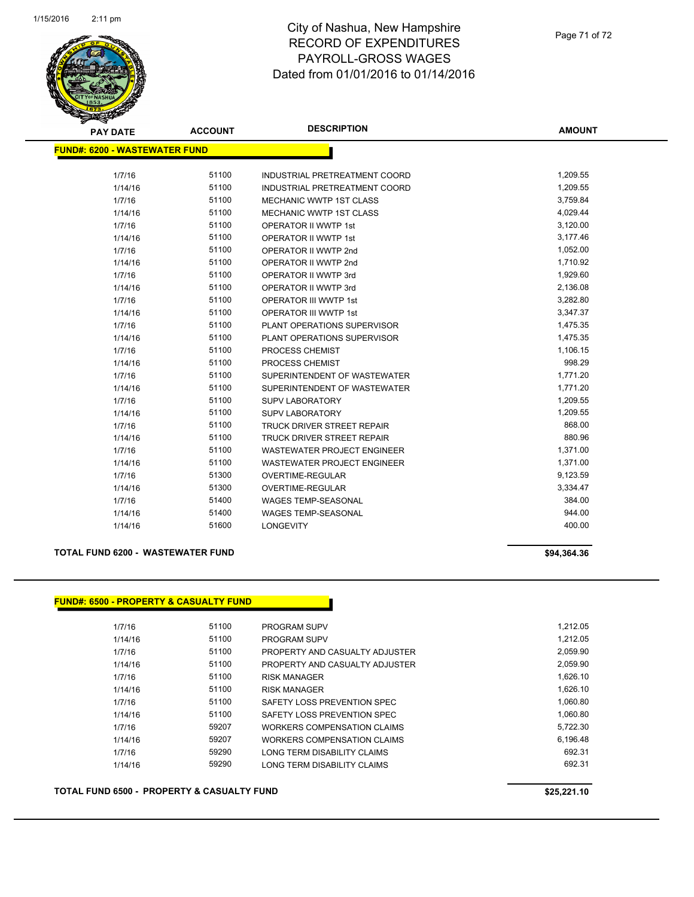

| <b>PAY DATE</b>                      | <b>ACCOUNT</b> | <b>DESCRIPTION</b>                 | <b>AMOUNT</b> |
|--------------------------------------|----------------|------------------------------------|---------------|
| <b>FUND#: 6200 - WASTEWATER FUND</b> |                |                                    |               |
|                                      |                |                                    |               |
| 1/7/16                               | 51100          | INDUSTRIAL PRETREATMENT COORD      | 1,209.55      |
| 1/14/16                              | 51100          | INDUSTRIAL PRETREATMENT COORD      | 1,209.55      |
| 1/7/16                               | 51100          | <b>MECHANIC WWTP 1ST CLASS</b>     | 3,759.84      |
| 1/14/16                              | 51100          | MECHANIC WWTP 1ST CLASS            | 4,029.44      |
| 1/7/16                               | 51100          | <b>OPERATOR II WWTP 1st</b>        | 3,120.00      |
| 1/14/16                              | 51100          | <b>OPERATOR II WWTP 1st</b>        | 3,177.46      |
| 1/7/16                               | 51100          | OPERATOR II WWTP 2nd               | 1,052.00      |
| 1/14/16                              | 51100          | OPERATOR II WWTP 2nd               | 1,710.92      |
| 1/7/16                               | 51100          | OPERATOR II WWTP 3rd               | 1,929.60      |
| 1/14/16                              | 51100          | OPERATOR II WWTP 3rd               | 2,136.08      |
| 1/7/16                               | 51100          | <b>OPERATOR III WWTP 1st</b>       | 3,282.80      |
| 1/14/16                              | 51100          | <b>OPERATOR III WWTP 1st</b>       | 3,347.37      |
| 1/7/16                               | 51100          | PLANT OPERATIONS SUPERVISOR        | 1,475.35      |
| 1/14/16                              | 51100          | PLANT OPERATIONS SUPERVISOR        | 1,475.35      |
| 1/7/16                               | 51100          | PROCESS CHEMIST                    | 1,106.15      |
| 1/14/16                              | 51100          | PROCESS CHEMIST                    | 998.29        |
| 1/7/16                               | 51100          | SUPERINTENDENT OF WASTEWATER       | 1,771.20      |
| 1/14/16                              | 51100          | SUPERINTENDENT OF WASTEWATER       | 1,771.20      |
| 1/7/16                               | 51100          | <b>SUPV LABORATORY</b>             | 1,209.55      |
| 1/14/16                              | 51100          | <b>SUPV LABORATORY</b>             | 1,209.55      |
| 1/7/16                               | 51100          | <b>TRUCK DRIVER STREET REPAIR</b>  | 868.00        |
| 1/14/16                              | 51100          | <b>TRUCK DRIVER STREET REPAIR</b>  | 880.96        |
| 1/7/16                               | 51100          | WASTEWATER PROJECT ENGINEER        | 1,371.00      |
| 1/14/16                              | 51100          | <b>WASTEWATER PROJECT ENGINEER</b> | 1,371.00      |
| 1/7/16                               | 51300          | <b>OVERTIME-REGULAR</b>            | 9,123.59      |
| 1/14/16                              | 51300          | <b>OVERTIME-REGULAR</b>            | 3,334.47      |
| 1/7/16                               | 51400          | <b>WAGES TEMP-SEASONAL</b>         | 384.00        |
| 1/14/16                              | 51400          | <b>WAGES TEMP-SEASONAL</b>         | 944.00        |
| 1/14/16                              | 51600          | <b>LONGEVITY</b>                   | 400.00        |
|                                      |                |                                    |               |

### **TOTAL FUND 6200 - WASTEWATER FUND \$94,364.36**

### **FUND#: 6500 - PROPERTY & CASUALTY FUND**

|         | <u>- PROPERTY &amp; CASUALTY FUND</u> |                                |          |
|---------|---------------------------------------|--------------------------------|----------|
| 1/7/16  | 51100                                 | PROGRAM SUPV                   | 1,212.05 |
| 1/14/16 | 51100                                 | <b>PROGRAM SUPV</b>            | 1,212.05 |
| 1/7/16  | 51100                                 | PROPERTY AND CASUALTY ADJUSTER | 2,059.90 |
| 1/14/16 | 51100                                 | PROPERTY AND CASUALTY ADJUSTER | 2,059.90 |
| 1/7/16  | 51100                                 | <b>RISK MANAGER</b>            | 1,626.10 |
| 1/14/16 | 51100                                 | <b>RISK MANAGER</b>            | 1,626.10 |
| 1/7/16  | 51100                                 | SAFETY LOSS PREVENTION SPEC    | 1,060.80 |
| 1/14/16 | 51100                                 | SAFETY LOSS PREVENTION SPEC    | 1.060.80 |
| 1/7/16  | 59207                                 | WORKERS COMPENSATION CLAIMS    | 5,722.30 |
| 1/14/16 | 59207                                 | WORKERS COMPENSATION CLAIMS    | 6,196.48 |
| 1/7/16  | 59290                                 | LONG TERM DISABILITY CLAIMS    | 692.31   |
| 1/14/16 | 59290                                 | LONG TERM DISABILITY CLAIMS    | 692.31   |

### **TOTAL FUND 6500 - PROPERTY & CASUALTY FUND \$25,221.10**